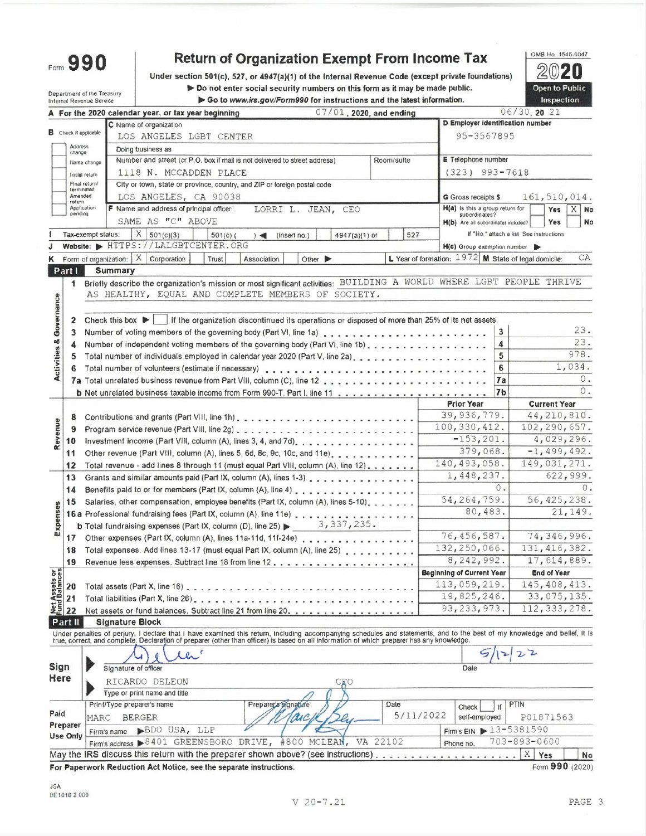Form 990

## **Return of Organization Exempt From Income Tax**

Under section 501(c), 527, or 4947(a)(1) of the Internal Revenue Code (except private foundations)

Do not enter social security numbers on this form as it may be made public. Go to www.irs.gov/Form990 for instructions and the latest information.

 $\mathbb{Z}$ Π Open to Public Inspection

OMB No. 1545-0047

|                                    |                              | Department of the Treasury<br>Internal Revenue Service |                                      |                                                                                                                                                                                                                                   |                |            | $\blacktriangleright$ Do not enter social security numbers on this form as it may be made public.<br>Go to www.irs.gov/Form990 for instructions and the latest information. |                    |                             |                            |            |           |                  |                                                                                                 |        |                                          | Inspection          | <b>Open to Public</b> |  |
|------------------------------------|------------------------------|--------------------------------------------------------|--------------------------------------|-----------------------------------------------------------------------------------------------------------------------------------------------------------------------------------------------------------------------------------|----------------|------------|-----------------------------------------------------------------------------------------------------------------------------------------------------------------------------|--------------------|-----------------------------|----------------------------|------------|-----------|------------------|-------------------------------------------------------------------------------------------------|--------|------------------------------------------|---------------------|-----------------------|--|
|                                    |                              |                                                        |                                      | A For the 2020 calendar year, or tax year beginning                                                                                                                                                                               |                |            |                                                                                                                                                                             |                    |                             | $07/01$ , 2020, and ending |            |           |                  |                                                                                                 |        | 06/30, 20 21                             |                     |                       |  |
|                                    |                              |                                                        |                                      | C Name of organization                                                                                                                                                                                                            |                |            |                                                                                                                                                                             |                    |                             |                            |            |           |                  | D Employer identification number                                                                |        |                                          |                     |                       |  |
|                                    | <b>B</b> Check if applicable |                                                        |                                      | LOS ANGELES LGBT CENTER                                                                                                                                                                                                           |                |            |                                                                                                                                                                             |                    |                             |                            |            |           |                  | 95-3567895                                                                                      |        |                                          |                     |                       |  |
|                                    | Address                      |                                                        |                                      | Doing business as                                                                                                                                                                                                                 |                |            |                                                                                                                                                                             |                    |                             |                            |            |           |                  |                                                                                                 |        |                                          |                     |                       |  |
|                                    | change                       |                                                        |                                      | Number and street (or P.O. box if mail is not delivered to street address)                                                                                                                                                        |                |            |                                                                                                                                                                             |                    |                             |                            | Room/suite |           |                  | <b>E</b> Telephone number                                                                       |        |                                          |                     |                       |  |
|                                    |                              | Name change                                            |                                      | 1118 N. MCCADDEN PLACE                                                                                                                                                                                                            |                |            |                                                                                                                                                                             |                    |                             |                            |            |           | $(323)$ 993-7618 |                                                                                                 |        |                                          |                     |                       |  |
|                                    |                              | Initial return<br>Final return/                        |                                      | City or town, state or province, country, and ZIP or foreign postal code                                                                                                                                                          |                |            |                                                                                                                                                                             |                    |                             |                            |            |           |                  |                                                                                                 |        |                                          |                     |                       |  |
|                                    | terminated<br>Amended        |                                                        |                                      | LOS ANGELES, CA 90038                                                                                                                                                                                                             |                |            |                                                                                                                                                                             |                    |                             |                            |            |           |                  | G Gross receipts \$                                                                             |        |                                          |                     | 161, 510, 014.        |  |
|                                    | return                       | Application                                            |                                      | F Name and address of principal officer:                                                                                                                                                                                          |                |            |                                                                                                                                                                             | LORRI L. JEAN, CEO |                             |                            |            |           |                  | H(a) Is this a group return for                                                                 |        |                                          | Yes                 | $X \mid$ No           |  |
|                                    | pending                      |                                                        |                                      | SAME AS "C" ABOVE                                                                                                                                                                                                                 |                |            |                                                                                                                                                                             |                    |                             |                            |            |           |                  | subordinates?                                                                                   |        |                                          | Yes                 | No                    |  |
|                                    |                              |                                                        | $\mathbf{X}$                         | 501(c)(3)                                                                                                                                                                                                                         |                |            |                                                                                                                                                                             |                    |                             |                            |            |           |                  | H(b) Are all subordinates included?                                                             |        | If "No," attach a list. See instructions |                     |                       |  |
|                                    |                              | Tax-exempt status:                                     |                                      | Website: FITTPS://LALGBTCENTER.ORG                                                                                                                                                                                                |                | $501(c)$ ( | $\rightarrow$                                                                                                                                                               | (insert no.)       |                             | 4947(a)(1) or              |            | 527       |                  |                                                                                                 |        |                                          |                     |                       |  |
|                                    |                              |                                                        |                                      | Form of organization: $X$ Corporation                                                                                                                                                                                             |                |            |                                                                                                                                                                             |                    |                             |                            |            |           |                  | H(c) Group exemption number<br>L Year of formation: $1972$ M State of legal domicile:           |        |                                          |                     | CA                    |  |
| κ                                  |                              |                                                        | Summary                              |                                                                                                                                                                                                                                   |                | Trust      | Association                                                                                                                                                                 |                    | Other $\blacktriangleright$ |                            |            |           |                  |                                                                                                 |        |                                          |                     |                       |  |
|                                    | Part I                       |                                                        |                                      | Briefly describe the organization's mission or most significant activities: BUILDING A WORLD WHERE LGBT PEOPLE THRIVE                                                                                                             |                |            |                                                                                                                                                                             |                    |                             |                            |            |           |                  |                                                                                                 |        |                                          |                     |                       |  |
|                                    | 1                            |                                                        |                                      | AS HEALTHY, EQUAL AND COMPLETE MEMBERS OF SOCIETY.                                                                                                                                                                                |                |            |                                                                                                                                                                             |                    |                             |                            |            |           |                  |                                                                                                 |        |                                          |                     |                       |  |
| <b>Activities &amp; Governance</b> |                              |                                                        |                                      |                                                                                                                                                                                                                                   |                |            |                                                                                                                                                                             |                    |                             |                            |            |           |                  |                                                                                                 |        |                                          |                     |                       |  |
|                                    |                              |                                                        |                                      |                                                                                                                                                                                                                                   |                |            |                                                                                                                                                                             |                    |                             |                            |            |           |                  |                                                                                                 |        |                                          |                     |                       |  |
|                                    | 2                            |                                                        | Check this box $\blacktriangleright$ |                                                                                                                                                                                                                                   |                |            |                                                                                                                                                                             |                    |                             |                            |            |           |                  | if the organization discontinued its operations or disposed of more than 25% of its net assets. |        |                                          |                     | 23.                   |  |
|                                    | 3                            |                                                        |                                      |                                                                                                                                                                                                                                   |                |            |                                                                                                                                                                             |                    |                             |                            |            |           |                  |                                                                                                 | 3      |                                          |                     | 23.                   |  |
|                                    | 4                            |                                                        |                                      | Number of independent voting members of the governing body (Part VI, line 1b).                                                                                                                                                    |                |            |                                                                                                                                                                             |                    |                             |                            |            |           |                  |                                                                                                 | 4<br>5 |                                          |                     | 978.                  |  |
|                                    | 5                            |                                                        |                                      | Total number of individuals employed in calendar year 2020 (Part V, line 2a).                                                                                                                                                     |                |            |                                                                                                                                                                             |                    |                             |                            |            |           |                  |                                                                                                 |        |                                          |                     | 1,034.                |  |
|                                    |                              |                                                        |                                      |                                                                                                                                                                                                                                   |                |            |                                                                                                                                                                             |                    |                             |                            |            |           |                  |                                                                                                 | 6      |                                          |                     | 0.                    |  |
|                                    |                              |                                                        |                                      |                                                                                                                                                                                                                                   |                |            |                                                                                                                                                                             |                    |                             |                            |            |           |                  |                                                                                                 | 7a     |                                          |                     | 0.                    |  |
|                                    |                              |                                                        |                                      |                                                                                                                                                                                                                                   |                |            |                                                                                                                                                                             |                    |                             |                            |            |           |                  |                                                                                                 | 7b     |                                          |                     |                       |  |
|                                    |                              |                                                        |                                      |                                                                                                                                                                                                                                   |                |            |                                                                                                                                                                             |                    |                             |                            |            |           |                  | <b>Prior Year</b><br>39, 936, 779.                                                              |        |                                          | <b>Current Year</b> | 44, 210, 810.         |  |
|                                    | 8                            |                                                        |                                      |                                                                                                                                                                                                                                   |                |            |                                                                                                                                                                             |                    |                             |                            |            |           |                  | 100, 330, 412.                                                                                  |        |                                          |                     | 102, 290, 657.        |  |
| Revenue                            | 9                            |                                                        |                                      |                                                                                                                                                                                                                                   |                |            |                                                                                                                                                                             |                    |                             |                            |            |           |                  | $-153, 201.$                                                                                    |        |                                          |                     | 4,029,296.            |  |
|                                    | 10                           |                                                        |                                      | Investment income (Part VIII, column (A), lines 3, 4, and 7d).                                                                                                                                                                    |                |            |                                                                                                                                                                             |                    |                             |                            |            |           |                  | 379,068.                                                                                        |        |                                          |                     | $-1,499,492.$         |  |
|                                    | 11                           |                                                        |                                      | Other revenue (Part VIII, column (A), lines 5, 6d, 8c, 9c, 10c, and 11e).                                                                                                                                                         |                |            |                                                                                                                                                                             |                    |                             |                            |            |           |                  | 140,493,058.                                                                                    |        |                                          |                     | 149,031,271.          |  |
|                                    | 12                           |                                                        |                                      | Total revenue - add lines 8 through 11 (must equal Part VIII, column (A), line 12).                                                                                                                                               |                |            |                                                                                                                                                                             |                    |                             |                            |            |           |                  |                                                                                                 |        |                                          |                     |                       |  |
|                                    | 13                           |                                                        |                                      | Grants and similar amounts paid (Part IX, column (A), lines 1-3)                                                                                                                                                                  |                |            |                                                                                                                                                                             |                    |                             |                            |            |           |                  | 1,448,237.                                                                                      | 0.     |                                          |                     | 622,999.<br>0.        |  |
|                                    | 14                           |                                                        |                                      | Benefits paid to or for members (Part IX, column (A), line 4)                                                                                                                                                                     |                |            |                                                                                                                                                                             |                    |                             |                            |            |           |                  | 54, 264, 759.                                                                                   |        |                                          |                     | 56, 425, 238.         |  |
|                                    | 15                           |                                                        |                                      | Salaries, other compensation, employee benefits (Part IX, column (A), lines 5-10).                                                                                                                                                |                |            |                                                                                                                                                                             |                    |                             |                            |            |           |                  | 80,483.                                                                                         |        |                                          |                     | 21, 149.              |  |
| Expenses                           |                              |                                                        |                                      | 16 a Professional fundraising fees (Part IX, column (A), line 11e)                                                                                                                                                                |                |            |                                                                                                                                                                             |                    |                             |                            |            |           |                  |                                                                                                 |        |                                          |                     |                       |  |
|                                    |                              |                                                        |                                      | <b>b</b> Total fundraising expenses (Part IX, column (D), line 25) $\triangleright$ 3, 337, 235.                                                                                                                                  |                |            |                                                                                                                                                                             |                    |                             |                            |            |           |                  | 76, 456, 587.                                                                                   |        |                                          |                     | 74,346,996.           |  |
|                                    |                              |                                                        |                                      | 17 Other expenses (Part IX, column (A), lines 11a-11d, 11f-24e)                                                                                                                                                                   |                |            |                                                                                                                                                                             |                    |                             |                            |            |           |                  | 132,250,066.                                                                                    |        |                                          |                     | 131, 416, 382.        |  |
|                                    |                              |                                                        |                                      | 18 Total expenses. Add lines 13-17 (must equal Part IX, column (A), line 25)                                                                                                                                                      |                |            |                                                                                                                                                                             |                    |                             |                            |            |           |                  | 8,242,992.                                                                                      |        |                                          |                     | 17,614,889.           |  |
|                                    |                              |                                                        |                                      | 19 Revenue less expenses. Subtract line 18 from line 12.                                                                                                                                                                          |                |            |                                                                                                                                                                             |                    |                             |                            |            |           |                  | Beginning of Current Year                                                                       |        |                                          | <b>End of Year</b>  |                       |  |
|                                    |                              |                                                        |                                      |                                                                                                                                                                                                                                   |                |            |                                                                                                                                                                             |                    |                             |                            |            |           |                  | 113,059,219.                                                                                    |        |                                          |                     | 145, 408, 413.        |  |
|                                    |                              |                                                        |                                      |                                                                                                                                                                                                                                   |                |            |                                                                                                                                                                             |                    |                             |                            |            |           |                  | 19,825,246.                                                                                     |        |                                          |                     | 33,075,135.           |  |
|                                    |                              |                                                        |                                      | Total liabilities (Part X, line 26)                                                                                                                                                                                               |                |            |                                                                                                                                                                             |                    |                             |                            |            |           |                  | 93, 233, 973.                                                                                   |        |                                          |                     | 112, 333, 278.        |  |
|                                    |                              |                                                        |                                      | Net assets or fund balances. Subtract line 21 from line 20.                                                                                                                                                                       |                |            |                                                                                                                                                                             |                    |                             |                            |            |           |                  |                                                                                                 |        |                                          |                     |                       |  |
|                                    | Part II                      |                                                        | <b>Signature Block</b>               |                                                                                                                                                                                                                                   |                |            |                                                                                                                                                                             |                    |                             |                            |            |           |                  |                                                                                                 |        |                                          |                     |                       |  |
|                                    |                              |                                                        |                                      | Under penalties of perjury, I declare that I have examined this return, including accompanying schedules and statements, and to the best of my knowledge and bellef, it is<br>true, correct, and complete. Declaration of prepare |                |            |                                                                                                                                                                             |                    |                             |                            |            |           |                  |                                                                                                 |        |                                          |                     |                       |  |
|                                    |                              |                                                        |                                      |                                                                                                                                                                                                                                   | $\mathbf{L}^r$ |            |                                                                                                                                                                             |                    |                             |                            |            |           |                  |                                                                                                 |        |                                          |                     |                       |  |
| Sign                               |                              |                                                        | Signature of officer                 |                                                                                                                                                                                                                                   |                |            |                                                                                                                                                                             |                    |                             |                            |            |           |                  | Date                                                                                            |        |                                          |                     |                       |  |
| Here                               |                              |                                                        |                                      | RICARDO DELEON                                                                                                                                                                                                                    |                |            |                                                                                                                                                                             |                    |                             | $\mathbb{C}$ denote        |            |           |                  |                                                                                                 |        |                                          |                     |                       |  |
|                                    |                              |                                                        |                                      | Type or print name and title                                                                                                                                                                                                      |                |            |                                                                                                                                                                             |                    |                             |                            |            |           |                  |                                                                                                 |        |                                          |                     |                       |  |
|                                    |                              |                                                        | Print/Type preparer's name           |                                                                                                                                                                                                                                   |                |            | Preparer's signature                                                                                                                                                        |                    |                             |                            | Date       |           |                  | Check                                                                                           | If     | PTIN                                     |                     |                       |  |
| Paid                               |                              | MARC                                                   | <b>BERGER</b>                        |                                                                                                                                                                                                                                   |                |            |                                                                                                                                                                             |                    |                             |                            |            | 5/11/2022 |                  | self-employed                                                                                   |        | P01871563                                |                     |                       |  |
|                                    | Preparer                     |                                                        |                                      | BDO USA, LLP                                                                                                                                                                                                                      |                |            |                                                                                                                                                                             |                    |                             |                            |            |           |                  | Firm's EIN 13-5381590                                                                           |        |                                          |                     |                       |  |
|                                    | <b>Use Only</b>              |                                                        | Firm's name                          | Firm's address >8401 GREENSBORO DRIVE, #800 MCLEAN,                                                                                                                                                                               |                |            |                                                                                                                                                                             |                    |                             |                            | VA 22102   |           |                  |                                                                                                 |        | 703-893-0600                             |                     |                       |  |
|                                    |                              |                                                        |                                      | May the IRS discuss this return with the preparer shown above? (see instructions).                                                                                                                                                |                |            |                                                                                                                                                                             |                    |                             |                            |            |           |                  | Phone no.                                                                                       |        | X Yes                                    |                     |                       |  |
|                                    |                              |                                                        |                                      |                                                                                                                                                                                                                                   |                |            |                                                                                                                                                                             |                    |                             |                            |            |           |                  |                                                                                                 |        |                                          |                     | No                    |  |

For Paperwork Reduction Act Notice, see the separate instructions.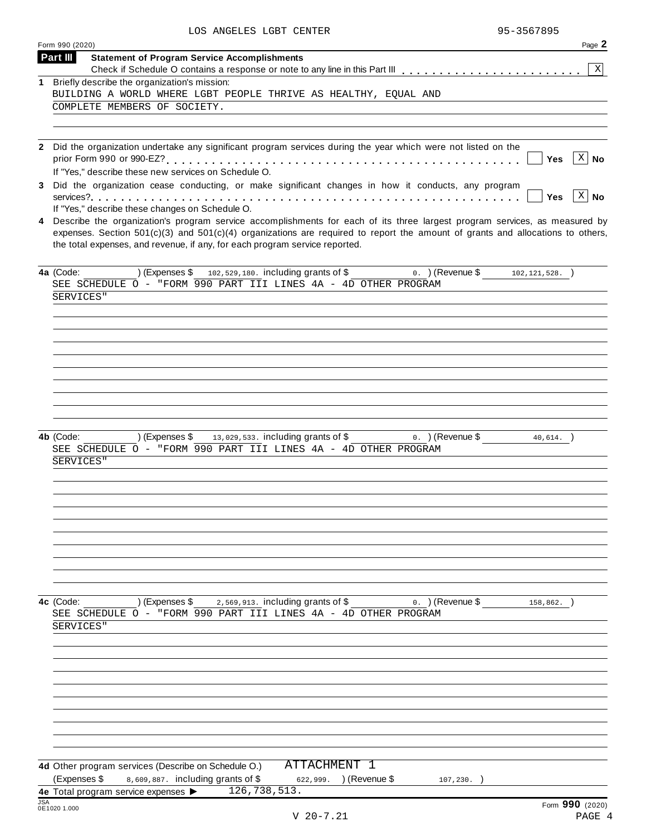| LOS ANGELES LGBT CENTER |  | 95-3567895 |
|-------------------------|--|------------|
|                         |  |            |

| X                                                                                                                                  |
|------------------------------------------------------------------------------------------------------------------------------------|
|                                                                                                                                    |
|                                                                                                                                    |
|                                                                                                                                    |
|                                                                                                                                    |
|                                                                                                                                    |
| $ X $ No                                                                                                                           |
|                                                                                                                                    |
|                                                                                                                                    |
| $ X $ No                                                                                                                           |
|                                                                                                                                    |
| 4 Describe the organization's program service accomplishments for each of its three largest program services, as measured by       |
| expenses. Section $501(c)(3)$ and $501(c)(4)$ organizations are required to report the amount of grants and allocations to others, |
|                                                                                                                                    |
|                                                                                                                                    |
|                                                                                                                                    |
|                                                                                                                                    |
|                                                                                                                                    |
|                                                                                                                                    |
|                                                                                                                                    |
|                                                                                                                                    |
|                                                                                                                                    |
|                                                                                                                                    |
|                                                                                                                                    |
|                                                                                                                                    |
|                                                                                                                                    |
|                                                                                                                                    |
|                                                                                                                                    |
|                                                                                                                                    |
|                                                                                                                                    |
|                                                                                                                                    |
|                                                                                                                                    |
|                                                                                                                                    |
|                                                                                                                                    |
|                                                                                                                                    |
|                                                                                                                                    |
|                                                                                                                                    |
|                                                                                                                                    |
|                                                                                                                                    |
|                                                                                                                                    |
|                                                                                                                                    |
|                                                                                                                                    |
|                                                                                                                                    |
|                                                                                                                                    |
|                                                                                                                                    |
|                                                                                                                                    |
|                                                                                                                                    |
|                                                                                                                                    |
|                                                                                                                                    |
|                                                                                                                                    |
|                                                                                                                                    |
|                                                                                                                                    |
|                                                                                                                                    |
|                                                                                                                                    |
|                                                                                                                                    |
| $102, 121, 528.$ )<br>$40,614.$ )                                                                                                  |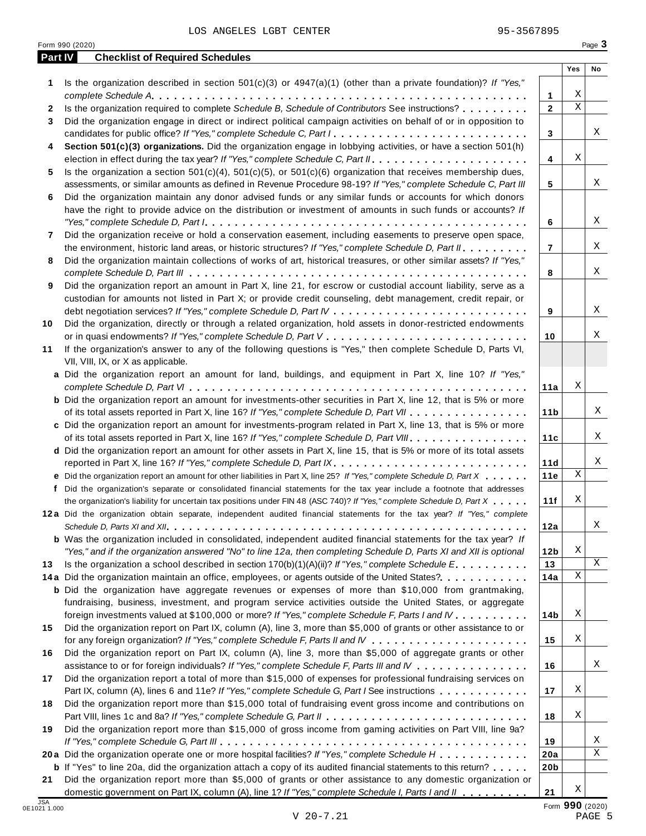**Part IV Checklist of Required Schedules**

| 1                          | Is the organization described in section $501(c)(3)$ or $4947(a)(1)$ (other than a private foundation)? If "Yes,"                                                                                                                                                                                                                                                                             |                 |                         |        |
|----------------------------|-----------------------------------------------------------------------------------------------------------------------------------------------------------------------------------------------------------------------------------------------------------------------------------------------------------------------------------------------------------------------------------------------|-----------------|-------------------------|--------|
|                            |                                                                                                                                                                                                                                                                                                                                                                                               | 1               | Χ                       |        |
| 2                          | Is the organization required to complete Schedule B, Schedule of Contributors See instructions?                                                                                                                                                                                                                                                                                               | $\overline{2}$  | $\overline{\mathbf{x}}$ |        |
| 3                          | Did the organization engage in direct or indirect political campaign activities on behalf of or in opposition to                                                                                                                                                                                                                                                                              |                 |                         |        |
|                            |                                                                                                                                                                                                                                                                                                                                                                                               | 3               |                         | X      |
| 4                          | Section 501(c)(3) organizations. Did the organization engage in lobbying activities, or have a section 501(h)                                                                                                                                                                                                                                                                                 |                 |                         |        |
|                            |                                                                                                                                                                                                                                                                                                                                                                                               | 4               | Χ                       |        |
| 5                          | Is the organization a section $501(c)(4)$ , $501(c)(5)$ , or $501(c)(6)$ organization that receives membership dues,                                                                                                                                                                                                                                                                          |                 |                         |        |
|                            | assessments, or similar amounts as defined in Revenue Procedure 98-19? If "Yes," complete Schedule C, Part III                                                                                                                                                                                                                                                                                | 5               |                         | X      |
| 6                          | Did the organization maintain any donor advised funds or any similar funds or accounts for which donors                                                                                                                                                                                                                                                                                       |                 |                         |        |
|                            | have the right to provide advice on the distribution or investment of amounts in such funds or accounts? If                                                                                                                                                                                                                                                                                   |                 |                         |        |
|                            | "Yes," complete Schedule D, Part $l_1, \ldots, l_k, \ldots, l_k, \ldots, l_k, \ldots, l_k, \ldots, l_k, \ldots, l_k, \ldots, l_k, \ldots, l_k, \ldots, l_k, \ldots, l_k, \ldots, l_k, \ldots, l_k, \ldots, l_k, \ldots, l_k, \ldots, l_k, \ldots, l_k, \ldots, l_k, \ldots, l_k, \ldots, l_k, \ldots, l_k, \ldots, l_k, \ldots, l_k, \ldots, l_k, \ldots, l_k, \ldots, l_k, \ldots, l_k, \ld$ | 6               |                         | X      |
| 7                          | Did the organization receive or hold a conservation easement, including easements to preserve open space,                                                                                                                                                                                                                                                                                     |                 |                         |        |
|                            |                                                                                                                                                                                                                                                                                                                                                                                               | $\overline{7}$  |                         | X      |
|                            | the environment, historic land areas, or historic structures? If "Yes," complete Schedule D, Part II.                                                                                                                                                                                                                                                                                         |                 |                         |        |
| 8                          | Did the organization maintain collections of works of art, historical treasures, or other similar assets? If "Yes,"                                                                                                                                                                                                                                                                           |                 |                         |        |
|                            |                                                                                                                                                                                                                                                                                                                                                                                               | 8               |                         | X      |
| 9                          | Did the organization report an amount in Part X, line 21, for escrow or custodial account liability, serve as a                                                                                                                                                                                                                                                                               |                 |                         |        |
|                            | custodian for amounts not listed in Part X; or provide credit counseling, debt management, credit repair, or                                                                                                                                                                                                                                                                                  |                 |                         |        |
|                            |                                                                                                                                                                                                                                                                                                                                                                                               | 9               |                         | X      |
| 10                         | Did the organization, directly or through a related organization, hold assets in donor-restricted endowments                                                                                                                                                                                                                                                                                  |                 |                         |        |
|                            |                                                                                                                                                                                                                                                                                                                                                                                               | 10              |                         | Χ      |
| 11                         | If the organization's answer to any of the following questions is "Yes," then complete Schedule D, Parts VI,                                                                                                                                                                                                                                                                                  |                 |                         |        |
|                            | VII, VIII, IX, or X as applicable.                                                                                                                                                                                                                                                                                                                                                            |                 |                         |        |
|                            | a Did the organization report an amount for land, buildings, and equipment in Part X, line 10? If "Yes,"                                                                                                                                                                                                                                                                                      |                 |                         |        |
|                            |                                                                                                                                                                                                                                                                                                                                                                                               | 11a             | Χ                       |        |
|                            | <b>b</b> Did the organization report an amount for investments-other securities in Part X, line 12, that is 5% or more                                                                                                                                                                                                                                                                        |                 |                         |        |
|                            | of its total assets reported in Part X, line 16? If "Yes," complete Schedule D, Part VII                                                                                                                                                                                                                                                                                                      | 11 <sub>b</sub> |                         | Χ      |
|                            | c Did the organization report an amount for investments-program related in Part X, line 13, that is 5% or more                                                                                                                                                                                                                                                                                |                 |                         |        |
|                            | of its total assets reported in Part X, line 16? If "Yes," complete Schedule D, Part VIII.                                                                                                                                                                                                                                                                                                    | 11c             |                         | Χ      |
|                            | d Did the organization report an amount for other assets in Part X, line 15, that is 5% or more of its total assets                                                                                                                                                                                                                                                                           |                 |                         |        |
|                            |                                                                                                                                                                                                                                                                                                                                                                                               |                 |                         | Χ      |
|                            | reported in Part X, line 16? If "Yes," complete Schedule D, Part IX.                                                                                                                                                                                                                                                                                                                          | 11d             | $\mathbf X$             |        |
|                            | e Did the organization report an amount for other liabilities in Part X, line 25? If "Yes," complete Schedule D, Part X                                                                                                                                                                                                                                                                       | 11e             |                         |        |
|                            | f Did the organization's separate or consolidated financial statements for the tax year include a footnote that addresses                                                                                                                                                                                                                                                                     |                 |                         |        |
|                            | the organization's liability for uncertain tax positions under FIN 48 (ASC 740)? If "Yes," complete Schedule D, Part X                                                                                                                                                                                                                                                                        | 11f             | Χ                       |        |
|                            | 12a Did the organization obtain separate, independent audited financial statements for the tax year? If "Yes," complete                                                                                                                                                                                                                                                                       |                 |                         |        |
|                            |                                                                                                                                                                                                                                                                                                                                                                                               | 12a             |                         | X      |
|                            | <b>b</b> Was the organization included in consolidated, independent audited financial statements for the tax year? If                                                                                                                                                                                                                                                                         |                 |                         |        |
|                            | "Yes," and if the organization answered "No" to line 12a, then completing Schedule D, Parts XI and XII is optional                                                                                                                                                                                                                                                                            | 12 <sub>b</sub> | Χ                       |        |
| 13                         | Is the organization a school described in section $170(b)(1)(A)(ii)$ ? If "Yes," complete Schedule E.                                                                                                                                                                                                                                                                                         | 13              |                         | Χ      |
|                            | 14a Did the organization maintain an office, employees, or agents outside of the United States?.                                                                                                                                                                                                                                                                                              | 14a             | Χ                       |        |
|                            | <b>b</b> Did the organization have aggregate revenues or expenses of more than \$10,000 from grantmaking,                                                                                                                                                                                                                                                                                     |                 |                         |        |
|                            | fundraising, business, investment, and program service activities outside the United States, or aggregate                                                                                                                                                                                                                                                                                     |                 |                         |        |
|                            | foreign investments valued at \$100,000 or more? If "Yes," complete Schedule F, Parts I and IV                                                                                                                                                                                                                                                                                                | 14b             | Χ                       |        |
| 15                         | Did the organization report on Part IX, column (A), line 3, more than \$5,000 of grants or other assistance to or                                                                                                                                                                                                                                                                             |                 |                         |        |
|                            |                                                                                                                                                                                                                                                                                                                                                                                               | 15              | Χ                       |        |
| 16                         | Did the organization report on Part IX, column (A), line 3, more than \$5,000 of aggregate grants or other                                                                                                                                                                                                                                                                                    |                 |                         |        |
|                            | assistance to or for foreign individuals? If "Yes," complete Schedule F, Parts III and IV                                                                                                                                                                                                                                                                                                     | 16              |                         | X      |
| 17                         | Did the organization report a total of more than \$15,000 of expenses for professional fundraising services on                                                                                                                                                                                                                                                                                |                 |                         |        |
|                            |                                                                                                                                                                                                                                                                                                                                                                                               |                 | Χ                       |        |
|                            | Part IX, column (A), lines 6 and 11e? If "Yes," complete Schedule G, Part I See instructions                                                                                                                                                                                                                                                                                                  | 17              |                         |        |
| 18                         | Did the organization report more than \$15,000 total of fundraising event gross income and contributions on                                                                                                                                                                                                                                                                                   |                 |                         |        |
|                            |                                                                                                                                                                                                                                                                                                                                                                                               | 18              | Χ                       |        |
| 19                         | Did the organization report more than \$15,000 of gross income from gaming activities on Part VIII, line 9a?                                                                                                                                                                                                                                                                                  |                 |                         |        |
|                            |                                                                                                                                                                                                                                                                                                                                                                                               | 19              |                         | Χ      |
|                            | 20a Did the organization operate one or more hospital facilities? If "Yes," complete Schedule H                                                                                                                                                                                                                                                                                               | 20a             |                         | Χ      |
|                            | <b>b</b> If "Yes" to line 20a, did the organization attach a copy of its audited financial statements to this return?                                                                                                                                                                                                                                                                         | 20 <sub>b</sub> |                         |        |
| 21                         | Did the organization report more than \$5,000 of grants or other assistance to any domestic organization or                                                                                                                                                                                                                                                                                   |                 |                         |        |
|                            | domestic government on Part IX, column (A), line 1? If "Yes," complete Schedule I, Parts I and II                                                                                                                                                                                                                                                                                             | 21              | Χ                       |        |
| <b>JSA</b><br>0E1021 1.000 |                                                                                                                                                                                                                                                                                                                                                                                               |                 | Form 990 (2020)         |        |
|                            | $V$ 20-7.21                                                                                                                                                                                                                                                                                                                                                                                   |                 |                         | PAGE 5 |

 $V 20-7.21$ 

**Yes No**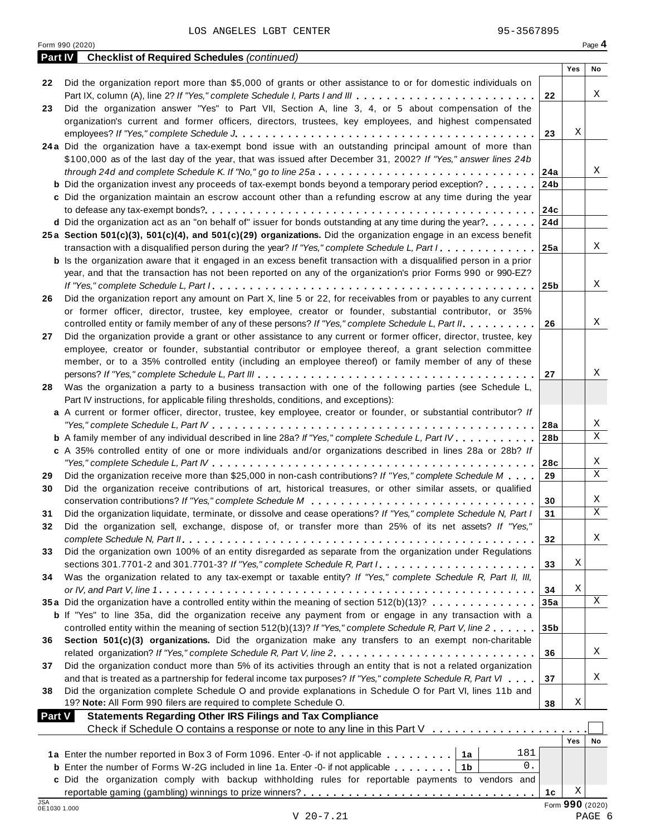|         | Form 990 (2020)                                                                                                                                                                                     |                 |     | Page 4 |
|---------|-----------------------------------------------------------------------------------------------------------------------------------------------------------------------------------------------------|-----------------|-----|--------|
| Part IV | <b>Checklist of Required Schedules (continued)</b>                                                                                                                                                  |                 |     |        |
|         |                                                                                                                                                                                                     |                 | Yes | No     |
| 22      | Did the organization report more than \$5,000 of grants or other assistance to or for domestic individuals on                                                                                       |                 |     |        |
|         | Part IX, column (A), line 2? If "Yes," complete Schedule I, Parts I and III                                                                                                                         | 22              |     | Χ      |
| 23      | Did the organization answer "Yes" to Part VII, Section A, line 3, 4, or 5 about compensation of the                                                                                                 |                 |     |        |
|         | organization's current and former officers, directors, trustees, key employees, and highest compensated                                                                                             |                 |     |        |
|         |                                                                                                                                                                                                     | 23              | Χ   |        |
|         | 24a Did the organization have a tax-exempt bond issue with an outstanding principal amount of more than                                                                                             |                 |     |        |
|         | \$100,000 as of the last day of the year, that was issued after December 31, 2002? If "Yes," answer lines 24b                                                                                       |                 |     | Χ      |
|         |                                                                                                                                                                                                     | 24a             |     |        |
|         | <b>b</b> Did the organization invest any proceeds of tax-exempt bonds beyond a temporary period exception?                                                                                          | 24b             |     |        |
|         | c Did the organization maintain an escrow account other than a refunding escrow at any time during the year                                                                                         |                 |     |        |
|         | <b>d</b> Did the organization act as an "on behalf of" issuer for bonds outstanding at any time during the year? $\ldots$ , $\mid$ 24d                                                              | 24c             |     |        |
|         | 25a Section 501(c)(3), 501(c)(4), and 501(c)(29) organizations. Did the organization engage in an excess benefit                                                                                    |                 |     |        |
|         | transaction with a disqualified person during the year? If "Yes," complete Schedule L, Part $1, \ldots, \ldots, 1$                                                                                  |                 |     | Χ      |
|         | <b>b</b> Is the organization aware that it engaged in an excess benefit transaction with a disqualified person in a prior                                                                           |                 |     |        |
|         | year, and that the transaction has not been reported on any of the organization's prior Forms 990 or 990-EZ?                                                                                        |                 |     |        |
|         |                                                                                                                                                                                                     |                 |     | Χ      |
| 26      | Did the organization report any amount on Part X, line 5 or 22, for receivables from or payables to any current                                                                                     |                 |     |        |
|         | or former officer, director, trustee, key employee, creator or founder, substantial contributor, or 35%                                                                                             |                 |     |        |
|         | controlled entity or family member of any of these persons? If "Yes," complete Schedule L, Part II.                                                                                                 | 26              |     | Χ      |
| 27      | Did the organization provide a grant or other assistance to any current or former officer, director, trustee, key                                                                                   |                 |     |        |
|         | employee, creator or founder, substantial contributor or employee thereof, a grant selection committee                                                                                              |                 |     |        |
|         | member, or to a 35% controlled entity (including an employee thereof) or family member of any of these                                                                                              |                 |     |        |
|         |                                                                                                                                                                                                     | 27              |     | Χ      |
| 28      | Was the organization a party to a business transaction with one of the following parties (see Schedule L,                                                                                           |                 |     |        |
|         | Part IV instructions, for applicable filing thresholds, conditions, and exceptions):                                                                                                                |                 |     |        |
|         | a A current or former officer, director, trustee, key employee, creator or founder, or substantial contributor? If                                                                                  |                 |     |        |
|         |                                                                                                                                                                                                     | 28a             |     | Χ      |
|         | <b>b</b> A family member of any individual described in line 28a? If "Yes," complete Schedule L, Part IV.                                                                                           | 28 <sub>b</sub> |     | X      |
|         | c A 35% controlled entity of one or more individuals and/or organizations described in lines 28a or 28b? If                                                                                         |                 |     |        |
|         |                                                                                                                                                                                                     | 28c             |     | Χ      |
| 29      | Did the organization receive more than \$25,000 in non-cash contributions? If "Yes," complete Schedule M                                                                                            | 29              |     | Χ      |
| 30      | Did the organization receive contributions of art, historical treasures, or other similar assets, or qualified                                                                                      |                 |     |        |
|         |                                                                                                                                                                                                     | 30              |     | Χ      |
|         | Did the organization liquidate, terminate, or dissolve and cease operations? If "Yes," complete Schedule N, Part I                                                                                  | 31              |     | Χ      |
| 32      | Did the organization sell, exchange, dispose of, or transfer more than 25% of its net assets? If "Yes,"                                                                                             |                 |     |        |
|         |                                                                                                                                                                                                     | 32              |     | Χ      |
| 33      | Did the organization own 100% of an entity disregarded as separate from the organization under Regulations                                                                                          |                 |     |        |
|         |                                                                                                                                                                                                     | 33              | Χ   |        |
| 34      | Was the organization related to any tax-exempt or taxable entity? If "Yes," complete Schedule R, Part II, III,                                                                                      |                 |     |        |
|         |                                                                                                                                                                                                     | 34              | Χ   |        |
|         | 35a Did the organization have a controlled entity within the meaning of section 512(b)(13)?                                                                                                         | 35a             |     | X      |
|         | <b>b</b> If "Yes" to line 35a, did the organization receive any payment from or engage in any transaction with a                                                                                    |                 |     |        |
|         | controlled entity within the meaning of section 512(b)(13)? If "Yes," complete Schedule R, Part V, line 2                                                                                           | 35 <sub>b</sub> |     |        |
| 36      | Section 501(c)(3) organizations. Did the organization make any transfers to an exempt non-charitable                                                                                                |                 |     |        |
|         |                                                                                                                                                                                                     | 36              |     | Χ      |
| 37      | Did the organization conduct more than 5% of its activities through an entity that is not a related organization                                                                                    |                 |     |        |
|         | and that is treated as a partnership for federal income tax purposes? If "Yes," complete Schedule R, Part VI                                                                                        | 37              |     | Χ      |
| 38      | Did the organization complete Schedule O and provide explanations in Schedule O for Part VI, lines 11b and                                                                                          |                 |     |        |
|         | 19? Note: All Form 990 filers are required to complete Schedule O.                                                                                                                                  | 38              | Χ   |        |
|         | <b>Statements Regarding Other IRS Filings and Tax Compliance</b><br><b>Part V</b>                                                                                                                   |                 |     |        |
|         | Check if Schedule O contains a response or note to any line in this Part V                                                                                                                          |                 |     |        |
|         | 181                                                                                                                                                                                                 |                 | Yes | No     |
|         | 1a Enter the number reported in Box 3 of Form 1096. Enter -0- if not applicable   1a<br>0.                                                                                                          |                 |     |        |
|         | <b>b</b> Enter the number of Forms W-2G included in line 1a. Enter -0- if not applicable   1b<br>c Did the organization comply with backup withholding rules for reportable payments to vendors and |                 |     |        |
|         |                                                                                                                                                                                                     | 1c              | Χ   |        |
|         |                                                                                                                                                                                                     |                 |     |        |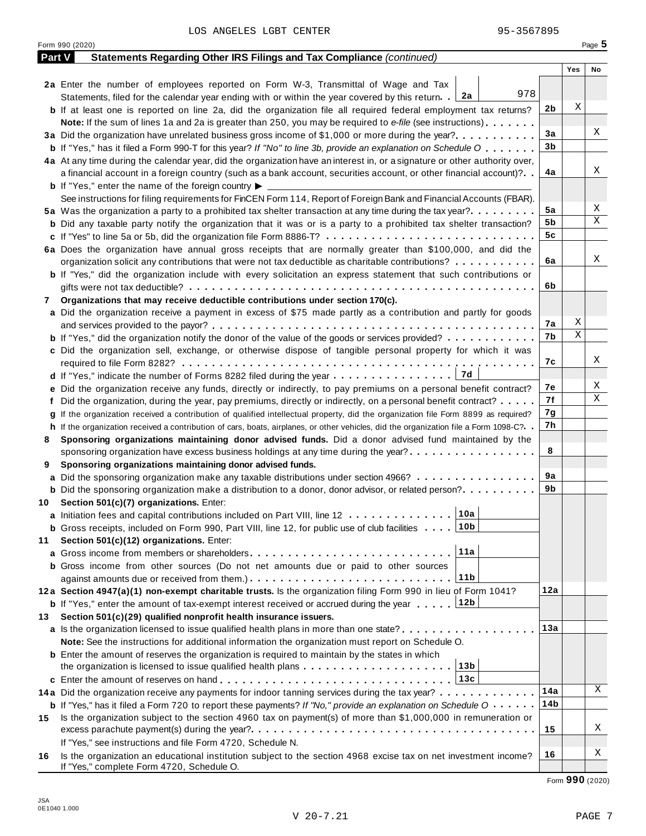|        | Form 990 (2020)                                                                                                                                                                                                                              |          |     | Page 5 |
|--------|----------------------------------------------------------------------------------------------------------------------------------------------------------------------------------------------------------------------------------------------|----------|-----|--------|
| Part V | Statements Regarding Other IRS Filings and Tax Compliance (continued)                                                                                                                                                                        |          |     |        |
|        |                                                                                                                                                                                                                                              |          | Yes | No     |
|        | 2a Enter the number of employees reported on Form W-3, Transmittal of Wage and Tax                                                                                                                                                           |          |     |        |
|        | 978<br>Statements, filed for the calendar year ending with or within the year covered by this return. 2a                                                                                                                                     |          |     |        |
|        | <b>b</b> If at least one is reported on line 2a, did the organization file all required federal employment tax returns?                                                                                                                      | 2b       | Χ   |        |
|        | <b>Note:</b> If the sum of lines 1a and 2a is greater than 250, you may be required to e-file (see instructions).                                                                                                                            |          |     |        |
|        | 3a Did the organization have unrelated business gross income of \$1,000 or more during the year?                                                                                                                                             | 3a       |     | Χ      |
|        | <b>b</b> If "Yes," has it filed a Form 990-T for this year? If "No" to line 3b, provide an explanation on Schedule O                                                                                                                         | 3b       |     |        |
|        | 4a At any time during the calendar year, did the organization have an interest in, or a signature or other authority over,                                                                                                                   |          |     |        |
|        | a financial account in a foreign country (such as a bank account, securities account, or other financial account)?                                                                                                                           | 4a       |     | Χ      |
|        | <b>b</b> If "Yes," enter the name of the foreign country $\blacktriangleright$                                                                                                                                                               |          |     |        |
|        | See instructions for filing requirements for FinCEN Form 114, Report of Foreign Bank and Financial Accounts (FBAR).                                                                                                                          |          |     |        |
|        | 5a Was the organization a party to a prohibited tax shelter transaction at any time during the tax year?                                                                                                                                     | 5a       |     | Χ<br>Χ |
|        | <b>b</b> Did any taxable party notify the organization that it was or is a party to a prohibited tax shelter transaction?                                                                                                                    | 5b       |     |        |
|        | c If "Yes" to line 5a or 5b, did the organization file Form 8886-T?                                                                                                                                                                          | 5c       |     |        |
|        | 6a Does the organization have annual gross receipts that are normally greater than \$100,000, and did the                                                                                                                                    |          |     | Χ      |
|        | organization solicit any contributions that were not tax deductible as charitable contributions?                                                                                                                                             | 6a       |     |        |
|        | <b>b</b> If "Yes," did the organization include with every solicitation an express statement that such contributions or                                                                                                                      |          |     |        |
|        |                                                                                                                                                                                                                                              | 6b       |     |        |
| 7      | Organizations that may receive deductible contributions under section 170(c).                                                                                                                                                                |          |     |        |
|        | a Did the organization receive a payment in excess of \$75 made partly as a contribution and partly for goods                                                                                                                                |          | Χ   |        |
|        |                                                                                                                                                                                                                                              | 7а<br>7b | Χ   |        |
|        | <b>b</b> If "Yes," did the organization notify the donor of the value of the goods or services provided?                                                                                                                                     |          |     |        |
|        | c Did the organization sell, exchange, or otherwise dispose of tangible personal property for which it was                                                                                                                                   | 7с       |     | Χ      |
|        | 7d                                                                                                                                                                                                                                           |          |     |        |
|        | <b>d</b> If "Yes," indicate the number of Forms 8282 filed during the year $\dots \dots \dots \dots \dots$                                                                                                                                   | 7е       |     | Χ      |
|        | e Did the organization receive any funds, directly or indirectly, to pay premiums on a personal benefit contract?                                                                                                                            | 7f       |     | Χ      |
|        | f Did the organization, during the year, pay premiums, directly or indirectly, on a personal benefit contract?                                                                                                                               | 7g       |     |        |
|        | If the organization received a contribution of qualified intellectual property, did the organization file Form 8899 as required?                                                                                                             | 7h       |     |        |
| 8      | h If the organization received a contribution of cars, boats, airplanes, or other vehicles, did the organization file a Form 1098-C?<br>Sponsoring organizations maintaining donor advised funds. Did a donor advised fund maintained by the |          |     |        |
|        | sponsoring organization have excess business holdings at any time during the year?                                                                                                                                                           | 8        |     |        |
| 9      | Sponsoring organizations maintaining donor advised funds.                                                                                                                                                                                    |          |     |        |
|        | a Did the sponsoring organization make any taxable distributions under section 4966?                                                                                                                                                         | 9а       |     |        |
|        | <b>b</b> Did the sponsoring organization make a distribution to a donor, donor advisor, or related person?                                                                                                                                   | 9b       |     |        |
|        | 10 Section 501(c)(7) organizations. Enter:                                                                                                                                                                                                   |          |     |        |
|        | 10a <br>a Initiation fees and capital contributions included on Part VIII, line 12                                                                                                                                                           |          |     |        |
|        | 10b<br><b>b</b> Gross receipts, included on Form 990, Part VIII, line 12, for public use of club facilities                                                                                                                                  |          |     |        |
| 11     | Section 501(c)(12) organizations. Enter:                                                                                                                                                                                                     |          |     |        |
|        | 11a                                                                                                                                                                                                                                          |          |     |        |
|        | b Gross income from other sources (Do not net amounts due or paid to other sources                                                                                                                                                           |          |     |        |
|        | 11b                                                                                                                                                                                                                                          |          |     |        |
|        | 12a Section 4947(a)(1) non-exempt charitable trusts. Is the organization filing Form 990 in lieu of Form 1041?                                                                                                                               | 12a      |     |        |
|        | 12b<br><b>b</b> If "Yes," enter the amount of tax-exempt interest received or accrued during the year                                                                                                                                        |          |     |        |
| 13.    | Section 501(c)(29) qualified nonprofit health insurance issuers.                                                                                                                                                                             |          |     |        |
|        | a Is the organization licensed to issue qualified health plans in more than one state?                                                                                                                                                       | 13а      |     |        |
|        | Note: See the instructions for additional information the organization must report on Schedule O.                                                                                                                                            |          |     |        |
|        | <b>b</b> Enter the amount of reserves the organization is required to maintain by the states in which                                                                                                                                        |          |     |        |
|        | 13b<br>the organization is licensed to issue qualified health plans $\ldots \ldots \ldots \ldots \ldots \ldots \ldots$                                                                                                                       |          |     |        |
|        | 13c                                                                                                                                                                                                                                          |          |     |        |
|        | 14a Did the organization receive any payments for indoor tanning services during the tax year?                                                                                                                                               | 14a      |     | Χ      |
|        | <b>b</b> If "Yes," has it filed a Form 720 to report these payments? If "No," provide an explanation on Schedule O                                                                                                                           | 14b      |     |        |
| 15     | Is the organization subject to the section 4960 tax on payment(s) of more than \$1,000,000 in remuneration or                                                                                                                                |          |     |        |
|        |                                                                                                                                                                                                                                              | 15       |     | Χ      |
|        | If "Yes," see instructions and file Form 4720, Schedule N.                                                                                                                                                                                   |          |     |        |
| 16     | Is the organization an educational institution subject to the section 4968 excise tax on net investment income?                                                                                                                              | 16       |     | Χ      |
|        | If "Yes," complete Form 4720, Schedule O.                                                                                                                                                                                                    |          |     |        |

Form **990** (2020)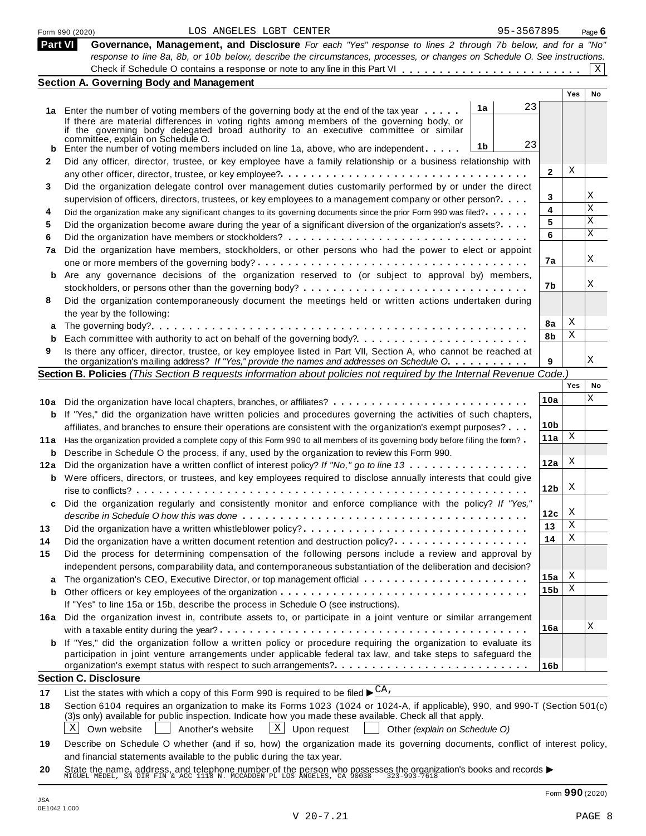|                | 95-3567895<br>LOS ANGELES LGBT CENTER<br>Form 990 (2020)                                                                                                                                                                   |                 |            | Page $6$  |
|----------------|----------------------------------------------------------------------------------------------------------------------------------------------------------------------------------------------------------------------------|-----------------|------------|-----------|
| <b>Part VI</b> | Governance, Management, and Disclosure For each "Yes" response to lines 2 through 7b below, and for a "No"                                                                                                                 |                 |            |           |
|                | response to line 8a, 8b, or 10b below, describe the circumstances, processes, or changes on Schedule O. See instructions.                                                                                                  |                 |            |           |
|                |                                                                                                                                                                                                                            |                 |            | X         |
|                | <b>Section A. Governing Body and Management</b>                                                                                                                                                                            |                 | <b>Yes</b> | <b>No</b> |
|                | 23                                                                                                                                                                                                                         |                 |            |           |
|                | 1a<br>1a Enter the number of voting members of the governing body at the end of the tax year                                                                                                                               |                 |            |           |
|                | If there are material differences in voting rights among members of the governing body, or<br>if the governing body delegated broad authority to an executive committee or similar                                         |                 |            |           |
|                | committee, explain on Schedule O.                                                                                                                                                                                          |                 |            |           |
|                | 23<br>1 <sub>b</sub><br>Enter the number of voting members included on line 1a, above, who are independent                                                                                                                 |                 |            |           |
| 2              | Did any officer, director, trustee, or key employee have a family relationship or a business relationship with                                                                                                             |                 |            |           |
|                |                                                                                                                                                                                                                            | 2               | Χ          |           |
| 3              | Did the organization delegate control over management duties customarily performed by or under the direct                                                                                                                  |                 |            |           |
|                | supervision of officers, directors, trustees, or key employees to a management company or other person?                                                                                                                    | 3               |            | Χ         |
| 4              | Did the organization make any significant changes to its governing documents since the prior Form 990 was filed?                                                                                                           | 4               |            | X         |
| 5              | Did the organization become aware during the year of a significant diversion of the organization's assets?                                                                                                                 | 5               |            | Χ         |
| 6              |                                                                                                                                                                                                                            | 6               |            | X         |
| 7a             | Did the organization have members, stockholders, or other persons who had the power to elect or appoint                                                                                                                    |                 |            |           |
|                |                                                                                                                                                                                                                            | 7a              |            | Χ         |
| b              | Are any governance decisions of the organization reserved to (or subject to approval by) members,                                                                                                                          |                 |            |           |
|                |                                                                                                                                                                                                                            | 7b              |            | Χ         |
| 8              | Did the organization contemporaneously document the meetings held or written actions undertaken during                                                                                                                     |                 |            |           |
|                | the year by the following:                                                                                                                                                                                                 |                 |            |           |
|                |                                                                                                                                                                                                                            | 8a              | Χ          |           |
|                |                                                                                                                                                                                                                            | 8b              | Χ          |           |
| 9              | Is there any officer, director, trustee, or key employee listed in Part VII, Section A, who cannot be reached at                                                                                                           |                 |            |           |
|                | the organization's mailing address? If "Yes," provide the names and addresses on Schedule O.                                                                                                                               | 9               |            | Χ         |
|                | Section B. Policies (This Section B requests information about policies not required by the Internal Revenue Code.)                                                                                                        |                 |            |           |
|                |                                                                                                                                                                                                                            |                 | Yes        | No        |
|                | 10a Did the organization have local chapters, branches, or affiliates?                                                                                                                                                     | 10a             |            | Χ         |
|                | <b>b</b> If "Yes," did the organization have written policies and procedures governing the activities of such chapters,                                                                                                    |                 |            |           |
|                | affiliates, and branches to ensure their operations are consistent with the organization's exempt purposes?                                                                                                                | 10 <sub>b</sub> |            |           |
| 11a            | Has the organization provided a complete copy of this Form 990 to all members of its governing body before filing the form?                                                                                                | 11a             | X          |           |
| b              | Describe in Schedule O the process, if any, used by the organization to review this Form 990.                                                                                                                              |                 |            |           |
| 12a            | Did the organization have a written conflict of interest policy? If "No," go to line 13                                                                                                                                    | 12a             | X          |           |
|                | <b>b</b> Were officers, directors, or trustees, and key employees required to disclose annually interests that could give                                                                                                  |                 |            |           |
|                |                                                                                                                                                                                                                            | 12 <sub>b</sub> | X          |           |
|                | Did the organization regularly and consistently monitor and enforce compliance with the policy? If "Yes,"                                                                                                                  |                 |            |           |
|                |                                                                                                                                                                                                                            | 12c             | X          |           |
| 13             | Did the organization have a written whistleblower policy?                                                                                                                                                                  | 13              | Χ          |           |
| 14             | Did the organization have a written document retention and destruction policy?                                                                                                                                             | 14              | Χ          |           |
| 15             | Did the process for determining compensation of the following persons include a review and approval by                                                                                                                     |                 |            |           |
|                | independent persons, comparability data, and contemporaneous substantiation of the deliberation and decision?                                                                                                              |                 |            |           |
|                |                                                                                                                                                                                                                            | 15a             | Χ          |           |
| b              |                                                                                                                                                                                                                            | 15b             | Χ          |           |
|                | If "Yes" to line 15a or 15b, describe the process in Schedule O (see instructions).                                                                                                                                        |                 |            |           |
| 16a            | Did the organization invest in, contribute assets to, or participate in a joint venture or similar arrangement                                                                                                             |                 |            |           |
|                |                                                                                                                                                                                                                            | 16a             |            | Χ         |
|                | <b>b</b> If "Yes," did the organization follow a written policy or procedure requiring the organization to evaluate its                                                                                                    |                 |            |           |
|                | participation in joint venture arrangements under applicable federal tax law, and take steps to safeguard the                                                                                                              |                 |            |           |
|                | organization's exempt status with respect to such arrangements?                                                                                                                                                            | 16 <sub>b</sub> |            |           |
|                | <b>Section C. Disclosure</b>                                                                                                                                                                                               |                 |            |           |
| 17             | List the states with which a copy of this Form 990 is required to be filed $\blacktriangleright^{\text{CA}}$ .                                                                                                             |                 |            |           |
| 18             | Section 6104 requires an organization to make its Forms 1023 (1024 or 1024-A, if applicable), 990, and 990-T (Section 501(c)                                                                                               |                 |            |           |
|                | (3)s only) available for public inspection. Indicate how you made these available. Check all that apply.                                                                                                                   |                 |            |           |
|                | X<br>$\vert X \vert$<br>Own website<br>Another's website<br>Upon request<br>Other (explain on Schedule O)                                                                                                                  |                 |            |           |
| 19             | Describe on Schedule O whether (and if so, how) the organization made its governing documents, conflict of interest policy,                                                                                                |                 |            |           |
|                | and financial statements available to the public during the tax year.                                                                                                                                                      |                 |            |           |
| 20             |                                                                                                                                                                                                                            |                 |            |           |
|                | State the name, address, and telephone number of the person who possesses the organization's books and records $\blacktriangleright$ MIGUEL MEDEL, SN DIR FIN & ACC 1118 N. MCCADDEN PL LOS ANGELES, CA 90038 323-993-7618 |                 |            |           |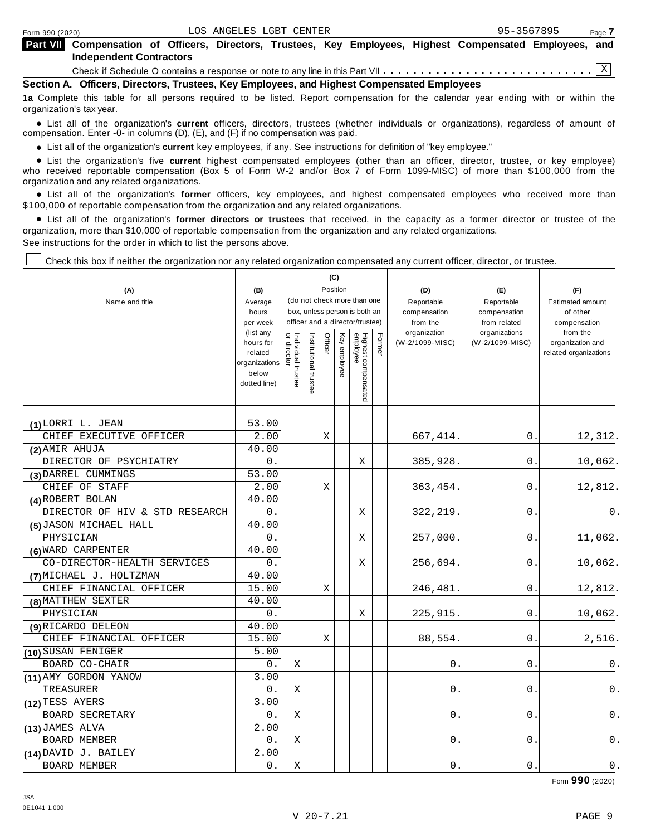|                                | <b>Part VII</b> Compensation of Officers, Directors, Trustees, Key Employees, Highest Compensated Employees, and |  |  |  |  |  |  |  |  |
|--------------------------------|------------------------------------------------------------------------------------------------------------------|--|--|--|--|--|--|--|--|
| <b>Independent Contractors</b> |                                                                                                                  |  |  |  |  |  |  |  |  |
|                                |                                                                                                                  |  |  |  |  |  |  |  |  |

**Section A. Officers, Directors, Trustees, Key Employees, and Highest Compensated Employees**

**1a** Complete this table for all persons required to be listed. Report compensation for the calendar year ending with or within the organization's tax year.

anization's lax year.<br>● List all of the organization's **current** officers, directors, trustees (whether individuals or organizations), regardless of amount of<br>nnensation Enter -0- in columns (D) (E) and (E) if no compensa compensation. Enter -0- in columns (D), (E), and (F) if no compensation was paid.

• List all of the organization's current key employees, if any. See instructions for definition of "key employee."

■ List all of the organization's current key employees, if any. See instructions for definition of "key employee."<br>■ List the organization's five current highest compensated employees (other than an officer, director, tru who received reportable compensation (Box 5 of Form W-2 and/or Box 7 of Form 1099-MISC) of more than \$100,000 from the

organization and any related organizations.<br>• List all of the organization's **former** officers, key employees, and highest compensated employees who received more than<br>\$1.00.000 of reportable componention from the erganiza \$100,000 of reportable compensation from the organization and any related organizations.

% List all of the organization's **former directors or trustees** that received, in the capacity as a former director or trustee of the organization, more than \$10,000 of reportable compensation from the organization and any related organizations. See instructions for the order in which to list the persons above.

Check this box if neither the organization nor any related organization compensated any current officer, director, or trustee.

|                                |                                        |                                   |                       |             | (C)      |                                                                  |        |                          |                              |                                           |
|--------------------------------|----------------------------------------|-----------------------------------|-----------------------|-------------|----------|------------------------------------------------------------------|--------|--------------------------|------------------------------|-------------------------------------------|
| (A)                            | (B)                                    |                                   |                       |             | Position |                                                                  |        | (D)                      | (E)                          | (F)                                       |
| Name and title                 | Average                                |                                   |                       |             |          | (do not check more than one                                      |        | Reportable               | Reportable                   | <b>Estimated amount</b>                   |
|                                | hours<br>per week                      |                                   |                       |             |          | box, unless person is both an<br>officer and a director/trustee) |        | compensation<br>from the | compensation<br>from related | of other<br>compensation                  |
|                                | (list any                              |                                   |                       |             |          |                                                                  |        | organization             | organizations                | from the                                  |
|                                | hours for<br>related                   |                                   |                       | Officer     | Key      |                                                                  | Former | (W-2/1099-MISC)          | (W-2/1099-MISC)              | organization and<br>related organizations |
|                                | organizations<br>below<br>dotted line) | Individual trustee<br>or director | Institutional trustee |             | employee | Highest compensated<br>employee                                  |        |                          |                              |                                           |
| (1) LORRI L. JEAN              | 53.00                                  |                                   |                       |             |          |                                                                  |        |                          |                              |                                           |
| CHIEF EXECUTIVE OFFICER        | 2.00                                   |                                   |                       | X           |          |                                                                  |        | 667, 414.                | 0.                           | 12,312.                                   |
| (2) AMIR AHUJA                 | 40.00                                  |                                   |                       |             |          |                                                                  |        |                          |                              |                                           |
| DIRECTOR OF PSYCHIATRY         | 0.                                     |                                   |                       |             |          | X                                                                |        | 385,928.                 | 0.                           | 10,062.                                   |
| (3) DARREL CUMMINGS            | 53.00                                  |                                   |                       |             |          |                                                                  |        |                          |                              |                                           |
| CHIEF OF STAFF                 | 2.00                                   |                                   |                       | X           |          |                                                                  |        | 363,454.                 | 0                            | 12,812.                                   |
| (4) ROBERT BOLAN               | 40.00                                  |                                   |                       |             |          |                                                                  |        |                          |                              |                                           |
| DIRECTOR OF HIV & STD RESEARCH | 0.                                     |                                   |                       |             |          | X                                                                |        | 322, 219.                | 0.                           | $0$ .                                     |
| (5) JASON MICHAEL HALL         | $\overline{40.00}$                     |                                   |                       |             |          |                                                                  |        |                          |                              |                                           |
| PHYSICIAN                      | 0.                                     |                                   |                       |             |          | X                                                                |        | 257,000.                 | 0.                           | 11,062.                                   |
| (6) WARD CARPENTER             | 40.00                                  |                                   |                       |             |          |                                                                  |        |                          |                              |                                           |
| CO-DIRECTOR-HEALTH SERVICES    | 0.                                     |                                   |                       |             |          | Χ                                                                |        | 256,694.                 | 0.                           | 10,062.                                   |
| (7) MICHAEL J. HOLTZMAN        | 40.00                                  |                                   |                       |             |          |                                                                  |        |                          |                              |                                           |
| CHIEF FINANCIAL OFFICER        | 15.00                                  |                                   |                       | Χ           |          |                                                                  |        | 246,481.                 | 0.                           | 12,812.                                   |
| (8) MATTHEW SEXTER             | 40.00                                  |                                   |                       |             |          |                                                                  |        |                          |                              |                                           |
| PHYSICIAN                      | 0.                                     |                                   |                       |             |          | Χ                                                                |        | 225,915.                 | 0.                           | 10,062.                                   |
| (9) RICARDO DELEON             | 40.00                                  |                                   |                       |             |          |                                                                  |        |                          |                              |                                           |
| CHIEF FINANCIAL OFFICER        | 15.00                                  |                                   |                       | $\mathbf X$ |          |                                                                  |        | 88,554.                  | $\mathbf 0$                  | 2,516.                                    |
| (10) SUSAN FENIGER             | 5.00                                   |                                   |                       |             |          |                                                                  |        |                          |                              |                                           |
| BOARD CO-CHAIR                 | 0.                                     | Χ                                 |                       |             |          |                                                                  |        | $0$ .                    | 0.                           | 0.                                        |
| (11) AMY GORDON YANOW          | 3.00                                   |                                   |                       |             |          |                                                                  |        |                          |                              |                                           |
| TREASURER                      | 0.                                     | Χ                                 |                       |             |          |                                                                  |        | 0                        | 0.                           | 0.                                        |
| (12) TESS AYERS                | 3.00                                   |                                   |                       |             |          |                                                                  |        |                          |                              |                                           |
| <b>BOARD SECRETARY</b>         | О.                                     | Χ                                 |                       |             |          |                                                                  |        | 0                        | 0                            | 0.                                        |
| (13) JAMES ALVA                | 2.00                                   |                                   |                       |             |          |                                                                  |        |                          |                              |                                           |
| <b>BOARD MEMBER</b>            | 0.                                     | Χ                                 |                       |             |          |                                                                  |        | 0                        | 0                            | 0.                                        |
| (14) DAVID J. BAILEY           | 2.00                                   |                                   |                       |             |          |                                                                  |        |                          |                              |                                           |
| <b>BOARD MEMBER</b>            | 0.                                     | X                                 |                       |             |          |                                                                  |        | $0$ .                    | 0                            | $0$ .                                     |

Form **990** (2020)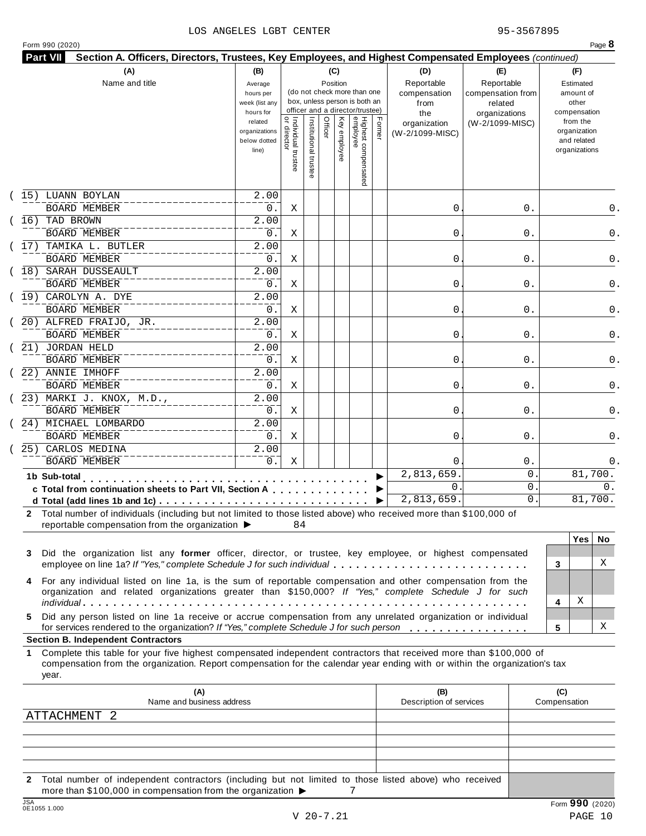### LOS ANGELES LGBT CENTER 95-3567895

|  | Form 990 (2020) |
|--|-----------------|

|                                                                                                                                                                                                                                                                 |                                                                |                                           |                       |         |              |                                                                    |        |                                           |                                                   | Section A. Officers, Directors, Trustees, Key Employees, and Highest Compensated Employees (continued) |                                                                          |     |
|-----------------------------------------------------------------------------------------------------------------------------------------------------------------------------------------------------------------------------------------------------------------|----------------------------------------------------------------|-------------------------------------------|-----------------------|---------|--------------|--------------------------------------------------------------------|--------|-------------------------------------------|---------------------------------------------------|--------------------------------------------------------------------------------------------------------|--------------------------------------------------------------------------|-----|
| (A)<br>Name and title                                                                                                                                                                                                                                           | (B)<br>Average<br>hours per<br>week (list any                  |                                           |                       | (C)     | Position     | (do not check more than one<br>box, unless person is both an       |        | (D)<br>Reportable<br>compensation<br>from | (E)<br>Reportable<br>compensation from<br>related |                                                                                                        | (F)<br>Estimated<br>amount of<br>other                                   |     |
|                                                                                                                                                                                                                                                                 | hours for<br>related<br>organizations<br>below dotted<br>line) | <br>  Individual trustee<br>  or director | Institutional trustee | Officer | Key employee | officer and a director/trustee)<br>Highest compensated<br>employee | Former | the<br>organization<br>(W-2/1099-MISC)    | organizations<br>(W-2/1099-MISC)                  |                                                                                                        | compensation<br>from the<br>organization<br>and related<br>organizations |     |
| 15) LUANN BOYLAN                                                                                                                                                                                                                                                | 2.00                                                           |                                           |                       |         |              |                                                                    |        |                                           |                                                   |                                                                                                        |                                                                          |     |
| <b>BOARD MEMBER</b>                                                                                                                                                                                                                                             | 0.                                                             | Χ                                         |                       |         |              |                                                                    |        | 0                                         |                                                   | 0.                                                                                                     |                                                                          | 0.  |
| (16) TAD BROWN                                                                                                                                                                                                                                                  | 2.00                                                           |                                           |                       |         |              |                                                                    |        |                                           |                                                   |                                                                                                        |                                                                          | 0.  |
| <b>BOARD MEMBER</b>                                                                                                                                                                                                                                             | 0.                                                             | Χ                                         |                       |         |              |                                                                    |        | 0                                         |                                                   | 0.                                                                                                     |                                                                          |     |
| 17) TAMIKA L. BUTLER<br><b>BOARD MEMBER</b>                                                                                                                                                                                                                     | 2.00                                                           |                                           |                       |         |              |                                                                    |        |                                           |                                                   |                                                                                                        |                                                                          |     |
| (18) SARAH DUSSEAULT                                                                                                                                                                                                                                            | 0.<br>2.00                                                     | Χ                                         |                       |         |              |                                                                    |        | 0                                         |                                                   | 0.                                                                                                     |                                                                          |     |
| <b>BOARD MEMBER</b>                                                                                                                                                                                                                                             | 0.                                                             | Χ                                         |                       |         |              |                                                                    |        | 0                                         |                                                   | 0.                                                                                                     |                                                                          |     |
| (19) CAROLYN A. DYE                                                                                                                                                                                                                                             | 2.00                                                           |                                           |                       |         |              |                                                                    |        |                                           |                                                   |                                                                                                        |                                                                          |     |
| <b>BOARD MEMBER</b>                                                                                                                                                                                                                                             | 0.                                                             | Χ                                         |                       |         |              |                                                                    |        | 0                                         |                                                   | 0.                                                                                                     |                                                                          |     |
| $(20)$ ALFRED FRAIJO, JR.                                                                                                                                                                                                                                       | 2.00                                                           |                                           |                       |         |              |                                                                    |        |                                           |                                                   |                                                                                                        |                                                                          |     |
| <b>BOARD MEMBER</b>                                                                                                                                                                                                                                             | 0.                                                             | Χ                                         |                       |         |              |                                                                    |        | 0                                         |                                                   | 0.                                                                                                     |                                                                          |     |
| 21) JORDAN HELD                                                                                                                                                                                                                                                 | 2.00                                                           |                                           |                       |         |              |                                                                    |        |                                           |                                                   |                                                                                                        |                                                                          |     |
| <b>BOARD MEMBER</b>                                                                                                                                                                                                                                             | 0.                                                             | Χ                                         |                       |         |              |                                                                    |        | 0                                         |                                                   | 0.                                                                                                     |                                                                          |     |
| 22) ANNIE IMHOFF                                                                                                                                                                                                                                                | $\overline{2.00}$                                              |                                           |                       |         |              |                                                                    |        |                                           |                                                   |                                                                                                        |                                                                          |     |
| <b>BOARD MEMBER</b>                                                                                                                                                                                                                                             | 0.                                                             | Χ                                         |                       |         |              |                                                                    |        | 0                                         |                                                   | 0.                                                                                                     |                                                                          |     |
| $(23)$ MARKI J. KNOX, M.D.,                                                                                                                                                                                                                                     | $\overline{2.00}$                                              |                                           |                       |         |              |                                                                    |        |                                           |                                                   |                                                                                                        |                                                                          |     |
| BOARD MEMBER                                                                                                                                                                                                                                                    | 0.                                                             | Χ                                         |                       |         |              |                                                                    |        | 0                                         |                                                   | 0.                                                                                                     |                                                                          |     |
| (24) MICHAEL LOMBARDO                                                                                                                                                                                                                                           | 2.00                                                           |                                           |                       |         |              |                                                                    |        |                                           |                                                   |                                                                                                        |                                                                          |     |
| <b>BOARD MEMBER</b>                                                                                                                                                                                                                                             | 0.                                                             | Χ                                         |                       |         |              |                                                                    |        | 0                                         |                                                   | 0.                                                                                                     |                                                                          |     |
| 25) CARLOS MEDINA                                                                                                                                                                                                                                               | 2.00                                                           |                                           |                       |         |              |                                                                    |        |                                           |                                                   |                                                                                                        |                                                                          |     |
| <b>BOARD MEMBER</b>                                                                                                                                                                                                                                             | 0.                                                             | Χ                                         |                       |         |              |                                                                    |        | $\Omega$                                  |                                                   | $0$ .                                                                                                  |                                                                          |     |
| 1b Sub-total<br>$\alpha$ , $\alpha$ , $\alpha$ , $\alpha$ , $\alpha$ , $\alpha$                                                                                                                                                                                 |                                                                |                                           |                       |         |              |                                                                    |        | 2,813,659                                 |                                                   | 0                                                                                                      | 81,700.                                                                  |     |
| c Total from continuation sheets to Part VII, Section A                                                                                                                                                                                                         |                                                                |                                           |                       |         |              |                                                                    |        | 0                                         |                                                   | 0                                                                                                      |                                                                          | 0.  |
|                                                                                                                                                                                                                                                                 |                                                                |                                           |                       |         |              |                                                                    | ▶      | 2,813,659.                                |                                                   | 0                                                                                                      | 81,700.                                                                  |     |
| 2 Total number of individuals (including but not limited to those listed above) who received more than \$100,000 of<br>reportable compensation from the organization ▶                                                                                          |                                                                | 84                                        |                       |         |              |                                                                    |        |                                           |                                                   |                                                                                                        |                                                                          |     |
| Did the organization list any former officer, director, or trustee, key employee, or highest compensated<br>3                                                                                                                                                   |                                                                |                                           |                       |         |              |                                                                    |        |                                           |                                                   |                                                                                                        | <b>Yes</b>                                                               | No. |
| employee on line 1a? If "Yes," complete Schedule J for such individual                                                                                                                                                                                          |                                                                |                                           |                       |         |              |                                                                    |        |                                           |                                                   |                                                                                                        | 3                                                                        | X   |
| 4 For any individual listed on line 1a, is the sum of reportable compensation and other compensation from the<br>organization and related organizations greater than \$150,000? If "Yes," complete Schedule J for such                                          |                                                                |                                           |                       |         |              |                                                                    |        |                                           |                                                   |                                                                                                        | Χ<br>4                                                                   |     |
| Did any person listed on line 1a receive or accrue compensation from any unrelated organization or individual<br>5.<br>for services rendered to the organization? If "Yes," complete Schedule J for such person                                                 |                                                                |                                           |                       |         |              |                                                                    |        |                                           |                                                   |                                                                                                        | 5                                                                        | X   |
| <b>Section B. Independent Contractors</b>                                                                                                                                                                                                                       |                                                                |                                           |                       |         |              |                                                                    |        |                                           |                                                   |                                                                                                        |                                                                          |     |
| Complete this table for your five highest compensated independent contractors that received more than \$100,000 of<br>1.<br>compensation from the organization. Report compensation for the calendar year ending with or within the organization's tax<br>year. |                                                                |                                           |                       |         |              |                                                                    |        |                                           |                                                   |                                                                                                        |                                                                          |     |
| (A)<br>Name and business address                                                                                                                                                                                                                                |                                                                |                                           |                       |         |              |                                                                    |        | (B)<br>Description of services            |                                                   |                                                                                                        | (C)<br>Compensation                                                      |     |
|                                                                                                                                                                                                                                                                 |                                                                |                                           |                       |         |              |                                                                    |        |                                           |                                                   |                                                                                                        |                                                                          |     |
|                                                                                                                                                                                                                                                                 |                                                                |                                           |                       |         |              |                                                                    |        |                                           |                                                   |                                                                                                        |                                                                          |     |
| ATTACHMENT 2                                                                                                                                                                                                                                                    |                                                                |                                           |                       |         |              |                                                                    |        |                                           |                                                   |                                                                                                        |                                                                          |     |
|                                                                                                                                                                                                                                                                 |                                                                |                                           |                       |         |              |                                                                    |        |                                           |                                                   |                                                                                                        |                                                                          |     |

**2** Total number of independent contractors (including but not limited to those listed above) who received more than \$100,000 in compensation from the organization  $\triangleright$  7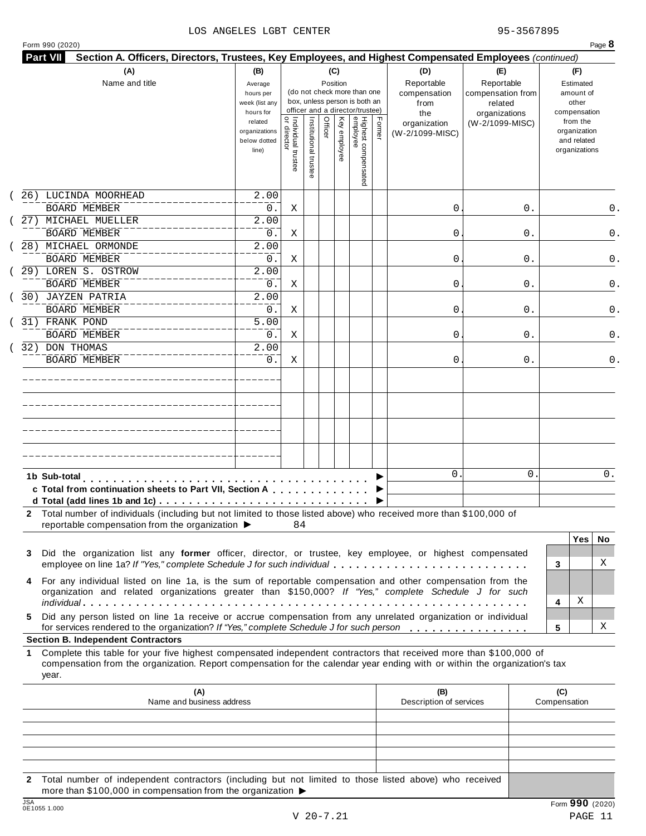### LOS ANGELES LGBT CENTER 95-3567895

|  | Form 990 (2020) |  |
|--|-----------------|--|
|  |                 |  |

|            |                                                                                                                                                                                                                                                  | week (list any<br>hours for                       |                                     |                       |         | (do not check more than one<br>box, unless person is both an<br>officer and a director/trustee) |                                 |        | compensation<br>from<br>the     | compensation from<br>related<br>organizations | amount of<br>other<br>compensation                       |
|------------|--------------------------------------------------------------------------------------------------------------------------------------------------------------------------------------------------------------------------------------------------|---------------------------------------------------|-------------------------------------|-----------------------|---------|-------------------------------------------------------------------------------------------------|---------------------------------|--------|---------------------------------|-----------------------------------------------|----------------------------------------------------------|
|            |                                                                                                                                                                                                                                                  | related<br>organizations<br>below dotted<br>line) | Individual trustee<br>  or director | Institutional trustee | Officer | Key employee                                                                                    | Highest compensated<br>employee | Former | organization<br>(W-2/1099-MISC) | (W-2/1099-MISC)                               | from the<br>organization<br>and related<br>organizations |
|            | 26) LUCINDA MOORHEAD<br><b>BOARD MEMBER</b>                                                                                                                                                                                                      | 2.00<br>$0$ .                                     | Χ                                   |                       |         |                                                                                                 |                                 |        | 0                               | 0.                                            | 0.                                                       |
|            | 27) MICHAEL MUELLER<br><b>BOARD MEMBER</b>                                                                                                                                                                                                       | 2.00<br>$0$ .                                     | Χ                                   |                       |         |                                                                                                 |                                 |        | 0                               | 0.                                            | 0.                                                       |
|            | 28) MICHAEL ORMONDE<br><b>BOARD MEMBER</b>                                                                                                                                                                                                       | 2.00<br>$0$ .                                     | Χ                                   |                       |         |                                                                                                 |                                 |        | 0                               | 0.                                            | 0.                                                       |
|            | 29) LOREN S. OSTROW<br><b>BOARD MEMBER</b>                                                                                                                                                                                                       | 2.00<br>$0$ .                                     | Χ                                   |                       |         |                                                                                                 |                                 |        | 0                               | 0.                                            | 0.                                                       |
|            | 30) JAYZEN PATRIA<br><b>BOARD MEMBER</b>                                                                                                                                                                                                         | 2.00<br>$0$ .                                     | Χ                                   |                       |         |                                                                                                 |                                 |        | 0                               | 0.                                            | 0.                                                       |
|            | 31) FRANK POND<br><b>BOARD MEMBER</b>                                                                                                                                                                                                            | 5.00<br>0.                                        | Χ                                   |                       |         |                                                                                                 |                                 |        | 0                               | 0.                                            | 0.                                                       |
|            | 32) DON THOMAS<br><b>BOARD MEMBER</b>                                                                                                                                                                                                            | 2.00<br>0.                                        | X                                   |                       |         |                                                                                                 |                                 |        | 0                               | 0.                                            | 0.                                                       |
|            |                                                                                                                                                                                                                                                  |                                                   |                                     |                       |         |                                                                                                 |                                 |        |                                 |                                               |                                                          |
|            |                                                                                                                                                                                                                                                  |                                                   |                                     |                       |         |                                                                                                 |                                 |        |                                 |                                               |                                                          |
|            |                                                                                                                                                                                                                                                  |                                                   |                                     |                       |         |                                                                                                 |                                 |        |                                 |                                               |                                                          |
|            | 1b Sub-total<br>c Total from continuation sheets to Part VII, Section A                                                                                                                                                                          |                                                   |                                     |                       |         |                                                                                                 |                                 |        | $\mathbf{0}$                    | 0                                             | 0.                                                       |
|            | 2 Total number of individuals (including but not limited to those listed above) who received more than \$100,000 of<br>reportable compensation from the organization ▶                                                                           |                                                   | 84                                  |                       |         |                                                                                                 |                                 |        |                                 |                                               |                                                          |
| 3          | Did the organization list any former officer, director, or trustee, key employee, or highest compensated<br>employee on line 1a? If "Yes," complete Schedule J for such individual                                                               |                                                   |                                     |                       |         |                                                                                                 |                                 |        |                                 |                                               | <b>Yes</b><br>No.<br>X<br>3                              |
| 4          | For any individual listed on line 1a, is the sum of reportable compensation and other compensation from the<br>organization and related organizations greater than \$150,000? If "Yes," complete Schedule J for such                             |                                                   |                                     |                       |         |                                                                                                 |                                 |        |                                 |                                               | х<br>4                                                   |
| 5.         | Did any person listed on line 1a receive or accrue compensation from any unrelated organization or individual<br>for services rendered to the organization? If "Yes," complete Schedule J for such person                                        |                                                   |                                     |                       |         |                                                                                                 |                                 |        |                                 |                                               | Χ<br>5                                                   |
|            | <b>Section B. Independent Contractors</b>                                                                                                                                                                                                        |                                                   |                                     |                       |         |                                                                                                 |                                 |        |                                 |                                               |                                                          |
| 1<br>year. | Complete this table for your five highest compensated independent contractors that received more than \$100,000 of<br>compensation from the organization. Report compensation for the calendar year ending with or within the organization's tax |                                                   |                                     |                       |         |                                                                                                 |                                 |        |                                 |                                               |                                                          |
|            | (A)<br>Name and business address                                                                                                                                                                                                                 |                                                   |                                     |                       |         |                                                                                                 |                                 |        | (B)<br>Description of services  |                                               | (C)<br>Compensation                                      |
|            |                                                                                                                                                                                                                                                  |                                                   |                                     |                       |         |                                                                                                 |                                 |        |                                 |                                               |                                                          |
|            |                                                                                                                                                                                                                                                  |                                                   |                                     |                       |         |                                                                                                 |                                 |        |                                 |                                               |                                                          |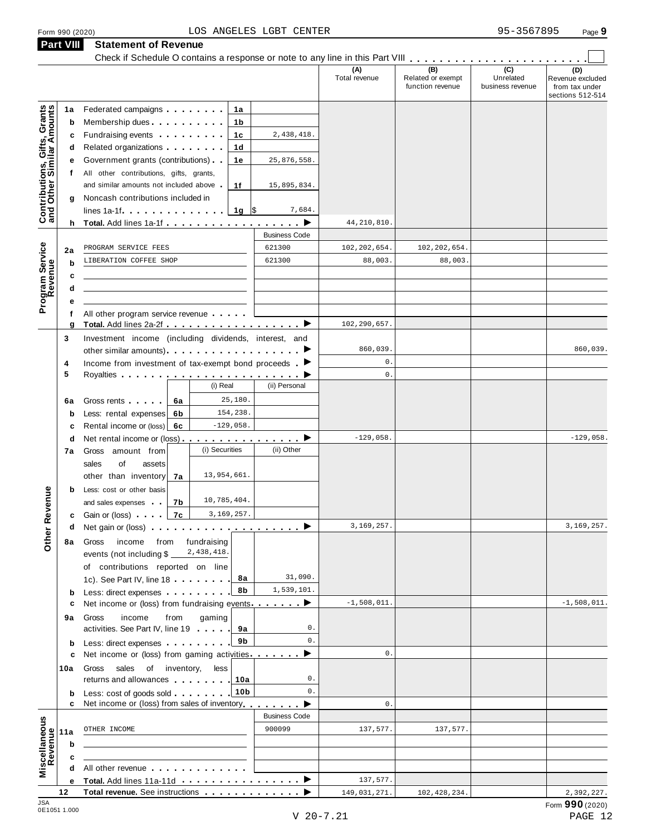**Part VIII Statement of Revenue**

|                                                           | <b>Part VIII</b> | <b>Statement of Revenue</b><br>Check if Schedule O contains a response or note to any line in this Part VIII                                                                                                                               |                      |                      |                                              |                                      |                                                               |
|-----------------------------------------------------------|------------------|--------------------------------------------------------------------------------------------------------------------------------------------------------------------------------------------------------------------------------------------|----------------------|----------------------|----------------------------------------------|--------------------------------------|---------------------------------------------------------------|
|                                                           |                  |                                                                                                                                                                                                                                            |                      | (A)<br>Total revenue | (B)<br>Related or exempt<br>function revenue | (C)<br>Unrelated<br>business revenue | (D)<br>Revenue excluded<br>from tax under<br>sections 512-514 |
| Contributions, Gifts, Grants<br>and Other Similar Amounts | 1a               | Federated campaigns <b>Federated</b><br>1a                                                                                                                                                                                                 |                      |                      |                                              |                                      |                                                               |
|                                                           | b                | Membership dues<br>1b                                                                                                                                                                                                                      |                      |                      |                                              |                                      |                                                               |
|                                                           | c                | Fundraising events <b>Example 20</b> is a set of the set of the set of the set of the set of the set of the set of the set of the set of the set of the set of the set of the set of the set of the set of the set of the set of th<br>1c  | 2,438,418.           |                      |                                              |                                      |                                                               |
|                                                           | d                | Related organizations <b>and the set of the set of the set of the set of the set of the set of the set of the set of the set of the set of the set of the set of the set of the set of the set of the set of the set of the set </b><br>1d |                      |                      |                                              |                                      |                                                               |
|                                                           | е                | Government grants (contributions)<br>1е                                                                                                                                                                                                    | 25,876,558.          |                      |                                              |                                      |                                                               |
|                                                           | t.               | All other contributions, gifts, grants,                                                                                                                                                                                                    |                      |                      |                                              |                                      |                                                               |
|                                                           |                  | and similar amounts not included above<br>1f                                                                                                                                                                                               | 15,895,834.          |                      |                                              |                                      |                                                               |
|                                                           | g                | Noncash contributions included in                                                                                                                                                                                                          |                      |                      |                                              |                                      |                                                               |
|                                                           |                  | lines 1a-1f. $\ldots$ 1g \\$                                                                                                                                                                                                               | 7,684.               |                      |                                              |                                      |                                                               |
|                                                           |                  | h Total. Add lines 1a-1f                                                                                                                                                                                                                   | ▸                    | 44, 210, 810.        |                                              |                                      |                                                               |
|                                                           |                  |                                                                                                                                                                                                                                            | <b>Business Code</b> |                      |                                              |                                      |                                                               |
|                                                           | 2a               | PROGRAM SERVICE FEES                                                                                                                                                                                                                       | 621300               | 102, 202, 654.       | 102, 202, 654.                               |                                      |                                                               |
|                                                           | b                | LIBERATION COFFEE SHOP                                                                                                                                                                                                                     | 621300               | 88,003.              | 88,003.                                      |                                      |                                                               |
|                                                           | c                |                                                                                                                                                                                                                                            |                      |                      |                                              |                                      |                                                               |
|                                                           | d                |                                                                                                                                                                                                                                            |                      |                      |                                              |                                      |                                                               |
| Program Service<br>Revenue                                | е                |                                                                                                                                                                                                                                            |                      |                      |                                              |                                      |                                                               |
|                                                           | f                | All other program service revenue                                                                                                                                                                                                          |                      |                      |                                              |                                      |                                                               |
|                                                           | g                |                                                                                                                                                                                                                                            |                      | 102,290,657.         |                                              |                                      |                                                               |
|                                                           | 3                | Investment income (including dividends, interest, and                                                                                                                                                                                      |                      |                      |                                              |                                      |                                                               |
|                                                           |                  | other similar amounts) ▶                                                                                                                                                                                                                   |                      | 860,039.             |                                              |                                      | 860,039.                                                      |
|                                                           | 4                | Income from investment of tax-exempt bond proceeds $\blacktriangleright$                                                                                                                                                                   |                      | $0$ .                |                                              |                                      |                                                               |
|                                                           | 5                |                                                                                                                                                                                                                                            |                      | $0$ .                |                                              |                                      |                                                               |
|                                                           |                  | (i) Real                                                                                                                                                                                                                                   | (ii) Personal        |                      |                                              |                                      |                                                               |
|                                                           | 6a               | 25,180.<br>Gross rents  <br>6a                                                                                                                                                                                                             |                      |                      |                                              |                                      |                                                               |
|                                                           | $\mathbf b$      | 154,238.<br>Less: rental expenses<br>6b                                                                                                                                                                                                    |                      |                      |                                              |                                      |                                                               |
|                                                           | c                | $-129,058.$<br>Rental income or (loss)<br>6c                                                                                                                                                                                               |                      |                      |                                              |                                      |                                                               |
|                                                           | d                | Net rental income or (loss) ▶                                                                                                                                                                                                              |                      | $-129,058.$          |                                              |                                      | $-129,058.$                                                   |
|                                                           | 7а               | (i) Securities<br>Gross amount from                                                                                                                                                                                                        | (ii) Other           |                      |                                              |                                      |                                                               |
|                                                           |                  | sales<br>of<br>assets                                                                                                                                                                                                                      |                      |                      |                                              |                                      |                                                               |
|                                                           |                  | 13,954,661.<br>other than inventory<br>7а                                                                                                                                                                                                  |                      |                      |                                              |                                      |                                                               |
|                                                           | b                | Less: cost or other basis                                                                                                                                                                                                                  |                      |                      |                                              |                                      |                                                               |
| evenue                                                    |                  | 10,785,404.<br>and sales expenses<br>7b                                                                                                                                                                                                    |                      |                      |                                              |                                      |                                                               |
|                                                           |                  | 7c<br>3,169,257.<br><b>c</b> Gain or (loss) <b>c</b>                                                                                                                                                                                       |                      |                      |                                              |                                      |                                                               |
|                                                           | d                |                                                                                                                                                                                                                                            |                      | 3,169,257.           |                                              |                                      | 3, 169, 257.                                                  |
| Other <sub>R</sub>                                        | 8а               | fundraising<br>Gross<br>income from                                                                                                                                                                                                        |                      |                      |                                              |                                      |                                                               |
|                                                           |                  | 2,438,418.<br>events (not including \$                                                                                                                                                                                                     |                      |                      |                                              |                                      |                                                               |
|                                                           |                  | of contributions reported on line                                                                                                                                                                                                          |                      |                      |                                              |                                      |                                                               |
|                                                           |                  | 8а<br>1c). See Part IV, line 18                                                                                                                                                                                                            | 31,090.              |                      |                                              |                                      |                                                               |
|                                                           | $\mathbf b$      | 8b<br>Less: direct expenses extending the state of the state of the state of the state of the state of the state of the state of the state of the state of the state of the state of the state of the state of the state of the stat       | 1,539,101.           |                      |                                              |                                      |                                                               |
|                                                           | c                | Net income or (loss) from fundraising events ▶                                                                                                                                                                                             |                      | $-1,508,011.$        |                                              |                                      | $-1,508,011.$                                                 |
|                                                           | 9а               | income<br>from<br>gaming<br>Gross                                                                                                                                                                                                          |                      |                      |                                              |                                      |                                                               |
|                                                           |                  | activities. See Part IV, line 19 [10]<br>9а                                                                                                                                                                                                | 0.                   |                      |                                              |                                      |                                                               |
|                                                           |                  | 9b<br>Less: direct expenses                                                                                                                                                                                                                | $0$ .                |                      |                                              |                                      |                                                               |
|                                                           | b<br>c           | Net income or (loss) from gaming activities.                                                                                                                                                                                               | ▸                    | $0$ .                |                                              |                                      |                                                               |
|                                                           | 10a              | less<br>sales of inventory,<br>Gross                                                                                                                                                                                                       |                      |                      |                                              |                                      |                                                               |
|                                                           |                  | returns and allowances<br>10a                                                                                                                                                                                                              | 0.                   |                      |                                              |                                      |                                                               |
|                                                           | b                | 10 <sub>b</sub><br>Less: cost of goods sold                                                                                                                                                                                                | $0$ .                |                      |                                              |                                      |                                                               |
|                                                           | c                | Net income or (loss) from sales of inventory                                                                                                                                                                                               | ▶                    | 0.                   |                                              |                                      |                                                               |
|                                                           |                  |                                                                                                                                                                                                                                            | <b>Business Code</b> |                      |                                              |                                      |                                                               |
|                                                           |                  | OTHER INCOME                                                                                                                                                                                                                               | 900099               | 137,577.             | 137,577.                                     |                                      |                                                               |
|                                                           | 11a              |                                                                                                                                                                                                                                            |                      |                      |                                              |                                      |                                                               |
|                                                           | $\mathbf b$      |                                                                                                                                                                                                                                            |                      |                      |                                              |                                      |                                                               |
| Miscellaneous<br>Revenue                                  | c<br>d           | All other revenue experience and the state of the state of the state of the state of the state of the state of                                                                                                                             |                      |                      |                                              |                                      |                                                               |
|                                                           | е                |                                                                                                                                                                                                                                            |                      | 137,577.             |                                              |                                      |                                                               |
|                                                           | 12               | Total revenue. See instructions                                                                                                                                                                                                            |                      | 149,031,271.         | 102, 428, 234.                               |                                      | 2,392,227.                                                    |
| 10A                                                       |                  |                                                                                                                                                                                                                                            |                      |                      |                                              |                                      |                                                               |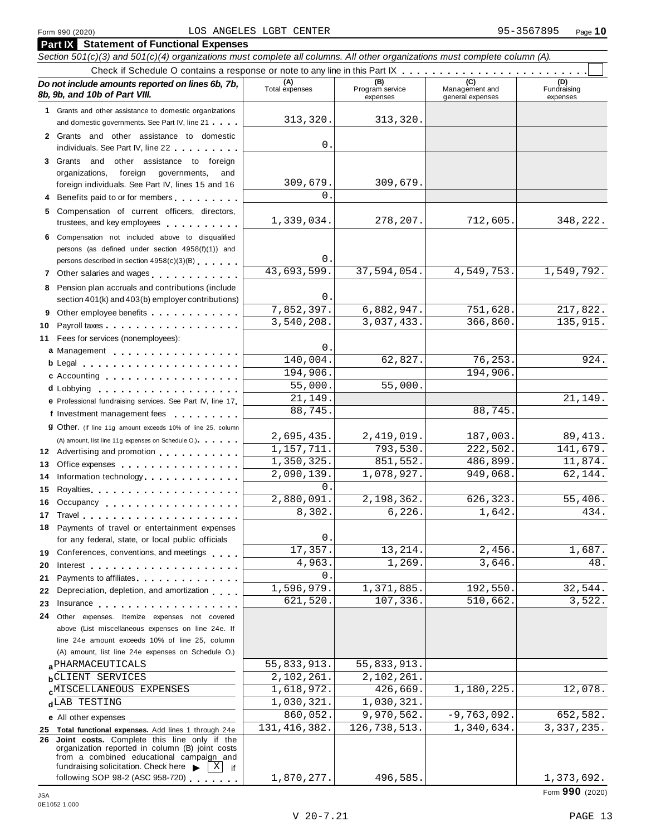### Form <sup>990</sup> (2020) Page **10** LOS ANGELES LGBT CENTER 95-3567895

| <b>Part IX</b> Statement of Functional Expenses                                                                                                                                                                                      |                            |                                    |                                    |                                |
|--------------------------------------------------------------------------------------------------------------------------------------------------------------------------------------------------------------------------------------|----------------------------|------------------------------------|------------------------------------|--------------------------------|
| Section 501(c)(3) and 501(c)(4) organizations must complete all columns. All other organizations must complete column (A).                                                                                                           |                            |                                    |                                    |                                |
|                                                                                                                                                                                                                                      |                            |                                    |                                    |                                |
| Do not include amounts reported on lines 6b, 7b,<br>8b, 9b, and 10b of Part VIII.                                                                                                                                                    | (A)<br>Total expenses      | (B)<br>Program service<br>expenses | Management and<br>general expenses | (D)<br>Fundraising<br>expenses |
| 1 Grants and other assistance to domestic organizations                                                                                                                                                                              |                            |                                    |                                    |                                |
| and domestic governments. See Part IV, line 21                                                                                                                                                                                       | 313,320.                   | 313,320.                           |                                    |                                |
| 2 Grants and other assistance to domestic<br>individuals. See Part IV, line 22                                                                                                                                                       | 0.                         |                                    |                                    |                                |
| 3 Grants and other assistance to foreign                                                                                                                                                                                             |                            |                                    |                                    |                                |
| foreign governments,<br>organizations,<br>and                                                                                                                                                                                        |                            |                                    |                                    |                                |
| foreign individuals. See Part IV, lines 15 and 16                                                                                                                                                                                    | 309,679.                   | 309,679.                           |                                    |                                |
| Benefits paid to or for members                                                                                                                                                                                                      | $\Omega$ .                 |                                    |                                    |                                |
| Compensation of current officers, directors,<br>5.<br>trustees, and key employees                                                                                                                                                    | 1,339,034.                 | 278,207.                           | 712,605.                           | 348,222.                       |
| Compensation not included above to disqualified<br>6                                                                                                                                                                                 |                            |                                    |                                    |                                |
| persons (as defined under section 4958(f)(1)) and                                                                                                                                                                                    |                            |                                    |                                    |                                |
| persons described in section 4958(c)(3)(B)                                                                                                                                                                                           | 0.                         |                                    |                                    |                                |
| 7 Other salaries and wages <b>container and all the salaries</b>                                                                                                                                                                     | 43,693,599.                | 37,594,054.                        | 4,549,753.                         | 1,549,792.                     |
| Pension plan accruals and contributions (include<br>8                                                                                                                                                                                | 0.                         |                                    |                                    |                                |
| section 401(k) and 403(b) employer contributions)                                                                                                                                                                                    | 7,852,397.                 | 6,882,947.                         | 751,628.                           | 217,822.                       |
| Other employee benefits<br>9                                                                                                                                                                                                         | 3,540,208.                 | 3,037,433.                         | 366,860.                           | 135, 915.                      |
| 10                                                                                                                                                                                                                                   |                            |                                    |                                    |                                |
| Fees for services (nonemployees):<br>11                                                                                                                                                                                              | 0.                         |                                    |                                    |                                |
| a Management                                                                                                                                                                                                                         | 140,004.                   | 62,827.                            | 76,253.                            | 924.                           |
| b Legal entering the service of the service of the service of the service of the service of the service of the<br>c Accounting                                                                                                       | 194,906.                   |                                    | 194,906.                           |                                |
| d Lobbying entering the state of the state of the state of the state of the state of the state of the state of                                                                                                                       | 55,000.                    | 55,000.                            |                                    |                                |
| e Professional fundraising services. See Part IV, line 17                                                                                                                                                                            | 21,149.                    |                                    |                                    | 21,149.                        |
| f Investment management fees                                                                                                                                                                                                         | 88,745.                    |                                    | 88,745.                            |                                |
| <b>g</b> Other. (If line 11g amount exceeds 10% of line 25, column                                                                                                                                                                   |                            |                                    |                                    |                                |
| (A) amount, list line 11g expenses on Schedule O.). The manufacturer of                                                                                                                                                              | 2,695,435.                 | 2,419,019.                         | 187,003.                           | 89, 413.                       |
| 12 Advertising and promotion                                                                                                                                                                                                         | 1,157,711.                 | 793,530.                           | 222,502.                           | 141,679.                       |
| 13<br>Office expenses expenses                                                                                                                                                                                                       | 1,350,325.                 | 851,552.                           | 486,899.                           | 11,874.                        |
| Information technology.<br>14                                                                                                                                                                                                        | 2,090,139.                 | 1,078,927.                         | 949,068.                           | 62,144.                        |
| 15                                                                                                                                                                                                                                   | $\Omega$ .                 |                                    |                                    |                                |
| 16 Occupancy                                                                                                                                                                                                                         | 2,880,091.                 | 2,198,362.                         | 626,323.                           | 55,406.                        |
| 17 Travel <b>17. Institute 18. Travel 17. Travel</b>                                                                                                                                                                                 | 8,302.                     | 6,226.                             | 1,642.                             | 434.                           |
| 18 Payments of travel or entertainment expenses<br>for any federal, state, or local public officials                                                                                                                                 | 0.                         |                                    |                                    |                                |
| 19 Conferences, conventions, and meetings                                                                                                                                                                                            | 17,357.                    | 13, 214.                           | 2,456.                             | 1,687.                         |
| 20<br>Interest the contract of the contract of the contract of the contract of the contract of the contract of the contract of the contract of the contract of the contract of the contract of the contract of the contract of the c | 4,963.                     | 1,269.                             | 3,646.                             | 48.                            |
| Payments to affiliates entertainment and the set of the set of the set of the set of the set of the set of the<br>21                                                                                                                 | 0.                         |                                    |                                    |                                |
| Depreciation, depletion, and amortization<br>22                                                                                                                                                                                      | 1,596,979.                 | 1,371,885.                         | 192,550.                           | 32,544.                        |
| Insurance experience and the series of the series of the series of the series of the series of the series of the series of the series of the series of the series of the series of the series of the series of the series of t<br>23 | 621,520.                   | 107,336.                           | 510,662.                           | 3,522.                         |
| 24 Other expenses. Itemize expenses not covered                                                                                                                                                                                      |                            |                                    |                                    |                                |
| above (List miscellaneous expenses on line 24e. If                                                                                                                                                                                   |                            |                                    |                                    |                                |
| line 24e amount exceeds 10% of line 25, column<br>(A) amount, list line 24e expenses on Schedule O.)                                                                                                                                 |                            |                                    |                                    |                                |
| a PHARMACEUTICALS                                                                                                                                                                                                                    | 55,833,913.                | $\overline{55}$ , 833, 913.        |                                    |                                |
| <b>b</b> CLIENT SERVICES                                                                                                                                                                                                             | 2,102,261.                 | 2,102,261.                         |                                    |                                |
| <b>CMISCELLANEOUS EXPENSES</b>                                                                                                                                                                                                       | $\overline{1}$ , 618, 972. | 426,669.                           | 1,180,225.                         | 12,078.                        |
| dLAB TESTING                                                                                                                                                                                                                         | 1,030,321.                 | 1,030,321.                         |                                    |                                |
| e All other expenses                                                                                                                                                                                                                 | 860,052.                   | 9,970,562.                         | $-9,763,092.$                      | 652,582.                       |
| 25 Total functional expenses. Add lines 1 through 24e                                                                                                                                                                                | 131, 416, 382.             | 126, 738, 513.                     | $\overline{1}$ , 340, 634.         | 3, 337, 235.                   |
| 26 Joint costs. Complete this line only if the<br>organization reported in column (B) joint costs<br>from a combined educational campaign and<br>fundraising solicitation. Check here<br> X                                          |                            |                                    |                                    |                                |
| if<br>following SOP 98-2 (ASC 958-720)                                                                                                                                                                                               | 1,870,277.                 | 496,585.                           |                                    | 1,373,692.                     |

0E1052 1.000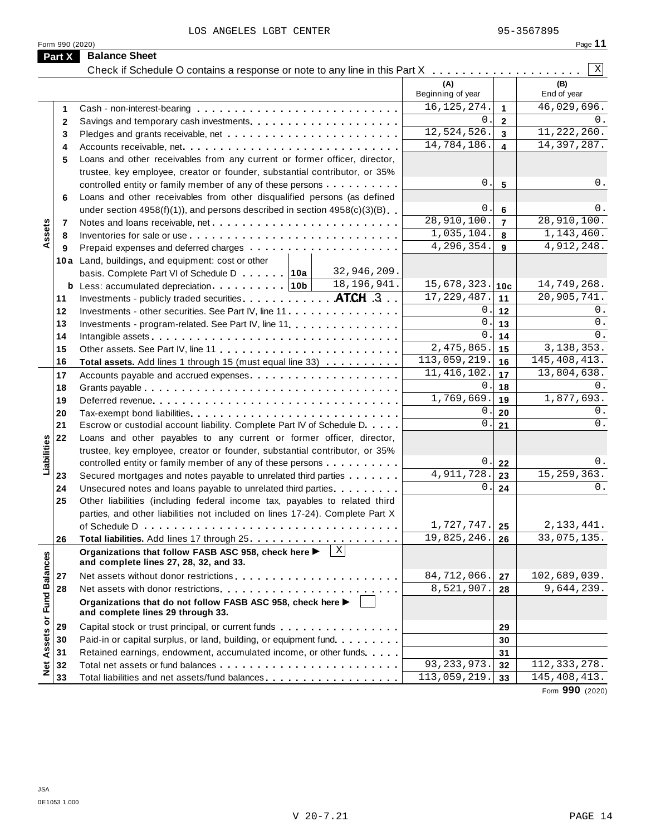LOS ANGELES LGBT CENTER 95-3567895

|                                   |                                                                                                                                                            | (A)<br>Beginning of year |                         | (B)<br>End of year |
|-----------------------------------|------------------------------------------------------------------------------------------------------------------------------------------------------------|--------------------------|-------------------------|--------------------|
| 1                                 |                                                                                                                                                            | 16, 125, 274.            | $\blacktriangleleft$    | 46,029,696.        |
| $\mathbf{2}$                      |                                                                                                                                                            | $0$ .                    | $\overline{\mathbf{2}}$ | 0.                 |
| 3                                 |                                                                                                                                                            | 12,524,526.              | $\overline{\mathbf{3}}$ | 11, 222, 260.      |
| 4                                 |                                                                                                                                                            | 14,784,186.              | $\overline{\mathbf{4}}$ | 14, 397, 287.      |
| 5                                 | Loans and other receivables from any current or former officer, director,                                                                                  |                          |                         |                    |
|                                   | trustee, key employee, creator or founder, substantial contributor, or 35%                                                                                 |                          |                         |                    |
|                                   | controlled entity or family member of any of these persons                                                                                                 | $0$ .                    | $5\phantom{1}$          | 0.                 |
| 6                                 | Loans and other receivables from other disqualified persons (as defined                                                                                    |                          |                         |                    |
|                                   | under section $4958(f)(1)$ , and persons described in section $4958(c)(3)(B)$                                                                              | $\mathsf{0}$ .           | $6\phantom{1}6$         | 0.                 |
| 7                                 | Notes and loans receivable, net                                                                                                                            | 28,910,100.              | $\overline{7}$          | 28,910,100.        |
| Assets<br>8                       |                                                                                                                                                            | 1,035,104.               | 8                       | 1,143,460.         |
| 9                                 |                                                                                                                                                            | 4,296,354.               | 9                       | 4,912,248.         |
|                                   | 10a Land, buildings, and equipment: cost or other                                                                                                          |                          |                         |                    |
|                                   | 32,946,209.<br>basis. Complete Part VI of Schedule D 10a                                                                                                   |                          |                         |                    |
|                                   | 18,196,941.                                                                                                                                                | $15,678,323.$ 10c        |                         | 14,749,268.        |
| 11                                | Investments - publicly traded securities. ATCH .3                                                                                                          | 17, 229, 487.            | 11                      | 20,905,741.        |
| 12                                | Investments - other securities. See Part IV, line 11                                                                                                       | 0.                       | 12                      | 0.                 |
| 13                                | Investments - program-related. See Part IV, line 11                                                                                                        | $0$ .                    | 13                      | 0.                 |
| 14                                |                                                                                                                                                            | $\mathbf{0}$ .           | 14                      | 0.                 |
| 15                                |                                                                                                                                                            | $\overline{2,475,865}$ . | 15                      | 3, 138, 353.       |
| 16                                | Total assets. Add lines 1 through 15 (must equal line 33)                                                                                                  | 113,059,219.             | 16                      | 145, 408, 413.     |
| 17                                |                                                                                                                                                            | 11, 416, 102.            | 17                      | 13,804,638.        |
| 18                                |                                                                                                                                                            | 0.                       | 18                      | $0$ .              |
| 19                                |                                                                                                                                                            | 1,769,669.               | 19                      | 1,877,693.         |
| 20                                |                                                                                                                                                            | $\mathbf 0$ .            | 20                      | 0.                 |
| 21                                | Escrow or custodial account liability. Complete Part IV of Schedule D.                                                                                     | 0.                       | 21                      | $0$ .              |
| 22                                | Loans and other payables to any current or former officer, director,                                                                                       |                          |                         |                    |
|                                   |                                                                                                                                                            |                          |                         |                    |
|                                   | trustee, key employee, creator or founder, substantial contributor, or 35%                                                                                 | $\boldsymbol{0}$ .       | 22                      | 0.                 |
| Liabilities                       | controlled entity or family member of any of these persons                                                                                                 | 4,911,728.               | 23                      | 15, 259, 363.      |
| 23<br>24                          | Secured mortgages and notes payable to unrelated third parties                                                                                             | 0.                       | 24                      | 0.                 |
| 25                                | Unsecured notes and loans payable to unrelated third parties.                                                                                              |                          |                         |                    |
|                                   | Other liabilities (including federal income tax, payables to related third<br>parties, and other liabilities not included on lines 17-24). Complete Part X |                          |                         |                    |
|                                   |                                                                                                                                                            | 1,727,747.               | 25                      | 2, 133, 441.       |
| 26                                |                                                                                                                                                            | 19,825,246.              | 26                      | 33,075,135.        |
|                                   | X                                                                                                                                                          |                          |                         |                    |
|                                   | Organizations that follow FASB ASC 958, check here ▶<br>and complete lines 27, 28, 32, and 33.                                                             |                          |                         |                    |
| 27                                |                                                                                                                                                            | 84,712,066.              | 27                      | 102,689,039.       |
| 28                                |                                                                                                                                                            | 8,521,907.               |                         | 9,644,239.         |
|                                   |                                                                                                                                                            |                          | 28                      |                    |
|                                   | Organizations that do not follow FASB ASC 958, check here ▶<br>and complete lines 29 through 33.                                                           |                          |                         |                    |
|                                   |                                                                                                                                                            |                          |                         |                    |
| 29                                | Capital stock or trust principal, or current funds                                                                                                         |                          | 29                      |                    |
| 30                                | Paid-in or capital surplus, or land, building, or equipment fund                                                                                           |                          | 30                      |                    |
| 31                                | Retained earnings, endowment, accumulated income, or other funds                                                                                           |                          | 31                      |                    |
| Net Assets or Fund Balances<br>32 |                                                                                                                                                            | 93, 233, 973.            | 32                      | 112, 333, 278.     |
| 33                                | Total liabilities and net assets/fund balances                                                                                                             | 113,059,219.             | 33                      | 145, 408, 413.     |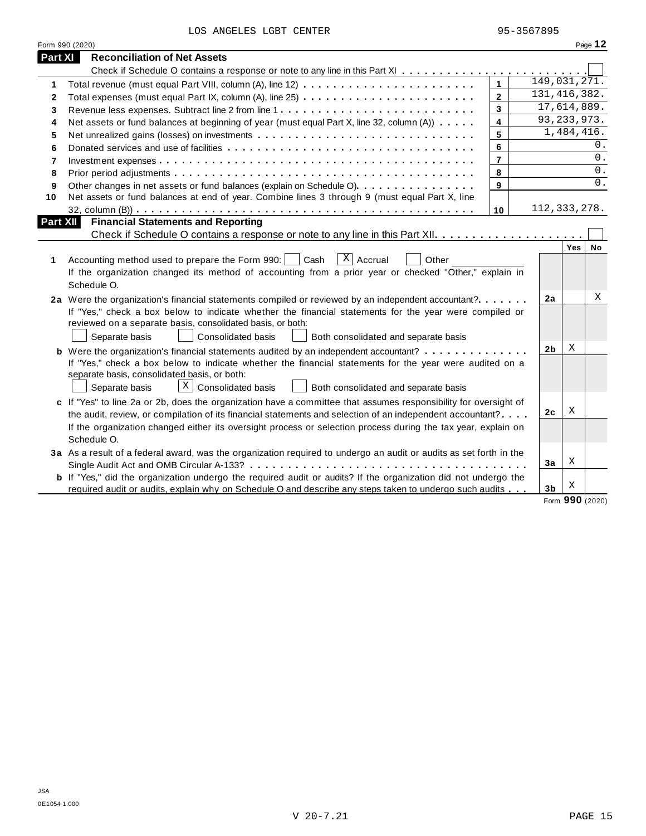LOS ANGELES LGBT CENTER 95-3567895

|          | Form 990 (2020)                                                                                                                                                                                                                                                                                                                                                   |                         |                |                  | Page 12 |
|----------|-------------------------------------------------------------------------------------------------------------------------------------------------------------------------------------------------------------------------------------------------------------------------------------------------------------------------------------------------------------------|-------------------------|----------------|------------------|---------|
| Part XI  | <b>Reconciliation of Net Assets</b>                                                                                                                                                                                                                                                                                                                               |                         |                |                  |         |
|          |                                                                                                                                                                                                                                                                                                                                                                   |                         |                |                  |         |
| 1        |                                                                                                                                                                                                                                                                                                                                                                   | $\mathbf{1}$            | 149,031,271.   |                  |         |
| 2        |                                                                                                                                                                                                                                                                                                                                                                   | $\overline{2}$          | 131, 416, 382. |                  |         |
| 3        |                                                                                                                                                                                                                                                                                                                                                                   | $\overline{\mathbf{3}}$ | 17,614,889.    |                  |         |
| 4        | Net assets or fund balances at beginning of year (must equal Part X, line 32, column (A))                                                                                                                                                                                                                                                                         | $\overline{\mathbf{4}}$ | 93, 233, 973.  |                  |         |
| 5        |                                                                                                                                                                                                                                                                                                                                                                   | 5                       |                | 1,484,416.       |         |
| 6        |                                                                                                                                                                                                                                                                                                                                                                   | 6                       |                |                  | 0.      |
| 7        |                                                                                                                                                                                                                                                                                                                                                                   | $\overline{7}$          |                |                  | 0.      |
| 8        |                                                                                                                                                                                                                                                                                                                                                                   | 8                       |                |                  | 0.      |
| 9        | Other changes in net assets or fund balances (explain on Schedule O)                                                                                                                                                                                                                                                                                              | 9                       |                |                  | 0.      |
| 10       | Net assets or fund balances at end of year. Combine lines 3 through 9 (must equal Part X, line                                                                                                                                                                                                                                                                    |                         |                |                  |         |
|          |                                                                                                                                                                                                                                                                                                                                                                   | 10                      | 112, 333, 278. |                  |         |
| Part XII | <b>Financial Statements and Reporting</b>                                                                                                                                                                                                                                                                                                                         |                         |                |                  |         |
|          |                                                                                                                                                                                                                                                                                                                                                                   |                         |                |                  |         |
| 1        | $\overline{X}$ Accrual<br>Accounting method used to prepare the Form 990:  <br>Cash<br>Other<br>If the organization changed its method of accounting from a prior year or checked "Other," explain in<br>Schedule O.                                                                                                                                              |                         |                | Yes <sub>1</sub> | No      |
|          | 2a Were the organization's financial statements compiled or reviewed by an independent accountant?<br>If "Yes," check a box below to indicate whether the financial statements for the year were compiled or<br>reviewed on a separate basis, consolidated basis, or both:<br>Separate basis<br><b>Consolidated basis</b><br>Both consolidated and separate basis |                         | 2a             |                  | Χ       |
|          | <b>b</b> Were the organization's financial statements audited by an independent accountant?                                                                                                                                                                                                                                                                       |                         | 2b             | X                |         |
|          | If "Yes," check a box below to indicate whether the financial statements for the year were audited on a<br>separate basis, consolidated basis, or both:<br>$X \bigcup$ Consolidated basis<br>Separate basis<br>Both consolidated and separate basis                                                                                                               |                         |                |                  |         |
|          | c If "Yes" to line 2a or 2b, does the organization have a committee that assumes responsibility for oversight of                                                                                                                                                                                                                                                  |                         |                | Χ                |         |
|          | the audit, review, or compilation of its financial statements and selection of an independent accountant?                                                                                                                                                                                                                                                         |                         | 2c             |                  |         |
|          | If the organization changed either its oversight process or selection process during the tax year, explain on<br>Schedule O.                                                                                                                                                                                                                                      |                         |                |                  |         |
|          | 3a As a result of a federal award, was the organization required to undergo an audit or audits as set forth in the                                                                                                                                                                                                                                                |                         |                |                  |         |
|          |                                                                                                                                                                                                                                                                                                                                                                   |                         | 3a             | Х                |         |
|          | <b>b</b> If "Yes," did the organization undergo the required audit or audits? If the organization did not undergo the                                                                                                                                                                                                                                             |                         |                |                  |         |
|          | required audit or audits, explain why on Schedule O and describe any steps taken to undergo such audits                                                                                                                                                                                                                                                           |                         | 3 <sub>b</sub> | Χ                |         |

Form **990** (2020)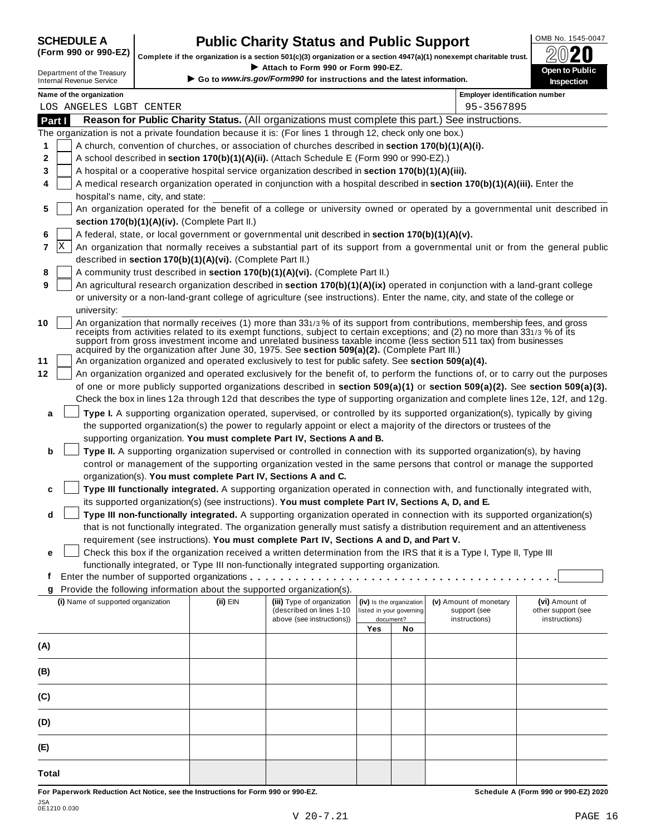# **CHEDULE A Public Charity Status and Public Support**  $\frac{100\text{dB No. }1545-0047}{000\text{dB No.}}$

(Form 990 or 990-EZ) complete if the organization is a section 501(c)(3) organization or a section 4947(a)(1) nonexempt charitable trust.  $2020$ 

|                                                                                                                                                                                                                                                                                                                                                                                      |          | Attach to Form 990 or Form 990-EZ.                                     |     |                          | Complete if the organization is a section 501(c)(3) organization or a section 4947(a)(1) nonexempt charitable trust. | ZWŁU<br>Open to Public |
|--------------------------------------------------------------------------------------------------------------------------------------------------------------------------------------------------------------------------------------------------------------------------------------------------------------------------------------------------------------------------------------|----------|------------------------------------------------------------------------|-----|--------------------------|----------------------------------------------------------------------------------------------------------------------|------------------------|
| Department of the Treasury<br><b>Internal Revenue Service</b>                                                                                                                                                                                                                                                                                                                        |          | Go to www.irs.gov/Form990 for instructions and the latest information. |     |                          |                                                                                                                      | Inspection             |
| Name of the organization                                                                                                                                                                                                                                                                                                                                                             |          |                                                                        |     |                          | <b>Employer identification number</b>                                                                                |                        |
| LOS ANGELES LGBT CENTER                                                                                                                                                                                                                                                                                                                                                              |          |                                                                        |     |                          | 95-3567895                                                                                                           |                        |
| Reason for Public Charity Status. (All organizations must complete this part.) See instructions.<br>Part I                                                                                                                                                                                                                                                                           |          |                                                                        |     |                          |                                                                                                                      |                        |
| The organization is not a private foundation because it is: (For lines 1 through 12, check only one box.)                                                                                                                                                                                                                                                                            |          |                                                                        |     |                          |                                                                                                                      |                        |
| A church, convention of churches, or association of churches described in section 170(b)(1)(A)(i).<br>1                                                                                                                                                                                                                                                                              |          |                                                                        |     |                          |                                                                                                                      |                        |
| 2<br>A school described in section 170(b)(1)(A)(ii). (Attach Schedule E (Form 990 or 990-EZ).)                                                                                                                                                                                                                                                                                       |          |                                                                        |     |                          |                                                                                                                      |                        |
| A hospital or a cooperative hospital service organization described in section 170(b)(1)(A)(iii).<br>3                                                                                                                                                                                                                                                                               |          |                                                                        |     |                          |                                                                                                                      |                        |
| A medical research organization operated in conjunction with a hospital described in section 170(b)(1)(A)(iii). Enter the<br>4<br>hospital's name, city, and state:                                                                                                                                                                                                                  |          |                                                                        |     |                          |                                                                                                                      |                        |
| An organization operated for the benefit of a college or university owned or operated by a governmental unit described in<br>5                                                                                                                                                                                                                                                       |          |                                                                        |     |                          |                                                                                                                      |                        |
| section 170(b)(1)(A)(iv). (Complete Part II.)                                                                                                                                                                                                                                                                                                                                        |          |                                                                        |     |                          |                                                                                                                      |                        |
| A federal, state, or local government or governmental unit described in section 170(b)(1)(A)(v).<br>6                                                                                                                                                                                                                                                                                |          |                                                                        |     |                          |                                                                                                                      |                        |
| ΙX<br>An organization that normally receives a substantial part of its support from a governmental unit or from the general public<br>7                                                                                                                                                                                                                                              |          |                                                                        |     |                          |                                                                                                                      |                        |
| described in section 170(b)(1)(A)(vi). (Complete Part II.)                                                                                                                                                                                                                                                                                                                           |          |                                                                        |     |                          |                                                                                                                      |                        |
| A community trust described in section 170(b)(1)(A)(vi). (Complete Part II.)<br>8                                                                                                                                                                                                                                                                                                    |          |                                                                        |     |                          |                                                                                                                      |                        |
| An agricultural research organization described in section 170(b)(1)(A)(ix) operated in conjunction with a land-grant college<br>9                                                                                                                                                                                                                                                   |          |                                                                        |     |                          |                                                                                                                      |                        |
| or university or a non-land-grant college of agriculture (see instructions). Enter the name, city, and state of the college or                                                                                                                                                                                                                                                       |          |                                                                        |     |                          |                                                                                                                      |                        |
| university:                                                                                                                                                                                                                                                                                                                                                                          |          |                                                                        |     |                          |                                                                                                                      |                        |
| An organization that normally receives (1) more than 331/3% of its support from contributions, membership fees, and gross<br>10<br>receipts from activities related to its exempt functions, subject to certain exceptions; and (2) no more than 331/3 % of its<br>support from gross investment income and unrelated business taxable income (less section 511 tax) from businesses |          |                                                                        |     |                          |                                                                                                                      |                        |
| acquired by the organization after June 30, 1975. See section 509(a)(2). (Complete Part III.)                                                                                                                                                                                                                                                                                        |          |                                                                        |     |                          |                                                                                                                      |                        |
| An organization organized and operated exclusively to test for public safety. See section 509(a)(4).<br>11                                                                                                                                                                                                                                                                           |          |                                                                        |     |                          |                                                                                                                      |                        |
| An organization organized and operated exclusively for the benefit of, to perform the functions of, or to carry out the purposes<br>12                                                                                                                                                                                                                                               |          |                                                                        |     |                          |                                                                                                                      |                        |
| of one or more publicly supported organizations described in section 509(a)(1) or section 509(a)(2). See section 509(a)(3).                                                                                                                                                                                                                                                          |          |                                                                        |     |                          |                                                                                                                      |                        |
| Check the box in lines 12a through 12d that describes the type of supporting organization and complete lines 12e, 12f, and 12g.                                                                                                                                                                                                                                                      |          |                                                                        |     |                          |                                                                                                                      |                        |
| Type I. A supporting organization operated, supervised, or controlled by its supported organization(s), typically by giving<br>a                                                                                                                                                                                                                                                     |          |                                                                        |     |                          |                                                                                                                      |                        |
| the supported organization(s) the power to regularly appoint or elect a majority of the directors or trustees of the                                                                                                                                                                                                                                                                 |          |                                                                        |     |                          |                                                                                                                      |                        |
| supporting organization. You must complete Part IV, Sections A and B.                                                                                                                                                                                                                                                                                                                |          |                                                                        |     |                          |                                                                                                                      |                        |
| Type II. A supporting organization supervised or controlled in connection with its supported organization(s), by having<br>b                                                                                                                                                                                                                                                         |          |                                                                        |     |                          |                                                                                                                      |                        |
| control or management of the supporting organization vested in the same persons that control or manage the supported                                                                                                                                                                                                                                                                 |          |                                                                        |     |                          |                                                                                                                      |                        |
| organization(s). You must complete Part IV, Sections A and C.                                                                                                                                                                                                                                                                                                                        |          |                                                                        |     |                          |                                                                                                                      |                        |
| Type III functionally integrated. A supporting organization operated in connection with, and functionally integrated with,<br>c                                                                                                                                                                                                                                                      |          |                                                                        |     |                          |                                                                                                                      |                        |
| its supported organization(s) (see instructions). You must complete Part IV, Sections A, D, and E.                                                                                                                                                                                                                                                                                   |          |                                                                        |     |                          |                                                                                                                      |                        |
| Type III non-functionally integrated. A supporting organization operated in connection with its supported organization(s)<br>d                                                                                                                                                                                                                                                       |          |                                                                        |     |                          |                                                                                                                      |                        |
| that is not functionally integrated. The organization generally must satisfy a distribution requirement and an attentiveness                                                                                                                                                                                                                                                         |          |                                                                        |     |                          |                                                                                                                      |                        |
| requirement (see instructions). You must complete Part IV, Sections A and D, and Part V.                                                                                                                                                                                                                                                                                             |          |                                                                        |     |                          |                                                                                                                      |                        |
| Check this box if the organization received a written determination from the IRS that it is a Type I, Type II, Type III<br>е                                                                                                                                                                                                                                                         |          |                                                                        |     |                          |                                                                                                                      |                        |
| functionally integrated, or Type III non-functionally integrated supporting organization.                                                                                                                                                                                                                                                                                            |          |                                                                        |     |                          |                                                                                                                      |                        |
| t.                                                                                                                                                                                                                                                                                                                                                                                   |          |                                                                        |     |                          |                                                                                                                      |                        |
| Provide the following information about the supported organization(s).                                                                                                                                                                                                                                                                                                               |          |                                                                        |     |                          |                                                                                                                      |                        |
| (i) Name of supported organization                                                                                                                                                                                                                                                                                                                                                   | (ii) EIN | (iii) Type of organization                                             |     | (iv) Is the organization | (v) Amount of monetary                                                                                               | (vi) Amount of         |
|                                                                                                                                                                                                                                                                                                                                                                                      |          | (described on lines 1-10                                               |     | listed in your governing | support (see                                                                                                         | other support (see     |
|                                                                                                                                                                                                                                                                                                                                                                                      |          | above (see instructions))                                              |     | document?                | instructions)                                                                                                        | instructions)          |
|                                                                                                                                                                                                                                                                                                                                                                                      |          |                                                                        | Yes | No                       |                                                                                                                      |                        |
| (A)                                                                                                                                                                                                                                                                                                                                                                                  |          |                                                                        |     |                          |                                                                                                                      |                        |
|                                                                                                                                                                                                                                                                                                                                                                                      |          |                                                                        |     |                          |                                                                                                                      |                        |
| (B)                                                                                                                                                                                                                                                                                                                                                                                  |          |                                                                        |     |                          |                                                                                                                      |                        |
|                                                                                                                                                                                                                                                                                                                                                                                      |          |                                                                        |     |                          |                                                                                                                      |                        |
| (C)                                                                                                                                                                                                                                                                                                                                                                                  |          |                                                                        |     |                          |                                                                                                                      |                        |
|                                                                                                                                                                                                                                                                                                                                                                                      |          |                                                                        |     |                          |                                                                                                                      |                        |
| (D)                                                                                                                                                                                                                                                                                                                                                                                  |          |                                                                        |     |                          |                                                                                                                      |                        |
|                                                                                                                                                                                                                                                                                                                                                                                      |          |                                                                        |     |                          |                                                                                                                      |                        |
| (E)                                                                                                                                                                                                                                                                                                                                                                                  |          |                                                                        |     |                          |                                                                                                                      |                        |
|                                                                                                                                                                                                                                                                                                                                                                                      |          |                                                                        |     |                          |                                                                                                                      |                        |
| Total                                                                                                                                                                                                                                                                                                                                                                                |          |                                                                        |     |                          |                                                                                                                      |                        |
|                                                                                                                                                                                                                                                                                                                                                                                      |          |                                                                        |     |                          |                                                                                                                      |                        |

For Paperwork Reduction Act Notice, see the Instructions for Form 990 or 990-EZ. Schedule A (Form 990 or 990-EZ) 2020 JSA 0E1210 0.030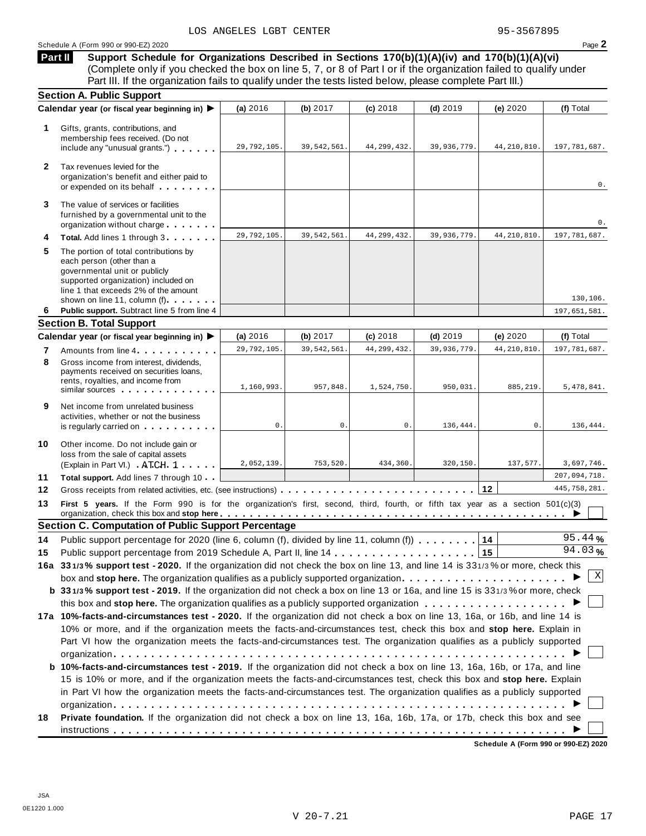**Part II**

**Support Schedule for Organizations Described in Sections 170(b)(1)(A)(iv) and 170(b)(1)(A)(vi)** (Complete only if you checked the box on line 5, 7, or 8 of Part I or if the organization failed to qualify under Part III. If the organization fails to qualify under the tests listed below, please complete Part III.)

|              | <b>Section A. Public Support</b>                                                                                                                                                                                                                                                                                                                                                           |             |               |               |             |               |                |
|--------------|--------------------------------------------------------------------------------------------------------------------------------------------------------------------------------------------------------------------------------------------------------------------------------------------------------------------------------------------------------------------------------------------|-------------|---------------|---------------|-------------|---------------|----------------|
|              | Calendar year (or fiscal year beginning in) ▶                                                                                                                                                                                                                                                                                                                                              | (a) 2016    | (b) $2017$    | $(c)$ 2018    | $(d)$ 2019  | (e) 2020      | (f) Total      |
| 1            | Gifts, grants, contributions, and<br>membership fees received. (Do not<br>include any "unusual grants.")                                                                                                                                                                                                                                                                                   | 29,792,105. | 39, 542, 561. | 44, 299, 432. | 39,936,779. | 44, 210, 810. | 197,781,687.   |
| $\mathbf{2}$ | Tax revenues levied for the<br>organization's benefit and either paid to<br>or expended on its behalf                                                                                                                                                                                                                                                                                      |             |               |               |             |               | 0.             |
| 3            | The value of services or facilities<br>furnished by a governmental unit to the<br>organization without charge                                                                                                                                                                                                                                                                              |             |               |               |             |               | 0.             |
| 4            | Total. Add lines 1 through 3                                                                                                                                                                                                                                                                                                                                                               | 29,792,105. | 39, 542, 561. | 44, 299, 432. | 39,936,779. | 44, 210, 810. | 197, 781, 687. |
| 5            | The portion of total contributions by<br>each person (other than a<br>governmental unit or publicly<br>supported organization) included on<br>line 1 that exceeds 2% of the amount<br>shown on line 11, column (f)                                                                                                                                                                         |             |               |               |             |               | 130,106.       |
| 6            | Public support. Subtract line 5 from line 4                                                                                                                                                                                                                                                                                                                                                |             |               |               |             |               | 197,651,581.   |
|              | <b>Section B. Total Support</b>                                                                                                                                                                                                                                                                                                                                                            |             |               |               |             |               |                |
|              | Calendar year (or fiscal year beginning in) ▶                                                                                                                                                                                                                                                                                                                                              | (a) 2016    | (b) $2017$    | $(c)$ 2018    | $(d)$ 2019  | (e) 2020      | (f) Total      |
| 7            | Amounts from line 4                                                                                                                                                                                                                                                                                                                                                                        | 29,792,105. | 39,542,561.   | 44, 299, 432. | 39,936,779  | 44, 210, 810. | 197,781,687.   |
| 8            | Gross income from interest, dividends,<br>payments received on securities loans,<br>rents, royalties, and income from<br>similar sources experiences                                                                                                                                                                                                                                       | 1,160,993.  | 957,848.      | 1,524,750.    | 950,031.    | 885, 219.     | 5,478,841.     |
| 9            | Net income from unrelated business<br>activities, whether or not the business<br>is regularly carried on the control of the state of the state of the state of the state of the state of the state of the state of the state of the state of the state of the state of the state of the state of the state of t                                                                            | 0.          | 0.            | 0.            | 136,444.    | $0$ .         | 136,444.       |
| 10           | Other income. Do not include gain or<br>loss from the sale of capital assets<br>(Explain in Part VI.) ATCH 1                                                                                                                                                                                                                                                                               | 2,052,139.  | 753,520.      | 434,360.      | 320,150.    | 137,577.      | 3,697,746.     |
| 11           | Total support. Add lines 7 through 10                                                                                                                                                                                                                                                                                                                                                      |             |               |               |             |               | 207,094,718.   |
| 12           |                                                                                                                                                                                                                                                                                                                                                                                            |             |               |               |             | 12            | 445,758,281.   |
| 13           | First 5 years. If the Form 990 is for the organization's first, second, third, fourth, or fifth tax year as a section 501(c)(3)<br>organization, check this box and stop here entitled to provide the contract of the contract of the contract of the contract of the contract of the contract of the contract of the contract of the contract of the contract of                          |             |               |               |             |               |                |
|              | <b>Section C. Computation of Public Support Percentage</b>                                                                                                                                                                                                                                                                                                                                 |             |               |               |             |               | 95.44%         |
| 14           | Public support percentage for 2020 (line 6, column (f), divided by line 11, column (f)) $\dots \dots$                                                                                                                                                                                                                                                                                      |             |               |               |             | 14            | 94.03%         |
| 15           |                                                                                                                                                                                                                                                                                                                                                                                            |             |               |               |             | 15            |                |
|              | 16a 331/3% support test - 2020. If the organization did not check the box on line 13, and line 14 is 331/3% or more, check this<br>box and stop here. The organization qualifies as a publicly supported organization<br>b 331/3% support test - 2019. If the organization did not check a box on line 13 or 16a, and line 15 is 331/3% or more, check                                     |             |               |               |             |               | X              |
|              | this box and stop here. The organization qualifies as a publicly supported organization $\ldots \ldots \ldots \ldots \ldots$                                                                                                                                                                                                                                                               |             |               |               |             |               |                |
|              | 17a 10%-facts-and-circumstances test - 2020. If the organization did not check a box on line 13, 16a, or 16b, and line 14 is<br>10% or more, and if the organization meets the facts-and-circumstances test, check this box and stop here. Explain in<br>Part VI how the organization meets the facts-and-circumstances test. The organization qualifies as a publicly supported           |             |               |               |             |               |                |
|              | <b>b 10%-facts-and-circumstances test - 2019.</b> If the organization did not check a box on line 13, 16a, 16b, or 17a, and line<br>15 is 10% or more, and if the organization meets the facts-and-circumstances test, check this box and stop here. Explain<br>in Part VI how the organization meets the facts-and-circumstances test. The organization qualifies as a publicly supported |             |               |               |             |               |                |
| 18           | Private foundation. If the organization did not check a box on line 13, 16a, 16b, 17a, or 17b, check this box and see                                                                                                                                                                                                                                                                      |             |               |               |             |               |                |

**Schedule A (Form 990 or 990-EZ) 2020**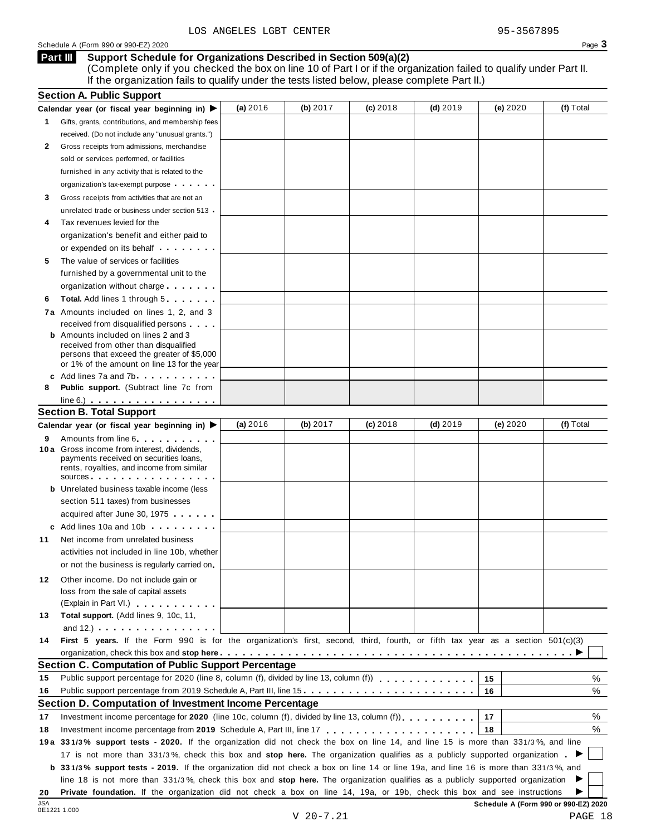### **Support Schedule for Organizations Described in Section 509(a)(2) Part III**

(Complete only if you checked the box on line 10 of Part I or if the organization failed to qualify under Part II. If the organization fails to qualify under the tests listed below, please complete Part II.)

|     | <b>Section A. Public Support</b>                                                                                                                                                                                                     |          |          |            |            |                                      |           |
|-----|--------------------------------------------------------------------------------------------------------------------------------------------------------------------------------------------------------------------------------------|----------|----------|------------|------------|--------------------------------------|-----------|
|     | Calendar year (or fiscal year beginning in) $\blacktriangleright$                                                                                                                                                                    | (a) 2016 | (b) 2017 | $(c)$ 2018 | $(d)$ 2019 | (e) 2020                             | (f) Total |
| 1.  | Gifts, grants, contributions, and membership fees                                                                                                                                                                                    |          |          |            |            |                                      |           |
|     | received. (Do not include any "unusual grants.")                                                                                                                                                                                     |          |          |            |            |                                      |           |
| 2   | Gross receipts from admissions, merchandise                                                                                                                                                                                          |          |          |            |            |                                      |           |
|     | sold or services performed, or facilities                                                                                                                                                                                            |          |          |            |            |                                      |           |
|     | furnished in any activity that is related to the                                                                                                                                                                                     |          |          |            |            |                                      |           |
|     | organization's tax-exempt purpose                                                                                                                                                                                                    |          |          |            |            |                                      |           |
| 3   | Gross receipts from activities that are not an                                                                                                                                                                                       |          |          |            |            |                                      |           |
|     | unrelated trade or business under section 513                                                                                                                                                                                        |          |          |            |            |                                      |           |
| 4   | Tax revenues levied for the                                                                                                                                                                                                          |          |          |            |            |                                      |           |
|     | organization's benefit and either paid to                                                                                                                                                                                            |          |          |            |            |                                      |           |
|     | or expended on its behalf <b>contains the set of the set of the set of the set of the set of the set of the set of the set of the set of the set of the set of the set of the set of the set of the set of the set of the set of</b> |          |          |            |            |                                      |           |
| 5   | The value of services or facilities                                                                                                                                                                                                  |          |          |            |            |                                      |           |
|     | furnished by a governmental unit to the                                                                                                                                                                                              |          |          |            |            |                                      |           |
|     | organization without charge                                                                                                                                                                                                          |          |          |            |            |                                      |           |
| 6   | <b>Total.</b> Add lines 1 through 5                                                                                                                                                                                                  |          |          |            |            |                                      |           |
|     | 7a Amounts included on lines 1, 2, and 3                                                                                                                                                                                             |          |          |            |            |                                      |           |
|     | received from disqualified persons                                                                                                                                                                                                   |          |          |            |            |                                      |           |
|     | <b>b</b> Amounts included on lines 2 and 3                                                                                                                                                                                           |          |          |            |            |                                      |           |
|     | received from other than disqualified                                                                                                                                                                                                |          |          |            |            |                                      |           |
|     | persons that exceed the greater of \$5,000<br>or 1% of the amount on line 13 for the year                                                                                                                                            |          |          |            |            |                                      |           |
|     | c Add lines 7a and 7b                                                                                                                                                                                                                |          |          |            |            |                                      |           |
| 8   | <b>Public support.</b> (Subtract line 7c from                                                                                                                                                                                        |          |          |            |            |                                      |           |
|     | $line 6.)$                                                                                                                                                                                                                           |          |          |            |            |                                      |           |
|     | <b>Section B. Total Support</b>                                                                                                                                                                                                      |          |          |            |            |                                      |           |
|     | Calendar year (or fiscal year beginning in) ▶                                                                                                                                                                                        | (a) 2016 | (b) 2017 | $(c)$ 2018 | $(d)$ 2019 | (e) 2020                             | (f) Total |
| 9   | Amounts from line 6 <b>Amounts</b> from line 6                                                                                                                                                                                       |          |          |            |            |                                      |           |
|     | 10 a Gross income from interest, dividends,                                                                                                                                                                                          |          |          |            |            |                                      |           |
|     | payments received on securities loans,                                                                                                                                                                                               |          |          |            |            |                                      |           |
|     | rents, royalties, and income from similar<br>sources                                                                                                                                                                                 |          |          |            |            |                                      |           |
|     | <b>b</b> Unrelated business taxable income (less                                                                                                                                                                                     |          |          |            |            |                                      |           |
|     | section 511 taxes) from businesses                                                                                                                                                                                                   |          |          |            |            |                                      |           |
|     | acquired after June 30, 1975                                                                                                                                                                                                         |          |          |            |            |                                      |           |
|     | c Add lines 10a and 10b                                                                                                                                                                                                              |          |          |            |            |                                      |           |
| 11  | Net income from unrelated business                                                                                                                                                                                                   |          |          |            |            |                                      |           |
|     | activities not included in line 10b, whether                                                                                                                                                                                         |          |          |            |            |                                      |           |
|     |                                                                                                                                                                                                                                      |          |          |            |            |                                      |           |
|     | or not the business is regularly carried on                                                                                                                                                                                          |          |          |            |            |                                      |           |
| 12  | Other income. Do not include gain or                                                                                                                                                                                                 |          |          |            |            |                                      |           |
|     | loss from the sale of capital assets                                                                                                                                                                                                 |          |          |            |            |                                      |           |
|     | (Explain in Part VI.) <b>All Accords</b>                                                                                                                                                                                             |          |          |            |            |                                      |           |
| 13  | Total support. (Add lines 9, 10c, 11,                                                                                                                                                                                                |          |          |            |            |                                      |           |
|     | and $12.$ ) $\cdots$ $\cdots$ $\cdots$ $\cdots$ $\cdots$                                                                                                                                                                             |          |          |            |            |                                      |           |
| 14  | First 5 years. If the Form 990 is for the organization's first, second, third, fourth, or fifth tax year as a section 501(c)(3)                                                                                                      |          |          |            |            |                                      |           |
|     |                                                                                                                                                                                                                                      |          |          |            |            |                                      |           |
| 15  | Section C. Computation of Public Support Percentage<br>Public support percentage for 2020 (line 8, column (f), divided by line 13, column (f)                                                                                        |          |          |            |            |                                      | %         |
| 16  |                                                                                                                                                                                                                                      |          |          |            |            | 15                                   | %         |
|     | Public support percentage from 2019 Schedule A, Part III, line 15.                                                                                                                                                                   |          |          |            |            | 16                                   |           |
|     | Section D. Computation of Investment Income Percentage                                                                                                                                                                               |          |          |            |            |                                      |           |
| 17  | Investment income percentage for 2020 (line 10c, column (f), divided by line 13, column (f) $\ldots$ ,                                                                                                                               |          |          |            |            | 17                                   | %         |
| 18  |                                                                                                                                                                                                                                      |          |          |            |            | 18                                   | %         |
|     | 19a 331/3% support tests - 2020. If the organization did not check the box on line 14, and line 15 is more than 331/3%, and line                                                                                                     |          |          |            |            |                                      |           |
|     | 17 is not more than 331/3%, check this box and stop here. The organization qualifies as a publicly supported organization.                                                                                                           |          |          |            |            |                                      |           |
|     | <b>b</b> 331/3% support tests - 2019. If the organization did not check a box on line 14 or line 19a, and line 16 is more than 331/3%, and                                                                                           |          |          |            |            |                                      |           |
|     | line 18 is not more than 331/3%, check this box and stop here. The organization qualifies as a publicly supported organization                                                                                                       |          |          |            |            |                                      |           |
| 20  | Private foundation. If the organization did not check a box on line 14, 19a, or 19b, check this box and see instructions                                                                                                             |          |          |            |            |                                      |           |
| JSA |                                                                                                                                                                                                                                      |          |          |            |            | Schedule A (Form 990 or 990-EZ) 2020 |           |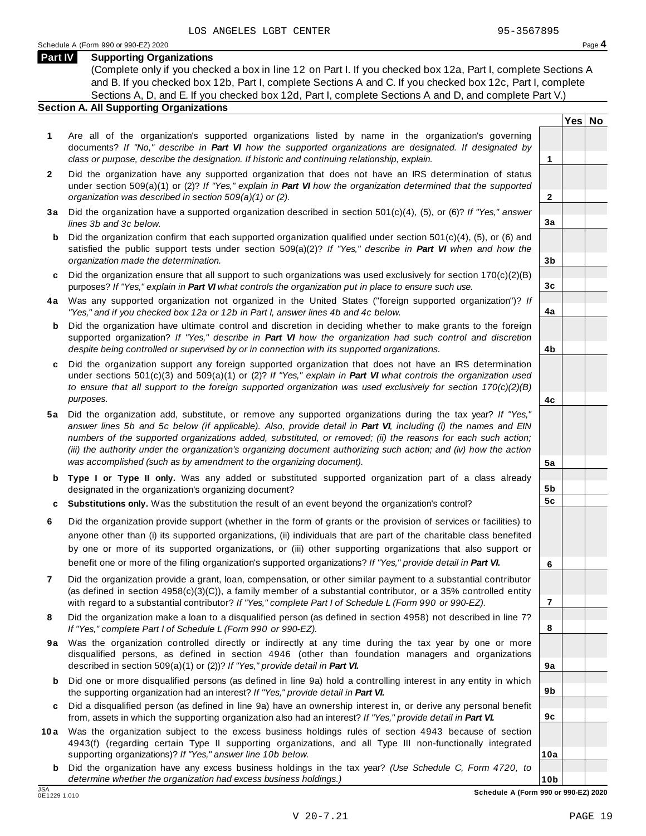**Yes No**

**2**

**3a**

**3b**

**3c**

**4a**

**4b**

**4c**

**5a**

**5b 5c**

**6**

**7**

**8**

**9a**

**9b**

**9c**

**10a**

### **Part IV Supporting Organizations**

(Complete only if you checked a box in line 12 on Part I. If you checked box 12a, Part I, complete Sections A and B. If you checked box 12b, Part I, complete Sections A and C. If you checked box 12c, Part I, complete Sections A, D, and E. If you checked box 12d, Part I, complete Sections A and D, and complete Part V.)

### **Section A. All Supporting Organizations**

- **1** Are all of the organization's supported organizations listed by name in the organization's governing documents? *If "No," describe in Part VI how the supported organizations are designated. If designated by class or purpose, describe the designation. If historic and continuing relationship, explain.* **1**
- **2** Did the organization have any supported organization that does not have an IRS determination of status under section 509(a)(1) or (2)? *If"Yes," explain in Part VI how the organization determined that the supported organization was described in section 509(a)(1) or (2).*
- **3 a** Did the organization have a supported organization described in section 501(c)(4), (5), or (6)? *If "Yes," answer lines 3b and 3c below.*
- **b** Did the organization confirm that each supported organization qualified under section 501(c)(4), (5), or (6) and | satisfied the public support tests under section 509(a)(2)? *If "Yes," describe in Part VI when and how the organization made the determination.*
- **c** Did the organization ensure that all support to such organizations was used exclusively for section 170(c)(2)(B) purposes? *If"Yes," explain in Part VI what controls the organization put in place to ensure such use.*
- **4 a** Was any supported organization not organized in the United States ("foreign supported organization")? *If "Yes," and if you checked box 12a or 12b in Part I, answer lines 4b and 4c below.*
- **b** Did the organization have ultimate control and discretion in deciding whether to make grants to the foreign | supported organization? *If "Yes," describe in Part VI how the organization had such control and discretion despite being controlled or supervised by or in connection with its supported organizations.*
- **c** Did the organization support any foreign supported organization that does not have an IRS determination | under sections 501(c)(3) and 509(a)(1) or (2)? *If "Yes," explain in Part VI what controls the organization used to ensure that all support to the foreign supported organization was used exclusively for section 170(c)(2)(B) purposes.*
- **5 a** Did the organization add, substitute, or remove any supported organizations during the tax year? *If "Yes,"* answer lines 5b and 5c below (if applicable). Also, provide detail in Part VI, including (i) the names and EIN *numbers of the supported organizations added, substituted, or removed; (ii) the reasons for each such action;* (iii) the authority under the organization's organizing document authorizing such action; and (iv) how the action *was accomplished (such as by amendment to the organizing document).*
- **b Type I or Type II only.** Was any added or substituted supported organization part of a class already designated in the organization's organizing document?
- **c Substitutions only.** Was the substitution the result of an event beyond the organization's control?
- **6** Did the organization provide support (whether in the form of grants or the provision of services or facilities) to anyone other than (i) its supported organizations, (ii) individuals that are part of the charitable class benefited by one or more of its supported organizations, or (iii) other supporting organizations that also support or benefit one or more of the filing organization's supported organizations? *If"Yes," provide detail in Part VI.*
- **7** Did the organization provide a grant, loan, compensation, or other similar payment to a substantial contributor (as defined in section 4958(c)(3)(C)), a family member of a substantial contributor, or a 35% controlled entity with regard to a substantial contributor? *If"Yes," complete Part I of Schedule L (Form 990 or 990-EZ).*
- **8** Did the organization make a loan to a disqualified person (as defined in section 4958) not described in line 7? *If "Yes," complete Part I of Schedule L (Form 990 or 990-EZ).*
- **9a** Was the organization controlled directly or indirectly at any time during the tax year by one or more | disqualified persons, as defined in section 4946 (other than foundation managers and organizations described in section 509(a)(1) or (2))? *If"Yes," provide detail in Part VI.*
- **b** Did one or more disqualified persons (as defined in line 9a) hold a controlling interest in any entity in which | the supporting organization had an interest? *If"Yes," provide detail in Part VI.*
- **c** Did a disqualified person (as defined in line 9a) have an ownership interest in, or derive any personal benefit from, assets in which the supporting organization also had an interest? *If"Yes," provide detail in Part VI.*
- **10a** Was the organization subject to the excess business holdings rules of section 4943 because of section | 4943(f) (regarding certain Type II supporting organizations, and all Type III non-functionally integrated supporting organizations)? *If"Yes," answer line 10b below.*
	- **b** Did the organization have any excess business holdings in the tax year? *(Use Schedule C, Form 4720, to determine whether the organization had excess business holdings.)*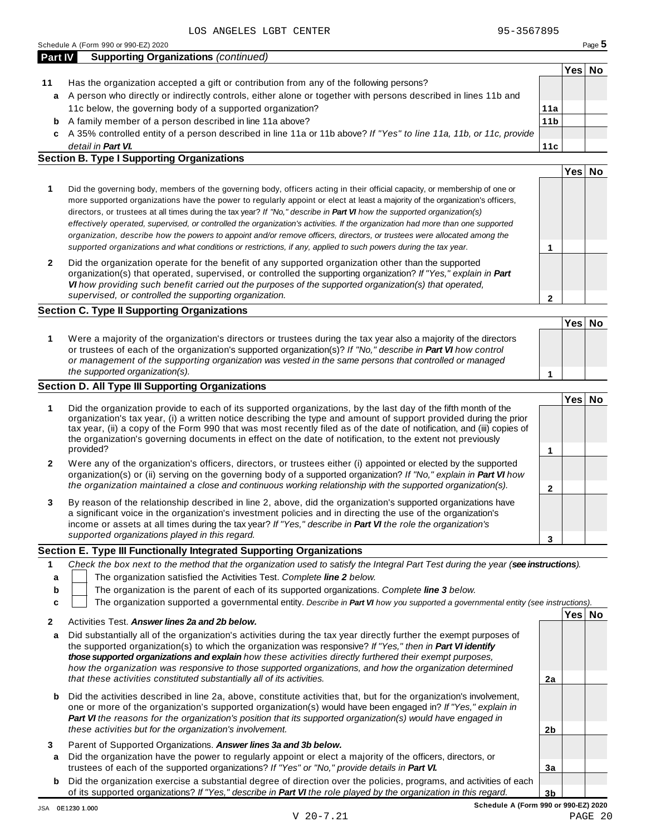**11c**

| Part IV | <b>Supporting Organizations (continued)</b>                                                                       |                 |      |           |
|---------|-------------------------------------------------------------------------------------------------------------------|-----------------|------|-----------|
|         |                                                                                                                   |                 | Yes⊺ | <b>No</b> |
| 11      | Has the organization accepted a gift or contribution from any of the following persons?                           |                 |      |           |
|         | a A person who directly or indirectly controls, either alone or together with persons described in lines 11b and  |                 |      |           |
|         | 11c below, the governing body of a supported organization?                                                        | 11a             |      |           |
|         | <b>b</b> A family member of a person described in line 11a above?                                                 | 11 <sub>b</sub> |      |           |
|         | c A 35% controlled entity of a person described in line 11a or 11b above? If "Ves" to line 11a 11b or 11c provide |                 |      |           |

A 35% controlled entity of a person described in line 11a or 11b above? *If"Yes" to line 11a, 11b, or 11c, provide* **c** *detail in Part VI.*

### **Section B. Type I Supporting Organizations**

|                                                                                                                                                                                                                                                                                                                                                                                                                                                                                                                                                                                                                                                                                                                                                                          | Yes∣ |  |
|--------------------------------------------------------------------------------------------------------------------------------------------------------------------------------------------------------------------------------------------------------------------------------------------------------------------------------------------------------------------------------------------------------------------------------------------------------------------------------------------------------------------------------------------------------------------------------------------------------------------------------------------------------------------------------------------------------------------------------------------------------------------------|------|--|
| Did the governing body, members of the governing body, officers acting in their official capacity, or membership of one or<br>more supported organizations have the power to regularly appoint or elect at least a majority of the organization's officers,<br>directors, or trustees at all times during the tax year? If "No," describe in Part VI how the supported organization(s)<br>effectively operated, supervised, or controlled the organization's activities. If the organization had more than one supported<br>organization, describe how the powers to appoint and/or remove officers, directors, or trustees were allocated among the<br>supported organizations and what conditions or restrictions, if any, applied to such powers during the tax year. |      |  |
| Did the organization operate for the benefit of any supported organization other than the supported<br>organization(s) that operated, supervised, or controlled the supporting organization? If "Yes," explain in Part<br>VI how providing such benefit carried out the purposes of the supported organization(s) that operated,<br>supervised, or controlled the supporting organization.                                                                                                                                                                                                                                                                                                                                                                               |      |  |

### **Section C. Type II Supporting Organizations**

|                                                                                                                                                                                                                                                                                                                                                                               | Yes <sup> </sup> | <b>No</b> |
|-------------------------------------------------------------------------------------------------------------------------------------------------------------------------------------------------------------------------------------------------------------------------------------------------------------------------------------------------------------------------------|------------------|-----------|
| Were a majority of the organization's directors or trustees during the tax year also a majority of the directors<br>or trustees of each of the organization's supported organization(s)? If "No," describe in Part VI how control<br>or management of the supporting organization was vested in the same persons that controlled or managed<br>the supported organization(s). |                  |           |

### **Section D. All Type III Supporting Organizations**

|              |                                                                                                                                                                                                                                                                                                                                                                                                                                                                                          | Yes⊺ |  |
|--------------|------------------------------------------------------------------------------------------------------------------------------------------------------------------------------------------------------------------------------------------------------------------------------------------------------------------------------------------------------------------------------------------------------------------------------------------------------------------------------------------|------|--|
|              | Did the organization provide to each of its supported organizations, by the last day of the fifth month of the<br>organization's tax year, (i) a written notice describing the type and amount of support provided during the prior<br>tax year, (ii) a copy of the Form 990 that was most recently filed as of the date of notification, and (iii) copies of<br>the organization's governing documents in effect on the date of notification, to the extent not previously<br>provided? |      |  |
|              |                                                                                                                                                                                                                                                                                                                                                                                                                                                                                          |      |  |
| $\mathbf{2}$ | Were any of the organization's officers, directors, or trustees either (i) appointed or elected by the supported<br>organization(s) or (ii) serving on the governing body of a supported organization? If "No," explain in <b>Part VI</b> how                                                                                                                                                                                                                                            |      |  |
|              | the organization maintained a close and continuous working relationship with the supported organization(s).                                                                                                                                                                                                                                                                                                                                                                              |      |  |
| 3            | By reason of the relationship described in line 2, above, did the organization's supported organizations have<br>a significant voice in the organization's investment policies and in directing the use of the organization's<br>income or assets at all times during the tax year? If "Yes," describe in Part VI the role the organization's                                                                                                                                            |      |  |
|              | supported organizations played in this regard.                                                                                                                                                                                                                                                                                                                                                                                                                                           |      |  |

### **Section E. Type III Functionally Integrated Supporting Organizations**

|   | Check the box next to the method that the organization used to satisfy the Integral Part Test during the year (see instructions). |    |  |  |  |  |  |
|---|-----------------------------------------------------------------------------------------------------------------------------------|----|--|--|--|--|--|
| a | The organization satisfied the Activities Test. Complete line 2 below.                                                            |    |  |  |  |  |  |
| b | The organization is the parent of each of its supported organizations. Complete line 3 below.                                     |    |  |  |  |  |  |
|   | The organization supported a governmental entity. Describe in Part VI how you supported a governmental entity (see instructions). |    |  |  |  |  |  |
|   | ՝Yes∣                                                                                                                             | No |  |  |  |  |  |
|   | Activities Test Answer lines 2a and 2b helow.                                                                                     |    |  |  |  |  |  |

| a      | Did substantially all of the organization's activities during the tax year directly further the exempt purposes of<br>the supported organization(s) to which the organization was responsive? If "Yes," then in Part VI identify<br>those supported organizations and explain how these activities directly furthered their exempt purposes.<br>how the organization was responsive to those supported organizations, and how the organization determined<br>that these activities constituted substantially all of its activities. | 2a             |  |
|--------|-------------------------------------------------------------------------------------------------------------------------------------------------------------------------------------------------------------------------------------------------------------------------------------------------------------------------------------------------------------------------------------------------------------------------------------------------------------------------------------------------------------------------------------|----------------|--|
|        |                                                                                                                                                                                                                                                                                                                                                                                                                                                                                                                                     |                |  |
|        | <b>b</b> Did the activities described in line 2a, above, constitute activities that, but for the organization's involvement,<br>one or more of the organization's supported organization(s) would have been engaged in? If "Yes," explain in<br><b>Part VI</b> the reasons for the organization's position that its supported organization(s) would have engaged in<br>these activities but for the organization's involvement.                                                                                                     | 2b             |  |
| 3<br>a | Parent of Supported Organizations. Answer lines 3a and 3b below.<br>Did the organization have the power to regularly appoint or elect a majority of the officers, directors, or                                                                                                                                                                                                                                                                                                                                                     |                |  |
|        | trustees of each of the supported organizations? If "Yes" or "No," provide details in Part VI.                                                                                                                                                                                                                                                                                                                                                                                                                                      | 3a             |  |
|        | <b>b</b> Did the organization exercise a substantial degree of direction over the policies, programs, and activities of each                                                                                                                                                                                                                                                                                                                                                                                                        |                |  |
|        | of its supported organizations? If "Yes," describe in <b>Part VI</b> the role played by the organization in this regard.                                                                                                                                                                                                                                                                                                                                                                                                            | 3 <sub>b</sub> |  |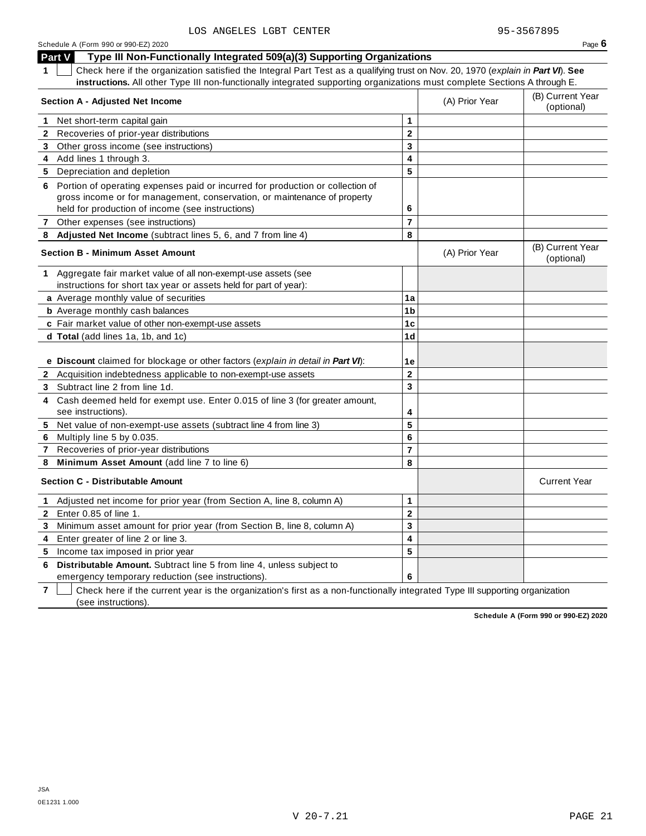|              | Part V<br>Type III Non-Functionally Integrated 509(a)(3) Supporting Organizations                                                                                                                                                                             |                         |                |                                |
|--------------|---------------------------------------------------------------------------------------------------------------------------------------------------------------------------------------------------------------------------------------------------------------|-------------------------|----------------|--------------------------------|
|              | Check here if the organization satisfied the Integral Part Test as a qualifying trust on Nov. 20, 1970 (explain in Part VI). See<br>instructions. All other Type III non-functionally integrated supporting organizations must complete Sections A through E. |                         |                |                                |
|              | Section A - Adjusted Net Income                                                                                                                                                                                                                               |                         | (A) Prior Year | (B) Current Year<br>(optional) |
| 1            | Net short-term capital gain                                                                                                                                                                                                                                   | 1                       |                |                                |
| $\mathbf{2}$ | Recoveries of prior-year distributions                                                                                                                                                                                                                        | $\mathbf 2$             |                |                                |
| 3            | Other gross income (see instructions)                                                                                                                                                                                                                         | 3                       |                |                                |
| 4            | Add lines 1 through 3.                                                                                                                                                                                                                                        | 4                       |                |                                |
|              | 5 Depreciation and depletion                                                                                                                                                                                                                                  | 5                       |                |                                |
| 6            | Portion of operating expenses paid or incurred for production or collection of<br>gross income or for management, conservation, or maintenance of property<br>held for production of income (see instructions)                                                | 6                       |                |                                |
|              | 7 Other expenses (see instructions)                                                                                                                                                                                                                           | $\overline{\mathbf{r}}$ |                |                                |
| 8            | Adjusted Net Income (subtract lines 5, 6, and 7 from line 4)                                                                                                                                                                                                  | 8                       |                |                                |
|              | <b>Section B - Minimum Asset Amount</b>                                                                                                                                                                                                                       |                         | (A) Prior Year | (B) Current Year<br>(optional) |
| 1.           | Aggregate fair market value of all non-exempt-use assets (see<br>instructions for short tax year or assets held for part of year):                                                                                                                            |                         |                |                                |
|              | a Average monthly value of securities                                                                                                                                                                                                                         | 1a                      |                |                                |
|              | <b>b</b> Average monthly cash balances                                                                                                                                                                                                                        | 1b                      |                |                                |
|              | c Fair market value of other non-exempt-use assets                                                                                                                                                                                                            | 1c                      |                |                                |
|              | <b>d Total</b> (add lines 1a, 1b, and 1c)                                                                                                                                                                                                                     | 1d                      |                |                                |
|              |                                                                                                                                                                                                                                                               |                         |                |                                |
|              | e Discount claimed for blockage or other factors (explain in detail in Part VI):                                                                                                                                                                              | 1е                      |                |                                |
|              | 2 Acquisition indebtedness applicable to non-exempt-use assets                                                                                                                                                                                                | $\mathbf 2$             |                |                                |
| 3            | Subtract line 2 from line 1d.                                                                                                                                                                                                                                 | 3                       |                |                                |
| 4            | Cash deemed held for exempt use. Enter 0.015 of line 3 (for greater amount,                                                                                                                                                                                   |                         |                |                                |
|              | see instructions).                                                                                                                                                                                                                                            | 4                       |                |                                |
| 5            | Net value of non-exempt-use assets (subtract line 4 from line 3)                                                                                                                                                                                              | 5                       |                |                                |
| 6            | Multiply line 5 by 0.035.                                                                                                                                                                                                                                     | 6                       |                |                                |
| 7            | Recoveries of prior-year distributions                                                                                                                                                                                                                        | 7                       |                |                                |
| 8            | Minimum Asset Amount (add line 7 to line 6)                                                                                                                                                                                                                   | 8                       |                |                                |
|              | <b>Section C - Distributable Amount</b>                                                                                                                                                                                                                       |                         |                | <b>Current Year</b>            |
| 1.           | Adjusted net income for prior year (from Section A, line 8, column A)                                                                                                                                                                                         | 1                       |                |                                |
| $\mathbf{2}$ | Enter $0.85$ of line 1.                                                                                                                                                                                                                                       | $\overline{2}$          |                |                                |
| 3            | Minimum asset amount for prior year (from Section B, line 8, column A)                                                                                                                                                                                        | 3                       |                |                                |
| 4            | Enter greater of line 2 or line 3.                                                                                                                                                                                                                            | 4                       |                |                                |
| 5            | Income tax imposed in prior year                                                                                                                                                                                                                              | 5                       |                |                                |
| 6            | Distributable Amount. Subtract line 5 from line 4, unless subject to<br>emergency temporary reduction (see instructions).                                                                                                                                     | 6                       |                |                                |

**7** Check here if the current year is the organization's first as a non-functionally integrated Type III supporting organization (see instructions).

**Schedule A (Form 990 or 990-EZ) 2020**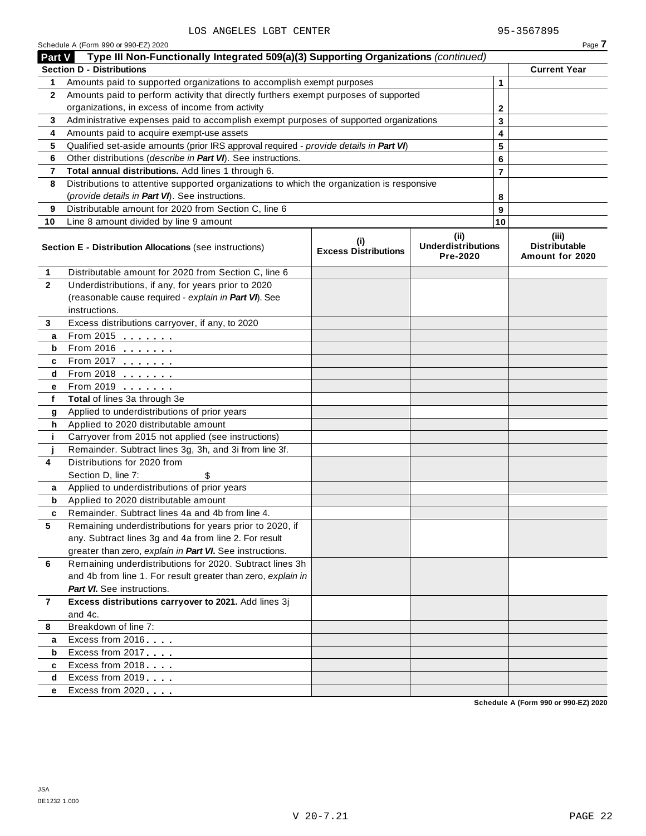|                | Schedule A (Form 990 or 990-EZ) 2020                                                       |                                            |                                               |                | Page 7                                    |
|----------------|--------------------------------------------------------------------------------------------|--------------------------------------------|-----------------------------------------------|----------------|-------------------------------------------|
| <b>Part V</b>  | Type III Non-Functionally Integrated 509(a)(3) Supporting Organizations (continued)        |                                            |                                               |                |                                           |
|                | <b>Section D - Distributions</b>                                                           |                                            |                                               |                | <b>Current Year</b>                       |
| 1.             | Amounts paid to supported organizations to accomplish exempt purposes                      |                                            |                                               | $\mathbf 1$    |                                           |
| 2              | Amounts paid to perform activity that directly furthers exempt purposes of supported       |                                            |                                               |                |                                           |
|                | organizations, in excess of income from activity                                           |                                            | 2                                             |                |                                           |
| 3              | Administrative expenses paid to accomplish exempt purposes of supported organizations      |                                            |                                               | 3              |                                           |
| 4              | Amounts paid to acquire exempt-use assets                                                  |                                            |                                               | 4              |                                           |
| 5              | Qualified set-aside amounts (prior IRS approval required - provide details in Part VI)     |                                            |                                               | 5              |                                           |
| 6              | Other distributions (describe in Part VI). See instructions.                               |                                            |                                               | 6              |                                           |
| 7              | Total annual distributions. Add lines 1 through 6.                                         |                                            |                                               | $\overline{7}$ |                                           |
| 8              | Distributions to attentive supported organizations to which the organization is responsive |                                            |                                               |                |                                           |
|                | (provide details in Part VI). See instructions.                                            |                                            |                                               | 8              |                                           |
| 9              | Distributable amount for 2020 from Section C, line 6                                       |                                            |                                               | 9              |                                           |
| 10             | Line 8 amount divided by line 9 amount                                                     |                                            |                                               | 10             |                                           |
|                | <b>Section E - Distribution Allocations (see instructions)</b>                             | $\sf^{(i)}$<br><b>Excess Distributions</b> | (ii)<br><b>Underdistributions</b><br>Pre-2020 |                | (iii)<br>Distributable<br>Amount for 2020 |
| 1              | Distributable amount for 2020 from Section C, line 6                                       |                                            |                                               |                |                                           |
| $\overline{2}$ | Underdistributions, if any, for years prior to 2020                                        |                                            |                                               |                |                                           |
|                | (reasonable cause required - explain in Part VI). See                                      |                                            |                                               |                |                                           |
|                | instructions.                                                                              |                                            |                                               |                |                                           |
| 3              | Excess distributions carryover, if any, to 2020                                            |                                            |                                               |                |                                           |
| a              | From 2015                                                                                  |                                            |                                               |                |                                           |
| b              | From 2016 $\frac{2016}{200}$                                                               |                                            |                                               |                |                                           |
| c              | From 2017                                                                                  |                                            |                                               |                |                                           |
| d              | From 2018                                                                                  |                                            |                                               |                |                                           |
| е              | From 2019 <b></b>                                                                          |                                            |                                               |                |                                           |
| f              | Total of lines 3a through 3e                                                               |                                            |                                               |                |                                           |
| g              | Applied to underdistributions of prior years                                               |                                            |                                               |                |                                           |
| h              | Applied to 2020 distributable amount                                                       |                                            |                                               |                |                                           |
| j.             | Carryover from 2015 not applied (see instructions)                                         |                                            |                                               |                |                                           |
|                | Remainder. Subtract lines 3g, 3h, and 3i from line 3f.                                     |                                            |                                               |                |                                           |
| 4              | Distributions for 2020 from                                                                |                                            |                                               |                |                                           |
|                | Section D, line 7:                                                                         |                                            |                                               |                |                                           |
| a              | Applied to underdistributions of prior years                                               |                                            |                                               |                |                                           |
| b              | Applied to 2020 distributable amount                                                       |                                            |                                               |                |                                           |
| c              | Remainder. Subtract lines 4a and 4b from line 4.                                           |                                            |                                               |                |                                           |
| 5              | Remaining underdistributions for years prior to 2020, if                                   |                                            |                                               |                |                                           |
|                | any. Subtract lines 3g and 4a from line 2. For result                                      |                                            |                                               |                |                                           |
|                | greater than zero, explain in Part VI. See instructions.                                   |                                            |                                               |                |                                           |
| 6              | Remaining underdistributions for 2020. Subtract lines 3h                                   |                                            |                                               |                |                                           |
|                | and 4b from line 1. For result greater than zero, explain in                               |                                            |                                               |                |                                           |
|                | <b>Part VI.</b> See instructions.<br>Excess distributions carryover to 2021. Add lines 3j  |                                            |                                               |                |                                           |
| $\overline{7}$ | and 4c.                                                                                    |                                            |                                               |                |                                           |
| 8              | Breakdown of line 7:                                                                       |                                            |                                               |                |                                           |
|                | Excess from 2016                                                                           |                                            |                                               |                |                                           |
| а<br>b         | Excess from 2017                                                                           |                                            |                                               |                |                                           |
| c              | Excess from 2018                                                                           |                                            |                                               |                |                                           |
| d              | Excess from 2019                                                                           |                                            |                                               |                |                                           |
| e              | Excess from 2020                                                                           |                                            |                                               |                |                                           |
|                |                                                                                            |                                            |                                               |                |                                           |

**Schedule A (Form 990 or 990-EZ) 2020**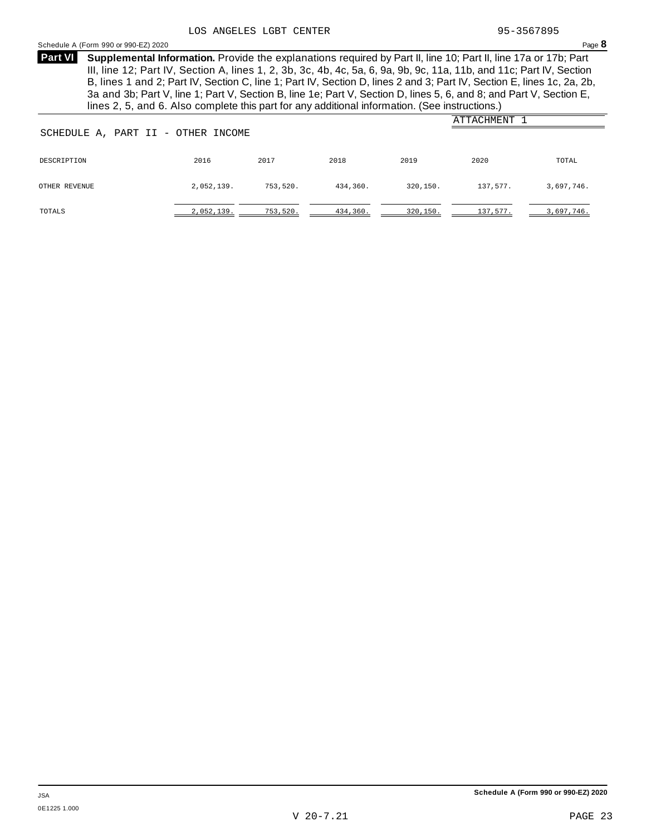### Schedule <sup>A</sup> (Form <sup>990</sup> or 990-EZ) <sup>2020</sup> Page **8**

**Supplemental Information.** Provide the explanations required by Part II, line 10; Part II, line 17a or 17b; Part **Part VI** III, line 12; Part IV, Section A, lines 1, 2, 3b, 3c, 4b, 4c, 5a, 6, 9a, 9b, 9c, 11a, 11b, and 11c; Part IV, Section B, lines 1 and 2; Part IV, Section C, line 1; Part IV, Section D, lines 2 and 3; Part IV, Section E, lines 1c, 2a, 2b, 3a and 3b; Part V, line 1; Part V, Section B, line 1e; Part V, Section D, lines 5, 6, and 8; and Part V, Section E, lines 2, 5, and 6. Also complete this part for any additional information. (See instructions.)

| SCHEDULE A, PART II - OTHER INCOME |            | ATTACHMENT |          |          |          |            |
|------------------------------------|------------|------------|----------|----------|----------|------------|
|                                    |            |            |          |          |          |            |
| DESCRIPTION                        | 2016       | 2017       | 2018     | 2019     | 2020     | TOTAL      |
| OTHER REVENUE                      | 2,052,139. | 753,520.   | 434,360. | 320,150. | 137,577. | 3,697,746. |
| TOTALS                             | 2,052,139. | 753,520.   | 434,360. | 320,150. | 137,577. | 3,697,746. |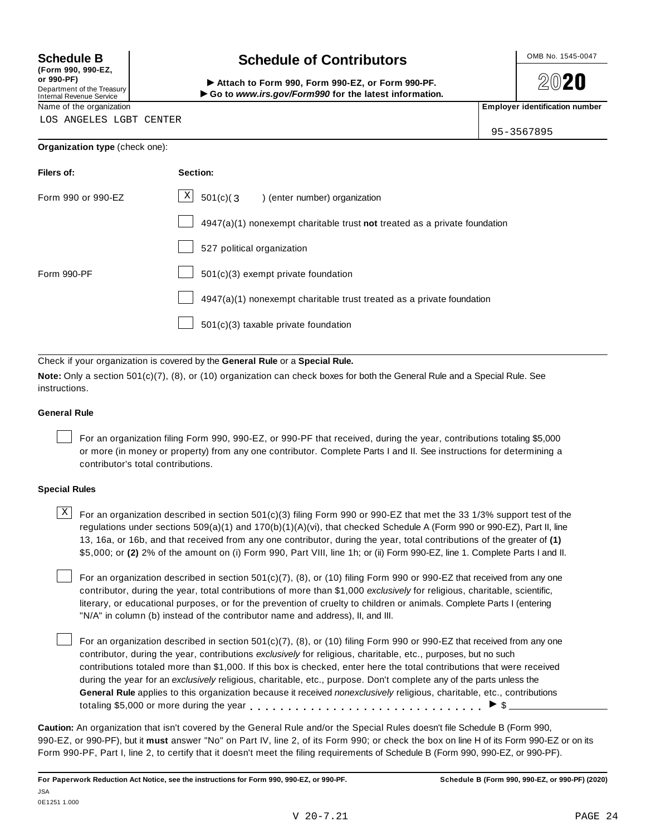**(Form 990, 990-EZ, or 990-PF)** Department of the Treasury<br>Internal Revenue Service

# **Schedule B chedule of Contributors**

(Form 990, 990-EZ,<br>
or 990-PF,<br>
Department of the Treasury **COLOCY**<br>
Internal Revenue Service **COLOCY**<br>
Name of the organization<br>
Name of the organization

**2020** 

95-3567895

LOS ANGELES LGBT CENTER

### **Organization type** (check one):

| Filers of:         | Section:                                                                    |  |  |  |
|--------------------|-----------------------------------------------------------------------------|--|--|--|
| Form 990 or 990-EZ | $\mathbf{x}$<br>$501(c)(3)$ (enter number) organization                     |  |  |  |
|                    | $4947(a)(1)$ nonexempt charitable trust not treated as a private foundation |  |  |  |
|                    | 527 political organization                                                  |  |  |  |
| Form 990-PF        | $501(c)(3)$ exempt private foundation                                       |  |  |  |
|                    | 4947(a)(1) nonexempt charitable trust treated as a private foundation       |  |  |  |
|                    | $501(c)(3)$ taxable private foundation                                      |  |  |  |

Check if your organization is covered by the **General Rule** or a **Special Rule.**

**Note:** Only a section 501(c)(7), (8), or (10) organization can check boxes for both the General Rule and a Special Rule. See instructions.

### **General Rule**

For an organization filing Form 990, 990-EZ, or 990-PF that received, during the year, contributions totaling \$5,000 or more (in money or property) from any one contributor. Complete Parts I and II. See instructions for determining a contributor's total contributions.

### **Special Rules**

 $\text{X}$  For an organization described in section 501(c)(3) filing Form 990 or 990-EZ that met the 33 1/3% support test of the regulations under sections 509(a)(1) and 170(b)(1)(A)(vi), that checked Schedule A (Form 990 or 990-EZ), Part II, line 13, 16a, or 16b, and that received from any one contributor, during the year, total contributions of the greater of **(1)** \$5,000; or **(2)** 2% of the amount on (i) Form 990, Part VIII, line 1h; or (ii) Form 990-EZ, line 1. Complete Parts I and II.

For an organization described in section 501(c)(7), (8), or (10) filing Form 990 or 990-EZ that received from any one contributor, during the year, total contributions of more than \$1,000 *exclusively* for religious, charitable, scientific, literary, or educational purposes, or for the prevention of cruelty to children or animals. Complete Parts I (entering "N/A" in column (b) instead of the contributor name and address), II, and III.

For an organization described in section 501(c)(7), (8), or (10) filing Form 990 or 990-EZ that received from any one contributor, during the year, contributions *exclusively* for religious, charitable, etc., purposes, but no such contributions totaled more than \$1,000. If this box is checked, enter here the total contributions that were received during the year for an *exclusively* religious, charitable, etc., purpose. Don't complete any of the parts unless the **General Rule** applies to this organization because it received *nonexclusively* religious, charitable, etc., contributions totaling \$5,000 or more during the year  $\ldots \ldots \ldots \ldots \ldots \ldots \ldots \ldots \ldots \vdots$ 

**Caution:** An organization that isn't covered by the General Rule and/or the Special Rules doesn't file Schedule B (Form 990, 990-EZ, or 990-PF), but it **must** answer "No" on Part IV, line 2, of its Form 990; or check the box on line H of its Form 990-EZ or on its Form 990-PF, Part I, line 2, to certify that it doesn't meet the filing requirements of Schedule B (Form 990, 990-EZ, or 990-PF).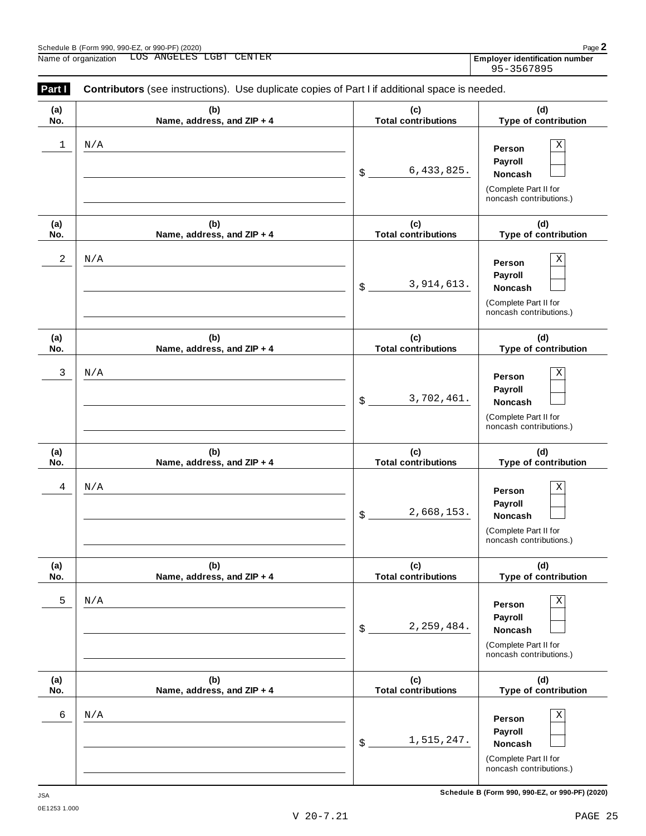| <u>Part I</u> | <b>Contributors</b> (see instructions). Use duplicate copies of Part I if additional space is needed. |                                   |                                                                                       |  |  |  |  |  |  |
|---------------|-------------------------------------------------------------------------------------------------------|-----------------------------------|---------------------------------------------------------------------------------------|--|--|--|--|--|--|
| (a)<br>No.    | (b)<br>Name, address, and ZIP + 4                                                                     | (c)<br><b>Total contributions</b> | (d)<br>Type of contribution                                                           |  |  |  |  |  |  |
| 1             | N/A                                                                                                   | 6,433,825.<br>$\delta$            | Χ<br>Person<br>Payroll<br>Noncash<br>(Complete Part II for<br>noncash contributions.) |  |  |  |  |  |  |
| (a)<br>No.    | (b)<br>Name, address, and ZIP + 4                                                                     | (c)<br><b>Total contributions</b> | (d)<br>Type of contribution                                                           |  |  |  |  |  |  |
| 2             | N/A                                                                                                   | 3,914,613.<br>$\delta$            | Χ<br>Person<br>Payroll<br>Noncash<br>(Complete Part II for<br>noncash contributions.) |  |  |  |  |  |  |
| (a)<br>No.    | (b)<br>Name, address, and ZIP + 4                                                                     | (c)<br><b>Total contributions</b> | (d)<br>Type of contribution                                                           |  |  |  |  |  |  |
| 3             | N/A                                                                                                   | 3,702,461.<br>\$                  | Χ<br>Person<br>Payroll<br>Noncash<br>(Complete Part II for<br>noncash contributions.) |  |  |  |  |  |  |
| (a)<br>No.    | (b)<br>Name, address, and ZIP + 4                                                                     | (c)<br><b>Total contributions</b> | (d)<br>Type of contribution                                                           |  |  |  |  |  |  |
| 4             | N/A                                                                                                   | 2,668,153.<br>\$                  | Χ<br>Person<br>Payroll<br>Noncash<br>(Complete Part II for<br>noncash contributions.) |  |  |  |  |  |  |
| (a)<br>No.    | (b)<br>Name, address, and ZIP + 4                                                                     | (c)<br><b>Total contributions</b> | (d)<br>Type of contribution                                                           |  |  |  |  |  |  |
| 5             | N/A                                                                                                   | 2, 259, 484.<br>$\mathsf{\$}$ .   | Χ<br>Person<br>Payroll<br>Noncash<br>(Complete Part II for<br>noncash contributions.) |  |  |  |  |  |  |
| (a)<br>No.    | (b)<br>Name, address, and ZIP + 4                                                                     | (c)<br><b>Total contributions</b> | (d)<br>Type of contribution                                                           |  |  |  |  |  |  |
| 6             | N/A                                                                                                   | 1,515,247.<br>$\frac{1}{2}$       | Χ<br>Person<br>Payroll<br>Noncash<br>(Complete Part II for<br>noncash contributions.) |  |  |  |  |  |  |

Employer identification number<br>95-3567895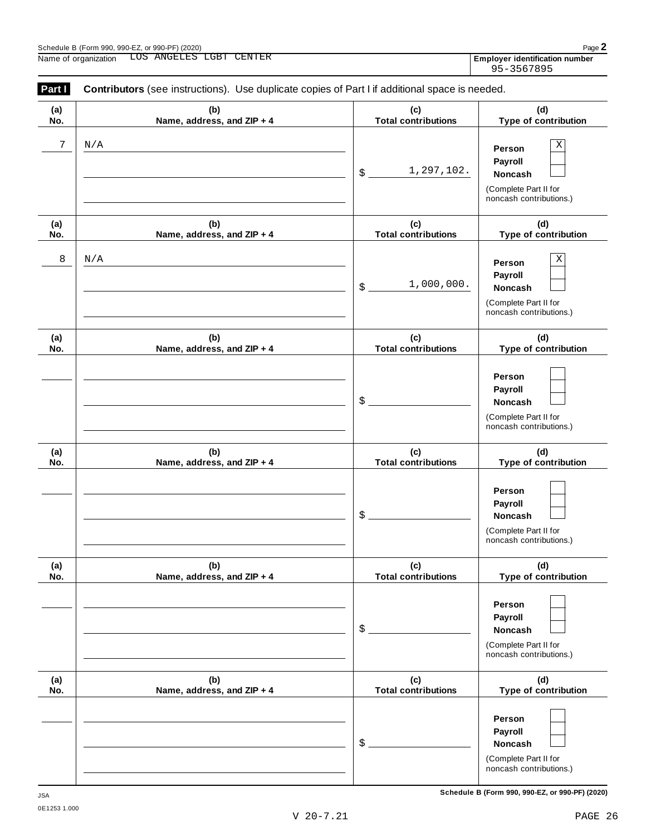noncash contributions.)

| (a)                                | (b)                               | (c)                               | (d)                                                                                             |
|------------------------------------|-----------------------------------|-----------------------------------|-------------------------------------------------------------------------------------------------|
| No.                                | Name, address, and ZIP + 4        | <b>Total contributions</b>        | Type of contribution                                                                            |
| $\boldsymbol{7}$<br>$\rm N/\rm\AA$ |                                   | 1,297,102.<br>$\frac{1}{2}$       | $\mathbf X$<br>Person<br>Payroll<br>Noncash<br>(Complete Part II for<br>noncash contributions.) |
| (a)<br>No.                         | (b)<br>Name, address, and ZIP + 4 | (c)<br><b>Total contributions</b> | (d)<br>Type of contribution                                                                     |
| 8<br>N/A                           |                                   | 1,000,000.<br>$\frac{1}{2}$       | Χ<br>Person<br>Payroll<br>Noncash<br>(Complete Part II for<br>noncash contributions.)           |
| (a)<br>No.                         | (b)<br>Name, address, and ZIP + 4 | (c)<br><b>Total contributions</b> | (d)<br>Type of contribution                                                                     |
|                                    |                                   | $\frac{1}{2}$                     | Person<br>Payroll<br>Noncash<br>(Complete Part II for<br>noncash contributions.)                |
| (a)<br>No.                         | (b)<br>Name, address, and ZIP + 4 | (c)<br><b>Total contributions</b> | (d)<br>Type of contribution                                                                     |
|                                    |                                   | \$                                | Person<br>Payroll<br>Noncash<br>(Complete Part II for<br>noncash contributions.)                |
| (a)<br>No.                         | (b)<br>Name, address, and ZIP + 4 | (c)<br><b>Total contributions</b> | (d)<br>Type of contribution                                                                     |
|                                    |                                   | \$                                | Person<br>Payroll<br>Noncash<br>(Complete Part II for<br>noncash contributions.)                |
| (a)<br>No.                         | (b)<br>Name, address, and ZIP + 4 | (c)<br><b>Total contributions</b> | (d)<br>Type of contribution                                                                     |
|                                    |                                   | \$                                | Person<br>Payroll<br>Noncash<br>(Complete Part II for                                           |

95-3567895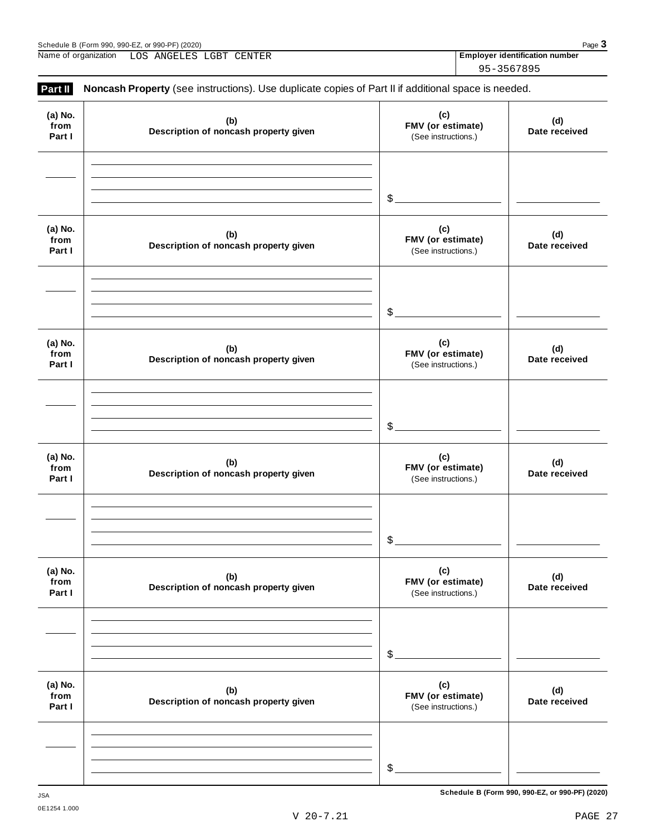| Name of organization | ANGELES<br>LGBT<br>∟OS | CENTER | <b>Employer identification number</b> |
|----------------------|------------------------|--------|---------------------------------------|
|                      |                        |        | 95-3567895                            |

| Part II                   | Noncash Property (see instructions). Use duplicate copies of Part II if additional space is needed. |                                                 |                      |
|---------------------------|-----------------------------------------------------------------------------------------------------|-------------------------------------------------|----------------------|
| (a) No.<br>from<br>Part I | (b)<br>Description of noncash property given                                                        | (c)<br>FMV (or estimate)<br>(See instructions.) | (d)<br>Date received |
|                           |                                                                                                     | $\frac{1}{2}$                                   |                      |
| (a) No.<br>from<br>Part I | (b)<br>Description of noncash property given                                                        | (c)<br>FMV (or estimate)<br>(See instructions.) | (d)<br>Date received |
|                           |                                                                                                     | $\frac{1}{2}$                                   |                      |
| (a) No.<br>from<br>Part I | (b)<br>Description of noncash property given                                                        | (c)<br>FMV (or estimate)<br>(See instructions.) | (d)<br>Date received |
|                           |                                                                                                     | $\frac{1}{2}$                                   |                      |
| (a) No.<br>from<br>Part I | (b)<br>Description of noncash property given                                                        | (c)<br>FMV (or estimate)<br>(See instructions.) | (d)<br>Date received |
|                           |                                                                                                     | \$                                              |                      |
| (a) No.<br>from<br>Part I | (b)<br>Description of noncash property given                                                        | (c)<br>FMV (or estimate)<br>(See instructions.) | (d)<br>Date received |
|                           |                                                                                                     | \$                                              |                      |
| (a) No.<br>from<br>Part I | (b)<br>Description of noncash property given                                                        | (c)<br>FMV (or estimate)<br>(See instructions.) | (d)<br>Date received |
|                           |                                                                                                     |                                                 |                      |
|                           |                                                                                                     | $$$ .                                           |                      |

**Schedule B (Form 990, 990-EZ, or 990-PF) (2020)** JSA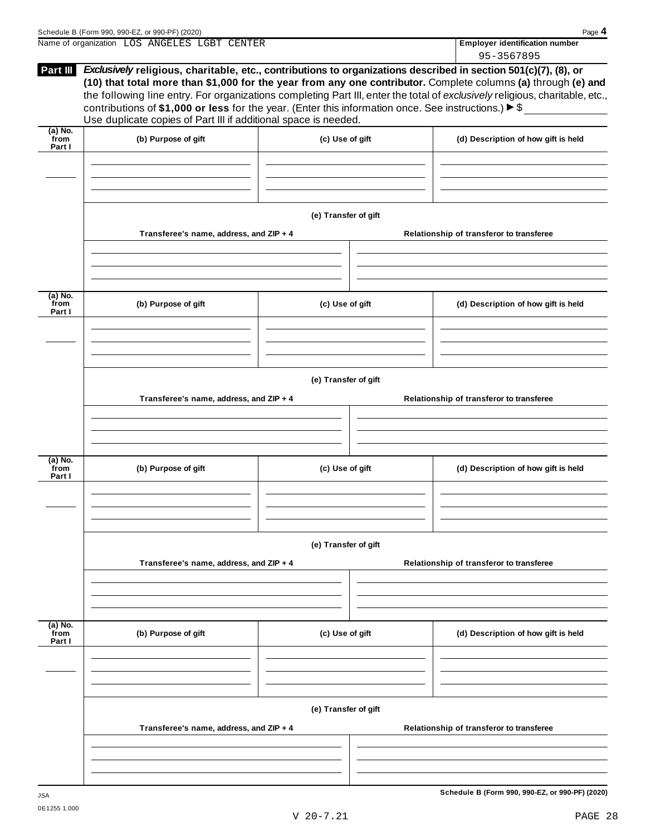| Schedule B (Form 990, 990-EZ, or 990-PF) (2020) |  |  |                                | Page $\triangle$ |
|-------------------------------------------------|--|--|--------------------------------|------------------|
| Name of organization LOS ANGELES LGBT CENTER    |  |  | Employer identification number |                  |
|                                                 |  |  | 95-3567895                     |                  |

| Part III                    | Exclusively religious, charitable, etc., contributions to organizations described in section 501(c)(7), (8), or<br>(10) that total more than \$1,000 for the year from any one contributor. Complete columns (a) through (e) and<br>the following line entry. For organizations completing Part III, enter the total of exclusively religious, charitable, etc.,<br>contributions of \$1,000 or less for the year. (Enter this information once. See instructions.) $\triangleright$ \$<br>Use duplicate copies of Part III if additional space is needed. |                      |  | ,,,,,,,,,,,                              |  |  |  |  |  |
|-----------------------------|------------------------------------------------------------------------------------------------------------------------------------------------------------------------------------------------------------------------------------------------------------------------------------------------------------------------------------------------------------------------------------------------------------------------------------------------------------------------------------------------------------------------------------------------------------|----------------------|--|------------------------------------------|--|--|--|--|--|
| $(a)$ No.<br>from<br>Part I | (b) Purpose of gift                                                                                                                                                                                                                                                                                                                                                                                                                                                                                                                                        | (c) Use of gift      |  | (d) Description of how gift is held      |  |  |  |  |  |
|                             |                                                                                                                                                                                                                                                                                                                                                                                                                                                                                                                                                            |                      |  |                                          |  |  |  |  |  |
|                             |                                                                                                                                                                                                                                                                                                                                                                                                                                                                                                                                                            | (e) Transfer of gift |  |                                          |  |  |  |  |  |
|                             | Transferee's name, address, and ZIP + 4                                                                                                                                                                                                                                                                                                                                                                                                                                                                                                                    |                      |  | Relationship of transferor to transferee |  |  |  |  |  |
| $(a)$ No.<br>from           | (b) Purpose of gift                                                                                                                                                                                                                                                                                                                                                                                                                                                                                                                                        | (c) Use of gift      |  | (d) Description of how gift is held      |  |  |  |  |  |
| Part I                      |                                                                                                                                                                                                                                                                                                                                                                                                                                                                                                                                                            |                      |  |                                          |  |  |  |  |  |
|                             |                                                                                                                                                                                                                                                                                                                                                                                                                                                                                                                                                            | (e) Transfer of gift |  |                                          |  |  |  |  |  |
|                             | Transferee's name, address, and ZIP + 4                                                                                                                                                                                                                                                                                                                                                                                                                                                                                                                    |                      |  | Relationship of transferor to transferee |  |  |  |  |  |
| (a) No.<br>from<br>Part I   | (b) Purpose of gift                                                                                                                                                                                                                                                                                                                                                                                                                                                                                                                                        | (c) Use of gift      |  | (d) Description of how gift is held      |  |  |  |  |  |
|                             |                                                                                                                                                                                                                                                                                                                                                                                                                                                                                                                                                            |                      |  |                                          |  |  |  |  |  |
|                             | (e) Transfer of gift                                                                                                                                                                                                                                                                                                                                                                                                                                                                                                                                       |                      |  |                                          |  |  |  |  |  |
|                             | Transferee's name, address, and ZIP + 4                                                                                                                                                                                                                                                                                                                                                                                                                                                                                                                    |                      |  | Relationship of transferor to transferee |  |  |  |  |  |
| $(a)$ No.<br>from           | (b) Purpose of gift                                                                                                                                                                                                                                                                                                                                                                                                                                                                                                                                        | (c) Use of gift      |  | (d) Description of how gift is held      |  |  |  |  |  |
| Part I                      |                                                                                                                                                                                                                                                                                                                                                                                                                                                                                                                                                            |                      |  |                                          |  |  |  |  |  |
|                             |                                                                                                                                                                                                                                                                                                                                                                                                                                                                                                                                                            | (e) Transfer of gift |  |                                          |  |  |  |  |  |
|                             | Transferee's name, address, and ZIP + 4                                                                                                                                                                                                                                                                                                                                                                                                                                                                                                                    |                      |  | Relationship of transferor to transferee |  |  |  |  |  |
|                             |                                                                                                                                                                                                                                                                                                                                                                                                                                                                                                                                                            |                      |  |                                          |  |  |  |  |  |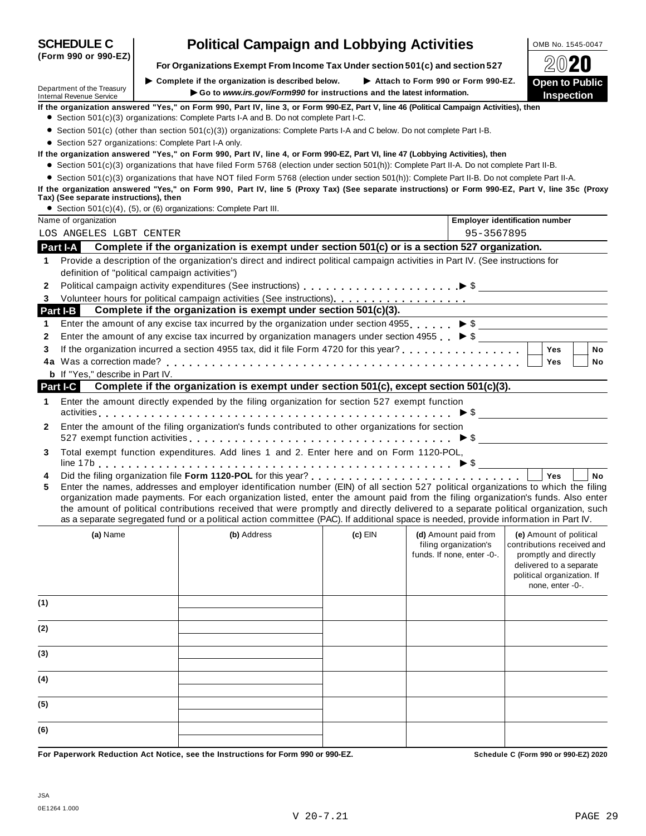|                      | Department of the Treasury                           | $\triangleright$ Complete if the organization is described below. $\triangleright$ Attach to Form 990 or Form 990-EZ.                                                                                                                                                                                                                                                                                                                                                                                                                                |           |                                                                             | <b>Open to Public</b>                                                          |
|----------------------|------------------------------------------------------|------------------------------------------------------------------------------------------------------------------------------------------------------------------------------------------------------------------------------------------------------------------------------------------------------------------------------------------------------------------------------------------------------------------------------------------------------------------------------------------------------------------------------------------------------|-----------|-----------------------------------------------------------------------------|--------------------------------------------------------------------------------|
|                      | Internal Revenue Service                             | Go to www.irs.gov/Form990 for instructions and the latest information.                                                                                                                                                                                                                                                                                                                                                                                                                                                                               |           |                                                                             | <b>Inspection</b>                                                              |
|                      |                                                      | If the organization answered "Yes," on Form 990, Part IV, line 3, or Form 990-EZ, Part V, line 46 (Political Campaign Activities), then<br>• Section 501(c)(3) organizations: Complete Parts I-A and B. Do not complete Part I-C.                                                                                                                                                                                                                                                                                                                    |           |                                                                             |                                                                                |
|                      |                                                      | • Section 501(c) (other than section 501(c)(3)) organizations: Complete Parts I-A and C below. Do not complete Part I-B.                                                                                                                                                                                                                                                                                                                                                                                                                             |           |                                                                             |                                                                                |
|                      | • Section 527 organizations: Complete Part I-A only. |                                                                                                                                                                                                                                                                                                                                                                                                                                                                                                                                                      |           |                                                                             |                                                                                |
|                      |                                                      | If the organization answered "Yes," on Form 990, Part IV, line 4, or Form 990-EZ, Part VI, line 47 (Lobbying Activities), then                                                                                                                                                                                                                                                                                                                                                                                                                       |           |                                                                             |                                                                                |
|                      |                                                      | • Section 501(c)(3) organizations that have filed Form 5768 (election under section 501(h)): Complete Part II-A. Do not complete Part II-B.                                                                                                                                                                                                                                                                                                                                                                                                          |           |                                                                             |                                                                                |
|                      |                                                      | • Section 501(c)(3) organizations that have NOT filed Form 5768 (election under section 501(h)): Complete Part II-B. Do not complete Part II-A.                                                                                                                                                                                                                                                                                                                                                                                                      |           |                                                                             |                                                                                |
|                      |                                                      | If the organization answered "Yes," on Form 990, Part IV, line 5 (Proxy Tax) (See separate instructions) or Form 990-EZ, Part V, line 35c (Proxy                                                                                                                                                                                                                                                                                                                                                                                                     |           |                                                                             |                                                                                |
|                      | Tax) (See separate instructions), then               |                                                                                                                                                                                                                                                                                                                                                                                                                                                                                                                                                      |           |                                                                             |                                                                                |
|                      |                                                      | • Section $501(c)(4)$ , $(5)$ , or $(6)$ organizations: Complete Part III.                                                                                                                                                                                                                                                                                                                                                                                                                                                                           |           |                                                                             |                                                                                |
|                      | Name of organization                                 |                                                                                                                                                                                                                                                                                                                                                                                                                                                                                                                                                      |           |                                                                             | Employer identification number                                                 |
|                      | LOS ANGELES LGBT CENTER                              |                                                                                                                                                                                                                                                                                                                                                                                                                                                                                                                                                      |           | 95-3567895                                                                  |                                                                                |
| <b>Part I-A</b>      |                                                      | Complete if the organization is exempt under section 501(c) or is a section 527 organization.                                                                                                                                                                                                                                                                                                                                                                                                                                                        |           |                                                                             |                                                                                |
| 1                    |                                                      | Provide a description of the organization's direct and indirect political campaign activities in Part IV. (See instructions for                                                                                                                                                                                                                                                                                                                                                                                                                      |           |                                                                             |                                                                                |
|                      | definition of "political campaign activities")       |                                                                                                                                                                                                                                                                                                                                                                                                                                                                                                                                                      |           |                                                                             |                                                                                |
| 2                    |                                                      |                                                                                                                                                                                                                                                                                                                                                                                                                                                                                                                                                      |           |                                                                             |                                                                                |
| 3                    |                                                      |                                                                                                                                                                                                                                                                                                                                                                                                                                                                                                                                                      |           |                                                                             |                                                                                |
| Part I-B I           |                                                      | Complete if the organization is exempt under section 501(c)(3).                                                                                                                                                                                                                                                                                                                                                                                                                                                                                      |           |                                                                             |                                                                                |
| 1                    |                                                      | Enter the amount of any excise tax incurred by the organization under section 4955. $\triangleright$ \$                                                                                                                                                                                                                                                                                                                                                                                                                                              |           |                                                                             |                                                                                |
| 2                    |                                                      | Enter the amount of any excise tax incurred by organization managers under section 4955 $\triangleright$ \$                                                                                                                                                                                                                                                                                                                                                                                                                                          |           |                                                                             |                                                                                |
| 3                    |                                                      |                                                                                                                                                                                                                                                                                                                                                                                                                                                                                                                                                      |           |                                                                             | Yes<br>No                                                                      |
|                      |                                                      |                                                                                                                                                                                                                                                                                                                                                                                                                                                                                                                                                      |           |                                                                             | Yes<br>No                                                                      |
|                      | <b>b</b> If "Yes," describe in Part IV.              |                                                                                                                                                                                                                                                                                                                                                                                                                                                                                                                                                      |           |                                                                             |                                                                                |
| <b>Part I-C</b><br>1 |                                                      | Complete if the organization is exempt under section 501(c), except section 501(c)(3).<br>Enter the amount directly expended by the filing organization for section 527 exempt function                                                                                                                                                                                                                                                                                                                                                              |           |                                                                             |                                                                                |
|                      |                                                      |                                                                                                                                                                                                                                                                                                                                                                                                                                                                                                                                                      |           |                                                                             |                                                                                |
| 2                    |                                                      | Enter the amount of the filing organization's funds contributed to other organizations for section<br>527 exempt function activities $\ldots \ldots \ldots \ldots \ldots \ldots \ldots \ldots \ldots \ldots \ldots$                                                                                                                                                                                                                                                                                                                                  |           |                                                                             |                                                                                |
| 3                    |                                                      | Total exempt function expenditures. Add lines 1 and 2. Enter here and on Form 1120-POL,                                                                                                                                                                                                                                                                                                                                                                                                                                                              |           |                                                                             |                                                                                |
|                      |                                                      |                                                                                                                                                                                                                                                                                                                                                                                                                                                                                                                                                      |           |                                                                             |                                                                                |
| 4                    |                                                      |                                                                                                                                                                                                                                                                                                                                                                                                                                                                                                                                                      |           |                                                                             | <b>No</b><br><b>Yes</b>                                                        |
| 5                    |                                                      | Enter the names, addresses and employer identification number (EIN) of all section 527 political organizations to which the filing<br>organization made payments. For each organization listed, enter the amount paid from the filing organization's funds. Also enter<br>the amount of political contributions received that were promptly and directly delivered to a separate political organization, such<br>as a separate segregated fund or a political action committee (PAC). If additional space is needed, provide information in Part IV. |           |                                                                             |                                                                                |
|                      | (a) Name                                             | (b) Address                                                                                                                                                                                                                                                                                                                                                                                                                                                                                                                                          | $(c)$ EIN | (d) Amount paid from<br>filing organization's<br>funds. If none, enter -0-. | (e) Amount of political<br>contributions received and<br>promptly and directly |
|                      |                                                      |                                                                                                                                                                                                                                                                                                                                                                                                                                                                                                                                                      |           |                                                                             | delivered to a separate<br>political organization. If<br>none, enter -0-.      |
| (1)                  |                                                      |                                                                                                                                                                                                                                                                                                                                                                                                                                                                                                                                                      |           |                                                                             |                                                                                |
| (2)                  |                                                      |                                                                                                                                                                                                                                                                                                                                                                                                                                                                                                                                                      |           |                                                                             |                                                                                |
| (3)                  |                                                      |                                                                                                                                                                                                                                                                                                                                                                                                                                                                                                                                                      |           |                                                                             |                                                                                |
| (4)                  |                                                      |                                                                                                                                                                                                                                                                                                                                                                                                                                                                                                                                                      |           |                                                                             |                                                                                |
| (5)                  |                                                      |                                                                                                                                                                                                                                                                                                                                                                                                                                                                                                                                                      |           |                                                                             |                                                                                |
|                      |                                                      |                                                                                                                                                                                                                                                                                                                                                                                                                                                                                                                                                      |           |                                                                             |                                                                                |
| (6)                  |                                                      |                                                                                                                                                                                                                                                                                                                                                                                                                                                                                                                                                      |           |                                                                             |                                                                                |

**(Form 990 or 990-EZ)**

**SCHEDULE C Political Campaign and Lobbying Activities**  $\frac{\text{OMB NO. 1545-0047}}{}$ 

**For Organizations Exempt From Income Tax Under section 501(c) and section <sup>527</sup>** À¾¶´

 $\blacktriangleright$  **Complete** if the organization is described below.

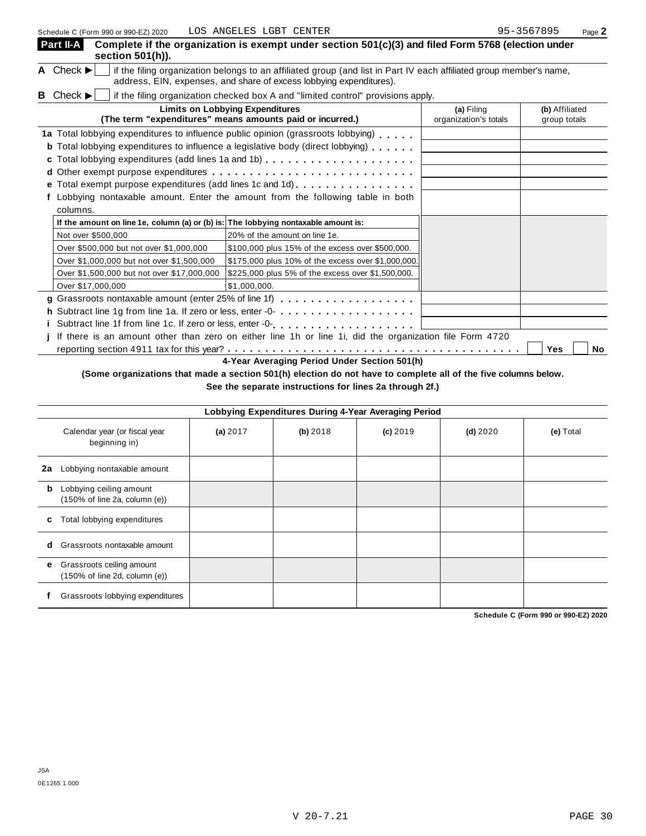| Schedule C (Form 990 or 990-EZ) 2020                                               | LOS ANGELES LGBT CENTER                                                                                                                                                                    |                                     | 95-3567895<br>Page 2           |
|------------------------------------------------------------------------------------|--------------------------------------------------------------------------------------------------------------------------------------------------------------------------------------------|-------------------------------------|--------------------------------|
| Part II-A<br>section 501(h)).                                                      | Complete if the organization is exempt under section 501(c)(3) and filed Form 5768 (election under                                                                                         |                                     |                                |
| A Check $\blacktriangleright$                                                      | if the filing organization belongs to an affiliated group (and list in Part IV each affiliated group member's name,<br>address, EIN, expenses, and share of excess lobbying expenditures). |                                     |                                |
| Check $\blacktriangleright$<br>B.                                                  | if the filing organization checked box A and "limited control" provisions apply.                                                                                                           |                                     |                                |
|                                                                                    | <b>Limits on Lobbying Expenditures</b><br>(The term "expenditures" means amounts paid or incurred.)                                                                                        | (a) Filing<br>organization's totals | (b) Affiliated<br>group totals |
|                                                                                    | 1a Total lobbying expenditures to influence public opinion (grassroots lobbying)<br><b>b</b> Total lobbying expenditures to influence a legislative body (direct lobbying)                 |                                     |                                |
|                                                                                    |                                                                                                                                                                                            |                                     |                                |
|                                                                                    | Total exempt purpose expenditures (add lines 1c and 1d)                                                                                                                                    |                                     |                                |
| columns.                                                                           | Lobbying nontaxable amount. Enter the amount from the following table in both                                                                                                              |                                     |                                |
| If the amount on line 1e, column (a) or (b) is: The lobbying nontaxable amount is: |                                                                                                                                                                                            |                                     |                                |
| Not over \$500,000                                                                 | 20% of the amount on line 1e.                                                                                                                                                              |                                     |                                |
| Over \$500,000 but not over \$1,000,000                                            | \$100,000 plus 15% of the excess over \$500,000.                                                                                                                                           |                                     |                                |
| Over \$1,000,000 but not over \$1,500,000                                          | \$175,000 plus 10% of the excess over \$1,000,000.                                                                                                                                         |                                     |                                |
| Over \$1,500,000 but not over \$17,000,000                                         | \$225,000 plus 5% of the excess over \$1,500,000.                                                                                                                                          |                                     |                                |
| Over \$17,000,000                                                                  | \$1,000,000.                                                                                                                                                                               |                                     |                                |
|                                                                                    | g Grassroots nontaxable amount (enter 25% of line 1f)                                                                                                                                      |                                     |                                |
|                                                                                    |                                                                                                                                                                                            |                                     |                                |
|                                                                                    | Subtract line 1f from line 1c. If zero or less, enter -0-<br>example -0-                                                                                                                   |                                     |                                |
|                                                                                    | If there is an amount other than zero on either line 1h or line 1i, did the organization file Form 4720                                                                                    |                                     |                                |
|                                                                                    |                                                                                                                                                                                            |                                     | No<br>Yes                      |

**4-Year Averaging Period Under Section 501(h)**

(Some organizations that made a section 501(h) election do not have to complete all of the five columns below.

**See the separate instructions for lines 2a through 2f.)**

|    | Lobbying Expenditures During 4-Year Averaging Period       |          |          |            |            |           |  |  |  |
|----|------------------------------------------------------------|----------|----------|------------|------------|-----------|--|--|--|
|    | Calendar year (or fiscal year<br>beginning in)             | (a) 2017 | (b) 2018 | $(c)$ 2019 | $(d)$ 2020 | (e) Total |  |  |  |
| 2a | Lobbying nontaxable amount                                 |          |          |            |            |           |  |  |  |
| b  | Lobbying ceiling amount<br>(150% of line 2a, column (e))   |          |          |            |            |           |  |  |  |
| c  | Total lobbying expenditures                                |          |          |            |            |           |  |  |  |
| d  | Grassroots nontaxable amount                               |          |          |            |            |           |  |  |  |
| е  | Grassroots ceiling amount<br>(150% of line 2d, column (e)) |          |          |            |            |           |  |  |  |
|    | Grassroots lobbying expenditures                           |          |          |            |            |           |  |  |  |

**Schedule C (Form 990 or 990-EZ) 2020**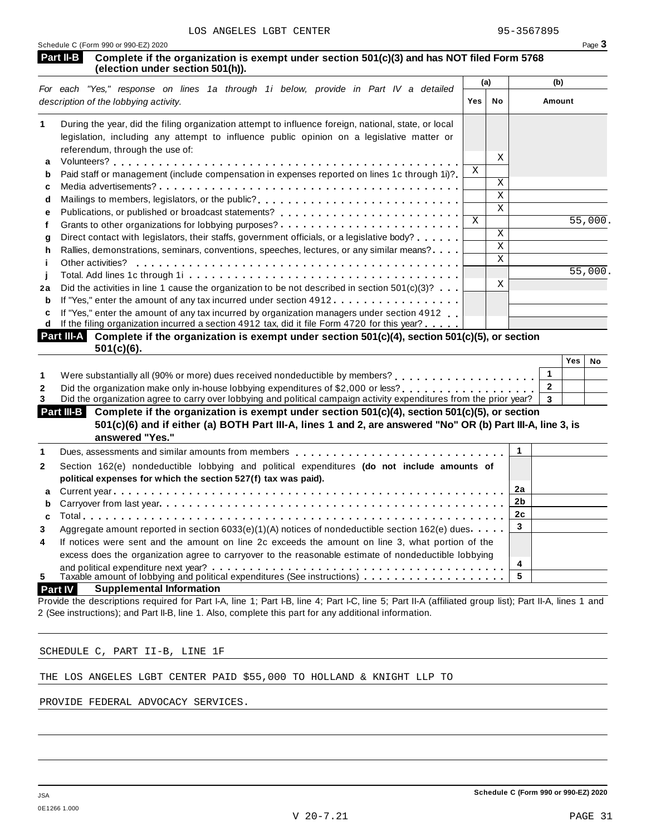| Schedule C (Form 990 or 990-EZ) 2020 |  |  |
|--------------------------------------|--|--|
|                                      |  |  |

| (election under section 501(h)).                                                                                                                                                                                                           |              | (a)                     | (b)            |                       |
|--------------------------------------------------------------------------------------------------------------------------------------------------------------------------------------------------------------------------------------------|--------------|-------------------------|----------------|-----------------------|
| For each "Yes," response on lines 1a through 1i below, provide in Part IV a detailed<br>description of the lobbying activity.                                                                                                              | <b>Yes</b>   | <b>No</b>               | Amount         |                       |
| During the year, did the filing organization attempt to influence foreign, national, state, or local                                                                                                                                       |              |                         |                |                       |
| legislation, including any attempt to influence public opinion on a legislative matter or                                                                                                                                                  |              |                         |                |                       |
| referendum, through the use of:                                                                                                                                                                                                            |              | Χ                       |                |                       |
| a<br>Paid staff or management (include compensation in expenses reported on lines 1c through 1i)?                                                                                                                                          | X            |                         |                |                       |
| b<br>C                                                                                                                                                                                                                                     |              | X                       |                |                       |
| d                                                                                                                                                                                                                                          |              | $\mathbf{X}$            |                |                       |
| e                                                                                                                                                                                                                                          |              | $\overline{\mathbf{x}}$ |                |                       |
| f                                                                                                                                                                                                                                          | $\mathbf{X}$ |                         |                | $\overline{55,000}$ . |
| Direct contact with legislators, their staffs, government officials, or a legislative body?<br>q                                                                                                                                           |              | $\mathbf X$             |                |                       |
| Rallies, demonstrations, seminars, conventions, speeches, lectures, or any similar means?.<br>h                                                                                                                                            |              | $\mathbf{x}$            |                |                       |
| j.                                                                                                                                                                                                                                         |              | $\overline{\mathbf{x}}$ |                |                       |
|                                                                                                                                                                                                                                            |              |                         |                | 55,000.               |
| Did the activities in line 1 cause the organization to be not described in section $501(c)(3)$ ?<br>2a                                                                                                                                     |              | X                       |                |                       |
| If "Yes," enter the amount of any tax incurred under section 4912.<br>b                                                                                                                                                                    |              |                         |                |                       |
| If "Yes," enter the amount of any tax incurred by organization managers under section 4912.<br>c<br>If the filing organization incurred a section 4912 tax, did it file Form 4720 for this year?<br>d                                      |              |                         |                |                       |
| Part III-A Complete if the organization is exempt under section $501(c)(4)$ , section $501(c)(5)$ , or section<br>$501(c)(6)$ .                                                                                                            |              |                         |                |                       |
|                                                                                                                                                                                                                                            |              |                         | <b>Yes</b>     | No                    |
| Were substantially all (90% or more) dues received nondeductible by members?<br>                                                                                                                                                           |              |                         | $\mathbf{1}$   |                       |
| Did the organization make only in-house lobbying expenditures of \$2,000 or less?                                                                                                                                                          |              |                         | $\overline{2}$ |                       |
| Did the organization agree to carry over lobbying and political campaign activity expenditures from the prior year?                                                                                                                        |              |                         | $\mathbf{3}$   |                       |
| Part III-B Complete if the organization is exempt under section 501(c)(4), section 501(c)(5), or section<br>501(c)(6) and if either (a) BOTH Part III-A, lines 1 and 2, are answered "No" OR (b) Part III-A, line 3, is<br>answered "Yes." |              |                         |                |                       |
| Dues, assessments and similar amounts from members                                                                                                                                                                                         |              |                         | $\mathbf{1}$   |                       |
| Section 162(e) nondeductible lobbying and political expenditures (do not include amounts of                                                                                                                                                |              |                         |                |                       |
| political expenses for which the section 527(f) tax was paid).                                                                                                                                                                             |              |                         |                |                       |
| a                                                                                                                                                                                                                                          |              |                         | 2a             |                       |
| b                                                                                                                                                                                                                                          |              |                         | 2 <sub>b</sub> |                       |
|                                                                                                                                                                                                                                            |              |                         | 2c             |                       |

| 3 Aggregate amount reported in section 6033(e)(1)(A) notices of nondeductible section 162(e) dues $\cdots$ . |
|--------------------------------------------------------------------------------------------------------------|
| 4 If notices were sent and the amount on line 2c exceeds the amount on line 3, what portion of the           |
| excess does the organization agree to carryover to the reasonable estimate of nondeductible lobbying         |
|                                                                                                              |
|                                                                                                              |
| <b>Part IV</b> Supplemental Information                                                                      |

### **Supplemental Information** Provide the descriptions required for Part I-A, line 1; Part I-B, line 4; Part I-C, line 5; Part II-A (affiliated group list); Part II-A, lines 1 and 2 (See instructions); and Part II-B, line 1. Also, complete this part for any additional information.

SCHEDULE C, PART II-B, LINE 1F

THE LOS ANGELES LGBT CENTER PAID \$55,000 TO HOLLAND & KNIGHT LLP TO

PROVIDE FEDERAL ADVOCACY SERVICES.

**3**

**4 5**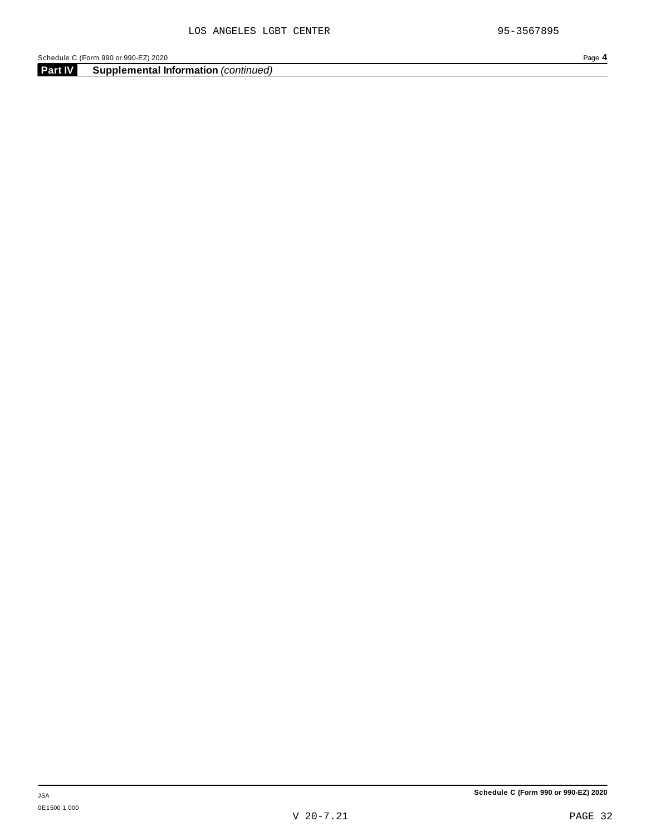**Part IV Supplemental Information** *(continued)*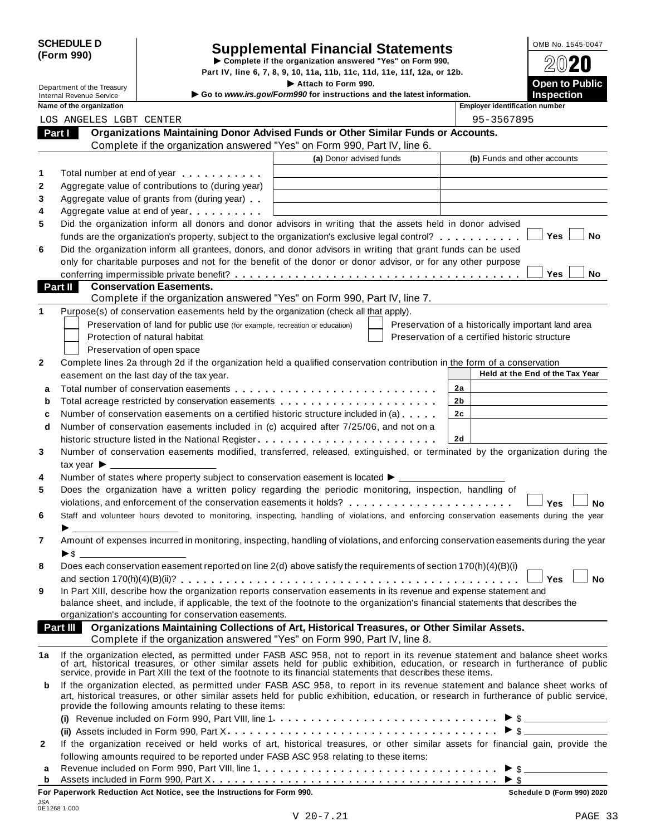| <b>SCHEDULE D</b> |  |
|-------------------|--|
| (Form 990)        |  |

|         | <b>SCHEDULE D</b>                             |                                                                            | <b>Supplemental Financial Statements</b>                                                                                                                                                                                                                               |                | OMB No. 1545-0047                                  |
|---------|-----------------------------------------------|----------------------------------------------------------------------------|------------------------------------------------------------------------------------------------------------------------------------------------------------------------------------------------------------------------------------------------------------------------|----------------|----------------------------------------------------|
|         | (Form 990)                                    | Complete if the organization answered "Yes" on Form 990,                   | 2020                                                                                                                                                                                                                                                                   |                |                                                    |
|         |                                               |                                                                            | Part IV, line 6, 7, 8, 9, 10, 11a, 11b, 11c, 11d, 11e, 11f, 12a, or 12b.                                                                                                                                                                                               |                |                                                    |
|         | Department of the Treasury                    |                                                                            | Attach to Form 990.                                                                                                                                                                                                                                                    |                | Open to Public                                     |
|         | <b>Internal Revenue Service</b>               |                                                                            | Go to www.irs.gov/Form990 for instructions and the latest information.                                                                                                                                                                                                 |                | <b>Inspection</b>                                  |
|         | Name of the organization                      |                                                                            |                                                                                                                                                                                                                                                                        |                | <b>Employer identification number</b>              |
|         | LOS ANGELES LGBT CENTER                       |                                                                            |                                                                                                                                                                                                                                                                        |                | 95-3567895                                         |
| Part I  |                                               |                                                                            | Organizations Maintaining Donor Advised Funds or Other Similar Funds or Accounts.                                                                                                                                                                                      |                |                                                    |
|         |                                               |                                                                            | Complete if the organization answered "Yes" on Form 990, Part IV, line 6.<br>(a) Donor advised funds                                                                                                                                                                   |                | (b) Funds and other accounts                       |
|         |                                               |                                                                            |                                                                                                                                                                                                                                                                        |                |                                                    |
| 1       |                                               | Total number at end of year entitled as a set of year                      |                                                                                                                                                                                                                                                                        |                |                                                    |
| 2       |                                               | Aggregate value of contributions to (during year)                          |                                                                                                                                                                                                                                                                        |                |                                                    |
| 3       |                                               | Aggregate value of grants from (during year)                               |                                                                                                                                                                                                                                                                        |                |                                                    |
| 4       |                                               | Aggregate value at end of year                                             |                                                                                                                                                                                                                                                                        |                |                                                    |
| 5       |                                               |                                                                            | Did the organization inform all donors and donor advisors in writing that the assets held in donor advised                                                                                                                                                             |                |                                                    |
|         |                                               |                                                                            | funds are the organization's property, subject to the organization's exclusive legal control?                                                                                                                                                                          |                | Yes<br>No                                          |
| 6       |                                               |                                                                            | Did the organization inform all grantees, donors, and donor advisors in writing that grant funds can be used                                                                                                                                                           |                |                                                    |
|         |                                               |                                                                            | only for charitable purposes and not for the benefit of the donor or donor advisor, or for any other purpose                                                                                                                                                           |                | Yes                                                |
| Part II |                                               | <b>Conservation Easements.</b>                                             |                                                                                                                                                                                                                                                                        |                | <b>No</b>                                          |
|         |                                               |                                                                            | Complete if the organization answered "Yes" on Form 990, Part IV, line 7.                                                                                                                                                                                              |                |                                                    |
| 1       |                                               |                                                                            | Purpose(s) of conservation easements held by the organization (check all that apply).                                                                                                                                                                                  |                |                                                    |
|         |                                               | Preservation of land for public use (for example, recreation or education) |                                                                                                                                                                                                                                                                        |                | Preservation of a historically important land area |
|         |                                               | Protection of natural habitat                                              |                                                                                                                                                                                                                                                                        |                | Preservation of a certified historic structure     |
|         |                                               | Preservation of open space                                                 |                                                                                                                                                                                                                                                                        |                |                                                    |
| 2       |                                               |                                                                            | Complete lines 2a through 2d if the organization held a qualified conservation contribution in the form of a conservation                                                                                                                                              |                |                                                    |
|         |                                               | easement on the last day of the tax year.                                  |                                                                                                                                                                                                                                                                        |                | Held at the End of the Tax Year                    |
|         |                                               |                                                                            |                                                                                                                                                                                                                                                                        | 2a             |                                                    |
| a       |                                               |                                                                            |                                                                                                                                                                                                                                                                        | 2b             |                                                    |
| b       |                                               |                                                                            |                                                                                                                                                                                                                                                                        | 2 <sub>c</sub> |                                                    |
| c       |                                               |                                                                            | Number of conservation easements on a certified historic structure included in (a) $\dots$                                                                                                                                                                             |                |                                                    |
| d       |                                               |                                                                            | Number of conservation easements included in (c) acquired after 7/25/06, and not on a                                                                                                                                                                                  | 2d             |                                                    |
| 3       |                                               |                                                                            | historic structure listed in the National Register<br>Number of conservation easements modified, transferred, released, extinguished, or terminated by the organization during the                                                                                     |                |                                                    |
|         |                                               |                                                                            |                                                                                                                                                                                                                                                                        |                |                                                    |
|         | tax year $\blacktriangleright$ $\blacksquare$ |                                                                            | Number of states where property subject to conservation easement is located $\blacktriangleright$ ____                                                                                                                                                                 |                |                                                    |
| 4<br>5  |                                               |                                                                            | Does the organization have a written policy regarding the periodic monitoring, inspection, handling of                                                                                                                                                                 |                |                                                    |
|         |                                               |                                                                            | violations, and enforcement of the conservation easements it holds?                                                                                                                                                                                                    |                |                                                    |
| 6       |                                               |                                                                            | Staff and volunteer hours devoted to monitoring, inspecting, handling of violations, and enforcing conservation easements during the year                                                                                                                              |                | Yes<br>No                                          |
|         |                                               |                                                                            |                                                                                                                                                                                                                                                                        |                |                                                    |
| 7       |                                               |                                                                            | Amount of expenses incurred in monitoring, inspecting, handling of violations, and enforcing conservation easements during the year                                                                                                                                    |                |                                                    |
|         | $\blacktriangleright$ \$                      |                                                                            |                                                                                                                                                                                                                                                                        |                |                                                    |
| 8       |                                               |                                                                            | Does each conservation easement reported on line 2(d) above satisfy the requirements of section 170(h)(4)(B)(i)                                                                                                                                                        |                |                                                    |
|         |                                               |                                                                            |                                                                                                                                                                                                                                                                        |                | Yes<br><b>No</b>                                   |
| 9       |                                               |                                                                            | In Part XIII, describe how the organization reports conservation easements in its revenue and expense statement and                                                                                                                                                    |                |                                                    |
|         |                                               |                                                                            | balance sheet, and include, if applicable, the text of the footnote to the organization's financial statements that describes the                                                                                                                                      |                |                                                    |
|         |                                               | organization's accounting for conservation easements.                      |                                                                                                                                                                                                                                                                        |                |                                                    |
|         | Part III                                      |                                                                            | Organizations Maintaining Collections of Art, Historical Treasures, or Other Similar Assets.                                                                                                                                                                           |                |                                                    |
|         |                                               |                                                                            | Complete if the organization answered "Yes" on Form 990, Part IV, line 8.                                                                                                                                                                                              |                |                                                    |
| 1a      |                                               |                                                                            | If the organization elected, as permitted under FASB ASC 958, not to report in its revenue statement and balance sheet works of art, historical treasures, or other similar assets held for public exhibition, education, or r                                         |                |                                                    |
| b       |                                               | provide the following amounts relating to these items:                     | If the organization elected, as permitted under FASB ASC 958, to report in its revenue statement and balance sheet works of<br>art, historical treasures, or other similar assets held for public exhibition, education, or research in furtherance of public service, |                |                                                    |
|         |                                               |                                                                            |                                                                                                                                                                                                                                                                        |                |                                                    |
|         |                                               |                                                                            |                                                                                                                                                                                                                                                                        |                |                                                    |
| 2       |                                               |                                                                            | If the organization received or held works of art, historical treasures, or other similar assets for financial gain, provide the                                                                                                                                       |                |                                                    |
|         |                                               |                                                                            | following amounts required to be reported under FASB ASC 958 relating to these items:                                                                                                                                                                                  |                |                                                    |

following amounts required to be reported under FASB ASC 958 relating to these items:<br>**a** Revenue included on Form 990, Part VIII, line 1 **Allian Concernance in the metal on Form 990**, Part VIII, line 1 **Allian Concernanc** Assets included in Form 990, Part X. . . . . . . . . . . . . . **<sup>b</sup>** m m m m m m m m m m m m m m m m m m m m m m m m m m m m m m m m m m m m m m I \$ **For Paperwork Reduction Act Notice, see the Instructions for Form 990. Schedule D (Form 990) 2020**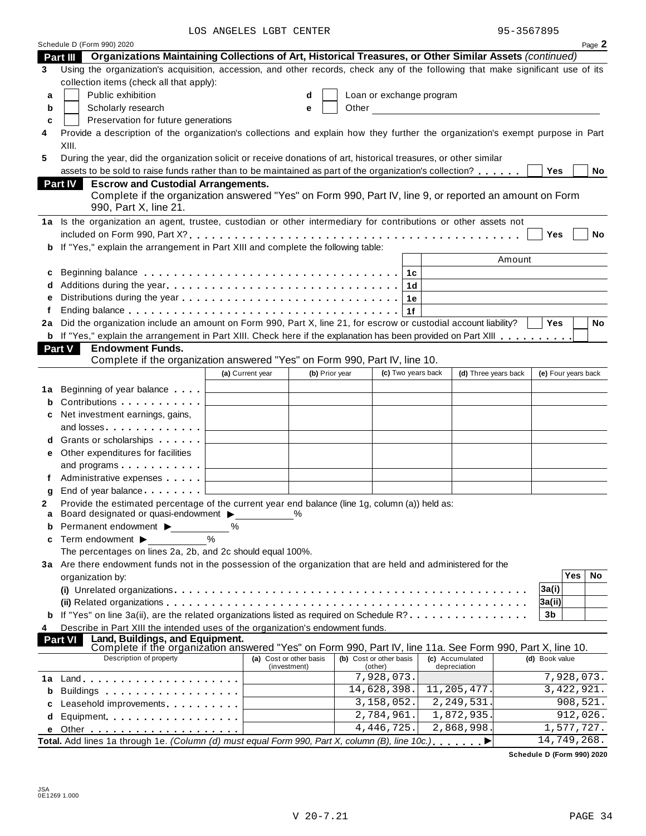LOS ANGELES LGBT CENTER 95-3567895

|        | Schedule D (Form 990) 2020                                                                                                                                                                                                          |                                              |                         |                            |                      |                     |              | Page 2 |
|--------|-------------------------------------------------------------------------------------------------------------------------------------------------------------------------------------------------------------------------------------|----------------------------------------------|-------------------------|----------------------------|----------------------|---------------------|--------------|--------|
|        | Organizations Maintaining Collections of Art, Historical Treasures, or Other Similar Assets (continued)<br>Part III                                                                                                                 |                                              |                         |                            |                      |                     |              |        |
| 3      | Using the organization's acquisition, accession, and other records, check any of the following that make significant use of its                                                                                                     |                                              |                         |                            |                      |                     |              |        |
|        | collection items (check all that apply):                                                                                                                                                                                            |                                              |                         |                            |                      |                     |              |        |
| a      | Public exhibition                                                                                                                                                                                                                   |                                              | d                       | Loan or exchange program   |                      |                     |              |        |
| b      | Scholarly research                                                                                                                                                                                                                  |                                              | е                       |                            |                      |                     |              |        |
| c      | Preservation for future generations                                                                                                                                                                                                 |                                              |                         |                            |                      |                     |              |        |
| 4      | Provide a description of the organization's collections and explain how they further the organization's exempt purpose in Part                                                                                                      |                                              |                         |                            |                      |                     |              |        |
|        | XIII.                                                                                                                                                                                                                               |                                              |                         |                            |                      |                     |              |        |
| 5      | During the year, did the organization solicit or receive donations of art, historical treasures, or other similar                                                                                                                   |                                              |                         |                            |                      |                     |              |        |
|        | assets to be sold to raise funds rather than to be maintained as part of the organization's collection?                                                                                                                             |                                              |                         |                            |                      | <b>Yes</b>          |              | No     |
|        | <b>Escrow and Custodial Arrangements.</b><br><b>Part IV</b>                                                                                                                                                                         |                                              |                         |                            |                      |                     |              |        |
|        | Complete if the organization answered "Yes" on Form 990, Part IV, line 9, or reported an amount on Form                                                                                                                             |                                              |                         |                            |                      |                     |              |        |
|        | 990, Part X, line 21.                                                                                                                                                                                                               |                                              |                         |                            |                      |                     |              |        |
|        | 1a Is the organization an agent, trustee, custodian or other intermediary for contributions or other assets not                                                                                                                     |                                              |                         |                            |                      |                     |              |        |
|        |                                                                                                                                                                                                                                     |                                              |                         |                            |                      | <b>Yes</b>          |              | No     |
| b      | If "Yes," explain the arrangement in Part XIII and complete the following table:                                                                                                                                                    |                                              |                         |                            |                      |                     |              |        |
|        |                                                                                                                                                                                                                                     |                                              |                         |                            | Amount               |                     |              |        |
| с      |                                                                                                                                                                                                                                     |                                              |                         | 1c                         |                      |                     |              |        |
| d      | Additions during the year                                                                                                                                                                                                           |                                              |                         | 1d                         |                      |                     |              |        |
|        |                                                                                                                                                                                                                                     |                                              |                         | 1е                         |                      |                     |              |        |
| f      |                                                                                                                                                                                                                                     |                                              |                         | 1f                         |                      |                     |              |        |
| 2a     | Did the organization include an amount on Form 990, Part X, line 21, for escrow or custodial account liability?                                                                                                                     |                                              |                         |                            |                      | <b>Yes</b>          |              | No     |
|        | b If "Yes," explain the arrangement in Part XIII. Check here if the explanation has been provided on Part XIII                                                                                                                      |                                              |                         |                            |                      |                     |              |        |
|        | <b>Endowment Funds.</b><br><b>Part V</b>                                                                                                                                                                                            |                                              |                         |                            |                      |                     |              |        |
|        | Complete if the organization answered "Yes" on Form 990, Part IV, line 10.                                                                                                                                                          |                                              |                         |                            |                      |                     |              |        |
|        |                                                                                                                                                                                                                                     | (a) Current year                             | (b) Prior year          | (c) Two years back         | (d) Three years back | (e) Four years back |              |        |
|        |                                                                                                                                                                                                                                     |                                              |                         |                            |                      |                     |              |        |
| 1а     | Beginning of year balance<br>Contributions                                                                                                                                                                                          |                                              |                         |                            |                      |                     |              |        |
| b      |                                                                                                                                                                                                                                     |                                              |                         |                            |                      |                     |              |        |
| c      | Net investment earnings, gains,                                                                                                                                                                                                     |                                              |                         |                            |                      |                     |              |        |
|        | and losses and the state of the state of the state of the state of the state of the state of the state of the state of the state of the state of the state of the state of the state of the state of the state of the state of      |                                              |                         |                            |                      |                     |              |        |
| d      | Grants or scholarships                                                                                                                                                                                                              |                                              |                         |                            |                      |                     |              |        |
| е      | Other expenditures for facilities                                                                                                                                                                                                   |                                              |                         |                            |                      |                     |              |        |
|        | and programs $\ldots$                                                                                                                                                                                                               | the control of the control of the control of |                         |                            |                      |                     |              |        |
| f      | Administrative expenses [1994]                                                                                                                                                                                                      |                                              |                         |                            |                      |                     |              |        |
| a      | End of year balance                                                                                                                                                                                                                 |                                              |                         |                            |                      |                     |              |        |
| 2      | Provide the estimated percentage of the current year end balance (line 1g, column (a)) held as:<br>Board designated or quasi-endowment >                                                                                            |                                              |                         |                            |                      |                     |              |        |
| a<br>b | Permanent endowment ▶                                                                                                                                                                                                               | ℅                                            |                         |                            |                      |                     |              |        |
|        | Term endowment ▶                                                                                                                                                                                                                    | $\%$                                         |                         |                            |                      |                     |              |        |
| c      |                                                                                                                                                                                                                                     |                                              |                         |                            |                      |                     |              |        |
|        | The percentages on lines 2a, 2b, and 2c should equal 100%.<br>3a Are there endowment funds not in the possession of the organization that are held and administered for the                                                         |                                              |                         |                            |                      |                     |              |        |
|        | organization by:                                                                                                                                                                                                                    |                                              |                         |                            |                      |                     | Yes          | No     |
|        |                                                                                                                                                                                                                                     |                                              |                         |                            |                      | 3a(i)               |              |        |
|        |                                                                                                                                                                                                                                     |                                              |                         |                            |                      | 3a(ii)              |              |        |
|        | If "Yes" on line 3a(ii), are the related organizations listed as required on Schedule R?                                                                                                                                            |                                              |                         |                            |                      | 3b                  |              |        |
| 4      | Describe in Part XIII the intended uses of the organization's endowment funds.                                                                                                                                                      |                                              |                         |                            |                      |                     |              |        |
|        | Land, Buildings, and Equipment.<br>Part VI                                                                                                                                                                                          |                                              |                         |                            |                      |                     |              |        |
|        | Complete if the organization answered "Yes" on Form 990, Part IV, line 11a. See Form 990, Part X, line 10.                                                                                                                          |                                              |                         |                            |                      |                     |              |        |
|        | Description of property                                                                                                                                                                                                             |                                              | (a) Cost or other basis | (b) Cost or other basis    | (c) Accumulated      | (d) Book value      |              |        |
|        |                                                                                                                                                                                                                                     |                                              | (investment)            | (other)<br>7,928,073.      | depreciation         |                     | 7,928,073.   |        |
| 1а     |                                                                                                                                                                                                                                     |                                              |                         | 14,628,398.                | 11, 205, 477.        |                     | 3, 422, 921. |        |
| b      | Buildings <b>Example 20</b> Suite 1 and 20 Suite 1 and 20 Suite 20 Suite 20 Suite 20 Suite 20 Suite 20 Suite 20 Suite 20 Suite 20 Suite 20 Suite 20 Suite 20 Suite 20 Suite 20 Suite 20 Suite 20 Suite 20 Suite 20 Suite 20 Suite 2 |                                              |                         | 3,158,052.                 | 2,249,531            |                     | 908,521.     |        |
| c      | Leasehold improvements expansion and the set of the set of the set of the set of the set of the set of the set of the set of the set of the set of the set of the set of the set of the set of the set of the set of the set o      |                                              |                         | $\overline{2}$ , 784, 961. | 1,872,935.           |                     | 912,026.     |        |
| d      | Equipment                                                                                                                                                                                                                           |                                              |                         | 4, 446, 725.               | 2,868,998.           |                     | 1,577,727.   |        |
|        | Total. Add lines 1a through 1e. (Column (d) must equal Form 990, Part X, column (B), line 10c.)                                                                                                                                     |                                              |                         |                            |                      | 14,749,268.         |              |        |
|        |                                                                                                                                                                                                                                     |                                              |                         |                            | ▸                    |                     |              |        |

**Schedule D (Form 990) 2020**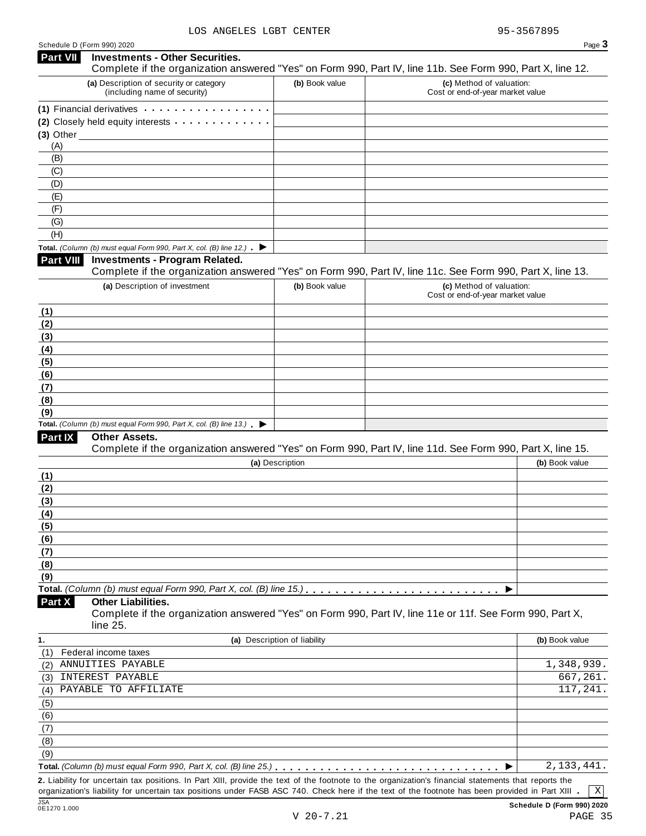|                 | Schedule D (Form 990) 2020                                                               |                              | Page 3                                                                                                     |
|-----------------|------------------------------------------------------------------------------------------|------------------------------|------------------------------------------------------------------------------------------------------------|
| <b>Part VII</b> | <b>Investments - Other Securities.</b>                                                   |                              | Complete if the organization answered "Yes" on Form 990, Part IV, line 11b. See Form 990, Part X, line 12. |
|                 | (a) Description of security or category<br>(including name of security)                  | (b) Book value               | (c) Method of valuation:<br>Cost or end-of-year market value                                               |
|                 | (1) Financial derivatives <b>container and Financial</b>                                 |                              |                                                                                                            |
|                 | (2) Closely held equity interests                                                        |                              |                                                                                                            |
|                 | $(3)$ Other                                                                              |                              |                                                                                                            |
| (A)             |                                                                                          |                              |                                                                                                            |
| (B)             |                                                                                          |                              |                                                                                                            |
| (C)             |                                                                                          |                              |                                                                                                            |
| (D)             |                                                                                          |                              |                                                                                                            |
| (E)             |                                                                                          |                              |                                                                                                            |
| (F)             |                                                                                          |                              |                                                                                                            |
| (G)             |                                                                                          |                              |                                                                                                            |
| (H)             |                                                                                          |                              |                                                                                                            |
|                 | Total. (Column (b) must equal Form 990, Part X, col. (B) line 12.) $\blacktriangleright$ |                              |                                                                                                            |
| Part VIII       | <b>Investments - Program Related.</b>                                                    |                              | Complete if the organization answered "Yes" on Form 990, Part IV, line 11c. See Form 990, Part X, line 13. |
|                 | (a) Description of investment                                                            | (b) Book value               | (c) Method of valuation:                                                                                   |
|                 |                                                                                          |                              | Cost or end-of-year market value                                                                           |
| (1)             |                                                                                          |                              |                                                                                                            |
| (2)             |                                                                                          |                              |                                                                                                            |
| (3)             |                                                                                          |                              |                                                                                                            |
| (4)             |                                                                                          |                              |                                                                                                            |
| (5)             |                                                                                          |                              |                                                                                                            |
| (6)             |                                                                                          |                              |                                                                                                            |
| (7)             |                                                                                          |                              |                                                                                                            |
| (8)             |                                                                                          |                              |                                                                                                            |
| (9)             | Total. (Column (b) must equal Form 990, Part X, col. (B) line $13$ .)                    |                              |                                                                                                            |
| Part IX         | <b>Other Assets.</b>                                                                     |                              |                                                                                                            |
|                 |                                                                                          |                              | Complete if the organization answered "Yes" on Form 990, Part IV, line 11d. See Form 990, Part X, line 15. |
|                 |                                                                                          | (a) Description              | (b) Book value                                                                                             |
| (1)             |                                                                                          |                              |                                                                                                            |
| (2)             |                                                                                          |                              |                                                                                                            |
| (3)             |                                                                                          |                              |                                                                                                            |
| (4)             |                                                                                          |                              |                                                                                                            |
| (5)             |                                                                                          |                              |                                                                                                            |
| (6)             |                                                                                          |                              |                                                                                                            |
| (7)             |                                                                                          |                              |                                                                                                            |
| (8)             |                                                                                          |                              |                                                                                                            |
| (9)             |                                                                                          |                              |                                                                                                            |
|                 |                                                                                          |                              | ▶                                                                                                          |
| Part X          | <b>Other Liabilities.</b><br>line 25.                                                    |                              | Complete if the organization answered "Yes" on Form 990, Part IV, line 11e or 11f. See Form 990, Part X,   |
| 1.              |                                                                                          | (a) Description of liability | (b) Book value                                                                                             |
| (1)             | Federal income taxes                                                                     |                              |                                                                                                            |
| (2)             | ANNUITIES PAYABLE                                                                        |                              | 1,348,939.                                                                                                 |
| (3)             | INTEREST PAYABLE                                                                         |                              | 667, 261.                                                                                                  |
| (4)             | PAYABLE TO AFFILIATE                                                                     |                              | 117,241.                                                                                                   |
| (5)             |                                                                                          |                              |                                                                                                            |
| (6)             |                                                                                          |                              |                                                                                                            |
|                 |                                                                                          |                              |                                                                                                            |
| (7)             |                                                                                          |                              |                                                                                                            |
| (8)             |                                                                                          |                              |                                                                                                            |
| (9)             | Total. (Column (b) must equal Form 990, Part X, col. (B) line 25.)                       |                              | 2, 133, 441.                                                                                               |

2. Liability for uncertain tax positions. In Part XIII, provide the text of the footnote to the organization's financial statements that reports the organization's liability for uncertain tax positions under FASB ASC 740.

JSA **Schedule D (Form 990) 2020** V 20-7.21 PAGE 35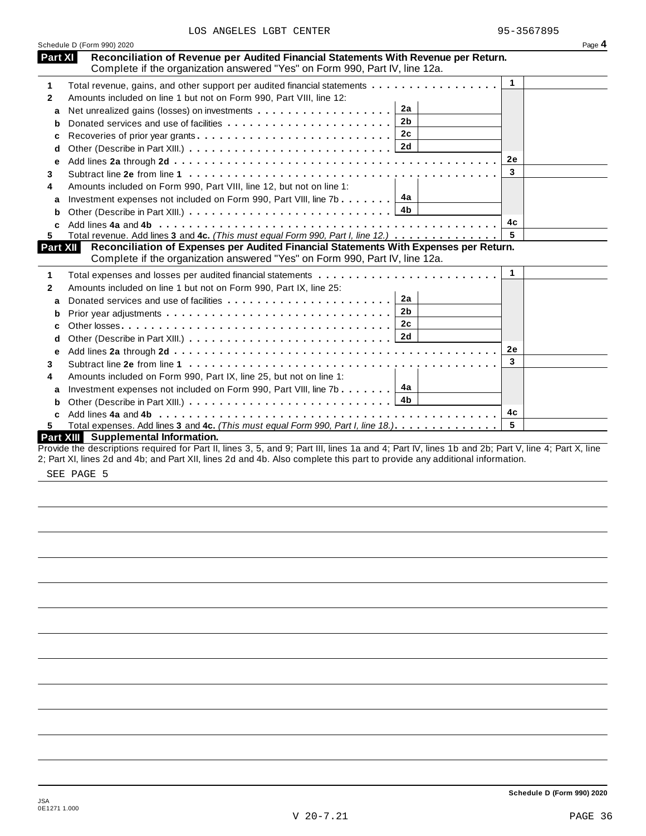|                 | Schedule D (Form 990) 2020                                                                                                                                           |              | Page 4 |
|-----------------|----------------------------------------------------------------------------------------------------------------------------------------------------------------------|--------------|--------|
| Part XI         | Reconciliation of Revenue per Audited Financial Statements With Revenue per Return.<br>Complete if the organization answered "Yes" on Form 990, Part IV, line 12a.   |              |        |
| 1               | Total revenue, gains, and other support per audited financial statements                                                                                             | $\mathbf{1}$ |        |
| 2               | Amounts included on line 1 but not on Form 990, Part VIII, line 12:                                                                                                  |              |        |
| a               | 2a                                                                                                                                                                   |              |        |
| b               | 2 <sub>b</sub>                                                                                                                                                       |              |        |
| c               | 2c                                                                                                                                                                   |              |        |
| d               |                                                                                                                                                                      |              |        |
| е               |                                                                                                                                                                      | 2e           |        |
| 3.              |                                                                                                                                                                      | 3            |        |
| 4               | Amounts included on Form 990, Part VIII, line 12, but not on line 1:                                                                                                 |              |        |
| a               | Investment expenses not included on Form 990, Part VIII, line 7b $\boxed{4a}$                                                                                        |              |        |
| b               |                                                                                                                                                                      |              |        |
|                 |                                                                                                                                                                      | 4c           |        |
| 5.              | Total revenue. Add lines 3 and 4c. (This must equal Form 990, Part I, line 12.)                                                                                      |              |        |
| <b>Part XII</b> | Reconciliation of Expenses per Audited Financial Statements With Expenses per Return.<br>Complete if the organization answered "Yes" on Form 990, Part IV, line 12a. |              |        |
| 1               |                                                                                                                                                                      | $\mathbf{1}$ |        |
| 2               | Amounts included on line 1 but not on Form 990, Part IX, line 25:                                                                                                    |              |        |
| a               | 2a                                                                                                                                                                   |              |        |
| b               | 2 <sub>b</sub>                                                                                                                                                       |              |        |
| c               | 2 <sub>c</sub>                                                                                                                                                       |              |        |
| d               |                                                                                                                                                                      |              |        |
| е               |                                                                                                                                                                      | 2e           |        |
| 3               |                                                                                                                                                                      | 3            |        |
| 4               | Amounts included on Form 990, Part IX, line 25, but not on line 1:                                                                                                   |              |        |
| a               | Investment expenses not included on Form 990, Part VIII, line 7b $\boxed{4a}$                                                                                        |              |        |
| b               |                                                                                                                                                                      |              |        |
| c               |                                                                                                                                                                      | 4c           |        |
| 5.              | Total expenses. Add lines 3 and 4c. (This must equal Form 990, Part I, line 18.).                                                                                    | 5            |        |
|                 | Part XIII Supplemental Information.                                                                                                                                  |              |        |
|                 | Provide the descriptions required for Part II, lines 3, 5, and 9; Part III, lines 1a and 4; Part IV, lines 1b and 2b; Part V, line 4; Part X, line                   |              |        |

2; Part XI, lines 2d and 4b; and Part XII, lines 2d and 4b. Also complete this part to provide any additional information.

SEE PAGE 5

**Schedule D (Form 990) 2020**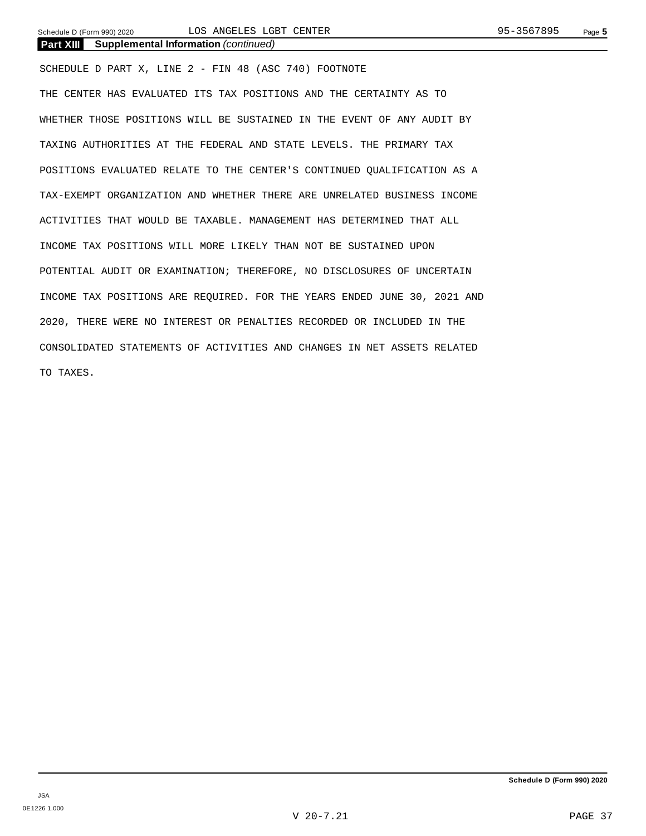## **Part XIII Supplemental Information** *(continued)*

SCHEDULE D PART X, LINE 2 - FIN 48 (ASC 740) FOOTNOTE THE CENTER HAS EVALUATED ITS TAX POSITIONS AND THE CERTAINTY AS TO WHETHER THOSE POSITIONS WILL BE SUSTAINED IN THE EVENT OF ANY AUDIT BY TAXING AUTHORITIES AT THE FEDERAL AND STATE LEVELS. THE PRIMARY TAX POSITIONS EVALUATED RELATE TO THE CENTER'S CONTINUED QUALIFICATION AS A TAX-EXEMPT ORGANIZATION AND WHETHER THERE ARE UNRELATED BUSINESS INCOME ACTIVITIES THAT WOULD BE TAXABLE. MANAGEMENT HAS DETERMINED THAT ALL INCOME TAX POSITIONS WILL MORE LIKELY THAN NOT BE SUSTAINED UPON POTENTIAL AUDIT OR EXAMINATION; THEREFORE, NO DISCLOSURES OF UNCERTAIN INCOME TAX POSITIONS ARE REQUIRED. FOR THE YEARS ENDED JUNE 30, 2021 AND 2020, THERE WERE NO INTEREST OR PENALTIES RECORDED OR INCLUDED IN THE CONSOLIDATED STATEMENTS OF ACTIVITIES AND CHANGES IN NET ASSETS RELATED TO TAXES.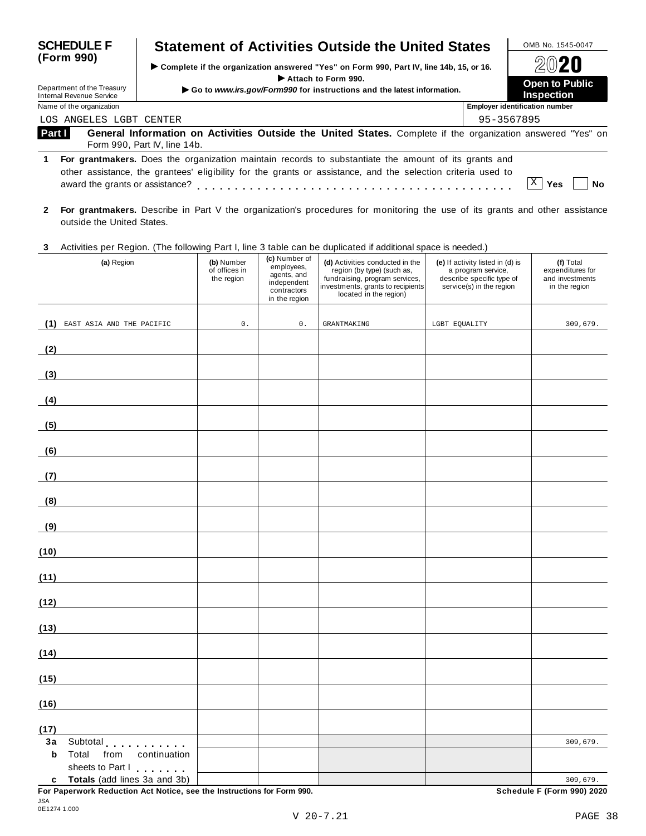| <b>SCHEDULE F</b><br>(Form 990)<br>Department of the Treasury<br>Internal Revenue Service |                                 | <b>Statement of Activities Outside the United States</b>                                                                                                                                                             |            | OMB No. 1545-0047                          |
|-------------------------------------------------------------------------------------------|---------------------------------|----------------------------------------------------------------------------------------------------------------------------------------------------------------------------------------------------------------------|------------|--------------------------------------------|
|                                                                                           |                                 | ▶ Complete if the organization answered "Yes" on Form 990, Part IV, line 14b, 15, or 16.                                                                                                                             | 2020       |                                            |
|                                                                                           |                                 | Attach to Form 990.<br>Go to www.irs.gov/Form990 for instructions and the latest information.                                                                                                                        |            | <b>Open to Public</b><br><b>Inspection</b> |
|                                                                                           | Name of the organization        |                                                                                                                                                                                                                      |            | <b>Employer identification number</b>      |
|                                                                                           | LOS ANGELES LGBT CENTER         |                                                                                                                                                                                                                      | 95-3567895 |                                            |
| Part I                                                                                    |                                 | General Information on Activities Outside the United States. Complete if the organization answered "Yes" on<br>Form 990, Part IV, line 14b.                                                                          |            |                                            |
|                                                                                           | award the grants or assistance? | For grantmakers. Does the organization maintain records to substantiate the amount of its grants and<br>other assistance, the grantees' eligibility for the grants or assistance, and the selection criteria used to |            | Yes<br>Nο                                  |

### **3** Activities per Region. (The following Part I, line 3 table can be duplicated ifadditional space is needed.)

| Nothing both region. (The following Farth, line of table can be  |                                           |                                                                                           | adproated in additional operation research,                                                                                                                    |                                                                                                                 |                                                                   |
|------------------------------------------------------------------|-------------------------------------------|-------------------------------------------------------------------------------------------|----------------------------------------------------------------------------------------------------------------------------------------------------------------|-----------------------------------------------------------------------------------------------------------------|-------------------------------------------------------------------|
| (a) Region                                                       | (b) Number<br>of offices in<br>the region | (c) Number of<br>employees,<br>agents, and<br>independent<br>contractors<br>in the region | (d) Activities conducted in the<br>region (by type) (such as,<br>fundraising, program services,<br>investments, grants to recipients<br>located in the region) | (e) If activity listed in (d) is<br>a program service,<br>describe specific type of<br>service(s) in the region | (f) Total<br>expenditures for<br>and investments<br>in the region |
| (1) EAST ASIA AND THE PACIFIC                                    | $0$ .                                     | $\mathsf{0}$ .                                                                            | <b>GRANTMAKING</b>                                                                                                                                             | LGBT EQUALITY                                                                                                   | 309,679.                                                          |
|                                                                  |                                           |                                                                                           |                                                                                                                                                                |                                                                                                                 |                                                                   |
| (2)                                                              |                                           |                                                                                           |                                                                                                                                                                |                                                                                                                 |                                                                   |
| (3)                                                              |                                           |                                                                                           |                                                                                                                                                                |                                                                                                                 |                                                                   |
| (4)                                                              |                                           |                                                                                           |                                                                                                                                                                |                                                                                                                 |                                                                   |
| (5)                                                              |                                           |                                                                                           |                                                                                                                                                                |                                                                                                                 |                                                                   |
| (6)                                                              |                                           |                                                                                           |                                                                                                                                                                |                                                                                                                 |                                                                   |
|                                                                  |                                           |                                                                                           |                                                                                                                                                                |                                                                                                                 |                                                                   |
| (7)                                                              |                                           |                                                                                           |                                                                                                                                                                |                                                                                                                 |                                                                   |
| (8)                                                              |                                           |                                                                                           |                                                                                                                                                                |                                                                                                                 |                                                                   |
| (9)                                                              |                                           |                                                                                           |                                                                                                                                                                |                                                                                                                 |                                                                   |
| (10)                                                             |                                           |                                                                                           |                                                                                                                                                                |                                                                                                                 |                                                                   |
| (11)                                                             |                                           |                                                                                           |                                                                                                                                                                |                                                                                                                 |                                                                   |
| (12)                                                             |                                           |                                                                                           |                                                                                                                                                                |                                                                                                                 |                                                                   |
| (13)                                                             |                                           |                                                                                           |                                                                                                                                                                |                                                                                                                 |                                                                   |
| (14)                                                             |                                           |                                                                                           |                                                                                                                                                                |                                                                                                                 |                                                                   |
| (15)                                                             |                                           |                                                                                           |                                                                                                                                                                |                                                                                                                 |                                                                   |
|                                                                  |                                           |                                                                                           |                                                                                                                                                                |                                                                                                                 |                                                                   |
| (16)                                                             |                                           |                                                                                           |                                                                                                                                                                |                                                                                                                 |                                                                   |
| (17)                                                             |                                           |                                                                                           |                                                                                                                                                                |                                                                                                                 |                                                                   |
| Subtotal<br>3a                                                   |                                           |                                                                                           |                                                                                                                                                                |                                                                                                                 | 309,679.                                                          |
| $\mathbf b$<br>Total<br>from<br>continuation<br>sheets to Part I |                                           |                                                                                           |                                                                                                                                                                |                                                                                                                 |                                                                   |
| Totals (add lines 3a and 3b)<br>c                                |                                           |                                                                                           |                                                                                                                                                                |                                                                                                                 | 309,679.                                                          |

**For Paperwork Reduction Act Notice, see the Instructions for Form 990. Schedule F (Form 990) 2020**

**<sup>2</sup> For grantmakers.** Describe in Part V the organization's procedures for monitoring the use of its grants and other assistance outside the United States.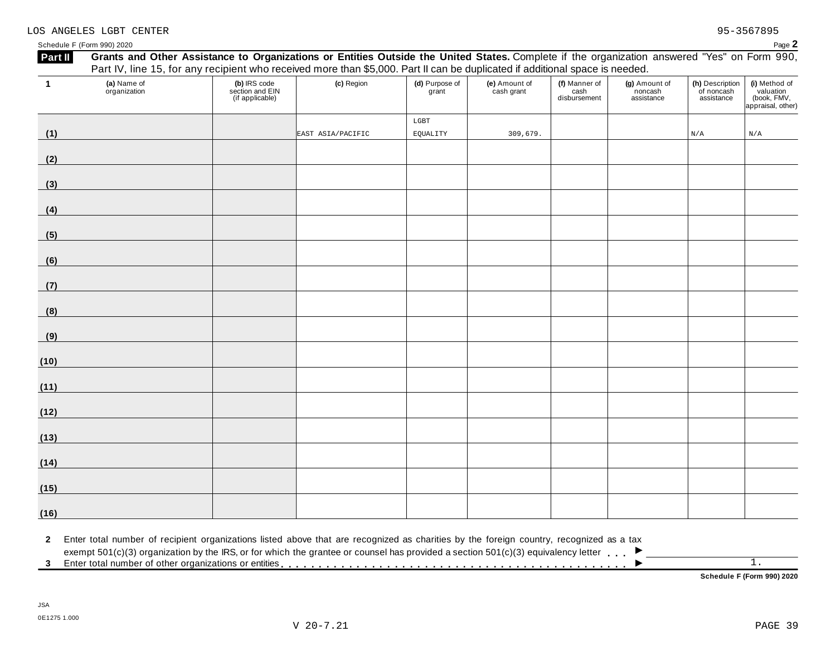|                |                                                                                                                                         |                                                    | Part IV, line 15, for any recipient who received more than \$5,000. Part II can be duplicated if additional space is needed. |                         |                             |                                       |                                        |                                             |                                                                |
|----------------|-----------------------------------------------------------------------------------------------------------------------------------------|----------------------------------------------------|------------------------------------------------------------------------------------------------------------------------------|-------------------------|-----------------------------|---------------------------------------|----------------------------------------|---------------------------------------------|----------------------------------------------------------------|
| $\overline{1}$ | (a) Name of<br>organization                                                                                                             | (b) IRS code<br>section and EIN<br>(if applicable) | (c) Region                                                                                                                   | (d) Purpose of<br>grant | (e) Amount of<br>cash grant | (f) Manner of<br>cash<br>disbursement | (g) Amount of<br>noncash<br>assistance | (h) Description<br>of noncash<br>assistance | (i) Method of<br>valuation<br>(book, FMV,<br>appraisal, other) |
|                |                                                                                                                                         |                                                    |                                                                                                                              | $_{\rm LGBT}$           |                             |                                       |                                        |                                             |                                                                |
| (1)            |                                                                                                                                         |                                                    | EAST ASIA/PACIFIC                                                                                                            | EQUALITY                | 309,679.                    |                                       |                                        | N/A                                         | N/A                                                            |
| (2)            |                                                                                                                                         |                                                    |                                                                                                                              |                         |                             |                                       |                                        |                                             |                                                                |
| (3)            |                                                                                                                                         |                                                    |                                                                                                                              |                         |                             |                                       |                                        |                                             |                                                                |
| (4)            |                                                                                                                                         |                                                    |                                                                                                                              |                         |                             |                                       |                                        |                                             |                                                                |
| (5)            |                                                                                                                                         |                                                    |                                                                                                                              |                         |                             |                                       |                                        |                                             |                                                                |
| (6)            |                                                                                                                                         |                                                    |                                                                                                                              |                         |                             |                                       |                                        |                                             |                                                                |
| (7)            |                                                                                                                                         |                                                    |                                                                                                                              |                         |                             |                                       |                                        |                                             |                                                                |
| (8)            |                                                                                                                                         |                                                    |                                                                                                                              |                         |                             |                                       |                                        |                                             |                                                                |
| (9)            |                                                                                                                                         |                                                    |                                                                                                                              |                         |                             |                                       |                                        |                                             |                                                                |
| (10)           |                                                                                                                                         |                                                    |                                                                                                                              |                         |                             |                                       |                                        |                                             |                                                                |
| (11)           |                                                                                                                                         |                                                    |                                                                                                                              |                         |                             |                                       |                                        |                                             |                                                                |
| (12)           |                                                                                                                                         |                                                    |                                                                                                                              |                         |                             |                                       |                                        |                                             |                                                                |
| (13)           |                                                                                                                                         |                                                    |                                                                                                                              |                         |                             |                                       |                                        |                                             |                                                                |
| (14)           |                                                                                                                                         |                                                    |                                                                                                                              |                         |                             |                                       |                                        |                                             |                                                                |
| (15)           |                                                                                                                                         |                                                    |                                                                                                                              |                         |                             |                                       |                                        |                                             |                                                                |
| (16)           |                                                                                                                                         |                                                    |                                                                                                                              |                         |                             |                                       |                                        |                                             |                                                                |
| $\mathbf{2}$   | Enter total number of recipient organizations listed above that are recognized as charities by the foreign country, recognized as a tax |                                                    |                                                                                                                              |                         |                             |                                       |                                        |                                             |                                                                |

**Schedule F (Form 990) 2020**

### LOS ANGELES LGBT CENTER 95-3567895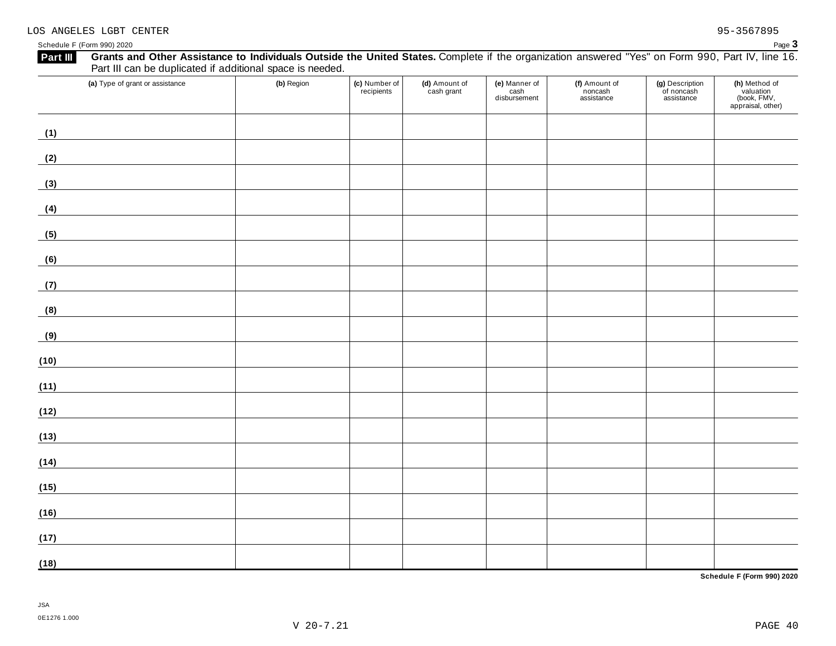| Grants and Other Assistance to Individuals Outside the United States. Complete if the organization answered "Yes" on Form 990, Part IV, line 16.<br>Part III<br>Part III can be duplicated if additional space is needed. |            |                             |                             |                                       |                                        |                                             |                                                                |
|---------------------------------------------------------------------------------------------------------------------------------------------------------------------------------------------------------------------------|------------|-----------------------------|-----------------------------|---------------------------------------|----------------------------------------|---------------------------------------------|----------------------------------------------------------------|
| (a) Type of grant or assistance                                                                                                                                                                                           | (b) Region | (c) Number of<br>recipients | (d) Amount of<br>cash grant | (e) Manner of<br>cash<br>disbursement | (f) Amount of<br>noncash<br>assistance | (g) Description<br>of noncash<br>assistance | (h) Method of<br>valuation<br>(book, FMV,<br>appraisal, other) |
| (1)                                                                                                                                                                                                                       |            |                             |                             |                                       |                                        |                                             |                                                                |
| (2)                                                                                                                                                                                                                       |            |                             |                             |                                       |                                        |                                             |                                                                |
| (3)                                                                                                                                                                                                                       |            |                             |                             |                                       |                                        |                                             |                                                                |
| (4)                                                                                                                                                                                                                       |            |                             |                             |                                       |                                        |                                             |                                                                |
| (5)                                                                                                                                                                                                                       |            |                             |                             |                                       |                                        |                                             |                                                                |
| (6)                                                                                                                                                                                                                       |            |                             |                             |                                       |                                        |                                             |                                                                |
| (7)                                                                                                                                                                                                                       |            |                             |                             |                                       |                                        |                                             |                                                                |
| (8)                                                                                                                                                                                                                       |            |                             |                             |                                       |                                        |                                             |                                                                |
| (9)                                                                                                                                                                                                                       |            |                             |                             |                                       |                                        |                                             |                                                                |
| (10)                                                                                                                                                                                                                      |            |                             |                             |                                       |                                        |                                             |                                                                |
| (11)                                                                                                                                                                                                                      |            |                             |                             |                                       |                                        |                                             |                                                                |
| (12)                                                                                                                                                                                                                      |            |                             |                             |                                       |                                        |                                             |                                                                |
| (13)                                                                                                                                                                                                                      |            |                             |                             |                                       |                                        |                                             |                                                                |
| (14)                                                                                                                                                                                                                      |            |                             |                             |                                       |                                        |                                             |                                                                |
| (15)                                                                                                                                                                                                                      |            |                             |                             |                                       |                                        |                                             |                                                                |
| (16)                                                                                                                                                                                                                      |            |                             |                             |                                       |                                        |                                             |                                                                |
| (17)                                                                                                                                                                                                                      |            |                             |                             |                                       |                                        |                                             |                                                                |
| (18)                                                                                                                                                                                                                      |            |                             |                             |                                       |                                        |                                             |                                                                |

**Schedule F (Form 990) 2020**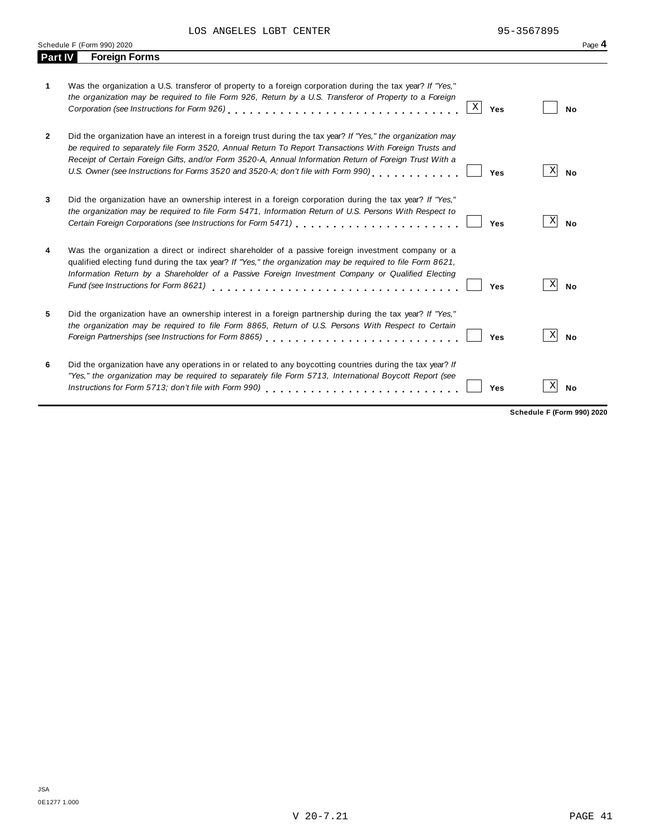LOS ANGELES LGBT CENTER 95-3567895

|                | Schedule F (Form 990) 2020                                                                                                                                                                                                                                                                                                                                                                                                    | Page 4                            |
|----------------|-------------------------------------------------------------------------------------------------------------------------------------------------------------------------------------------------------------------------------------------------------------------------------------------------------------------------------------------------------------------------------------------------------------------------------|-----------------------------------|
| <b>Part IV</b> | <b>Foreign Forms</b>                                                                                                                                                                                                                                                                                                                                                                                                          |                                   |
| 1              | Was the organization a U.S. transferor of property to a foreign corporation during the tax year? If "Yes,"<br>the organization may be required to file Form 926, Return by a U.S. Transferor of Property to a Foreign<br>$\vert X \vert$<br>Yes                                                                                                                                                                               | No                                |
| $\mathbf{2}$   | Did the organization have an interest in a foreign trust during the tax year? If "Yes," the organization may<br>be required to separately file Form 3520, Annual Return To Report Transactions With Foreign Trusts and<br>Receipt of Certain Foreign Gifts, and/or Form 3520-A, Annual Information Return of Foreign Trust With a<br>U.S. Owner (see Instructions for Forms 3520 and 3520-A; don't file with Form 990)<br>Yes | $\vert X \vert$<br><b>No</b>      |
| 3              | Did the organization have an ownership interest in a foreign corporation during the tax year? If "Yes,"<br>the organization may be required to file Form 5471, Information Return of U.S. Persons With Respect to<br>Yes                                                                                                                                                                                                      | $\vert X \vert$<br><b>No</b>      |
| 4              | Was the organization a direct or indirect shareholder of a passive foreign investment company or a<br>qualified electing fund during the tax year? If "Yes," the organization may be required to file Form 8621,<br>Information Return by a Shareholder of a Passive Foreign Investment Company or Qualified Electing<br>Fund (see Instructions for Form 8621)<br>Yes                                                         | $\vert X \vert$<br><b>No</b>      |
| 5              | Did the organization have an ownership interest in a foreign partnership during the tax year? If "Yes,"<br>the organization may be required to file Form 8865, Return of U.S. Persons With Respect to Certain<br>Yes                                                                                                                                                                                                          | X<br><b>No</b>                    |
| 6              | Did the organization have any operations in or related to any boycotting countries during the tax year? If<br>"Yes," the organization may be required to separately file Form 5713, International Boycott Report (see<br>Yes                                                                                                                                                                                                  | Χ<br>No                           |
|                |                                                                                                                                                                                                                                                                                                                                                                                                                               | <b>Schedule F (Form 990) 2020</b> |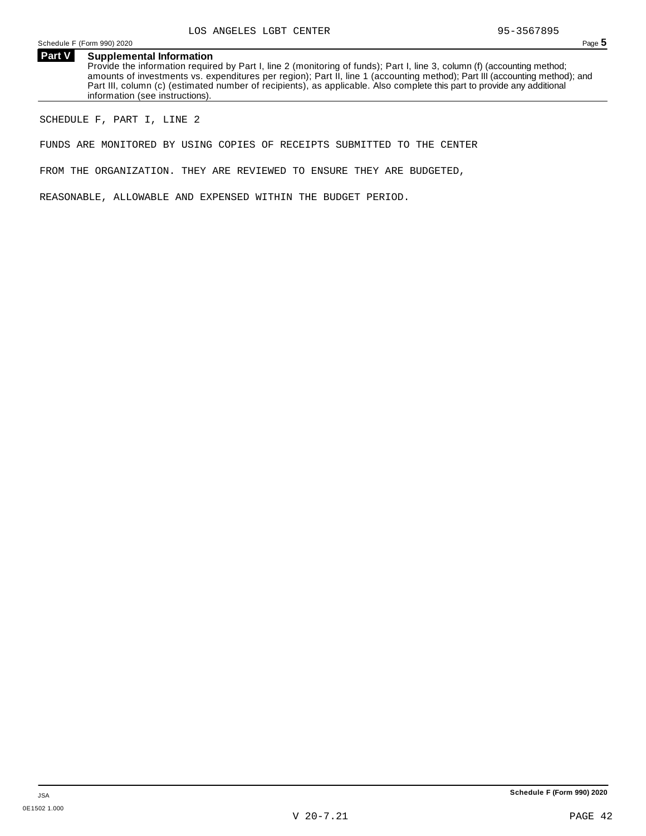**Part V Supplemental Information** Provide the information required by Part I, line 2 (monitoring of funds); Part I, line 3, column (f) (accounting method; amounts of investments vs. expenditures per region); Part II, line 1 (accounting method); Part III (accounting method); and Part III, column (c) (estimated number of recipients), as applicable. Also complete this part to provide any additional information (see instructions).

SCHEDULE F, PART I, LINE 2

FUNDS ARE MONITORED BY USING COPIES OF RECEIPTS SUBMITTED TO THE CENTER

FROM THE ORGANIZATION. THEY ARE REVIEWED TO ENSURE THEY ARE BUDGETED,

REASONABLE, ALLOWABLE AND EXPENSED WITHIN THE BUDGET PERIOD.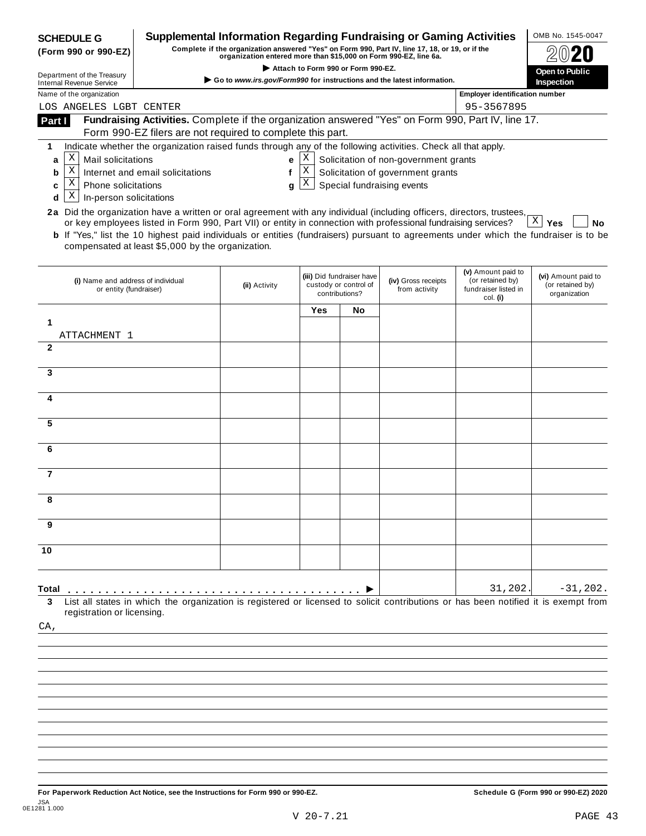|              | <b>SCHEDULE G</b><br>(Form 990 or 990-EZ)                    |                                                                                                                                                                                                                                                                                                                     | <b>Supplemental Information Regarding Fundraising or Gaming Activities</b><br>Complete if the organization answered "Yes" on Form 990, Part IV, line 17, 18, or 19, or if the<br>organization entered more than \$15,000 on Form 990-EZ, line 6a. |                                    |                                                                      |                                       |                                                                | OMB No. 1545-0047                                       |
|--------------|--------------------------------------------------------------|---------------------------------------------------------------------------------------------------------------------------------------------------------------------------------------------------------------------------------------------------------------------------------------------------------------------|---------------------------------------------------------------------------------------------------------------------------------------------------------------------------------------------------------------------------------------------------|------------------------------------|----------------------------------------------------------------------|---------------------------------------|----------------------------------------------------------------|---------------------------------------------------------|
|              | Department of the Treasury                                   |                                                                                                                                                                                                                                                                                                                     | Go to www.irs.gov/Form990 for instructions and the latest information.                                                                                                                                                                            | Attach to Form 990 or Form 990-EZ. |                                                                      |                                       |                                                                | Open to Public<br>Inspection                            |
|              | <b>Internal Revenue Service</b><br>Name of the organization  |                                                                                                                                                                                                                                                                                                                     |                                                                                                                                                                                                                                                   |                                    |                                                                      |                                       | <b>Employer identification number</b>                          |                                                         |
|              | LOS ANGELES LGBT CENTER                                      |                                                                                                                                                                                                                                                                                                                     |                                                                                                                                                                                                                                                   |                                    |                                                                      |                                       | 95-3567895                                                     |                                                         |
| Part I       |                                                              | Fundraising Activities. Complete if the organization answered "Yes" on Form 990, Part IV, line 17.                                                                                                                                                                                                                  |                                                                                                                                                                                                                                                   |                                    |                                                                      |                                       |                                                                |                                                         |
|              |                                                              | Form 990-EZ filers are not required to complete this part.                                                                                                                                                                                                                                                          |                                                                                                                                                                                                                                                   |                                    |                                                                      |                                       |                                                                |                                                         |
| 1<br>a       | Χ<br>Mail solicitations                                      | Indicate whether the organization raised funds through any of the following activities. Check all that apply.                                                                                                                                                                                                       | e                                                                                                                                                                                                                                                 | Χ                                  |                                                                      | Solicitation of non-government grants |                                                                |                                                         |
| b            | $\mathbf X$                                                  | Internet and email solicitations                                                                                                                                                                                                                                                                                    | f                                                                                                                                                                                                                                                 | X                                  |                                                                      | Solicitation of government grants     |                                                                |                                                         |
| c            | Χ<br><b>Phone solicitations</b>                              |                                                                                                                                                                                                                                                                                                                     | g                                                                                                                                                                                                                                                 | X                                  |                                                                      | Special fundraising events            |                                                                |                                                         |
| d            | Χ<br>In-person solicitations                                 |                                                                                                                                                                                                                                                                                                                     |                                                                                                                                                                                                                                                   |                                    |                                                                      |                                       |                                                                |                                                         |
|              |                                                              | 2a Did the organization have a written or oral agreement with any individual (including officers, directors, trustees,                                                                                                                                                                                              |                                                                                                                                                                                                                                                   |                                    |                                                                      |                                       |                                                                | $\mathbf{X}$                                            |
|              |                                                              | or key employees listed in Form 990, Part VII) or entity in connection with professional fundraising services?<br><b>b</b> If "Yes," list the 10 highest paid individuals or entities (fundraisers) pursuant to agreements under which the fundraiser is to be<br>compensated at least \$5,000 by the organization. |                                                                                                                                                                                                                                                   |                                    |                                                                      |                                       |                                                                | Yes<br>No                                               |
|              | (i) Name and address of individual<br>or entity (fundraiser) |                                                                                                                                                                                                                                                                                                                     | (ii) Activity                                                                                                                                                                                                                                     |                                    | (iii) Did fundraiser have<br>custody or control of<br>contributions? | (iv) Gross receipts<br>from activity  | (v) Amount paid to<br>(or retained by)<br>fundraiser listed in | (vi) Amount paid to<br>(or retained by)<br>organization |
|              |                                                              |                                                                                                                                                                                                                                                                                                                     |                                                                                                                                                                                                                                                   | Yes                                | No                                                                   |                                       | col. (i)                                                       |                                                         |
| 1            | ATTACHMENT 1                                                 |                                                                                                                                                                                                                                                                                                                     |                                                                                                                                                                                                                                                   |                                    |                                                                      |                                       |                                                                |                                                         |
| $\mathbf{2}$ |                                                              |                                                                                                                                                                                                                                                                                                                     |                                                                                                                                                                                                                                                   |                                    |                                                                      |                                       |                                                                |                                                         |
| 3            |                                                              |                                                                                                                                                                                                                                                                                                                     |                                                                                                                                                                                                                                                   |                                    |                                                                      |                                       |                                                                |                                                         |
| 4            |                                                              |                                                                                                                                                                                                                                                                                                                     |                                                                                                                                                                                                                                                   |                                    |                                                                      |                                       |                                                                |                                                         |
| 5            |                                                              |                                                                                                                                                                                                                                                                                                                     |                                                                                                                                                                                                                                                   |                                    |                                                                      |                                       |                                                                |                                                         |
| 6            |                                                              |                                                                                                                                                                                                                                                                                                                     |                                                                                                                                                                                                                                                   |                                    |                                                                      |                                       |                                                                |                                                         |
|              |                                                              |                                                                                                                                                                                                                                                                                                                     |                                                                                                                                                                                                                                                   |                                    |                                                                      |                                       |                                                                |                                                         |
| 7            |                                                              |                                                                                                                                                                                                                                                                                                                     |                                                                                                                                                                                                                                                   |                                    |                                                                      |                                       |                                                                |                                                         |
|              |                                                              |                                                                                                                                                                                                                                                                                                                     |                                                                                                                                                                                                                                                   |                                    |                                                                      |                                       |                                                                |                                                         |
| 9            |                                                              |                                                                                                                                                                                                                                                                                                                     |                                                                                                                                                                                                                                                   |                                    |                                                                      |                                       |                                                                |                                                         |
| 10           |                                                              |                                                                                                                                                                                                                                                                                                                     |                                                                                                                                                                                                                                                   |                                    |                                                                      |                                       |                                                                |                                                         |
|              |                                                              |                                                                                                                                                                                                                                                                                                                     |                                                                                                                                                                                                                                                   |                                    |                                                                      |                                       | 31,202.                                                        | $-31,202.$                                              |
| Total        | registration or licensing.                                   | List all states in which the organization is registered or licensed to solicit contributions or has been notified it is exempt from                                                                                                                                                                                 |                                                                                                                                                                                                                                                   |                                    |                                                                      |                                       |                                                                |                                                         |
| CA,          |                                                              |                                                                                                                                                                                                                                                                                                                     |                                                                                                                                                                                                                                                   |                                    |                                                                      |                                       |                                                                |                                                         |
|              |                                                              |                                                                                                                                                                                                                                                                                                                     |                                                                                                                                                                                                                                                   |                                    |                                                                      |                                       |                                                                |                                                         |
|              |                                                              |                                                                                                                                                                                                                                                                                                                     |                                                                                                                                                                                                                                                   |                                    |                                                                      |                                       |                                                                |                                                         |
|              |                                                              |                                                                                                                                                                                                                                                                                                                     |                                                                                                                                                                                                                                                   |                                    |                                                                      |                                       |                                                                |                                                         |
|              |                                                              |                                                                                                                                                                                                                                                                                                                     |                                                                                                                                                                                                                                                   |                                    |                                                                      |                                       |                                                                |                                                         |
|              |                                                              |                                                                                                                                                                                                                                                                                                                     |                                                                                                                                                                                                                                                   |                                    |                                                                      |                                       |                                                                |                                                         |
|              |                                                              |                                                                                                                                                                                                                                                                                                                     |                                                                                                                                                                                                                                                   |                                    |                                                                      |                                       |                                                                |                                                         |
|              |                                                              |                                                                                                                                                                                                                                                                                                                     |                                                                                                                                                                                                                                                   |                                    |                                                                      |                                       |                                                                |                                                         |
|              |                                                              |                                                                                                                                                                                                                                                                                                                     |                                                                                                                                                                                                                                                   |                                    |                                                                      |                                       |                                                                |                                                         |
|              |                                                              |                                                                                                                                                                                                                                                                                                                     |                                                                                                                                                                                                                                                   |                                    |                                                                      |                                       |                                                                |                                                         |
|              |                                                              |                                                                                                                                                                                                                                                                                                                     |                                                                                                                                                                                                                                                   |                                    |                                                                      |                                       |                                                                |                                                         |

For Paperwork Reduction Act Notice, see the Instructions for Form 990 or 990-EZ. Schedule G (Form 990 or 990-EZ) 2020 JSA 0E1281 1.000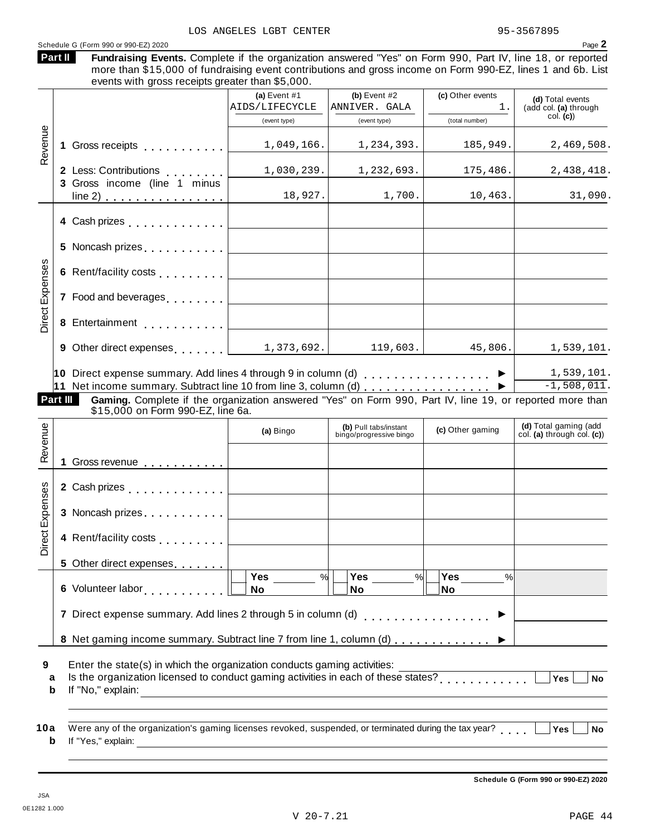### Schedule <sup>G</sup> (Form <sup>990</sup> or 990-EZ) <sup>2020</sup> Page **2**

| <b>Part II</b> | Fundraising Events. Complete if the organization answered "Yes" on Form 990, Part IV, line 18, or reported  |  |  |  |  |  |
|----------------|-------------------------------------------------------------------------------------------------------------|--|--|--|--|--|
|                | more than \$15,000 of fundraising event contributions and gross income on Form 990-EZ, lines 1 and 6b. List |  |  |  |  |  |

rre than \$15,000 of fundraising event contributions and gross income on Form 990-EZ, lines 1 and 6b. List events with gross receipts greater than \$5,000. **(a)** Event #1 **(b)** Event #2 **(c)** Other events **(d)** Total events (add col. **(a)** through col. **(c)**) (event type) (event type) (total number) **1** Gross receipts <sub>.....</sub>...... **2** Less: Contributions **3** Gross income (line 1 minus Less: Contributions<br>Gross income (line 1 minus  $line 2)$   $\ldots$   $\ldots$   $\ldots$   $\ldots$   $\ldots$  . Revenue<br>1<br>1 **4** Cash prizes . . . . . . . . . . . . **5** Noncash prizes  $\ldots \ldots \ldots$ **6** Rent/facility costs m m m m m m m m m enses **7** Food and beverages **manual 8**<br> **8** Entertainment<br> **8** Entertainment **9** Other direct expenses **manual 10** Direct expense summary. Add lines 4 through 9 in column (d) m m m m m m m m m m m m m m m m m I **11** Net income summary. Subtract line 10 from line 3, column (d) m m m m m m m m m m m m m m m m m I xp**Part III Gaming.** Complete if the organization answered "Yes" on Form 990, Part IV, line 19, or reported more than<br>\$15,000 on Form 990-EZ, line 6a. **(d)** Total gaming (add col. **(a)** through col. **(c)**) **(b)** Pull tabs/instant (a) Bingo **(b)** Pull tabs/instant **(c)** Other gaming **(c)** Other gaming  $\mathbb{E}\left[1\right]$  Gross revenue  $\ldots \ldots \ldots \ldots$ **2** Cash prizes **manual** measure in the manual  $\sim$ **3** Noncash prizes . . . . . . . . . . . œ venue **4** Rent/facility costs<br>
5 Other direct expenses....... **5** Other direct expenses **6** Volunteer labor **man m m m m m m m m m m m m m m m m m 7** Direct expense summary. Add lines 2 through 5 in column (d)  $\ldots$  . . . . . . . . . . . . . .  $\blacktriangleright$ 8 Net gaming income summary. Subtract line 7 from line 1, column (d)  $\ldots \ldots \ldots$ xpenses<br>3<br>x<br>3 **Yes No Yes No Yes No** % $\vert \quad \vert$  Yes \_\_\_\_\_\_ % $\vert \quad \vert$  Yes \_\_\_\_\_\_ % $\vert$ **9 10** Enter the state(s) in which the organization conducts gaming activities: Erner the state(s) in which the organization conducts gaming activities.<br> **a** Is the organization licensed to conduct gaming activities in each of these states?<br> **b** If the theoretic state of the state of the states of the **b** If "No," explain: a Were any of the organization's gaming licenses revoked, suspended, or terminated during the tax year?<br>http://www.wali.in.com/industrial/industrial/industrial/industrial/industrial/industrial/industrial/industrial/ **b** If "Yes," explain: AIDS/LIFECYCLE ANNIVER. GALA | 1.  $1,049,166.$  1,234,393. 185,949. 2,469,508. 1,030,239. 1,232,693. 175,486. 2,438,418. 18,927. 1,700. 10,463. 31,090. 1,373,692. 119,603. 45,806. 1,539,101. 1,539,101.  $-1,508,011.$ 

**Schedule G (Form 990 or 990-EZ) 2020**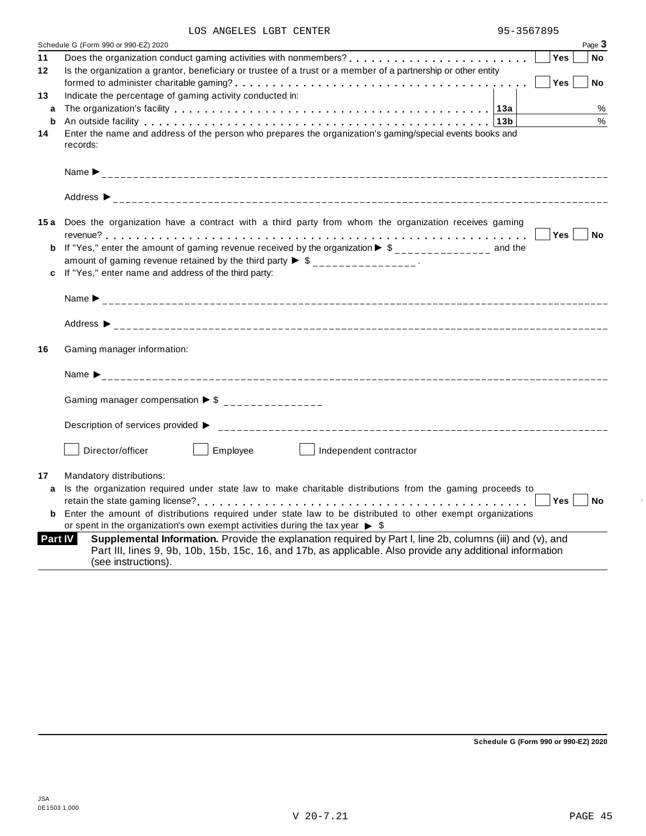| LOS ANGELES LGBT CENTER |  | 95-3567895 |
|-------------------------|--|------------|
|                         |  |            |

| Yes<br>Does the organization conduct gaming activities with nonmembers?<br><b>No</b><br>Is the organization a grantor, beneficiary or trustee of a trust or a member of a partnership or other entity<br>Yes<br>No                              |
|-------------------------------------------------------------------------------------------------------------------------------------------------------------------------------------------------------------------------------------------------|
|                                                                                                                                                                                                                                                 |
|                                                                                                                                                                                                                                                 |
|                                                                                                                                                                                                                                                 |
|                                                                                                                                                                                                                                                 |
| %                                                                                                                                                                                                                                               |
| $\frac{0}{0}$<br>An outside facility enterpreteration of the control of the control of the control of the control of the control of the control of the control of the control of the control of the control of the control of the control of th |
| Enter the name and address of the person who prepares the organization's gaming/special events books and                                                                                                                                        |
|                                                                                                                                                                                                                                                 |
|                                                                                                                                                                                                                                                 |
|                                                                                                                                                                                                                                                 |
|                                                                                                                                                                                                                                                 |
| 15a Does the organization have a contract with a third party from whom the organization receives gaming                                                                                                                                         |
| Yes <br>No                                                                                                                                                                                                                                      |
| <b>b</b> If "Yes," enter the amount of gaming revenue received by the organization $\triangleright$ \$______________ and the                                                                                                                    |
| amount of gaming revenue retained by the third party $\triangleright$ \$ _______________.                                                                                                                                                       |
|                                                                                                                                                                                                                                                 |
|                                                                                                                                                                                                                                                 |
|                                                                                                                                                                                                                                                 |
|                                                                                                                                                                                                                                                 |
| Name $\sum_{-1}^{1}$                                                                                                                                                                                                                            |
|                                                                                                                                                                                                                                                 |
|                                                                                                                                                                                                                                                 |
|                                                                                                                                                                                                                                                 |
|                                                                                                                                                                                                                                                 |
| Independent contractor                                                                                                                                                                                                                          |
|                                                                                                                                                                                                                                                 |
| Is the organization required under state law to make charitable distributions from the gaming proceeds to                                                                                                                                       |
| Yes<br><b>No</b>                                                                                                                                                                                                                                |
| <b>b</b> Enter the amount of distributions required under state law to be distributed to other exempt organizations                                                                                                                             |
|                                                                                                                                                                                                                                                 |
| Supplemental Information. Provide the explanation required by Part I, line 2b, columns (iii) and (v), and                                                                                                                                       |
| Part III, lines 9, 9b, 10b, 15b, 15c, 16, and 17b, as applicable. Also provide any additional information                                                                                                                                       |
|                                                                                                                                                                                                                                                 |

**Schedule G (Form 990 or 990-EZ) 2020**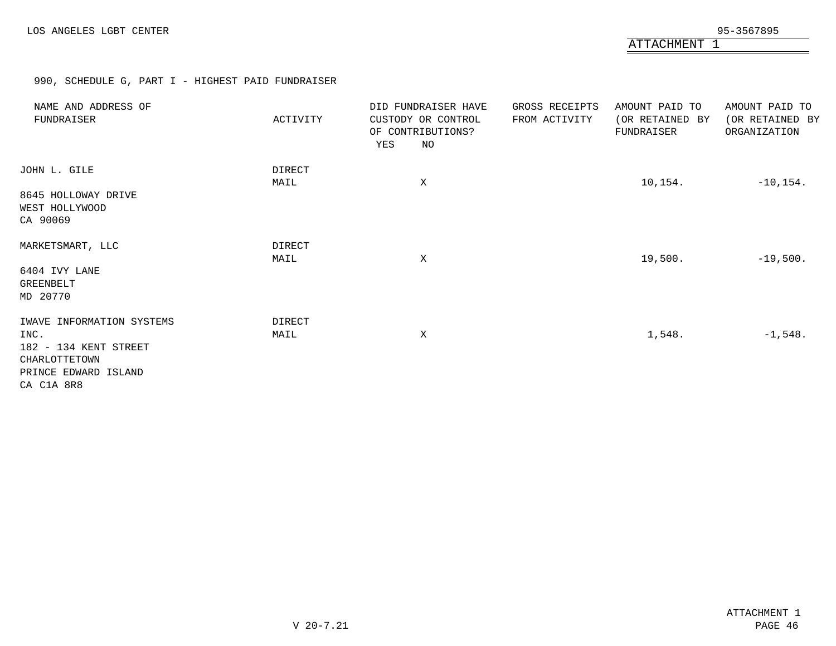ATTACHMENT 1

990, SCHEDULE G, PART I - HIGHEST PAID FUNDRAISER

| NAME AND ADDRESS OF<br>FUNDRAISER                                                                   | ACTIVITY              | DID FUNDRAISER HAVE<br>CUSTODY OR CONTROL<br>OF CONTRIBUTIONS?<br>YES<br>NO | GROSS RECEIPTS<br>FROM ACTIVITY | AMOUNT PAID TO<br>(OR RETAINED BY<br>FUNDRAISER | AMOUNT PAID TO<br>(OR RETAINED BY<br>ORGANIZATION |
|-----------------------------------------------------------------------------------------------------|-----------------------|-----------------------------------------------------------------------------|---------------------------------|-------------------------------------------------|---------------------------------------------------|
| JOHN L. GILE<br>8645 HOLLOWAY DRIVE<br>WEST HOLLYWOOD<br>CA 90069                                   | <b>DIRECT</b><br>MAIL | X                                                                           |                                 | 10,154.                                         | $-10, 154.$                                       |
| MARKETSMART, LLC<br>6404 IVY LANE<br>GREENBELT<br>MD 20770                                          | DIRECT<br>MAIL        | X                                                                           |                                 | 19,500.                                         | $-19,500.$                                        |
| IWAVE INFORMATION SYSTEMS<br>INC.<br>182 - 134 KENT STREET<br>CHARLOTTETOWN<br>PRINCE EDWARD ISLAND | DIRECT<br>MAIL        | Χ                                                                           |                                 | 1,548.                                          | $-1,548.$                                         |
| CA C1A 8R8                                                                                          |                       |                                                                             |                                 |                                                 |                                                   |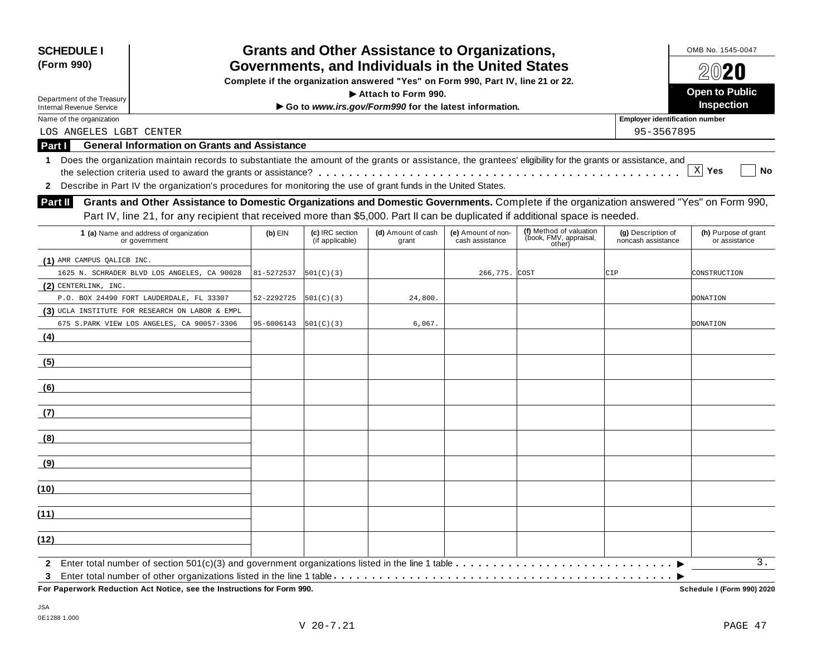| <b>SCHEDULE I</b><br>(Form 990)                                                                                                                                                                                                                                                    |            |                                    | <b>Grants and Other Assistance to Organizations,</b><br>Governments, and Individuals in the United States |                                       |                                                                                                                                                                                                                                                                           |                                          | OMB No. 1545-0047<br>$20$ 20          |
|------------------------------------------------------------------------------------------------------------------------------------------------------------------------------------------------------------------------------------------------------------------------------------|------------|------------------------------------|-----------------------------------------------------------------------------------------------------------|---------------------------------------|---------------------------------------------------------------------------------------------------------------------------------------------------------------------------------------------------------------------------------------------------------------------------|------------------------------------------|---------------------------------------|
|                                                                                                                                                                                                                                                                                    |            |                                    | Complete if the organization answered "Yes" on Form 990, Part IV, line 21 or 22.                          |                                       |                                                                                                                                                                                                                                                                           |                                          |                                       |
| Department of the Treasury                                                                                                                                                                                                                                                         |            |                                    | Attach to Form 990.                                                                                       |                                       |                                                                                                                                                                                                                                                                           |                                          | <b>Open to Public</b>                 |
| <b>Internal Revenue Service</b>                                                                                                                                                                                                                                                    |            |                                    | Go to www.irs.gov/Form990 for the latest information.                                                     |                                       |                                                                                                                                                                                                                                                                           |                                          | <b>Inspection</b>                     |
| Name of the organization                                                                                                                                                                                                                                                           |            |                                    |                                                                                                           |                                       |                                                                                                                                                                                                                                                                           | <b>Employer identification number</b>    |                                       |
| LOS ANGELES LGBT CENTER                                                                                                                                                                                                                                                            |            |                                    |                                                                                                           |                                       |                                                                                                                                                                                                                                                                           | 95-3567895                               |                                       |
| <b>General Information on Grants and Assistance</b><br>Part I                                                                                                                                                                                                                      |            |                                    |                                                                                                           |                                       |                                                                                                                                                                                                                                                                           |                                          |                                       |
| Does the organization maintain records to substantiate the amount of the grants or assistance, the grantees' eligibility for the grants or assistance, and<br>1<br>2 Describe in Part IV the organization's procedures for monitoring the use of grant funds in the United States. |            |                                    |                                                                                                           |                                       |                                                                                                                                                                                                                                                                           |                                          | X <br>Yes<br><b>No</b>                |
| <b>Part II</b>                                                                                                                                                                                                                                                                     |            |                                    |                                                                                                           |                                       | Grants and Other Assistance to Domestic Organizations and Domestic Governments. Complete if the organization answered "Yes" on Form 990,<br>Part IV, line 21, for any recipient that received more than \$5,000. Part II can be duplicated if additional space is needed. |                                          |                                       |
| 1 (a) Name and address of organization<br>or government                                                                                                                                                                                                                            | $(b)$ EIN  | (c) IRC section<br>(if applicable) | (d) Amount of cash<br>grant                                                                               | (e) Amount of non-<br>cash assistance | (f) Method of valuation<br>(book, FMV, appraisal,<br>other)                                                                                                                                                                                                               | (g) Description of<br>noncash assistance | (h) Purpose of grant<br>or assistance |
| (1) AMR CAMPUS QALICB INC.                                                                                                                                                                                                                                                         |            |                                    |                                                                                                           |                                       |                                                                                                                                                                                                                                                                           |                                          |                                       |
| 1625 N. SCHRADER BLVD LOS ANGELES, CA 90028                                                                                                                                                                                                                                        | 81-5272537 | 501(C)(3)                          |                                                                                                           | 266,775.                              | COST                                                                                                                                                                                                                                                                      | CIP                                      | CONSTRUCTION                          |
| $(2)$ CENTERLINK, INC.                                                                                                                                                                                                                                                             |            |                                    |                                                                                                           |                                       |                                                                                                                                                                                                                                                                           |                                          |                                       |
| P.O. BOX 24490 FORT LAUDERDALE, FL 33307                                                                                                                                                                                                                                           | 52-2292725 | 501(C)(3)                          | 24,800.                                                                                                   |                                       |                                                                                                                                                                                                                                                                           |                                          | <b>DONATION</b>                       |
| (3) UCLA INSTITUTE FOR RESEARCH ON LABOR & EMPL                                                                                                                                                                                                                                    |            |                                    |                                                                                                           |                                       |                                                                                                                                                                                                                                                                           |                                          |                                       |
| 675 S.PARK VIEW LOS ANGELES, CA 90057-3306                                                                                                                                                                                                                                         | 95-6006143 | 501(C)(3)                          | 6,067.                                                                                                    |                                       |                                                                                                                                                                                                                                                                           |                                          | <b>DONATION</b>                       |
| (4)                                                                                                                                                                                                                                                                                |            |                                    |                                                                                                           |                                       |                                                                                                                                                                                                                                                                           |                                          |                                       |
| (5)                                                                                                                                                                                                                                                                                |            |                                    |                                                                                                           |                                       |                                                                                                                                                                                                                                                                           |                                          |                                       |
| (6)                                                                                                                                                                                                                                                                                |            |                                    |                                                                                                           |                                       |                                                                                                                                                                                                                                                                           |                                          |                                       |
| (7)                                                                                                                                                                                                                                                                                |            |                                    |                                                                                                           |                                       |                                                                                                                                                                                                                                                                           |                                          |                                       |
| (8)                                                                                                                                                                                                                                                                                |            |                                    |                                                                                                           |                                       |                                                                                                                                                                                                                                                                           |                                          |                                       |
| (9)                                                                                                                                                                                                                                                                                |            |                                    |                                                                                                           |                                       |                                                                                                                                                                                                                                                                           |                                          |                                       |
| (10)                                                                                                                                                                                                                                                                               |            |                                    |                                                                                                           |                                       |                                                                                                                                                                                                                                                                           |                                          |                                       |
| (11)                                                                                                                                                                                                                                                                               |            |                                    |                                                                                                           |                                       |                                                                                                                                                                                                                                                                           |                                          |                                       |
| (12)                                                                                                                                                                                                                                                                               |            |                                    |                                                                                                           |                                       |                                                                                                                                                                                                                                                                           |                                          |                                       |
| $\mathbf{2}$                                                                                                                                                                                                                                                                       |            |                                    |                                                                                                           |                                       |                                                                                                                                                                                                                                                                           |                                          | 3.                                    |

Schedule I (Form 990) 2020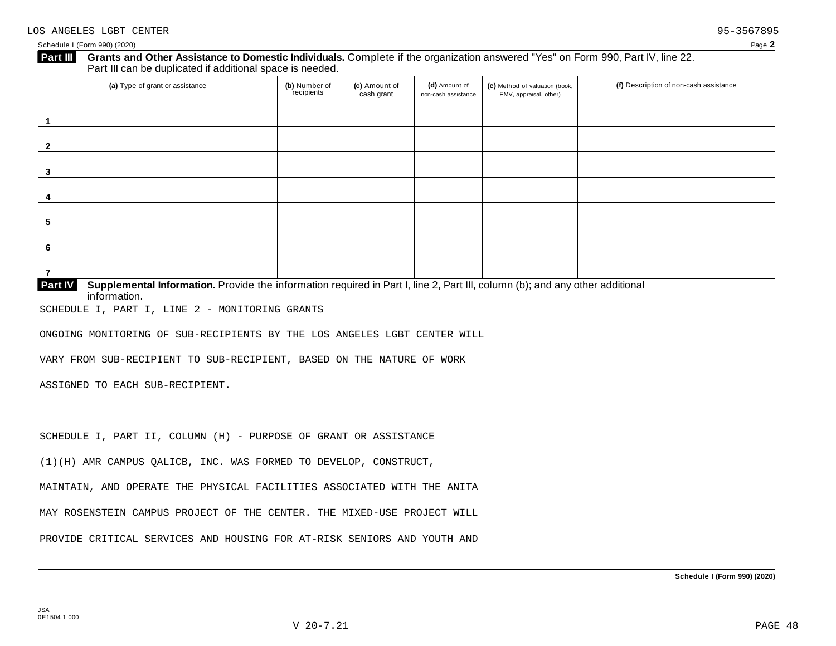### **Grants and Other Assistance to Domestic Individuals.** Complete ifthe organization answered "Yes" on Form 990, Part IV, line 22. **Part III** Grants and Other Assistance to Domestic Individuals<br>Part III can be duplicated if additional space is needed.

| (a) Type of grant or assistance                                                                                                                | (b) Number of<br>recipients | (c) Amount of<br>cash grant | (d) Amount of<br>non-cash assistance | (e) Method of valuation (book,<br>FMV, appraisal, other) | (f) Description of non-cash assistance |
|------------------------------------------------------------------------------------------------------------------------------------------------|-----------------------------|-----------------------------|--------------------------------------|----------------------------------------------------------|----------------------------------------|
|                                                                                                                                                |                             |                             |                                      |                                                          |                                        |
| -2                                                                                                                                             |                             |                             |                                      |                                                          |                                        |
| 3                                                                                                                                              |                             |                             |                                      |                                                          |                                        |
| 4                                                                                                                                              |                             |                             |                                      |                                                          |                                        |
| 5                                                                                                                                              |                             |                             |                                      |                                                          |                                        |
| 6                                                                                                                                              |                             |                             |                                      |                                                          |                                        |
|                                                                                                                                                |                             |                             |                                      |                                                          |                                        |
| <b>Part IV</b><br>Supplemental Information. Provide the information required in Part I, line 2, Part III, column (b); and any other additional |                             |                             |                                      |                                                          |                                        |

**Particular Information**.

SCHEDULE I, PART I, LINE 2 - MONITORING GRANTS

ONGOING MONITORING OF SUB-RECIPIENTS BY THE LOS ANGELES LGBT CENTER WILL

VARY FROM SUB-RECIPIENT TO SUB-RECIPIENT, BASED ON THE NATURE OF WORK

ASSIGNED TO EACH SUB-RECIPIENT.

SCHEDULE I, PART II, COLUMN (H) - PURPOSE OF GRANT OR ASSISTANCE

(1)(H) AMR CAMPUS QALICB, INC. WAS FORMED TO DEVELOP, CONSTRUCT,

MAINTAIN, AND OPERATE THE PHYSICAL FACILITIES ASSOCIATED WITH THE ANITA

MAY ROSENSTEIN CAMPUS PROJECT OF THE CENTER. THE MIXED-USE PROJECT WILL

PROVIDE CRITICAL SERVICES AND HOUSING FOR AT-RISK SENIORS AND YOUTH AND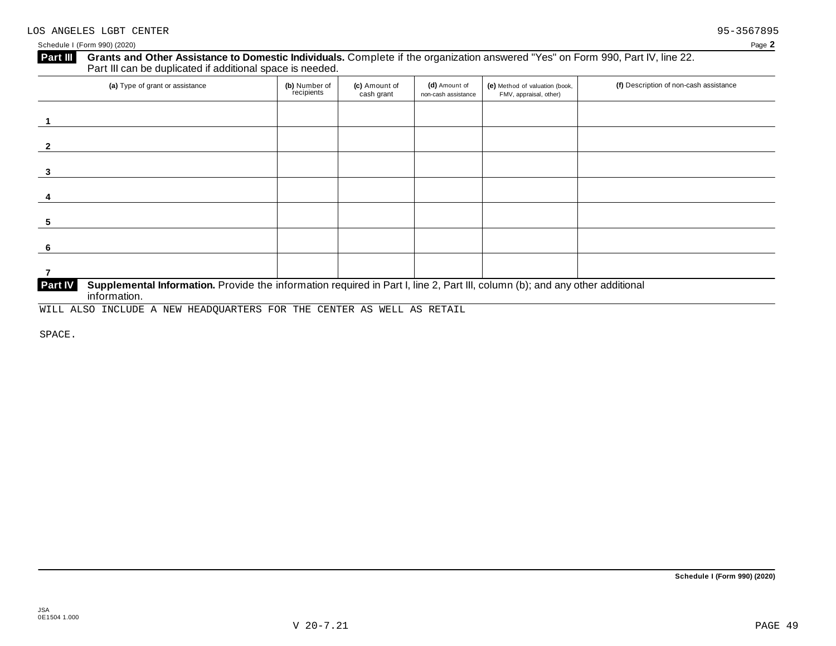# **Part III** Grants and Other Assistance to Domestic Individuals. Complete if the organization answered "Yes" on Form 990, Part IV, line 22.<br>Part III can be duplicated if additional space is needed.

| (a) Type of grant or assistance                                                                                                         | (b) Number of<br>recipients | (c) Amount of<br>cash grant | (d) Amount of<br>non-cash assistance | (e) Method of valuation (book,<br>FMV, appraisal, other) | (f) Description of non-cash assistance |
|-----------------------------------------------------------------------------------------------------------------------------------------|-----------------------------|-----------------------------|--------------------------------------|----------------------------------------------------------|----------------------------------------|
|                                                                                                                                         |                             |                             |                                      |                                                          |                                        |
|                                                                                                                                         |                             |                             |                                      |                                                          |                                        |
| 3                                                                                                                                       |                             |                             |                                      |                                                          |                                        |
|                                                                                                                                         |                             |                             |                                      |                                                          |                                        |
|                                                                                                                                         |                             |                             |                                      |                                                          |                                        |
|                                                                                                                                         |                             |                             |                                      |                                                          |                                        |
|                                                                                                                                         |                             |                             |                                      |                                                          |                                        |
| Part IV<br>Supplemental Information. Provide the information required in Part I, line 2, Part III, column (b); and any other additional |                             |                             |                                      |                                                          |                                        |

 $information.$ 

WILL ALSO INCLUDE A NEW HEADQUARTERS FOR THE CENTER AS WELL AS RETAIL

SPACE.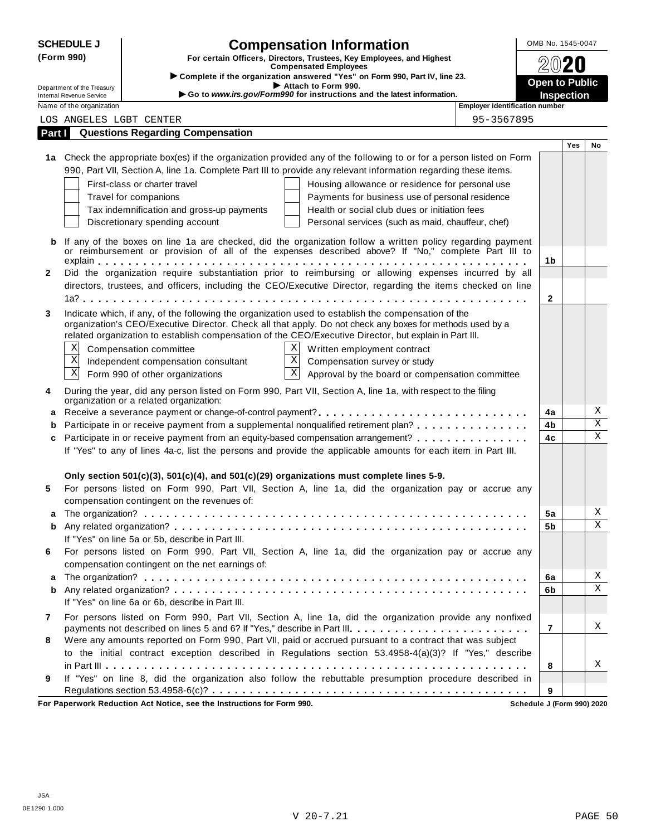|        | <b>SCHEDULE J</b><br><b>Compensation Information</b>   |                                                                                                                                                                                                                     | OMB No. 1545-0047                          |     |             |
|--------|--------------------------------------------------------|---------------------------------------------------------------------------------------------------------------------------------------------------------------------------------------------------------------------|--------------------------------------------|-----|-------------|
|        | (Form 990)                                             | For certain Officers, Directors, Trustees, Key Employees, and Highest                                                                                                                                               |                                            |     |             |
|        |                                                        | <b>Compensated Employees</b><br>> Complete if the organization answered "Yes" on Form 990, Part IV, line 23.                                                                                                        |                                            |     |             |
|        | Department of the Treasury<br>Internal Revenue Service | Attach to Form 990.<br>Go to www.irs.gov/Form990 for instructions and the latest information.                                                                                                                       | <b>Open to Public</b><br><b>Inspection</b> |     |             |
|        | Name of the organization                               | Employer identification number                                                                                                                                                                                      |                                            |     |             |
|        | LOS ANGELES LGBT CENTER                                | 95-3567895                                                                                                                                                                                                          |                                            |     |             |
| Part I |                                                        | <b>Questions Regarding Compensation</b>                                                                                                                                                                             |                                            |     |             |
|        |                                                        |                                                                                                                                                                                                                     |                                            | Yes | No          |
|        |                                                        | 1a Check the appropriate box(es) if the organization provided any of the following to or for a person listed on Form                                                                                                |                                            |     |             |
|        |                                                        | 990, Part VII, Section A, line 1a. Complete Part III to provide any relevant information regarding these items.                                                                                                     |                                            |     |             |
|        |                                                        | First-class or charter travel<br>Housing allowance or residence for personal use                                                                                                                                    |                                            |     |             |
|        |                                                        | Travel for companions<br>Payments for business use of personal residence                                                                                                                                            |                                            |     |             |
|        |                                                        | Health or social club dues or initiation fees<br>Tax indemnification and gross-up payments                                                                                                                          |                                            |     |             |
|        |                                                        | Discretionary spending account<br>Personal services (such as maid, chauffeur, chef)                                                                                                                                 |                                            |     |             |
|        |                                                        | If any of the boxes on line 1a are checked, did the organization follow a written policy regarding payment                                                                                                          |                                            |     |             |
|        |                                                        | or reimbursement or provision of all of the expenses described above? If "No," complete Part III to                                                                                                                 |                                            |     |             |
|        |                                                        |                                                                                                                                                                                                                     | 1b                                         |     |             |
| 2      |                                                        | Did the organization require substantiation prior to reimbursing or allowing expenses incurred by all                                                                                                               |                                            |     |             |
|        |                                                        | directors, trustees, and officers, including the CEO/Executive Director, regarding the items checked on line                                                                                                        |                                            |     |             |
|        |                                                        |                                                                                                                                                                                                                     | $\mathbf{2}$                               |     |             |
| 3      |                                                        | Indicate which, if any, of the following the organization used to establish the compensation of the                                                                                                                 |                                            |     |             |
|        |                                                        | organization's CEO/Executive Director. Check all that apply. Do not check any boxes for methods used by a<br>related organization to establish compensation of the CEO/Executive Director, but explain in Part III. |                                            |     |             |
|        | Χ                                                      | X<br>Compensation committee<br>Written employment contract                                                                                                                                                          |                                            |     |             |
|        | X                                                      | $\bold{X}$<br>Compensation survey or study<br>Independent compensation consultant                                                                                                                                   |                                            |     |             |
|        | $\mathbf X$                                            | $\mathbf X$<br>Form 990 of other organizations<br>Approval by the board or compensation committee                                                                                                                   |                                            |     |             |
|        |                                                        |                                                                                                                                                                                                                     |                                            |     |             |
| 4      |                                                        | During the year, did any person listed on Form 990, Part VII, Section A, line 1a, with respect to the filing<br>organization or a related organization:                                                             |                                            |     |             |
|        |                                                        |                                                                                                                                                                                                                     | 4a                                         |     | Χ           |
|        |                                                        | Participate in or receive payment from a supplemental nonqualified retirement plan?                                                                                                                                 | 4b                                         |     | $\rm X$     |
| c      |                                                        | Participate in or receive payment from an equity-based compensation arrangement?                                                                                                                                    | 4c                                         |     | $\mathbf X$ |
|        |                                                        | If "Yes" to any of lines 4a-c, list the persons and provide the applicable amounts for each item in Part III.                                                                                                       |                                            |     |             |
|        |                                                        |                                                                                                                                                                                                                     |                                            |     |             |
|        |                                                        | Only section 501(c)(3), 501(c)(4), and 501(c)(29) organizations must complete lines 5-9.                                                                                                                            |                                            |     |             |
| 5      |                                                        | For persons listed on Form 990, Part VII, Section A, line 1a, did the organization pay or accrue any                                                                                                                |                                            |     |             |
|        |                                                        | compensation contingent on the revenues of:                                                                                                                                                                         |                                            |     |             |
|        |                                                        |                                                                                                                                                                                                                     | 5a                                         |     | Χ           |
| b      |                                                        |                                                                                                                                                                                                                     | 5b                                         |     | X           |
|        |                                                        | If "Yes" on line 5a or 5b, describe in Part III.                                                                                                                                                                    |                                            |     |             |
| 6      |                                                        | For persons listed on Form 990, Part VII, Section A, line 1a, did the organization pay or accrue any                                                                                                                |                                            |     |             |
|        |                                                        | compensation contingent on the net earnings of:                                                                                                                                                                     |                                            |     |             |
| a      |                                                        |                                                                                                                                                                                                                     | 6a                                         |     | Χ           |
| b      |                                                        |                                                                                                                                                                                                                     | 6b                                         |     | $\mathbf X$ |
|        |                                                        | If "Yes" on line 6a or 6b, describe in Part III.                                                                                                                                                                    |                                            |     |             |
| 7      |                                                        | For persons listed on Form 990, Part VII, Section A, line 1a, did the organization provide any nonfixed                                                                                                             |                                            |     |             |
|        |                                                        | payments not described on lines 5 and 6? If "Yes," describe in Part III.                                                                                                                                            | $\overline{7}$                             |     | Χ           |
| 8      |                                                        | Were any amounts reported on Form 990, Part VII, paid or accrued pursuant to a contract that was subject                                                                                                            |                                            |     |             |
|        |                                                        | to the initial contract exception described in Regulations section 53.4958-4(a)(3)? If "Yes," describe                                                                                                              |                                            |     |             |
|        |                                                        |                                                                                                                                                                                                                     | 8                                          |     | Χ           |
| 9      |                                                        | If "Yes" on line 8, did the organization also follow the rebuttable presumption procedure described in                                                                                                              |                                            |     |             |
|        |                                                        | For Paperwork Reduction Act Notice, see the Instructions for Form 990.                                                                                                                                              | 9<br>Schedule J (Form 990) 2020            |     |             |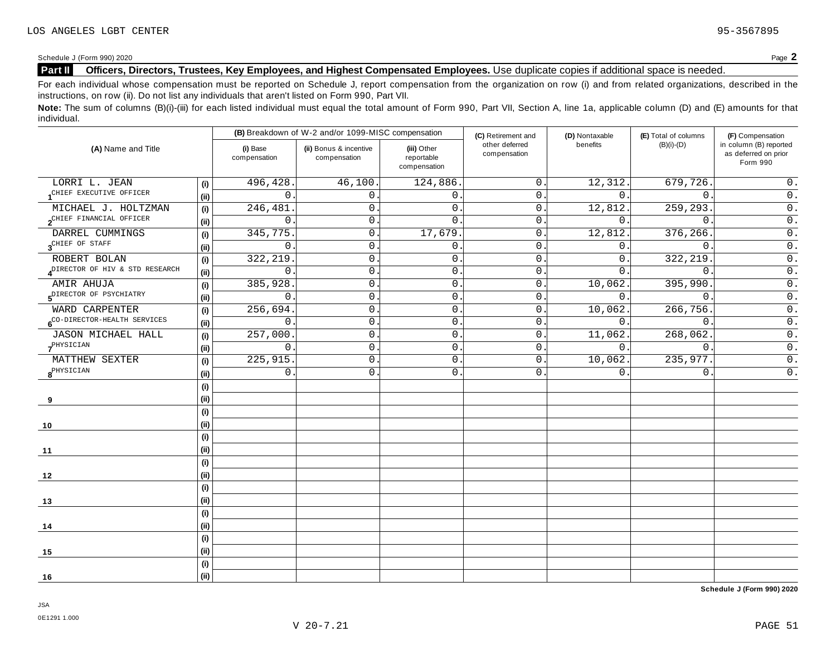### **Part II Officers, Directors, Trustees, Key Employees, and Highest Compensated Employees.** Use duplicate copies ifadditional space is needed.

For each individual whose compensation must be reported on Schedule J, report compensation from the organization on row (i) and from related organizations, described in the instructions, on row (ii). Do not list any individuals that aren't listed on Form 990, Part VII.

Note: The sum of columns (B)(i)-(iii) for each listed individual must equal the total amount of Form 990, Part VII, Section A, line 1a, applicable column (D) and (E) amounts for that individual.

|                                          |     |                          | (B) Breakdown of W-2 and/or 1099-MISC compensation |                                           | (C) Retirement and             | (D) Nontaxable | (E) Total of columns | (F) Compensation                                           |
|------------------------------------------|-----|--------------------------|----------------------------------------------------|-------------------------------------------|--------------------------------|----------------|----------------------|------------------------------------------------------------|
| (A) Name and Title                       |     | (i) Base<br>compensation | (ii) Bonus & incentive<br>compensation             | (iii) Other<br>reportable<br>compensation | other deferred<br>compensation | benefits       | $(B)(i)-(D)$         | in column (B) reported<br>as deferred on prior<br>Form 990 |
| LORRI L. JEAN                            | (i) | 496,428.                 | 46,100.                                            | 124,886.                                  | $\overline{0}$ .               | 12,312.        | 679,726.             | $0$ .                                                      |
| CHIEF EXECUTIVE OFFICER                  | (i) | 0                        | $\overline{0}$ .                                   | 0.                                        | $\overline{0}$ .               | 0.             | $\overline{0}$ .     | $\overline{0}$ .                                           |
| MICHAEL J. HOLTZMAN                      | (i) | 246,481                  | $\mathsf{O}$ .                                     | $\mathsf{0}$ .                            | 0.                             | 12,812.        | 259,293.             | $\overline{0}$ .                                           |
| 2CHIEF FINANCIAL OFFICER                 | (i) | $\mathbf 0$              | 0.                                                 | $\mathbf{0}$                              | $\mathbf{0}$ .                 | $\Omega$ .     | $\Omega$ .           | $\overline{0}$ .                                           |
| DARREL CUMMINGS                          | (i) | 345,775                  | $\mathsf{O}$ .                                     | 17,679.                                   | 0.                             | 12,812.        | 376,266              | $\overline{0}$ .                                           |
| 3 <sup>CHIEF</sup> OF STAFF              | (i) | 0                        | $\mathbf 0$                                        | $\mathbf 0$                               | $\mathsf{0}$ .                 | 0.             | $\mathbf{0}$ .       | $0$ .                                                      |
| ROBERT BOLAN                             | (i) | 322,219                  | $\mathsf{O}$                                       | $\mathbf 0$                               | $\mathbf{0}$ .                 | 0.             | 322,219              | $\overline{0}$ .                                           |
| DIRECTOR OF HIV & STD RESEARCH           | (i) | 0                        | $\mathsf{O}$ .                                     | 0.                                        | $\mathsf{0}$ .                 | 0.             | $\overline{0}$ .     | $\overline{0}$ .                                           |
| AMIR AHUJA                               | (i) | 385,928                  | 0                                                  | $\mathbf 0$                               | 0.                             | 10,062.        | 395,990.             | $0$ .                                                      |
| 5 <sup>DIRECTOR</sup> OF PSYCHIATRY      | (i) | 0                        | $\mathsf{O}$                                       | $\mathsf{O}$                              | 0.                             | 0.             | $\mathbf 0$          | $\overline{0}$ .                                           |
| WARD CARPENTER                           | (i) | 256,694.                 | $\mathbf 0$                                        | $\mathbf 0$                               | 0.                             | 10,062.        | 266,756.             | $\overline{0}$ .                                           |
| 6 <sup>CO-DIRECTOR-HEALTH</sup> SERVICES | (i) | 0                        | $\mathbf 0$                                        | $\mathbf 0$                               | $\mathsf{0}$ .                 | 0.             | $\overline{0}$ .     | $\overline{0}$ .                                           |
| JASON MICHAEL HALL                       | (i) | 257,000                  | $\mathsf{O}$ .                                     | $\mathsf{O}$                              | $\mathsf{O}$ .                 | 11,062.        | 268,062.             | $\overline{0}$ .                                           |
| PHYSICIAN                                |     | 0                        | $\mathbf 0$                                        | $\mathsf{0}$ .                            | $\mathbf 0$ .                  | 0.             | $\mathbf{0}$ .       | $\overline{0}$ .                                           |
| MATTHEW SEXTER                           | (i) | 225,915                  | $0$ .                                              | $\mathsf{0}$ .                            | $0$ .                          | 10,062.        | 235,977.             | $\overline{0}$ .                                           |
| $8^{\text{PHYSICIAN}}$                   | (i) | 0                        | $\mathsf{O}$ .                                     | $\mathsf{O}$ .                            | 0.                             | 0.             | $\mathbf{0}$ .       | $\overline{0}$ .                                           |
|                                          | (i) |                          |                                                    |                                           |                                |                |                      |                                                            |
| 9                                        | (i) |                          |                                                    |                                           |                                |                |                      |                                                            |
|                                          | (i) |                          |                                                    |                                           |                                |                |                      |                                                            |
| 10                                       | (i) |                          |                                                    |                                           |                                |                |                      |                                                            |
|                                          | (i) |                          |                                                    |                                           |                                |                |                      |                                                            |
| 11                                       | (i) |                          |                                                    |                                           |                                |                |                      |                                                            |
|                                          | (i) |                          |                                                    |                                           |                                |                |                      |                                                            |
| 12                                       | (i) |                          |                                                    |                                           |                                |                |                      |                                                            |
|                                          | (i) |                          |                                                    |                                           |                                |                |                      |                                                            |
| 13                                       | (i) |                          |                                                    |                                           |                                |                |                      |                                                            |
|                                          | (i) |                          |                                                    |                                           |                                |                |                      |                                                            |
| 14                                       | (i) |                          |                                                    |                                           |                                |                |                      |                                                            |
|                                          | (i) |                          |                                                    |                                           |                                |                |                      |                                                            |
| 15                                       | (i) |                          |                                                    |                                           |                                |                |                      |                                                            |
|                                          | (i) |                          |                                                    |                                           |                                |                |                      |                                                            |
| 16                                       | (i) |                          |                                                    |                                           |                                |                |                      |                                                            |

**Schedule J (Form 990) 2020**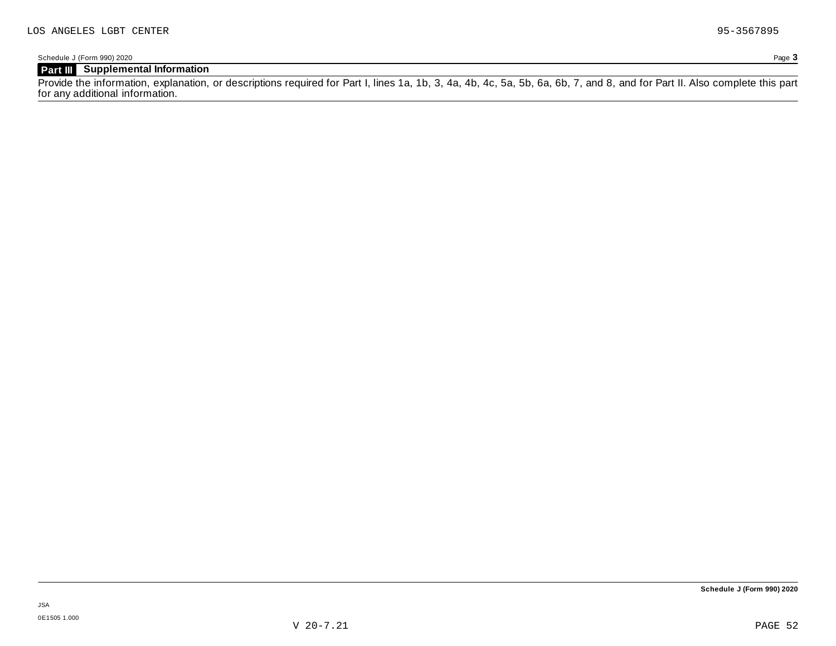### **Part III Supplemental Information**

Provide the information, explanation, or descriptions required for Part I, lines 1a, 1b, 3, 4a, 4b, 4c, 5a, 5b, 6a, 6b, 7, and 8, and for Part II. Also complete this part for any additional information.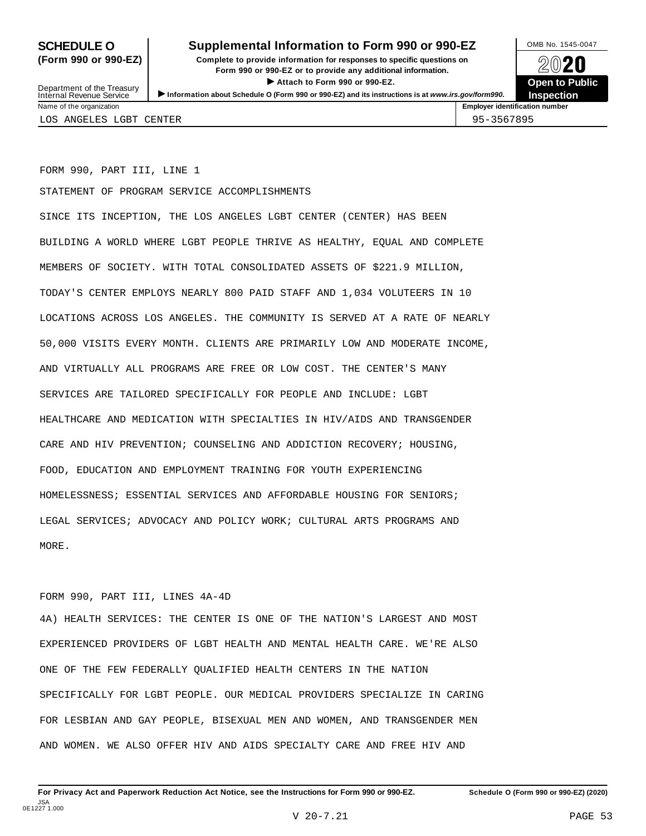### **SCHEDULE O** Supplemental Information to Form 990 or 990-EZ DAMB No. 1545-0047

**(Form 990 or 990-EZ) Complete to provide information for responses to specific questions on** plete to provide information for responses to specific questions on  $\bigotimes_{\mathbb{Z}}\mathbb{Q}$  20 **EVECT**<br>
Attach to Form 990 or 990-EZ.<br>
and the Communication of the Communication of the Communication of the Communication of the Communication of the Communication of the Communication of the Communication of the Commu Department of the Treasury <br>Depen to Public<br>Name of the organization<br>Name of the organization<br>Name of the organization<br>Name of the organization



Department of the Treasury<br>Internal Revenue Service LOS ANGELES LGBT CENTER 95-3567895

FORM 990, PART III, LINE 1

STATEMENT OF PROGRAM SERVICE ACCOMPLISHMENTS

SINCE ITS INCEPTION, THE LOS ANGELES LGBT CENTER (CENTER) HAS BEEN BUILDING A WORLD WHERE LGBT PEOPLE THRIVE AS HEALTHY, EQUAL AND COMPLETE MEMBERS OF SOCIETY. WITH TOTAL CONSOLIDATED ASSETS OF \$221.9 MILLION, TODAY'S CENTER EMPLOYS NEARLY 800 PAID STAFF AND 1,034 VOLUTEERS IN 10 LOCATIONS ACROSS LOS ANGELES. THE COMMUNITY IS SERVED AT A RATE OF NEARLY 50,000 VISITS EVERY MONTH. CLIENTS ARE PRIMARILY LOW AND MODERATE INCOME, AND VIRTUALLY ALL PROGRAMS ARE FREE OR LOW COST. THE CENTER'S MANY SERVICES ARE TAILORED SPECIFICALLY FOR PEOPLE AND INCLUDE: LGBT HEALTHCARE AND MEDICATION WITH SPECIALTIES IN HIV/AIDS AND TRANSGENDER CARE AND HIV PREVENTION; COUNSELING AND ADDICTION RECOVERY; HOUSING, FOOD, EDUCATION AND EMPLOYMENT TRAINING FOR YOUTH EXPERIENCING HOMELESSNESS; ESSENTIAL SERVICES AND AFFORDABLE HOUSING FOR SENIORS; LEGAL SERVICES; ADVOCACY AND POLICY WORK; CULTURAL ARTS PROGRAMS AND MORE.

### FORM 990, PART III, LINES 4A-4D

4A) HEALTH SERVICES: THE CENTER IS ONE OF THE NATION'S LARGEST AND MOST EXPERIENCED PROVIDERS OF LGBT HEALTH AND MENTAL HEALTH CARE. WE'RE ALSO ONE OF THE FEW FEDERALLY QUALIFIED HEALTH CENTERS IN THE NATION SPECIFICALLY FOR LGBT PEOPLE. OUR MEDICAL PROVIDERS SPECIALIZE IN CARING FOR LESBIAN AND GAY PEOPLE, BISEXUAL MEN AND WOMEN, AND TRANSGENDER MEN AND WOMEN. WE ALSO OFFER HIV AND AIDS SPECIALTY CARE AND FREE HIV AND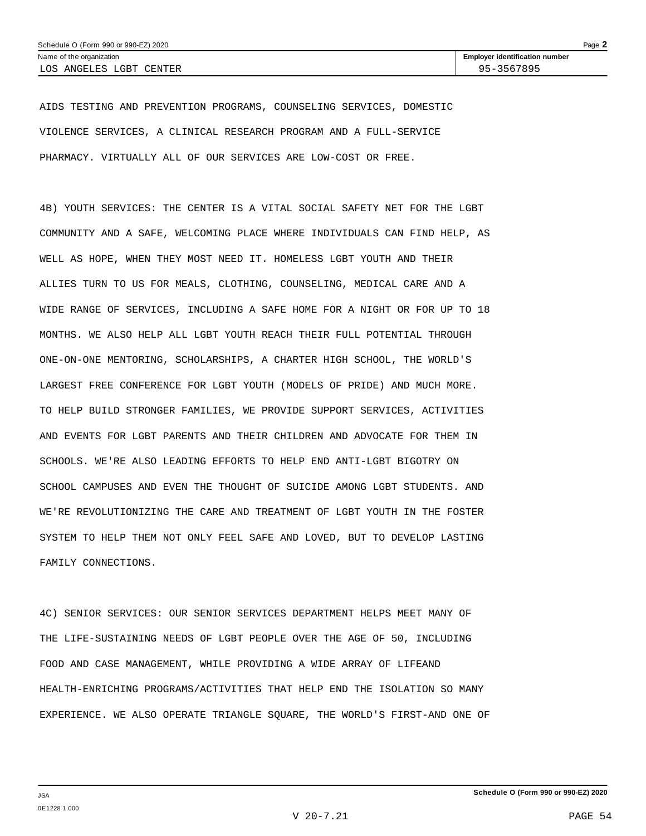AIDS TESTING AND PREVENTION PROGRAMS, COUNSELING SERVICES, DOMESTIC VIOLENCE SERVICES, A CLINICAL RESEARCH PROGRAM AND A FULL-SERVICE PHARMACY. VIRTUALLY ALL OF OUR SERVICES ARE LOW-COST OR FREE.

4B) YOUTH SERVICES: THE CENTER IS A VITAL SOCIAL SAFETY NET FOR THE LGBT COMMUNITY AND A SAFE, WELCOMING PLACE WHERE INDIVIDUALS CAN FIND HELP, AS WELL AS HOPE, WHEN THEY MOST NEED IT. HOMELESS LGBT YOUTH AND THEIR ALLIES TURN TO US FOR MEALS, CLOTHING, COUNSELING, MEDICAL CARE AND A WIDE RANGE OF SERVICES, INCLUDING A SAFE HOME FOR A NIGHT OR FOR UP TO 18 MONTHS. WE ALSO HELP ALL LGBT YOUTH REACH THEIR FULL POTENTIAL THROUGH ONE-ON-ONE MENTORING, SCHOLARSHIPS, A CHARTER HIGH SCHOOL, THE WORLD'S LARGEST FREE CONFERENCE FOR LGBT YOUTH (MODELS OF PRIDE) AND MUCH MORE. TO HELP BUILD STRONGER FAMILIES, WE PROVIDE SUPPORT SERVICES, ACTIVITIES AND EVENTS FOR LGBT PARENTS AND THEIR CHILDREN AND ADVOCATE FOR THEM IN SCHOOLS. WE'RE ALSO LEADING EFFORTS TO HELP END ANTI-LGBT BIGOTRY ON SCHOOL CAMPUSES AND EVEN THE THOUGHT OF SUICIDE AMONG LGBT STUDENTS. AND WE'RE REVOLUTIONIZING THE CARE AND TREATMENT OF LGBT YOUTH IN THE FOSTER SYSTEM TO HELP THEM NOT ONLY FEEL SAFE AND LOVED, BUT TO DEVELOP LASTING FAMILY CONNECTIONS.

4C) SENIOR SERVICES: OUR SENIOR SERVICES DEPARTMENT HELPS MEET MANY OF THE LIFE-SUSTAINING NEEDS OF LGBT PEOPLE OVER THE AGE OF 50, INCLUDING FOOD AND CASE MANAGEMENT, WHILE PROVIDING A WIDE ARRAY OF LIFEAND HEALTH-ENRICHING PROGRAMS/ACTIVITIES THAT HELP END THE ISOLATION SO MANY EXPERIENCE. WE ALSO OPERATE TRIANGLE SQUARE, THE WORLD'S FIRST-AND ONE OF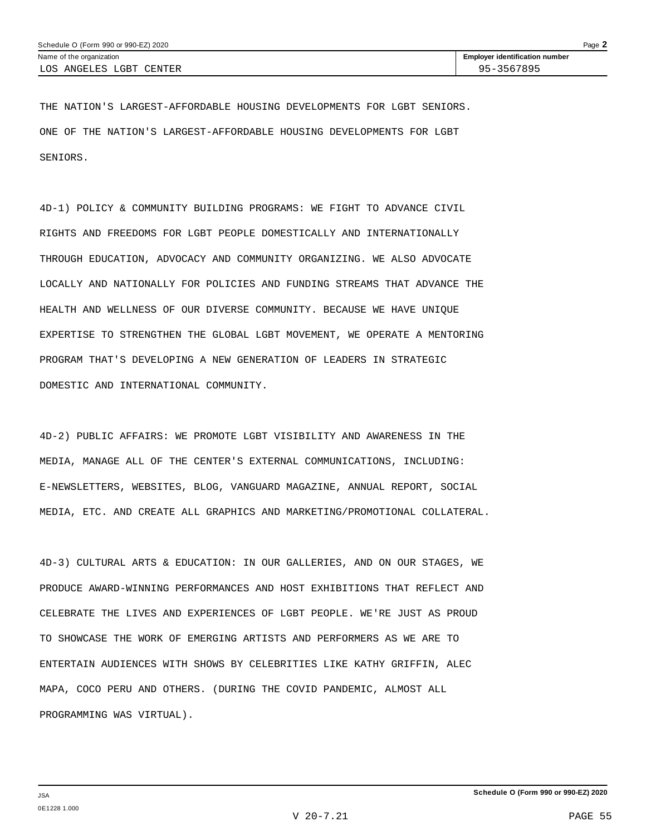THE NATION'S LARGEST-AFFORDABLE HOUSING DEVELOPMENTS FOR LGBT SENIORS. ONE OF THE NATION'S LARGEST-AFFORDABLE HOUSING DEVELOPMENTS FOR LGBT SENIORS.

4D-1) POLICY & COMMUNITY BUILDING PROGRAMS: WE FIGHT TO ADVANCE CIVIL RIGHTS AND FREEDOMS FOR LGBT PEOPLE DOMESTICALLY AND INTERNATIONALLY THROUGH EDUCATION, ADVOCACY AND COMMUNITY ORGANIZING. WE ALSO ADVOCATE LOCALLY AND NATIONALLY FOR POLICIES AND FUNDING STREAMS THAT ADVANCE THE HEALTH AND WELLNESS OF OUR DIVERSE COMMUNITY. BECAUSE WE HAVE UNIQUE EXPERTISE TO STRENGTHEN THE GLOBAL LGBT MOVEMENT, WE OPERATE A MENTORING PROGRAM THAT'S DEVELOPING A NEW GENERATION OF LEADERS IN STRATEGIC DOMESTIC AND INTERNATIONAL COMMUNITY.

4D-2) PUBLIC AFFAIRS: WE PROMOTE LGBT VISIBILITY AND AWARENESS IN THE MEDIA, MANAGE ALL OF THE CENTER'S EXTERNAL COMMUNICATIONS, INCLUDING: E-NEWSLETTERS, WEBSITES, BLOG, VANGUARD MAGAZINE, ANNUAL REPORT, SOCIAL MEDIA, ETC. AND CREATE ALL GRAPHICS AND MARKETING/PROMOTIONAL COLLATERAL.

4D-3) CULTURAL ARTS & EDUCATION: IN OUR GALLERIES, AND ON OUR STAGES, WE PRODUCE AWARD-WINNING PERFORMANCES AND HOST EXHIBITIONS THAT REFLECT AND CELEBRATE THE LIVES AND EXPERIENCES OF LGBT PEOPLE. WE'RE JUST AS PROUD TO SHOWCASE THE WORK OF EMERGING ARTISTS AND PERFORMERS AS WE ARE TO ENTERTAIN AUDIENCES WITH SHOWS BY CELEBRITIES LIKE KATHY GRIFFIN, ALEC MAPA, COCO PERU AND OTHERS. (DURING THE COVID PANDEMIC, ALMOST ALL PROGRAMMING WAS VIRTUAL).

V 20-7.21 PAGE 55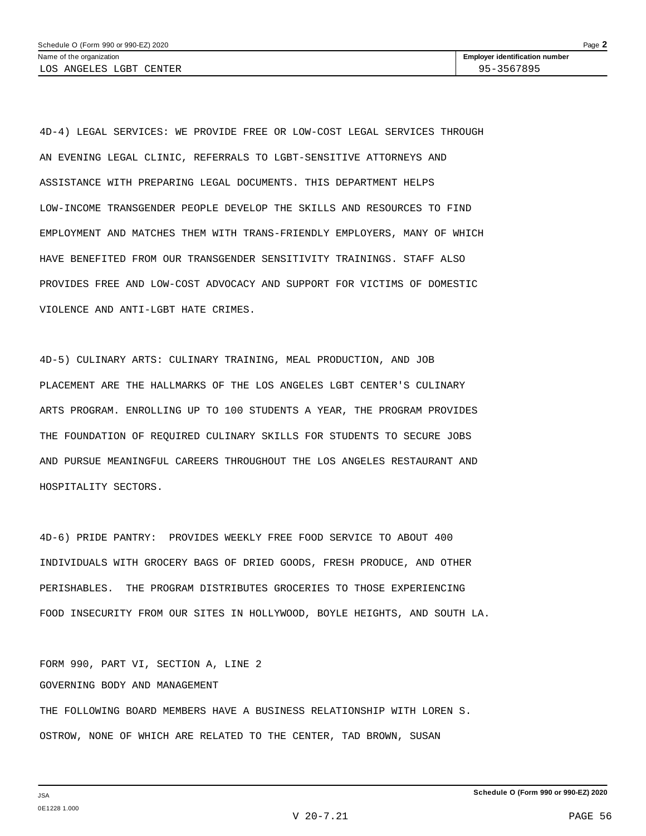4D-4) LEGAL SERVICES: WE PROVIDE FREE OR LOW-COST LEGAL SERVICES THROUGH AN EVENING LEGAL CLINIC, REFERRALS TO LGBT-SENSITIVE ATTORNEYS AND ASSISTANCE WITH PREPARING LEGAL DOCUMENTS. THIS DEPARTMENT HELPS LOW-INCOME TRANSGENDER PEOPLE DEVELOP THE SKILLS AND RESOURCES TO FIND EMPLOYMENT AND MATCHES THEM WITH TRANS-FRIENDLY EMPLOYERS, MANY OF WHICH HAVE BENEFITED FROM OUR TRANSGENDER SENSITIVITY TRAININGS. STAFF ALSO PROVIDES FREE AND LOW-COST ADVOCACY AND SUPPORT FOR VICTIMS OF DOMESTIC VIOLENCE AND ANTI-LGBT HATE CRIMES.

4D-5) CULINARY ARTS: CULINARY TRAINING, MEAL PRODUCTION, AND JOB PLACEMENT ARE THE HALLMARKS OF THE LOS ANGELES LGBT CENTER'S CULINARY ARTS PROGRAM. ENROLLING UP TO 100 STUDENTS A YEAR, THE PROGRAM PROVIDES THE FOUNDATION OF REQUIRED CULINARY SKILLS FOR STUDENTS TO SECURE JOBS AND PURSUE MEANINGFUL CAREERS THROUGHOUT THE LOS ANGELES RESTAURANT AND HOSPITALITY SECTORS.

4D-6) PRIDE PANTRY: PROVIDES WEEKLY FREE FOOD SERVICE TO ABOUT 400 INDIVIDUALS WITH GROCERY BAGS OF DRIED GOODS, FRESH PRODUCE, AND OTHER PERISHABLES. THE PROGRAM DISTRIBUTES GROCERIES TO THOSE EXPERIENCING FOOD INSECURITY FROM OUR SITES IN HOLLYWOOD, BOYLE HEIGHTS, AND SOUTH LA.

FORM 990, PART VI, SECTION A, LINE 2 GOVERNING BODY AND MANAGEMENT THE FOLLOWING BOARD MEMBERS HAVE A BUSINESS RELATIONSHIP WITH LOREN S. OSTROW, NONE OF WHICH ARE RELATED TO THE CENTER, TAD BROWN, SUSAN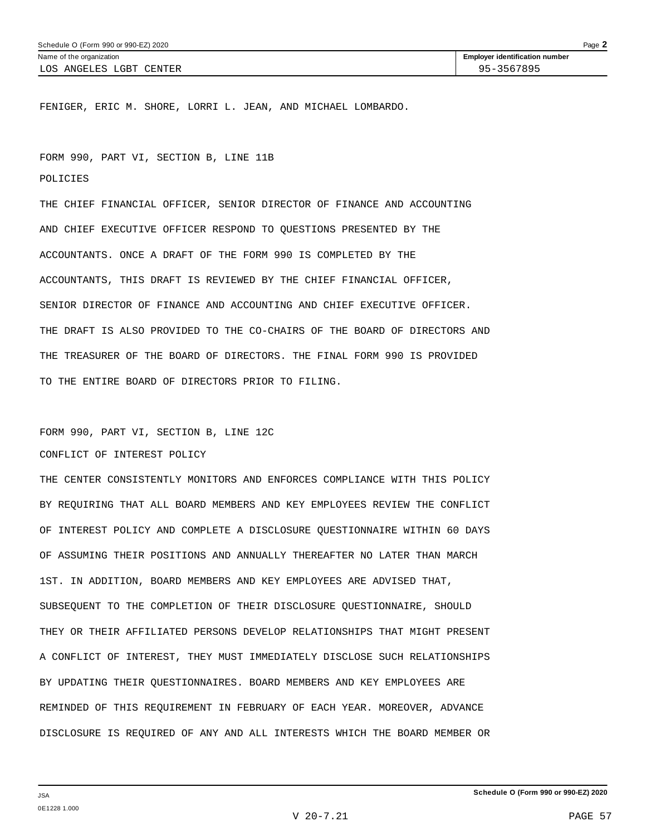FENIGER, ERIC M. SHORE, LORRI L. JEAN, AND MICHAEL LOMBARDO.

FORM 990, PART VI, SECTION B, LINE 11B

POLICIES

THE CHIEF FINANCIAL OFFICER, SENIOR DIRECTOR OF FINANCE AND ACCOUNTING AND CHIEF EXECUTIVE OFFICER RESPOND TO QUESTIONS PRESENTED BY THE ACCOUNTANTS. ONCE A DRAFT OF THE FORM 990 IS COMPLETED BY THE ACCOUNTANTS, THIS DRAFT IS REVIEWED BY THE CHIEF FINANCIAL OFFICER, SENIOR DIRECTOR OF FINANCE AND ACCOUNTING AND CHIEF EXECUTIVE OFFICER. THE DRAFT IS ALSO PROVIDED TO THE CO-CHAIRS OF THE BOARD OF DIRECTORS AND THE TREASURER OF THE BOARD OF DIRECTORS. THE FINAL FORM 990 IS PROVIDED TO THE ENTIRE BOARD OF DIRECTORS PRIOR TO FILING.

FORM 990, PART VI, SECTION B, LINE 12C

CONFLICT OF INTEREST POLICY

THE CENTER CONSISTENTLY MONITORS AND ENFORCES COMPLIANCE WITH THIS POLICY BY REQUIRING THAT ALL BOARD MEMBERS AND KEY EMPLOYEES REVIEW THE CONFLICT OF INTEREST POLICY AND COMPLETE A DISCLOSURE QUESTIONNAIRE WITHIN 60 DAYS OF ASSUMING THEIR POSITIONS AND ANNUALLY THEREAFTER NO LATER THAN MARCH 1ST. IN ADDITION, BOARD MEMBERS AND KEY EMPLOYEES ARE ADVISED THAT, SUBSEQUENT TO THE COMPLETION OF THEIR DISCLOSURE QUESTIONNAIRE, SHOULD THEY OR THEIR AFFILIATED PERSONS DEVELOP RELATIONSHIPS THAT MIGHT PRESENT A CONFLICT OF INTEREST, THEY MUST IMMEDIATELY DISCLOSE SUCH RELATIONSHIPS BY UPDATING THEIR QUESTIONNAIRES. BOARD MEMBERS AND KEY EMPLOYEES ARE REMINDED OF THIS REQUIREMENT IN FEBRUARY OF EACH YEAR. MOREOVER, ADVANCE DISCLOSURE IS REQUIRED OF ANY AND ALL INTERESTS WHICH THE BOARD MEMBER OR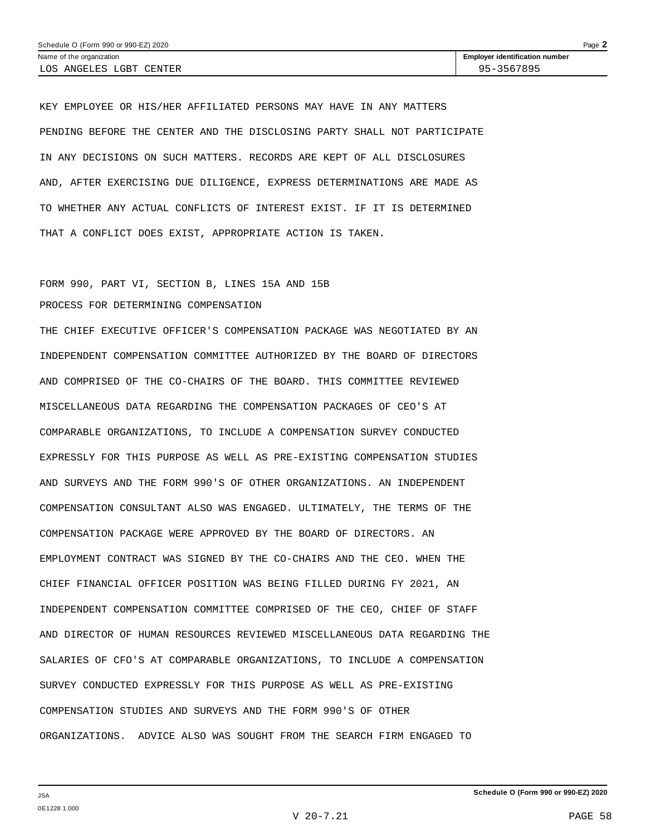KEY EMPLOYEE OR HIS/HER AFFILIATED PERSONS MAY HAVE IN ANY MATTERS PENDING BEFORE THE CENTER AND THE DISCLOSING PARTY SHALL NOT PARTICIPATE IN ANY DECISIONS ON SUCH MATTERS. RECORDS ARE KEPT OF ALL DISCLOSURES AND, AFTER EXERCISING DUE DILIGENCE, EXPRESS DETERMINATIONS ARE MADE AS TO WHETHER ANY ACTUAL CONFLICTS OF INTEREST EXIST. IF IT IS DETERMINED THAT A CONFLICT DOES EXIST, APPROPRIATE ACTION IS TAKEN.

## FORM 990, PART VI, SECTION B, LINES 15A AND 15B

### PROCESS FOR DETERMINING COMPENSATION

THE CHIEF EXECUTIVE OFFICER'S COMPENSATION PACKAGE WAS NEGOTIATED BY AN INDEPENDENT COMPENSATION COMMITTEE AUTHORIZED BY THE BOARD OF DIRECTORS AND COMPRISED OF THE CO-CHAIRS OF THE BOARD. THIS COMMITTEE REVIEWED MISCELLANEOUS DATA REGARDING THE COMPENSATION PACKAGES OF CEO'S AT COMPARABLE ORGANIZATIONS, TO INCLUDE A COMPENSATION SURVEY CONDUCTED EXPRESSLY FOR THIS PURPOSE AS WELL AS PRE-EXISTING COMPENSATION STUDIES AND SURVEYS AND THE FORM 990'S OF OTHER ORGANIZATIONS. AN INDEPENDENT COMPENSATION CONSULTANT ALSO WAS ENGAGED. ULTIMATELY, THE TERMS OF THE COMPENSATION PACKAGE WERE APPROVED BY THE BOARD OF DIRECTORS. AN EMPLOYMENT CONTRACT WAS SIGNED BY THE CO-CHAIRS AND THE CEO. WHEN THE CHIEF FINANCIAL OFFICER POSITION WAS BEING FILLED DURING FY 2021, AN INDEPENDENT COMPENSATION COMMITTEE COMPRISED OF THE CEO, CHIEF OF STAFF AND DIRECTOR OF HUMAN RESOURCES REVIEWED MISCELLANEOUS DATA REGARDING THE SALARIES OF CFO'S AT COMPARABLE ORGANIZATIONS, TO INCLUDE A COMPENSATION SURVEY CONDUCTED EXPRESSLY FOR THIS PURPOSE AS WELL AS PRE-EXISTING COMPENSATION STUDIES AND SURVEYS AND THE FORM 990'S OF OTHER ORGANIZATIONS. ADVICE ALSO WAS SOUGHT FROM THE SEARCH FIRM ENGAGED TO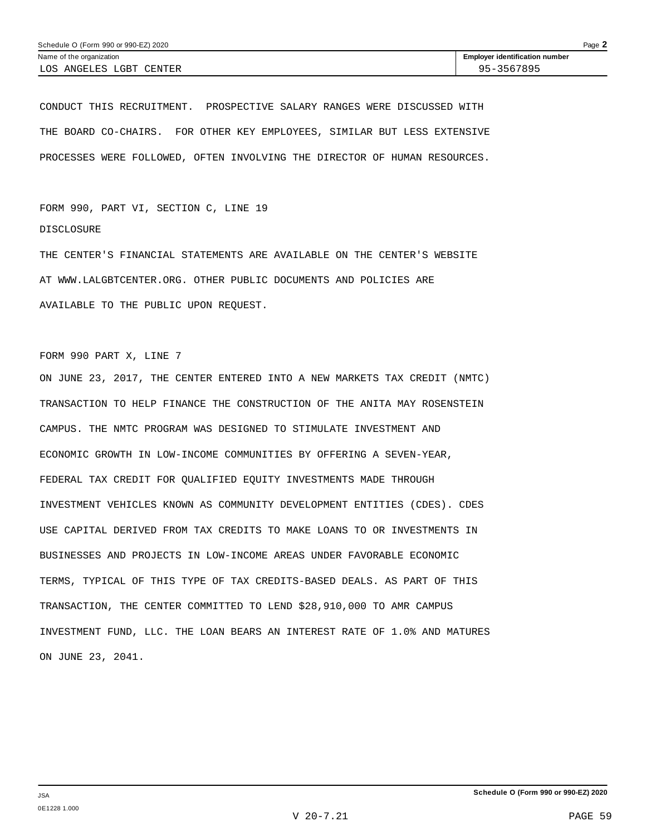CONDUCT THIS RECRUITMENT. PROSPECTIVE SALARY RANGES WERE DISCUSSED WITH THE BOARD CO-CHAIRS. FOR OTHER KEY EMPLOYEES, SIMILAR BUT LESS EXTENSIVE PROCESSES WERE FOLLOWED, OFTEN INVOLVING THE DIRECTOR OF HUMAN RESOURCES.

FORM 990, PART VI, SECTION C, LINE 19 DISCLOSURE

THE CENTER'S FINANCIAL STATEMENTS ARE AVAILABLE ON THE CENTER'S WEBSITE AT WWW.LALGBTCENTER.ORG. OTHER PUBLIC DOCUMENTS AND POLICIES ARE AVAILABLE TO THE PUBLIC UPON REQUEST.

FORM 990 PART X, LINE 7

ON JUNE 23, 2017, THE CENTER ENTERED INTO A NEW MARKETS TAX CREDIT (NMTC) TRANSACTION TO HELP FINANCE THE CONSTRUCTION OF THE ANITA MAY ROSENSTEIN CAMPUS. THE NMTC PROGRAM WAS DESIGNED TO STIMULATE INVESTMENT AND ECONOMIC GROWTH IN LOW-INCOME COMMUNITIES BY OFFERING A SEVEN-YEAR, FEDERAL TAX CREDIT FOR QUALIFIED EQUITY INVESTMENTS MADE THROUGH INVESTMENT VEHICLES KNOWN AS COMMUNITY DEVELOPMENT ENTITIES (CDES). CDES USE CAPITAL DERIVED FROM TAX CREDITS TO MAKE LOANS TO OR INVESTMENTS IN BUSINESSES AND PROJECTS IN LOW-INCOME AREAS UNDER FAVORABLE ECONOMIC TERMS, TYPICAL OF THIS TYPE OF TAX CREDITS-BASED DEALS. AS PART OF THIS TRANSACTION, THE CENTER COMMITTED TO LEND \$28,910,000 TO AMR CAMPUS INVESTMENT FUND, LLC. THE LOAN BEARS AN INTEREST RATE OF 1.0% AND MATURES ON JUNE 23, 2041.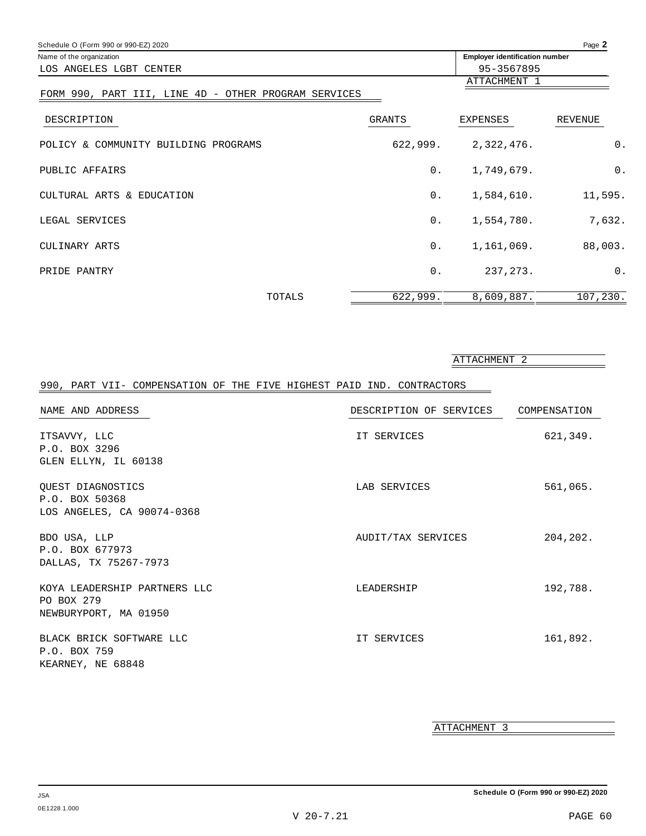| Schedule O (Form 990 or 990-EZ) 2020                 |                                                                                                                                                                                                                                                                                        |              |          |
|------------------------------------------------------|----------------------------------------------------------------------------------------------------------------------------------------------------------------------------------------------------------------------------------------------------------------------------------------|--------------|----------|
| Name of the organization                             |                                                                                                                                                                                                                                                                                        |              |          |
| LOS ANGELES LGBT CENTER                              |                                                                                                                                                                                                                                                                                        | 95-3567895   |          |
|                                                      |                                                                                                                                                                                                                                                                                        | ATTACHMENT 1 |          |
| FORM 990, PART III, LINE 4D - OTHER PROGRAM SERVICES | Page 2<br><b>Employer identification number</b><br>GRANTS<br>EXPENSES<br>REVENUE<br>2,322,476.<br>0.<br>622,999.<br>$\overline{0}$ .<br>$0$ .<br>1,749,679.<br>0.<br>1,584,610.<br>11,595.<br>1,554,780.<br>7,632.<br>$0$ .<br>88,003.<br>$0$ .<br>1,161,069.<br>0.<br>237, 273.<br>0. |              |          |
| DESCRIPTION                                          |                                                                                                                                                                                                                                                                                        |              |          |
| POLICY & COMMUNITY BUILDING PROGRAMS                 |                                                                                                                                                                                                                                                                                        |              |          |
| PUBLIC AFFAIRS                                       |                                                                                                                                                                                                                                                                                        |              |          |
| CULTURAL ARTS & EDUCATION                            |                                                                                                                                                                                                                                                                                        |              |          |
| LEGAL SERVICES                                       |                                                                                                                                                                                                                                                                                        |              |          |
| CULINARY ARTS                                        |                                                                                                                                                                                                                                                                                        |              |          |
| PRIDE PANTRY                                         |                                                                                                                                                                                                                                                                                        |              |          |
| TOTALS                                               | 622,999.                                                                                                                                                                                                                                                                               | 8,609,887.   | 107,230. |

|                                                                       |                         | ATTACHMENT 2 |
|-----------------------------------------------------------------------|-------------------------|--------------|
| 990, PART VII- COMPENSATION OF THE FIVE HIGHEST PAID IND. CONTRACTORS |                         |              |
| NAME AND ADDRESS                                                      | DESCRIPTION OF SERVICES | COMPENSATION |
| ITSAVVY, LLC<br>P.O. BOX 3296<br>GLEN ELLYN, IL 60138                 | IT SERVICES             | 621,349.     |
| OUEST DIAGNOSTICS<br>P.O. BOX 50368<br>LOS ANGELES, CA 90074-0368     | LAB SERVICES            | 561,065.     |
| BDO USA, LLP<br>P.O. BOX 677973<br>DALLAS, TX 75267-7973              | AUDIT/TAX SERVICES      | 204,202.     |
| KOYA LEADERSHIP PARTNERS LLC<br>PO BOX 279<br>NEWBURYPORT, MA 01950   | LEADERSHIP              | 192,788.     |
| BLACK BRICK SOFTWARE LLC<br>P.O. BOX 759<br>KEARNEY, NE 68848         | IT SERVICES             | 161,892.     |

ATTACHMENT 3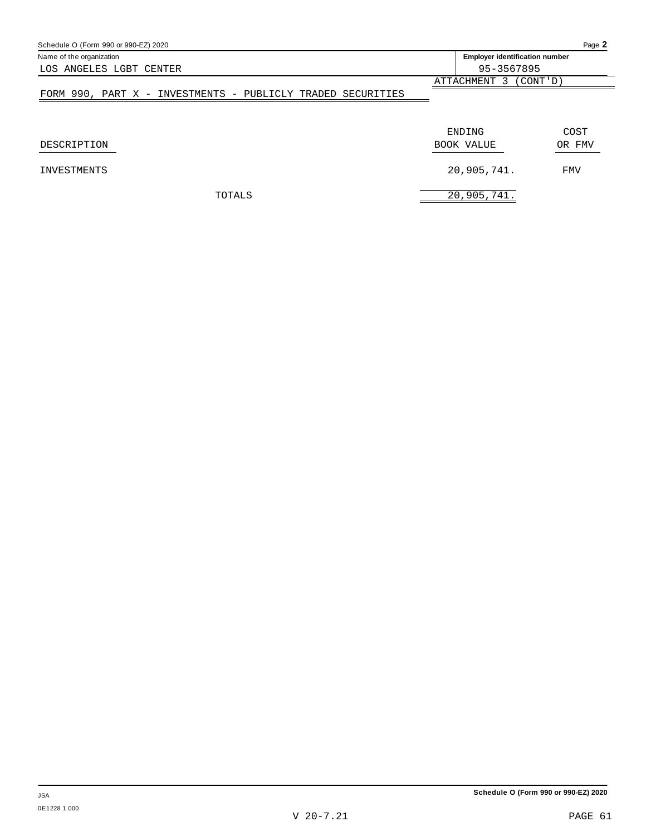| Schedule O (Form 990 or 990-EZ) 2020                        |                                       | Page 2     |
|-------------------------------------------------------------|---------------------------------------|------------|
| Name of the organization                                    | <b>Employer identification number</b> |            |
| LOS ANGELES LGBT CENTER                                     | 95-3567895                            |            |
|                                                             | ATTACHMENT 3 (CONT'D)                 |            |
| FORM 990, PART X - INVESTMENTS - PUBLICLY TRADED SECURITIES |                                       |            |
|                                                             |                                       |            |
|                                                             | ENDING                                | COST       |
| DESCRIPTION                                                 | BOOK VALUE                            | OR FMV     |
| <b>INVESTMENTS</b>                                          | 20,905,741.                           | <b>FMV</b> |
| TOTALS                                                      | 20,905,741.                           |            |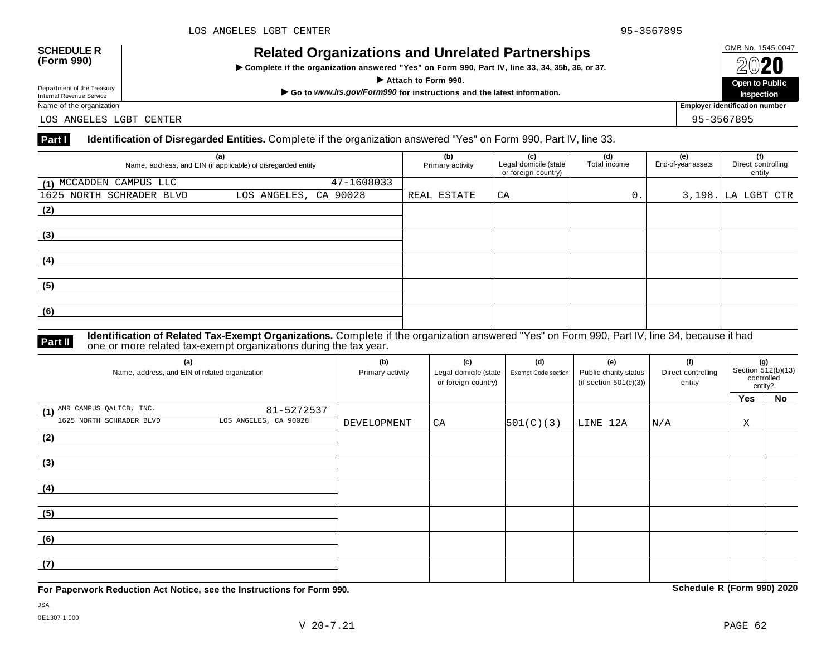# OMB No. 1545-0047 **SCHEDULE R (Form 990) Related Organizations and Unrelated Partnerships**

 $\triangleright$  Complete if the organization answered "Yes" on Form 990, Part IV, line 33, 34, 35b, 36, or 37.



Department of the Treasury<br>Internal Revenue Service

LOS ANGELES LGBT CENTER 95-3567895

### **Part I Identification of Disregarded Entities.** Complete if the organization answered "Yes" on Form 990, Part IV, line 33.

| (a)<br>Name, address, and EIN (if applicable) of disregarded entity |                       | (b)<br>Primary activity | (c)<br>Legal domicile (state<br>or foreign country) | (d)<br>Total income | (e)<br>End-of-year assets | (f)<br>Direct controlling<br>entity |
|---------------------------------------------------------------------|-----------------------|-------------------------|-----------------------------------------------------|---------------------|---------------------------|-------------------------------------|
| (1) MCCADDEN CAMPUS LLC                                             | 47-1608033            |                         |                                                     |                     |                           |                                     |
| 1625 NORTH SCHRADER BLVD                                            | LOS ANGELES, CA 90028 | REAL ESTATE             | CA                                                  | 0.                  |                           | $3,198.$ LA LGBT CTR                |
| (2)                                                                 |                       |                         |                                                     |                     |                           |                                     |
|                                                                     |                       |                         |                                                     |                     |                           |                                     |
| (3)                                                                 |                       |                         |                                                     |                     |                           |                                     |
|                                                                     |                       |                         |                                                     |                     |                           |                                     |
| (4)                                                                 |                       |                         |                                                     |                     |                           |                                     |
|                                                                     |                       |                         |                                                     |                     |                           |                                     |
| (5)                                                                 |                       |                         |                                                     |                     |                           |                                     |
|                                                                     |                       |                         |                                                     |                     |                           |                                     |
| (6)                                                                 |                       |                         |                                                     |                     |                           |                                     |
|                                                                     |                       |                         |                                                     |                     |                           |                                     |

**Identification of Related Tax-Exempt Organizations.** Complete if the organization answered "Yes" on Form 990, Part IV, line 34, because it had **Part II** one or more related tax-exempt organizations during the tax year.

| (a)<br>Name, address, and EIN of related organization | (b)<br>Primary activity | (c)<br>Legal domicile (state<br>or foreign country) | (d)<br>Exempt Code section | (e)<br>Public charity status<br>(if section $501(c)(3)$ ) | (f)<br>Direct controlling<br>entity | (g)<br>Section 512(b)(13)<br>controlled<br>entity? |    |
|-------------------------------------------------------|-------------------------|-----------------------------------------------------|----------------------------|-----------------------------------------------------------|-------------------------------------|----------------------------------------------------|----|
|                                                       |                         |                                                     |                            |                                                           |                                     | Yes                                                | No |
| (1) AMR CAMPUS QALICB, INC.<br>81-5272537             |                         |                                                     |                            |                                                           |                                     |                                                    |    |
| LOS ANGELES, CA 90028<br>1625 NORTH SCHRADER BLVD     | DEVELOPMENT             | CA                                                  | 501(C)(3)                  | LINE 12A                                                  | N/A                                 | Χ                                                  |    |
| (2)                                                   |                         |                                                     |                            |                                                           |                                     |                                                    |    |
|                                                       |                         |                                                     |                            |                                                           |                                     |                                                    |    |
| (3)                                                   |                         |                                                     |                            |                                                           |                                     |                                                    |    |
|                                                       |                         |                                                     |                            |                                                           |                                     |                                                    |    |
| (4)                                                   |                         |                                                     |                            |                                                           |                                     |                                                    |    |
|                                                       |                         |                                                     |                            |                                                           |                                     |                                                    |    |
| (5)                                                   |                         |                                                     |                            |                                                           |                                     |                                                    |    |
|                                                       |                         |                                                     |                            |                                                           |                                     |                                                    |    |
| (6)                                                   |                         |                                                     |                            |                                                           |                                     |                                                    |    |
|                                                       |                         |                                                     |                            |                                                           |                                     |                                                    |    |
| (7)                                                   |                         |                                                     |                            |                                                           |                                     |                                                    |    |
|                                                       |                         |                                                     |                            |                                                           |                                     |                                                    |    |

**For Paperwork Reduction Act Notice, see the Instructions for Form 990. Schedule R (Form 990) 2020**

JSA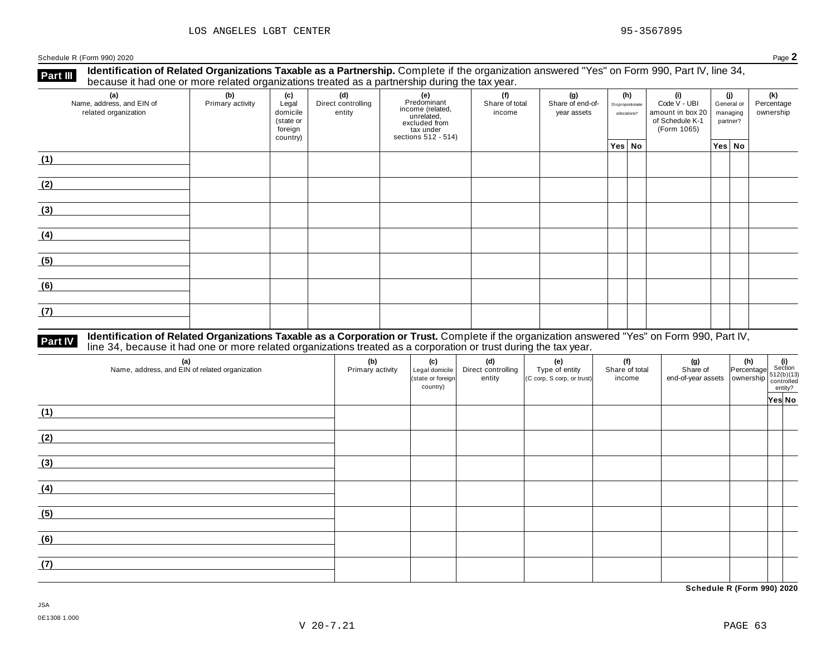**Identification of Related Organizations Taxable as a Partnership.** Complete if the organization answered "Yes" on Form 990, Part IV, line 34, **because it had one or more related organizations Taxable as a Partnership.** Complete if the organization of Related organizations treated as a partnership during the tax year.

| (a)<br>Name, address, and EIN of<br>related organization | (b)<br>Primary activity | (c)<br>Legal<br>domicile<br>(state or<br>foreign<br>country) | (d)<br>Direct controlling<br>entity | (e)<br>Predominant<br>income (related,<br>unrelated,<br>excluded from<br>tax under<br>sections 512 - 514) | (f)<br>Share of total<br>income | (g)<br>Share of end-of-<br>year assets | (h)<br>Disproportionate<br>allocations? | (i)<br>Code V - UBI<br>amount in box 20<br>of Schedule K-1<br>(Form 1065) | (j)<br>General or<br>managing<br>partner? | (k)<br>Percentage<br>ownership |
|----------------------------------------------------------|-------------------------|--------------------------------------------------------------|-------------------------------------|-----------------------------------------------------------------------------------------------------------|---------------------------------|----------------------------------------|-----------------------------------------|---------------------------------------------------------------------------|-------------------------------------------|--------------------------------|
|                                                          |                         |                                                              |                                     |                                                                                                           |                                 |                                        | Yes No                                  |                                                                           | Yes No                                    |                                |
| (1)                                                      |                         |                                                              |                                     |                                                                                                           |                                 |                                        |                                         |                                                                           |                                           |                                |
| (2)                                                      |                         |                                                              |                                     |                                                                                                           |                                 |                                        |                                         |                                                                           |                                           |                                |
| (3)                                                      |                         |                                                              |                                     |                                                                                                           |                                 |                                        |                                         |                                                                           |                                           |                                |
| (4)                                                      |                         |                                                              |                                     |                                                                                                           |                                 |                                        |                                         |                                                                           |                                           |                                |
| (5)                                                      |                         |                                                              |                                     |                                                                                                           |                                 |                                        |                                         |                                                                           |                                           |                                |
| (6)                                                      |                         |                                                              |                                     |                                                                                                           |                                 |                                        |                                         |                                                                           |                                           |                                |
| (7)                                                      |                         |                                                              |                                     |                                                                                                           |                                 |                                        |                                         |                                                                           |                                           |                                |

# **Part IV** Identification of Related Organizations Taxable as a Corporation or Trust. Complete if the organization answered "Yes" on Form 990, Part IV,<br>line 34, because it had one or more related organizations treated as a

| (a)<br>Name, address, and EIN of related organization | (b)<br>Primary activity | (c)<br>Legal domicile<br>(state or foreign<br>country) | (d)<br>Direct controlling<br>entity | (e)<br>Type of entity<br>(C corp, S corp, or trust) | (f)<br>Share of total<br>income | $\begin{array}{ c c c }\n\hline\n\text{(g)} & \text{(h)} & \text{(i)} \\ \text{Share of} & \text{Percentage} & \text{Section} \\ \text{end-of-year assets} & \text{ ownership} & \text{function} \\ \hline\n\begin{array}{ c c c }\n\hline\n\text{(h)} & \text{(i)} \\ \text{function} & \text{function} \\ \hline\n\text{(i)} & \text{entropy} \\ \hline\n\end{array}\n\hline\n\end{array}$ |        |
|-------------------------------------------------------|-------------------------|--------------------------------------------------------|-------------------------------------|-----------------------------------------------------|---------------------------------|----------------------------------------------------------------------------------------------------------------------------------------------------------------------------------------------------------------------------------------------------------------------------------------------------------------------------------------------------------------------------------------------|--------|
| (1)                                                   |                         |                                                        |                                     |                                                     |                                 |                                                                                                                                                                                                                                                                                                                                                                                              | Yes No |
| (2)                                                   |                         |                                                        |                                     |                                                     |                                 |                                                                                                                                                                                                                                                                                                                                                                                              |        |
| (3)                                                   |                         |                                                        |                                     |                                                     |                                 |                                                                                                                                                                                                                                                                                                                                                                                              |        |
| (4)                                                   |                         |                                                        |                                     |                                                     |                                 |                                                                                                                                                                                                                                                                                                                                                                                              |        |
| (5)                                                   |                         |                                                        |                                     |                                                     |                                 |                                                                                                                                                                                                                                                                                                                                                                                              |        |
| (6)                                                   |                         |                                                        |                                     |                                                     |                                 |                                                                                                                                                                                                                                                                                                                                                                                              |        |
| (7)                                                   |                         |                                                        |                                     |                                                     |                                 |                                                                                                                                                                                                                                                                                                                                                                                              |        |

**Schedule R (Form 990) 2020**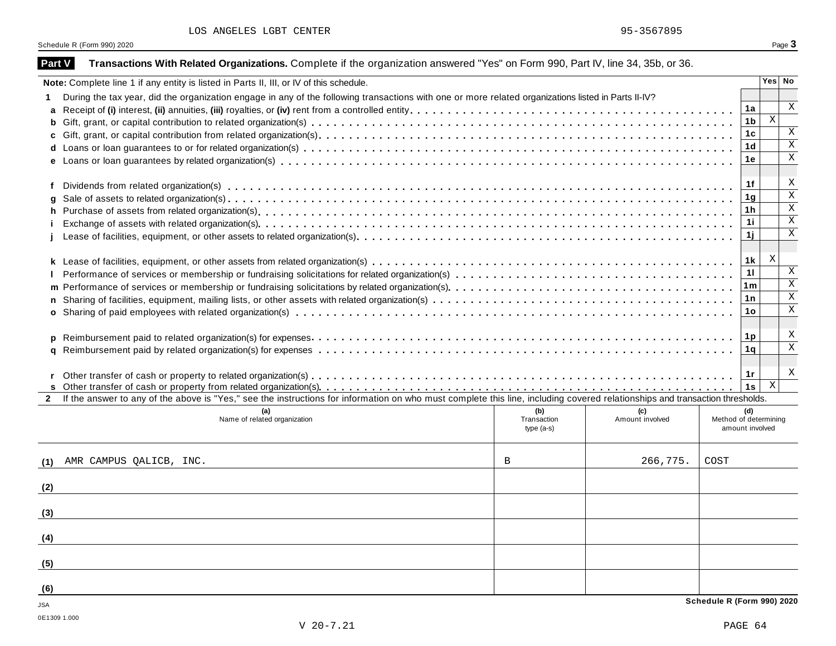| <b>Part V</b> | Transactions With Related Organizations. Complete if the organization answered "Yes" on Form 990, Part IV, line 34, 35b, or 36.                                              |                    |                        |                            |                      |                              |
|---------------|------------------------------------------------------------------------------------------------------------------------------------------------------------------------------|--------------------|------------------------|----------------------------|----------------------|------------------------------|
|               | Note: Complete line 1 if any entity is listed in Parts II, III, or IV of this schedule.                                                                                      |                    |                        |                            |                      | Yes No                       |
|               | During the tax year, did the organization engage in any of the following transactions with one or more related organizations listed in Parts II-IV?                          |                    |                        |                            |                      |                              |
| a             |                                                                                                                                                                              |                    |                        |                            | 1a                   | $\mathbf x$                  |
| b             |                                                                                                                                                                              |                    |                        |                            | 1 <sub>b</sub>       | $\mathbf X$                  |
| c             |                                                                                                                                                                              |                    |                        |                            | 1c                   | $\boldsymbol{\mathrm{X}}$    |
| d             |                                                                                                                                                                              |                    |                        |                            | 1 <sub>d</sub>       | $\overline{\mathbf{x}}$      |
|               |                                                                                                                                                                              |                    |                        |                            | 1e                   | $\overline{\mathbf{x}}$      |
|               |                                                                                                                                                                              |                    |                        |                            |                      |                              |
| f             |                                                                                                                                                                              |                    |                        |                            | 1f                   | Χ<br>$\overline{\mathbf{x}}$ |
| q             |                                                                                                                                                                              |                    |                        |                            | 1 <sub>g</sub>       | $\overline{\mathbf{x}}$      |
| h             |                                                                                                                                                                              |                    |                        |                            | 1 <sub>h</sub><br>11 | $\overline{\mathbf{x}}$      |
|               |                                                                                                                                                                              |                    |                        |                            | 1j                   | $\overline{\mathbf{x}}$      |
|               |                                                                                                                                                                              |                    |                        |                            |                      |                              |
|               |                                                                                                                                                                              |                    |                        |                            | 1k                   | X                            |
|               |                                                                                                                                                                              |                    |                        |                            | 11                   | $\mathbf X$                  |
| m             |                                                                                                                                                                              |                    |                        |                            | 1m                   | $\overline{\mathbf{x}}$      |
| n             |                                                                                                                                                                              |                    |                        |                            | 1n                   | $\overline{\mathbf{x}}$      |
| $\mathbf{o}$  |                                                                                                                                                                              |                    |                        |                            | 1o                   | $\mathbf X$                  |
|               |                                                                                                                                                                              |                    |                        |                            |                      |                              |
| p             |                                                                                                                                                                              |                    |                        |                            | 1p                   | X                            |
| a             |                                                                                                                                                                              |                    |                        |                            | 1q                   | $\overline{\mathbf{x}}$      |
|               |                                                                                                                                                                              |                    |                        |                            |                      |                              |
|               |                                                                                                                                                                              |                    |                        |                            | 1r                   | X                            |
|               |                                                                                                                                                                              |                    |                        |                            | 1s                   | X                            |
| $\mathbf{2}$  | If the answer to any of the above is "Yes," see the instructions for information on who must complete this line, including covered relationships and transaction thresholds. |                    |                        |                            |                      |                              |
|               | (a)<br>Name of related organization                                                                                                                                          | (b)<br>Transaction | (c)<br>Amount involved | Method of determining      | (d)                  |                              |
|               |                                                                                                                                                                              | $type(a-s)$        |                        | amount involved            |                      |                              |
|               |                                                                                                                                                                              |                    |                        |                            |                      |                              |
| (1)           | AMR CAMPUS QALICB, INC.                                                                                                                                                      | B                  | 266,775.               | COST                       |                      |                              |
|               |                                                                                                                                                                              |                    |                        |                            |                      |                              |
| (2)           |                                                                                                                                                                              |                    |                        |                            |                      |                              |
|               |                                                                                                                                                                              |                    |                        |                            |                      |                              |
| (3)           |                                                                                                                                                                              |                    |                        |                            |                      |                              |
| (4)           |                                                                                                                                                                              |                    |                        |                            |                      |                              |
|               |                                                                                                                                                                              |                    |                        |                            |                      |                              |
| (5)           |                                                                                                                                                                              |                    |                        |                            |                      |                              |
| (6)           |                                                                                                                                                                              |                    |                        |                            |                      |                              |
| <b>JSA</b>    |                                                                                                                                                                              |                    |                        | Schedule R (Form 990) 2020 |                      |                              |
| 0E1309 1.000  |                                                                                                                                                                              |                    |                        |                            |                      |                              |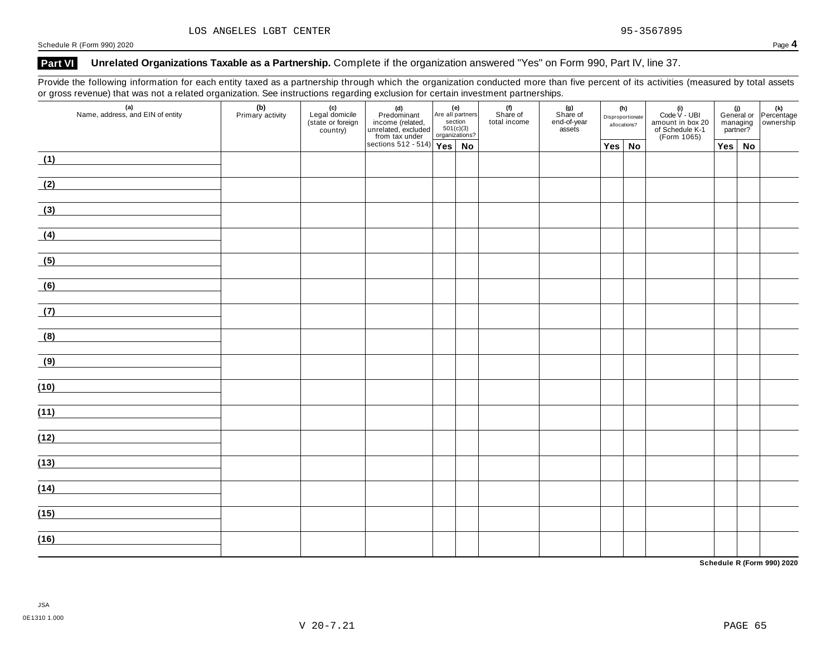### **Part VI Unrelated Organizations Taxable as a Partnership.** Complete if the organization answered "Yes" on Form 990, Part IV, line 37.

Provide the following information for each entity taxed as a partnership through which the organization conducted more than five percent of its activities (measured by total assets or gross revenue) that was not a related organization. See instructions regarding exclusion for certain investment partnerships.

| $\overline{\phantom{a}}$<br>(a)<br>Name, address, and EIN of entity | (b)<br>Primary activity | ັ<br>(c)<br>Legal domicile<br>(state or foreign<br>country) | (d)<br>Predominant<br>income (related,<br>unrelated, excluded<br>section<br>from tax under<br>sections 512 - 514)<br>Yes<br>No |  | (f)<br>Share of<br>total income | . .<br>(g)<br>Share of<br>end-of-year<br>assets | (h)<br>Disproportionate<br>allocations? | (i)<br>Code $V$ - UBI<br>amount in box 20<br>of Schedule K-1<br>(Form 1065) | managing<br>partner? | (i)<br>General or Percentage<br>managing ownership |
|---------------------------------------------------------------------|-------------------------|-------------------------------------------------------------|--------------------------------------------------------------------------------------------------------------------------------|--|---------------------------------|-------------------------------------------------|-----------------------------------------|-----------------------------------------------------------------------------|----------------------|----------------------------------------------------|
|                                                                     |                         |                                                             |                                                                                                                                |  |                                 |                                                 | $Yes \mid No$                           |                                                                             | $Yes \mid No$        |                                                    |
| (1)<br><u> 1989 - Jan Barbara Barbara, prima politik po</u>         |                         |                                                             |                                                                                                                                |  |                                 |                                                 |                                         |                                                                             |                      |                                                    |
| (2)                                                                 |                         |                                                             |                                                                                                                                |  |                                 |                                                 |                                         |                                                                             |                      |                                                    |
| (3)                                                                 |                         |                                                             |                                                                                                                                |  |                                 |                                                 |                                         |                                                                             |                      |                                                    |
| (4)                                                                 |                         |                                                             |                                                                                                                                |  |                                 |                                                 |                                         |                                                                             |                      |                                                    |
| (5)                                                                 |                         |                                                             |                                                                                                                                |  |                                 |                                                 |                                         |                                                                             |                      |                                                    |
| (6)<br><u> 1999 - Jan Barbara III, marka</u>                        |                         |                                                             |                                                                                                                                |  |                                 |                                                 |                                         |                                                                             |                      |                                                    |
| (7)                                                                 |                         |                                                             |                                                                                                                                |  |                                 |                                                 |                                         |                                                                             |                      |                                                    |
| (8)                                                                 |                         |                                                             |                                                                                                                                |  |                                 |                                                 |                                         |                                                                             |                      |                                                    |
| (9)<br><u> 1990 - Jan Barat, politik politik (</u>                  |                         |                                                             |                                                                                                                                |  |                                 |                                                 |                                         |                                                                             |                      |                                                    |
| (10)                                                                |                         |                                                             |                                                                                                                                |  |                                 |                                                 |                                         |                                                                             |                      |                                                    |
| (11)                                                                |                         |                                                             |                                                                                                                                |  |                                 |                                                 |                                         |                                                                             |                      |                                                    |
| (12)                                                                |                         |                                                             |                                                                                                                                |  |                                 |                                                 |                                         |                                                                             |                      |                                                    |
| (13)                                                                |                         |                                                             |                                                                                                                                |  |                                 |                                                 |                                         |                                                                             |                      |                                                    |
| (14)                                                                |                         |                                                             |                                                                                                                                |  |                                 |                                                 |                                         |                                                                             |                      |                                                    |
|                                                                     |                         |                                                             |                                                                                                                                |  |                                 |                                                 |                                         |                                                                             |                      |                                                    |
| (15)                                                                |                         |                                                             |                                                                                                                                |  |                                 |                                                 |                                         |                                                                             |                      |                                                    |
| (16)                                                                |                         |                                                             |                                                                                                                                |  |                                 |                                                 |                                         |                                                                             |                      |                                                    |

**Schedule R (Form 990) 2020**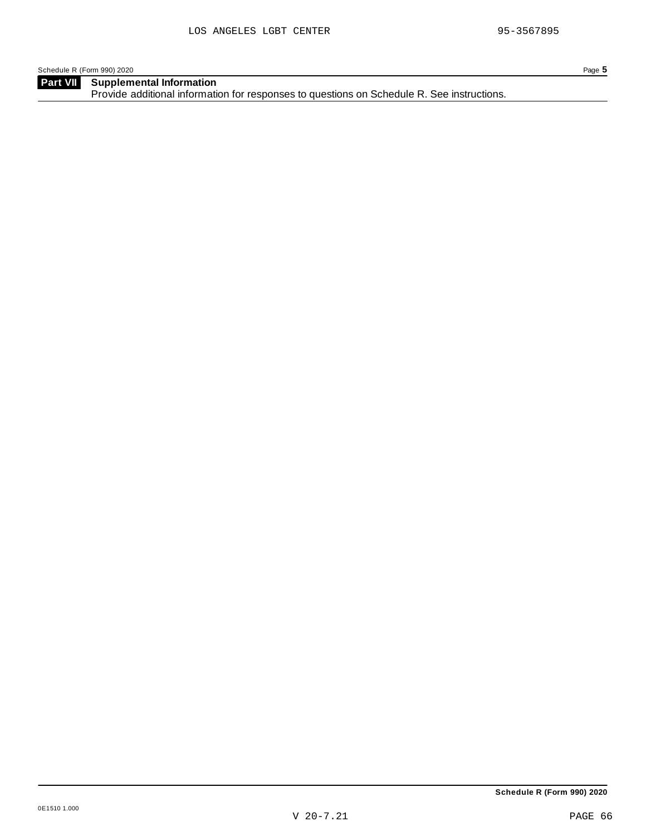**Supplemental Information** Provide additional information for responses to questions on Schedule R. See instructions. **Part VII**

**Schedule R (Form 990) 2020**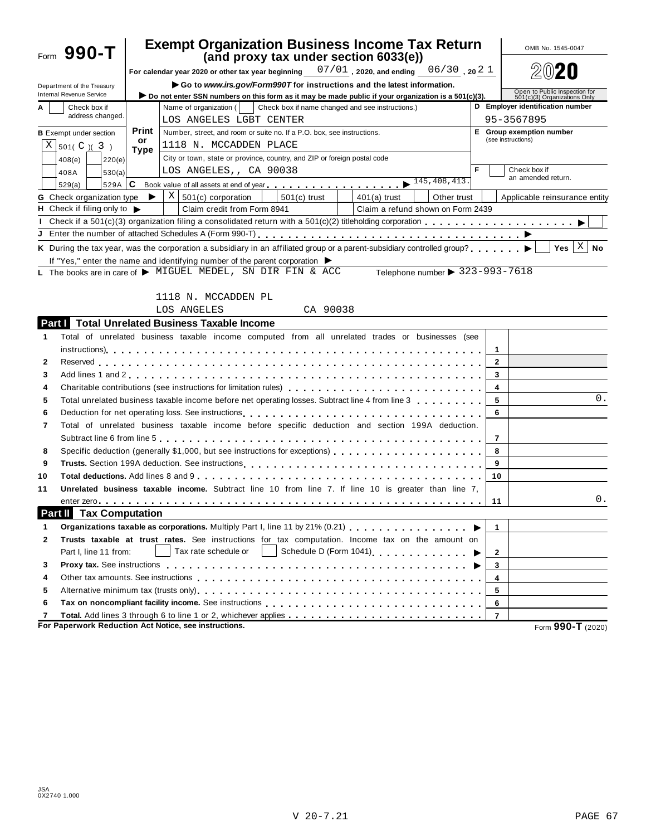|                                       | Form $990 - T$                                                                                   |            | <b>Exempt Organization Business Income Tax Return</b><br>(and proxy tax under section 6033(e))                                                                                                                                                        |                | OMB No. 1545-0047                                             |  |  |
|---------------------------------------|--------------------------------------------------------------------------------------------------|------------|-------------------------------------------------------------------------------------------------------------------------------------------------------------------------------------------------------------------------------------------------------|----------------|---------------------------------------------------------------|--|--|
|                                       |                                                                                                  |            | For calendar year 2020 or other tax year beginning $07/01$ , 2020, and ending 06/30, 20 2 1                                                                                                                                                           |                |                                                               |  |  |
|                                       |                                                                                                  |            | Go to www.irs.gov/Form990T for instructions and the latest information.                                                                                                                                                                               |                |                                                               |  |  |
|                                       | Department of the Treasury<br><b>Internal Revenue Service</b>                                    |            | Do not enter SSN numbers on this form as it may be made public if your organization is a 501(c)(3).                                                                                                                                                   |                | Open to Public Inspection for<br>501(c)(3) Organizations Only |  |  |
| Check box if<br>A<br>address changed. |                                                                                                  |            | Name of organization (<br>Check box if name changed and see instructions.)                                                                                                                                                                            |                | D Employer identification number                              |  |  |
|                                       |                                                                                                  |            | LOS ANGELES LGBT CENTER                                                                                                                                                                                                                               |                | 95-3567895                                                    |  |  |
|                                       | <b>B</b> Exempt under section                                                                    | Print      | Number, street, and room or suite no. If a P.O. box, see instructions.                                                                                                                                                                                |                | E Group exemption number                                      |  |  |
|                                       | $X \mid 501(C) (3)$                                                                              | or<br>Type | 1118 N. MCCADDEN PLACE                                                                                                                                                                                                                                |                | (see instructions)                                            |  |  |
|                                       | 408(e)<br>220(e)                                                                                 |            | City or town, state or province, country, and ZIP or foreign postal code                                                                                                                                                                              |                |                                                               |  |  |
|                                       | 408A<br>530(a)                                                                                   |            | LOS ANGELES,, CA 90038                                                                                                                                                                                                                                | F              | Check box if                                                  |  |  |
|                                       | 529A<br>529(a)                                                                                   | IС         |                                                                                                                                                                                                                                                       |                | an amended return.                                            |  |  |
|                                       | <b>G</b> Check organization type                                                                 | ▶          | $X \mid 501(c)$ corporation<br>$501(c)$ trust<br>Other trust<br>$401(a)$ trust                                                                                                                                                                        |                | Applicable reinsurance entity                                 |  |  |
|                                       | H Check if filing only to $\blacktriangleright$                                                  |            | Claim credit from Form 8941<br>Claim a refund shown on Form 2439                                                                                                                                                                                      |                |                                                               |  |  |
|                                       |                                                                                                  |            | Check if a 501(c)(3) organization filing a consolidated return with a 501(c)(2) titleholding corporation                                                                                                                                              |                |                                                               |  |  |
|                                       |                                                                                                  |            |                                                                                                                                                                                                                                                       |                |                                                               |  |  |
|                                       |                                                                                                  |            | K During the tax year, was the corporation a subsidiary in an affiliated group or a parent-subsidiary controlled group?                                                                                                                               |                | $Yes \mid X$<br><b>No</b>                                     |  |  |
|                                       |                                                                                                  |            | If "Yes," enter the name and identifying number of the parent corporation $\blacktriangleright$                                                                                                                                                       |                |                                                               |  |  |
|                                       |                                                                                                  |            | Telephone number > 323-993-7618<br>L The books are in care of $\blacktriangleright$ MIGUEL MEDEL, SN DIR FIN & ACC                                                                                                                                    |                |                                                               |  |  |
|                                       |                                                                                                  |            |                                                                                                                                                                                                                                                       |                |                                                               |  |  |
|                                       |                                                                                                  |            | 1118 N. MCCADDEN PL                                                                                                                                                                                                                                   |                |                                                               |  |  |
|                                       |                                                                                                  |            | CA 90038<br>LOS ANGELES                                                                                                                                                                                                                               |                |                                                               |  |  |
|                                       | Partill                                                                                          |            | <b>Total Unrelated Business Taxable Income</b>                                                                                                                                                                                                        |                |                                                               |  |  |
| 1                                     |                                                                                                  |            | Total of unrelated business taxable income computed from all unrelated trades or businesses (see                                                                                                                                                      |                |                                                               |  |  |
|                                       |                                                                                                  |            |                                                                                                                                                                                                                                                       | 1              |                                                               |  |  |
| 2                                     |                                                                                                  |            |                                                                                                                                                                                                                                                       | $\mathbf{2}$   |                                                               |  |  |
| 3                                     |                                                                                                  |            |                                                                                                                                                                                                                                                       | 3              |                                                               |  |  |
| 4                                     | 4                                                                                                |            |                                                                                                                                                                                                                                                       |                |                                                               |  |  |
| 5                                     | Total unrelated business taxable income before net operating losses. Subtract line 4 from line 3 | 5          | 0.                                                                                                                                                                                                                                                    |                |                                                               |  |  |
| 6                                     |                                                                                                  |            |                                                                                                                                                                                                                                                       | 6              |                                                               |  |  |
| 7                                     |                                                                                                  |            | Total of unrelated business taxable income before specific deduction and section 199A deduction.                                                                                                                                                      |                |                                                               |  |  |
|                                       |                                                                                                  |            |                                                                                                                                                                                                                                                       | 7              |                                                               |  |  |
| 8                                     |                                                                                                  |            | Specific deduction (generally \$1,000, but see instructions for exceptions)                                                                                                                                                                           | 8              |                                                               |  |  |
| 9                                     | 9                                                                                                |            |                                                                                                                                                                                                                                                       |                |                                                               |  |  |
| 10                                    |                                                                                                  |            |                                                                                                                                                                                                                                                       | 10             |                                                               |  |  |
| 11                                    |                                                                                                  |            | Unrelated business taxable income. Subtract line 10 from line 7. If line 10 is greater than line 7.                                                                                                                                                   |                |                                                               |  |  |
|                                       |                                                                                                  |            |                                                                                                                                                                                                                                                       | 11             | 0.                                                            |  |  |
|                                       | <b>Tax Computation</b><br>Part II                                                                |            |                                                                                                                                                                                                                                                       |                |                                                               |  |  |
| 1                                     |                                                                                                  |            | Organizations taxable as corporations. Multiply Part I, line 11 by 21% (0.21)                                                                                                                                                                         | $\mathbf{1}$   |                                                               |  |  |
| 2                                     |                                                                                                  |            | Trusts taxable at trust rates. See instructions for tax computation. Income tax on the amount on                                                                                                                                                      |                |                                                               |  |  |
|                                       | Part I, line 11 from:                                                                            |            | Tax rate schedule or<br>Schedule D (Form 1041) (Commercial Department Department Department Department Department Department Department Department Department Department Department Department Department Department Department Department Department | 2              |                                                               |  |  |
| 3                                     |                                                                                                  |            |                                                                                                                                                                                                                                                       | 3              |                                                               |  |  |
| 4                                     |                                                                                                  |            |                                                                                                                                                                                                                                                       | 4              |                                                               |  |  |
| 5                                     | 5                                                                                                |            |                                                                                                                                                                                                                                                       |                |                                                               |  |  |
| 6                                     | 6                                                                                                |            |                                                                                                                                                                                                                                                       |                |                                                               |  |  |
| 7                                     |                                                                                                  |            |                                                                                                                                                                                                                                                       | $\overline{7}$ |                                                               |  |  |
|                                       |                                                                                                  |            | For Paperwork Reduction Act Notice, see instructions.                                                                                                                                                                                                 |                | Form 990-T (2020)                                             |  |  |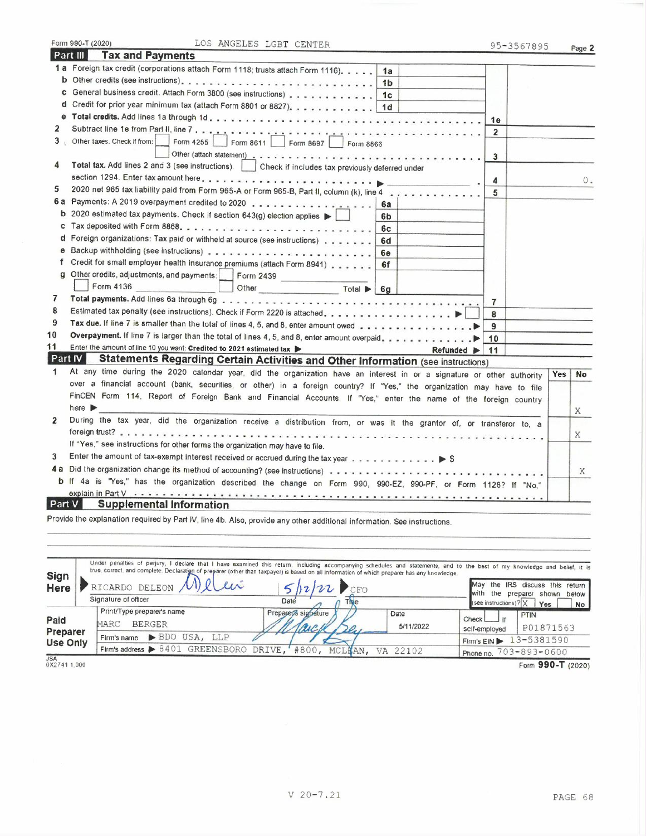|                | Form 990-T (2020)<br>LOS ANGELES LGBT CENTER                                                                            | 95-3567895     |            | Page 2 |  |  |
|----------------|-------------------------------------------------------------------------------------------------------------------------|----------------|------------|--------|--|--|
|                | Part III<br><b>Tax and Payments</b>                                                                                     |                |            |        |  |  |
|                | 1 a Foreign tax credit (corporations attach Form 1118; trusts attach Form 1116).<br>1a                                  |                |            |        |  |  |
|                | 1 <sub>b</sub>                                                                                                          |                |            |        |  |  |
|                | c General business credit. Attach Form 3800 (see instructions) 1c                                                       |                |            |        |  |  |
|                | d Credit for prior year minimum tax (attach Form 8801 or 8827). 1d                                                      |                |            |        |  |  |
|                |                                                                                                                         | 1e             |            |        |  |  |
| 2              |                                                                                                                         | $\overline{2}$ |            |        |  |  |
|                | 3 Other taxes. Check If from:<br>Form 4255<br>Form 8611   Form 8697   Form 8866                                         |                |            |        |  |  |
|                |                                                                                                                         | 3              |            |        |  |  |
| 4              | Total tax. Add lines 2 and 3 (see instructions).   Check if includes tax previously deferred under                      |                |            |        |  |  |
|                |                                                                                                                         | 4              |            | 0.     |  |  |
| 5              | 2020 net 965 tax liability paid from Form 965-A or Form 965-B, Part II, column (k), line 4                              | 5              |            |        |  |  |
|                | 6a                                                                                                                      |                |            |        |  |  |
|                | <b>b</b> 2020 estimated tax payments. Check if section 643(g) election applies $\blacktriangleright$<br>6b              |                |            |        |  |  |
| c              | 6с                                                                                                                      |                |            |        |  |  |
|                | d Foreign organizations: Tax paid or withheld at source (see instructions)<br>6d                                        |                |            |        |  |  |
| е              | 6e                                                                                                                      |                |            |        |  |  |
| t              | Credit for small employer health insurance premiums (attach Form 8941)<br>6f                                            |                |            |        |  |  |
| a              | Other credits, adjustments, and payments: Form 2439                                                                     |                |            |        |  |  |
|                | Form 4136<br>Other Total 6g                                                                                             |                |            |        |  |  |
| 7              |                                                                                                                         | $\overline{7}$ |            |        |  |  |
| 8              |                                                                                                                         | 8              |            |        |  |  |
| 9              |                                                                                                                         | 9              |            |        |  |  |
| 10             | Overpayment. If line 7 is larger than the total of lines 4, 5, and 8, enter amount overpaid. 10                         |                |            |        |  |  |
| 11             | Enter the amount of line 10 you want: Credited to 2021 estimated tax<br>Refunded $\blacktriangleright$   11             |                |            |        |  |  |
| Part IV        | <b>Statements Regarding Certain Activities and Other Information (see instructions)</b>                                 |                |            |        |  |  |
| 1              | At any time during the 2020 calendar year, did the organization have an interest in or a signature or other authority   |                | <b>Yes</b> | No     |  |  |
|                | over a financial account (bank, securities, or other) in a foreign country? If "Yes," the organization may have to file |                |            |        |  |  |
|                | FinCEN Form 114, Report of Foreign Bank and Financial Accounts. If "Yes," enter the name of the foreign country         |                |            |        |  |  |
|                | here $\blacktriangleright$                                                                                              |                |            | X      |  |  |
| $\overline{2}$ | During the tax year, did the organization receive a distribution from, or was it the grantor of, or transferor to, a    |                |            |        |  |  |
|                |                                                                                                                         |                |            | X      |  |  |
|                | If "Yes," see instructions for other forms the organization may have to file.                                           |                |            |        |  |  |
| 3              | Enter the amount of tax-exempt interest received or accrued during the tax year 5                                       |                |            |        |  |  |
|                |                                                                                                                         |                |            |        |  |  |
|                | b If 4a is "Yes," has the organization described the change on Form 990, 990-EZ, 990-PF, or Form 1128? If "No,"         |                |            |        |  |  |
|                |                                                                                                                         |                |            |        |  |  |
| Part V         | <b>Supplemental Information</b>                                                                                         |                |            |        |  |  |
|                | Provide the explanation required by Part IV, line 4b. Also, provide any other additional information. See instructions  |                |            |        |  |  |

| <b>Sign</b><br>Here | Under penalties of perjury, I declare that I have examined this return, including accompanying schedules and statements, and to the best of my knowledge and belief, it is<br>true, correct, and complete. Declaration of preparer (other than taxpayer) is based on all information of which preparer has any knowledge.<br>RICARDO DELEON /VI | 12122                               |                   | May the IRS discuss this return<br><b>with</b>                                              |
|---------------------|-------------------------------------------------------------------------------------------------------------------------------------------------------------------------------------------------------------------------------------------------------------------------------------------------------------------------------------------------|-------------------------------------|-------------------|---------------------------------------------------------------------------------------------|
|                     | Signature of officer                                                                                                                                                                                                                                                                                                                            | Daté                                |                   | the preparer shown below<br>(see instructions) $? X $<br>Yes<br><b>No</b>                   |
| Paid<br>Preparer    | Print/Type preparer's name<br><b>BERGER</b><br>MARC                                                                                                                                                                                                                                                                                             | Preparer's signature<br><b>BARA</b> | Date<br>5/11/2022 | <b>PTIN</b><br>Check<br>P01871563<br>self-employed                                          |
| <b>Use Only</b>     | $\blacktriangleright$ BDO<br>USA.<br>LLP<br>Firm's name<br>Firm's address > 8401 GREENSBORO DRIVE,                                                                                                                                                                                                                                              | #800, MCLHAN, VA 22102              |                   | 13-5381590<br>$F$ <i>im's</i> $E$ <i>iN</i> $\blacktriangleright$<br>Phone no. 703-893-0600 |
| <b>JSA</b>          |                                                                                                                                                                                                                                                                                                                                                 |                                     |                   | $\sim$ $\sim$ $\sim$                                                                        |

Form 990-T (2020)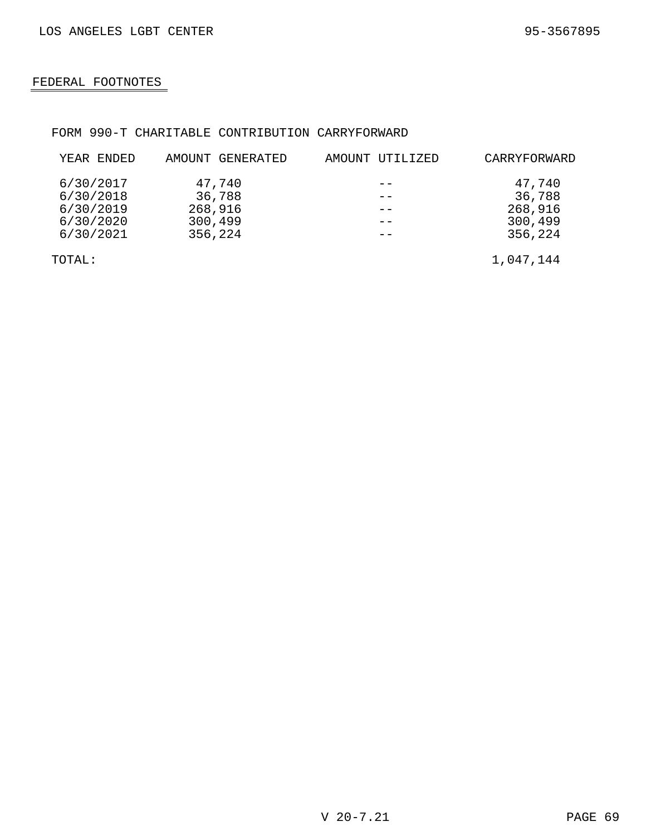## FEDERAL FOOTNOTES

### FORM 990-T CHARITABLE CONTRIBUTION CARRYFORWARD

| YEAR ENDED | AMOUNT GENERATED | AMOUNT UTILIZED | CARRYFORWARD |
|------------|------------------|-----------------|--------------|
| 6/30/2017  | 47,740           |                 | 47,740       |
| 6/30/2018  | 36,788           |                 | 36,788       |
| 6/30/2019  | 268,916          |                 | 268,916      |
| 6/30/2020  | 300,499          |                 | 300,499      |
| 6/30/2021  | 356,224          |                 | 356,224      |
| TOTAL:     |                  |                 | 1,047,144    |